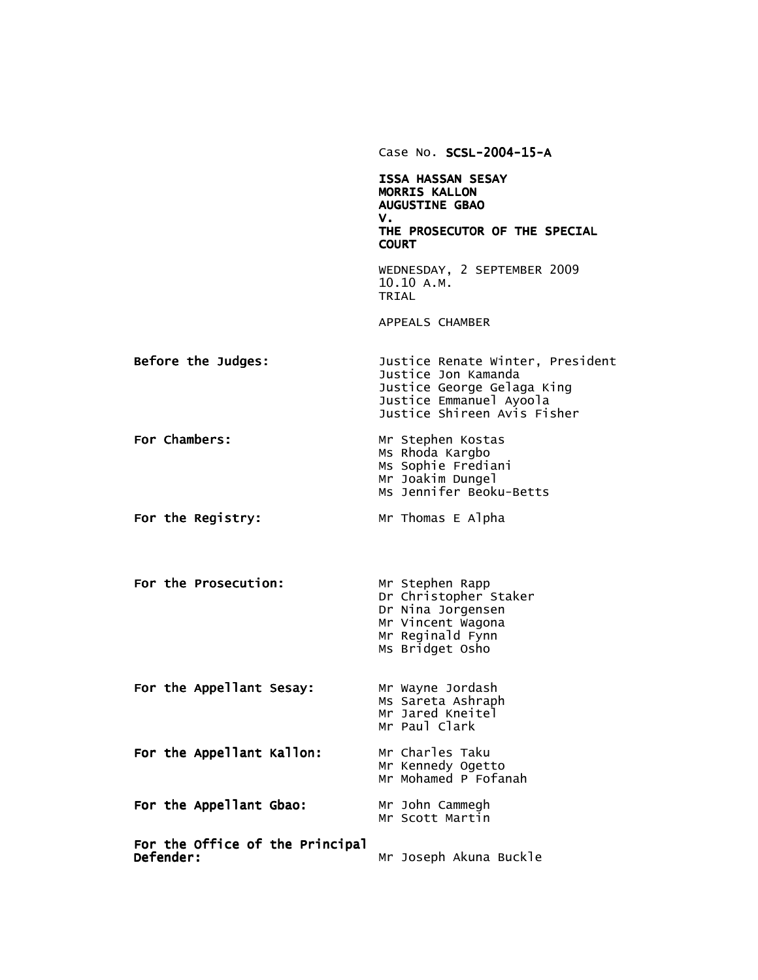|                                              | Case No. SCSL-2004-15-A                                                                                                                         |
|----------------------------------------------|-------------------------------------------------------------------------------------------------------------------------------------------------|
|                                              | <b>ISSA HASSAN SESAY</b><br><b>MORRIS KALLON</b><br><b>AUGUSTINE GBAO</b><br>ν.                                                                 |
|                                              | THE PROSECUTOR OF THE SPECIAL<br><b>COURT</b>                                                                                                   |
|                                              | WEDNESDAY, 2 SEPTEMBER 2009<br>10.10 A.M.<br>TRIAL                                                                                              |
|                                              | APPEALS CHAMBER                                                                                                                                 |
| Before the Judges:                           | Justice Renate Winter, President<br>Justice Jon Kamanda<br>Justice George Gelaga King<br>Justice Emmanuel Ayoola<br>Justice Shireen Avis Fisher |
| For Chambers:                                | Mr Stephen Kostas<br>Ms Rhoda Kargbo<br>Ms Sophie Frediani<br>Mr Joakim Dungel<br>Ms Jennifer Beoku-Betts                                       |
| For the Registry:                            | Mr Thomas E Alpha                                                                                                                               |
| For the Prosecution:                         | Mr Stephen Rapp<br>Dr Christopher Staker<br>Dr Nina Jorgensen<br>Mr Vincent Wagona<br>Mr Reginald Fynn<br>Ms Bridget Osho                       |
| For the Appellant Sesay:                     | Mr Wayne Jordash<br>Ms Sareta Ashraph<br>Mr Jared Kneitel<br>Mr Paul Clark                                                                      |
| For the Appellant Kallon:                    | Mr Charles Taku<br>Mr Kennedy Ogetto<br>Mr Mohamed P Fofanah                                                                                    |
| For the Appellant Gbao:                      | Mr John Cammegh<br>Mr Scott Martin                                                                                                              |
| For the Office of the Principal<br>Defender: | Mr Joseph Akuna Buckle                                                                                                                          |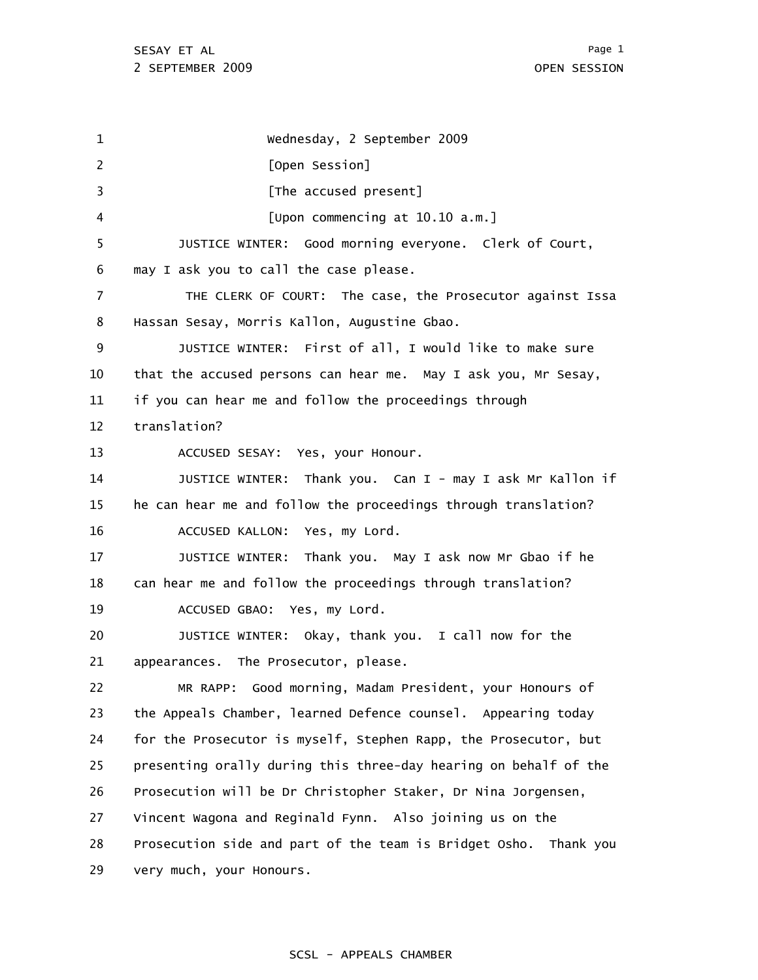1 2 3 4 5 6 7 8 9 10 11 12 13 14 15 16 17 18 19 20 21 22 23 24 25 26 27 28 29 Wednesday, 2 September 2009 [Open Session] [The accused present] [Upon commencing at 10.10 a.m.] JUSTICE WINTER: Good morning everyone. Clerk of Court, may I ask you to call the case please. THE CLERK OF COURT: The case, the Prosecutor against Issa Hassan Sesay, Morris Kallon, Augustine Gbao. JUSTICE WINTER: First of all, I would like to make sure that the accused persons can hear me. May I ask you, Mr Sesay, if you can hear me and follow the proceedings through translation? ACCUSED SESAY: Yes, your Honour. JUSTICE WINTER: Thank you. Can I - may I ask Mr Kallon if he can hear me and follow the proceedings through translation? ACCUSED KALLON: Yes, my Lord. JUSTICE WINTER: Thank you. May I ask now Mr Gbao if he can hear me and follow the proceedings through translation? ACCUSED GBAO: Yes, my Lord. JUSTICE WINTER: Okay, thank you. I call now for the appearances. The Prosecutor, please. MR RAPP: Good morning, Madam President, your Honours of the Appeals Chamber, learned Defence counsel. Appearing today for the Prosecutor is myself, Stephen Rapp, the Prosecutor, but presenting orally during this three-day hearing on behalf of the Prosecution will be Dr Christopher Staker, Dr Nina Jorgensen, Vincent Wagona and Reginald Fynn. Also joining us on the Prosecution side and part of the team is Bridget Osho. Thank you very much, your Honours.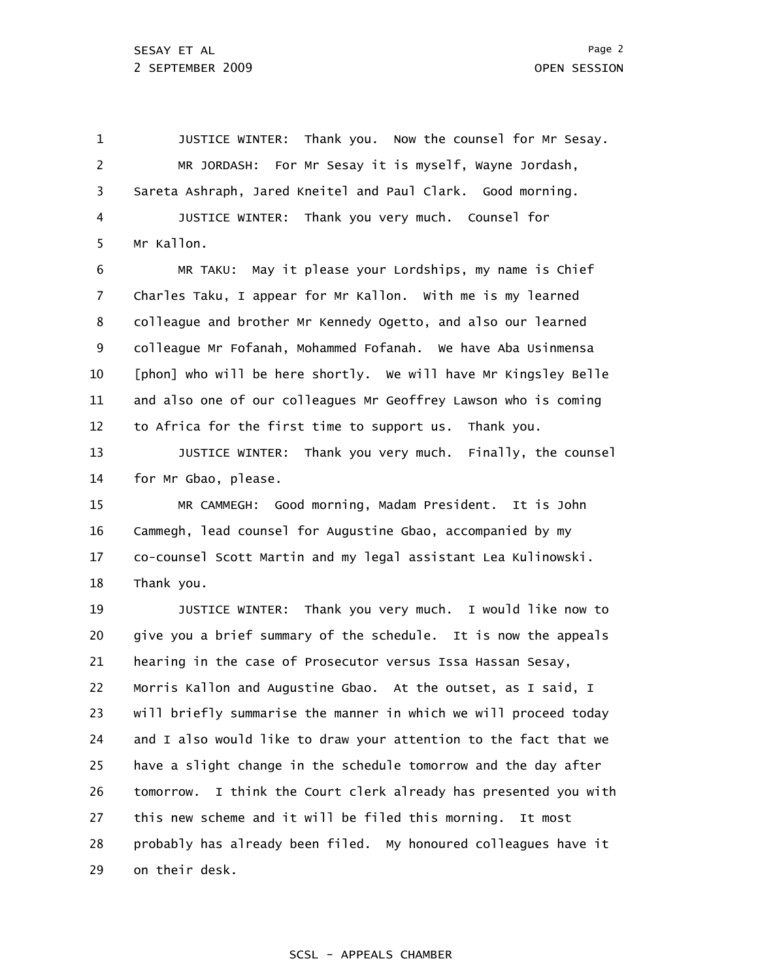1 2 3 4 5 JUSTICE WINTER: Thank you. Now the counsel for Mr Sesay. MR JORDASH: For Mr Sesay it is myself, Wayne Jordash, Sareta Ashraph, Jared Kneitel and Paul Clark. Good morning. JUSTICE WINTER: Thank you very much. Counsel for Mr Kallon.

6 7 8 9 10 11 12 MR TAKU: May it please your Lordships, my name is Chief Charles Taku, I appear for Mr Kallon. With me is my learned colleague and brother Mr Kennedy Ogetto, and also our learned colleague Mr Fofanah, Mohammed Fofanah. We have Aba Usinmensa [phon] who will be here shortly. We will have Mr Kingsley Belle and also one of our colleagues Mr Geoffrey Lawson who is coming to Africa for the first time to support us. Thank you.

13 14 JUSTICE WINTER: Thank you very much. Finally, the counsel for Mr Gbao, please.

15 16 17 18 MR CAMMEGH: Good morning, Madam President. It is John Cammegh, lead counsel for Augustine Gbao, accompanied by my co-counsel Scott Martin and my legal assistant Lea Kulinowski. Thank you.

19 20 21 22 23 24 25 26 27 28 29 JUSTICE WINTER: Thank you very much. I would like now to give you a brief summary of the schedule. It is now the appeals hearing in the case of Prosecutor versus Issa Hassan Sesay, Morris Kallon and Augustine Gbao. At the outset, as I said, I will briefly summarise the manner in which we will proceed today and I also would like to draw your attention to the fact that we have a slight change in the schedule tomorrow and the day after tomorrow. I think the Court clerk already has presented you with this new scheme and it will be filed this morning. It most probably has already been filed. My honoured colleagues have it on their desk.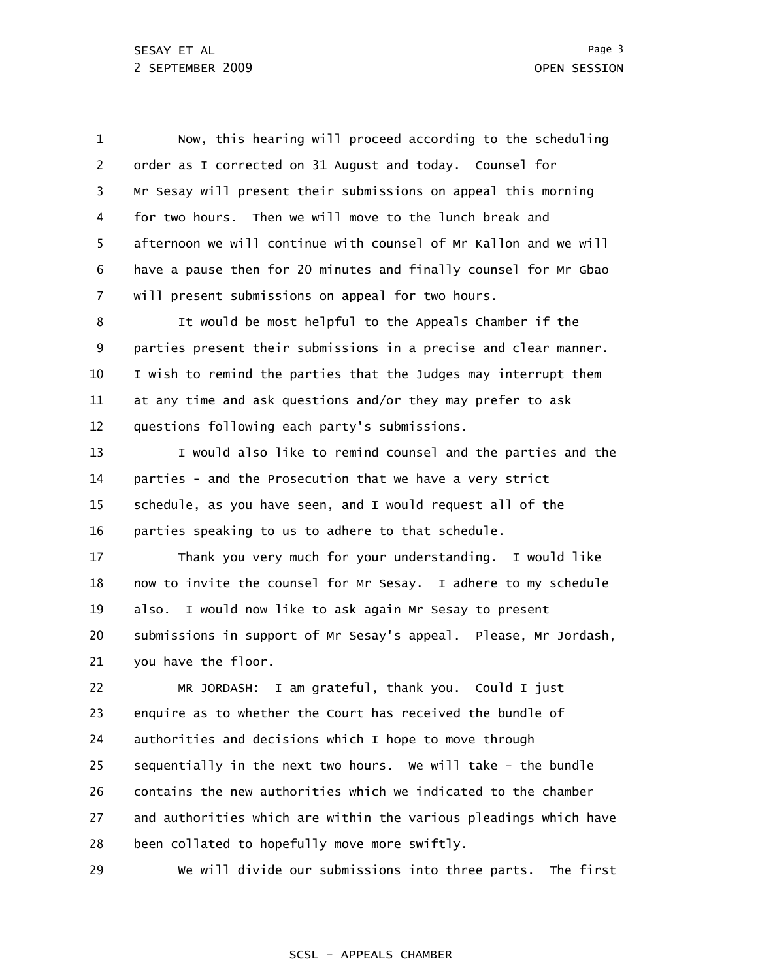1 2 3 4 5 6 7 8 9 10 11 12 13 14 15 16 17 18 19 20 21 22 23 24 25 26 27 28 Now, this hearing will proceed according to the scheduling order as I corrected on 31 August and today. Counsel for Mr Sesay will present their submissions on appeal this morning for two hours. Then we will move to the lunch break and afternoon we will continue with counsel of Mr Kallon and we will have a pause then for 20 minutes and finally counsel for Mr Gbao will present submissions on appeal for two hours. It would be most helpful to the Appeals Chamber if the parties present their submissions in a precise and clear manner. I wish to remind the parties that the Judges may interrupt them at any time and ask questions and/or they may prefer to ask questions following each party's submissions. I would also like to remind counsel and the parties and the parties - and the Prosecution that we have a very strict schedule, as you have seen, and I would request all of the parties speaking to us to adhere to that schedule. Thank you very much for your understanding. I would like now to invite the counsel for Mr Sesay. I adhere to my schedule also. I would now like to ask again Mr Sesay to present submissions in support of Mr Sesay's appeal. Please, Mr Jordash, you have the floor. MR JORDASH: I am grateful, thank you. Could I just enquire as to whether the Court has received the bundle of authorities and decisions which I hope to move through sequentially in the next two hours. We will take - the bundle contains the new authorities which we indicated to the chamber and authorities which are within the various pleadings which have been collated to hopefully move more swiftly.

29 We will divide our submissions into three parts. The first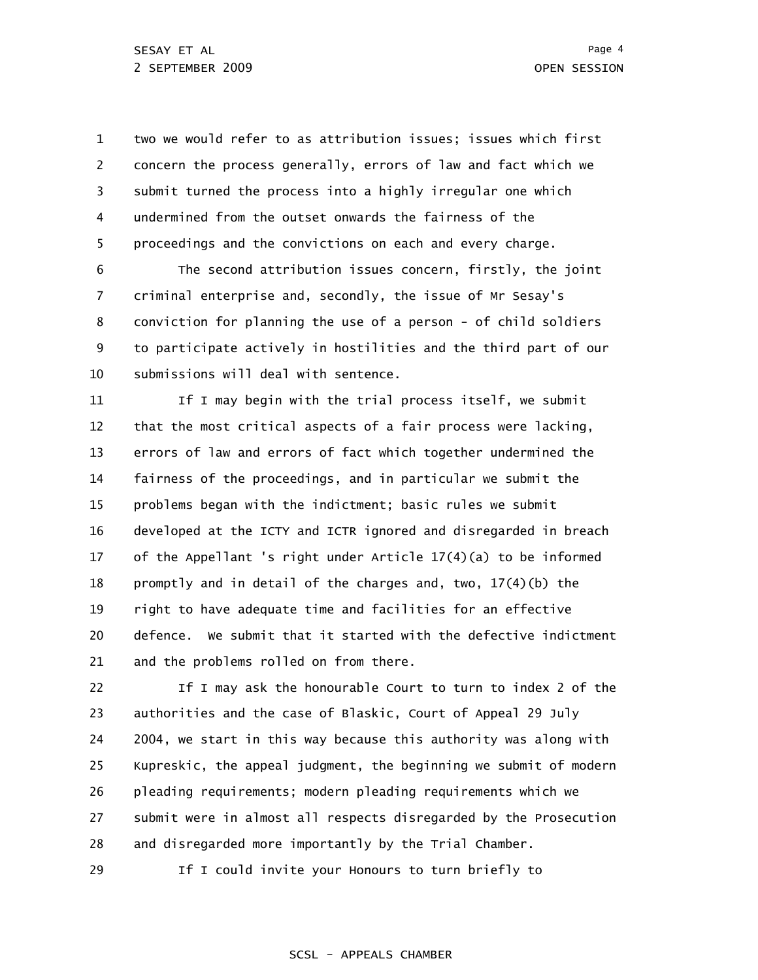1 2 3 4 5 two we would refer to as attribution issues; issues which first concern the process generally, errors of law and fact which we submit turned the process into a highly irregular one which undermined from the outset onwards the fairness of the proceedings and the convictions on each and every charge.

6 7 8 9 10 The second attribution issues concern, firstly, the joint criminal enterprise and, secondly, the issue of Mr Sesay's conviction for planning the use of a person - of child soldiers to participate actively in hostilities and the third part of our submissions will deal with sentence.

11 12 13 14 15 16 17 18 19 20 21 If I may begin with the trial process itself, we submit that the most critical aspects of a fair process were lacking, errors of law and errors of fact which together undermined the fairness of the proceedings, and in particular we submit the problems began with the indictment; basic rules we submit developed at the ICTY and ICTR ignored and disregarded in breach of the Appellant 's right under Article 17(4)(a) to be informed promptly and in detail of the charges and, two, 17(4)(b) the right to have adequate time and facilities for an effective defence. We submit that it started with the defective indictment and the problems rolled on from there.

22 23 24 25 26 27 28 If I may ask the honourable Court to turn to index 2 of the authorities and the case of Blaskic, Court of Appeal 29 July 2004, we start in this way because this authority was along with Kupreskic, the appeal judgment, the beginning we submit of modern pleading requirements; modern pleading requirements which we submit were in almost all respects disregarded by the Prosecution and disregarded more importantly by the Trial Chamber.

29 If I could invite your Honours to turn briefly to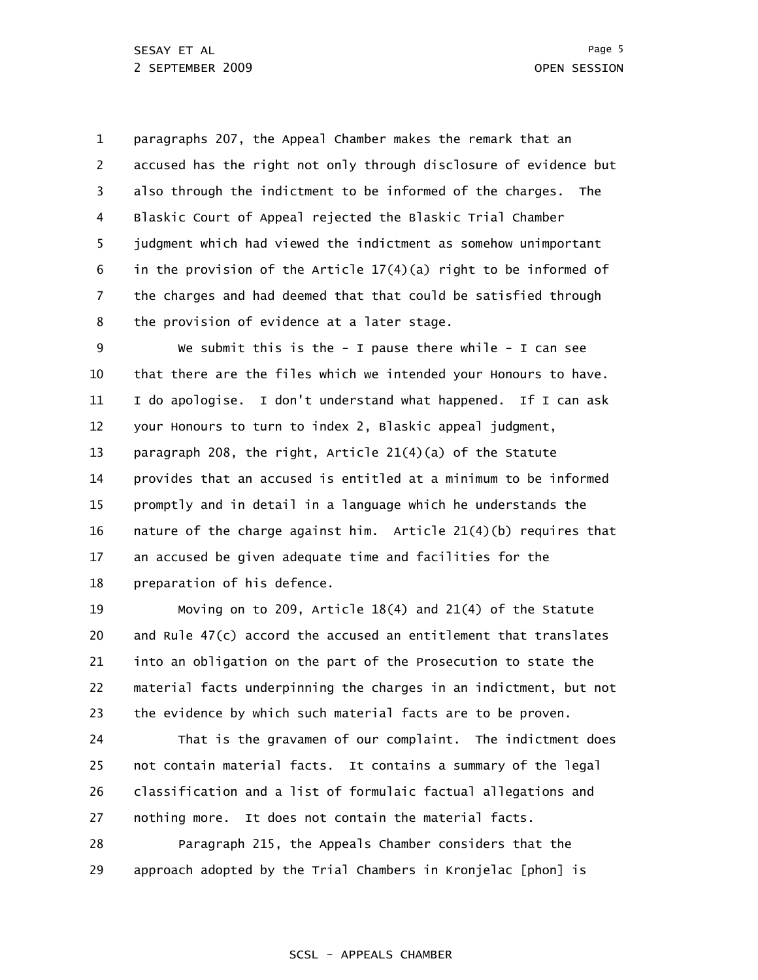1 2 3 4 5 6 7 8 paragraphs 207, the Appeal Chamber makes the remark that an accused has the right not only through disclosure of evidence but also through the indictment to be informed of the charges. The Blaskic Court of Appeal rejected the Blaskic Trial Chamber judgment which had viewed the indictment as somehow unimportant in the provision of the Article  $17(4)(a)$  right to be informed of the charges and had deemed that that could be satisfied through the provision of evidence at a later stage.

9 10 11 12 13 14 15 16 17 18 We submit this is the - I pause there while - I can see that there are the files which we intended your Honours to have. I do apologise. I don't understand what happened. If I can ask your Honours to turn to index 2, Blaskic appeal judgment, paragraph 208, the right, Article 21(4)(a) of the Statute provides that an accused is entitled at a minimum to be informed promptly and in detail in a language which he understands the nature of the charge against him. Article 21(4)(b) requires that an accused be given adequate time and facilities for the preparation of his defence.

19 20 21 22 23 Moving on to 209, Article 18(4) and 21(4) of the Statute and Rule 47(c) accord the accused an entitlement that translates into an obligation on the part of the Prosecution to state the material facts underpinning the charges in an indictment, but not the evidence by which such material facts are to be proven.

24 25 26 27 That is the gravamen of our complaint. The indictment does not contain material facts. It contains a summary of the legal classification and a list of formulaic factual allegations and nothing more. It does not contain the material facts.

28 29 Paragraph 215, the Appeals Chamber considers that the approach adopted by the Trial Chambers in Kronjelac [phon] is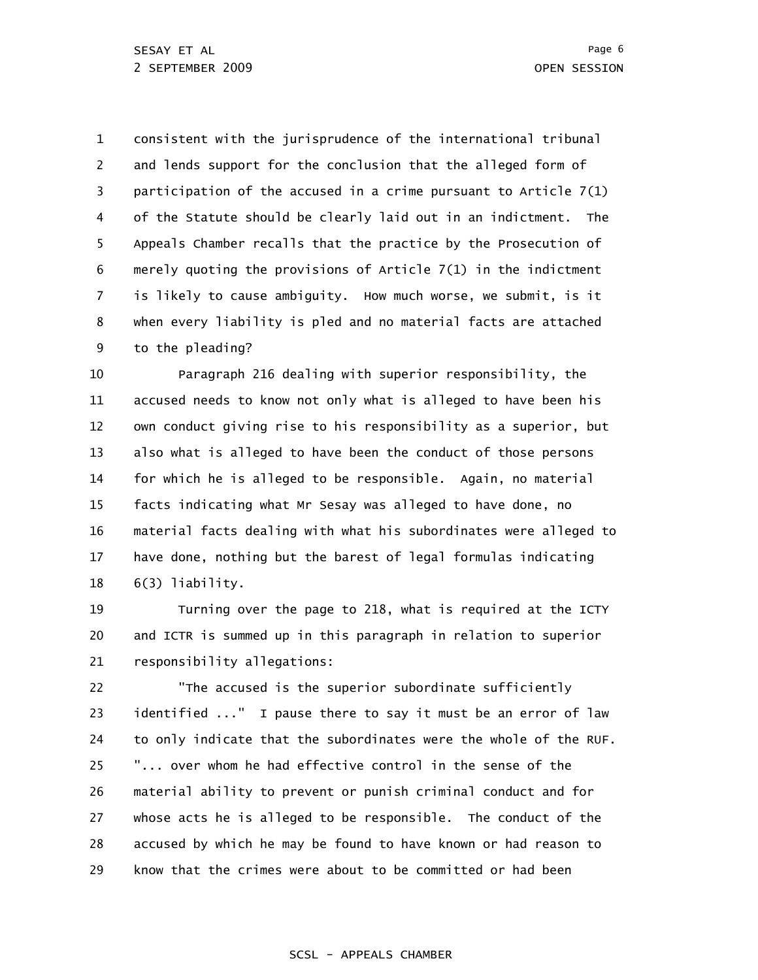1 2 3 4 5 6 7 8 9 consistent with the jurisprudence of the international tribunal and lends support for the conclusion that the alleged form of participation of the accused in a crime pursuant to Article 7(1) of the Statute should be clearly laid out in an indictment. The Appeals Chamber recalls that the practice by the Prosecution of merely quoting the provisions of Article 7(1) in the indictment is likely to cause ambiguity. How much worse, we submit, is it when every liability is pled and no material facts are attached to the pleading?

10 11 12 13 14 15 16 17 18 Paragraph 216 dealing with superior responsibility, the accused needs to know not only what is alleged to have been his own conduct giving rise to his responsibility as a superior, but also what is alleged to have been the conduct of those persons for which he is alleged to be responsible. Again, no material facts indicating what Mr Sesay was alleged to have done, no material facts dealing with what his subordinates were alleged to have done, nothing but the barest of legal formulas indicating 6(3) liability.

19 20 21 Turning over the page to 218, what is required at the ICTY and ICTR is summed up in this paragraph in relation to superior responsibility allegations:

22 23 24 25 26 27 28 29 "The accused is the superior subordinate sufficiently identified ..." I pause there to say it must be an error of law to only indicate that the subordinates were the whole of the RUF. "... over whom he had effective control in the sense of the material ability to prevent or punish criminal conduct and for whose acts he is alleged to be responsible. The conduct of the accused by which he may be found to have known or had reason to know that the crimes were about to be committed or had been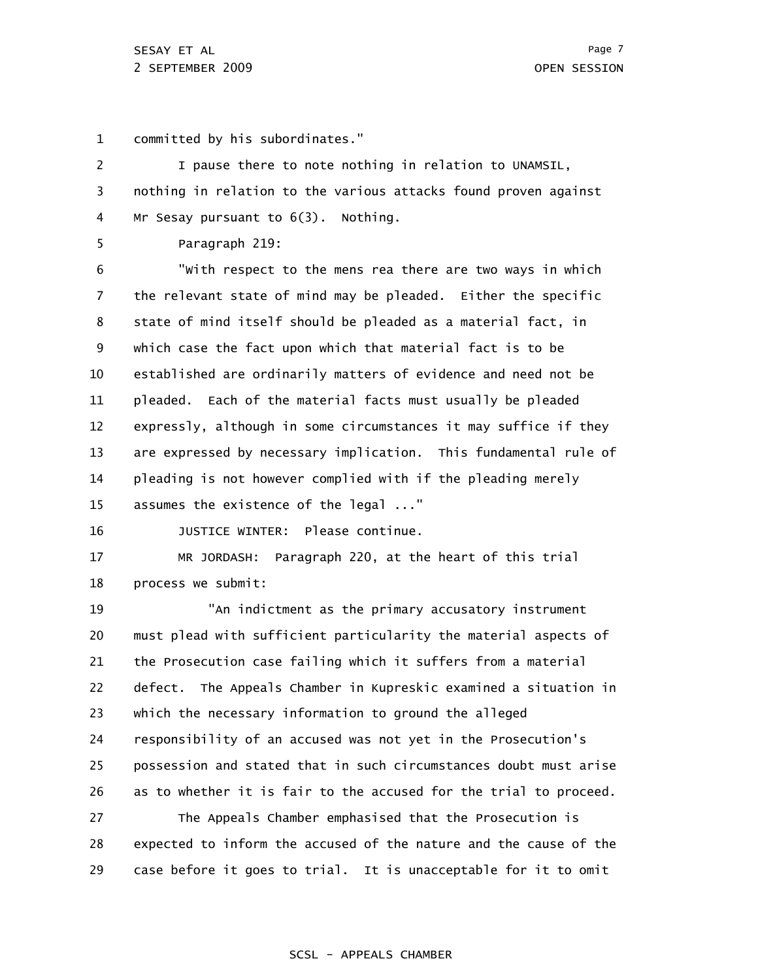1 committed by his subordinates."

2 3 4 I pause there to note nothing in relation to UNAMSIL, nothing in relation to the various attacks found proven against Mr Sesay pursuant to 6(3). Nothing.

Paragraph 219:

5

6 7 8 9 10 11 12 13 14 15 "With respect to the mens rea there are two ways in which the relevant state of mind may be pleaded. Either the specific state of mind itself should be pleaded as a material fact, in which case the fact upon which that material fact is to be established are ordinarily matters of evidence and need not be pleaded. Each of the material facts must usually be pleaded expressly, although in some circumstances it may suffice if they are expressed by necessary implication. This fundamental rule of pleading is not however complied with if the pleading merely assumes the existence of the legal ..."

16 JUSTICE WINTER: Please continue.

17 18 MR JORDASH: Paragraph 220, at the heart of this trial process we submit:

19 20 21 22 23 24 25 26 27 28 29 "An indictment as the primary accusatory instrument must plead with sufficient particularity the material aspects of the Prosecution case failing which it suffers from a material defect. The Appeals Chamber in Kupreskic examined a situation in which the necessary information to ground the alleged responsibility of an accused was not yet in the Prosecution's possession and stated that in such circumstances doubt must arise as to whether it is fair to the accused for the trial to proceed. The Appeals Chamber emphasised that the Prosecution is expected to inform the accused of the nature and the cause of the case before it goes to trial. It is unacceptable for it to omit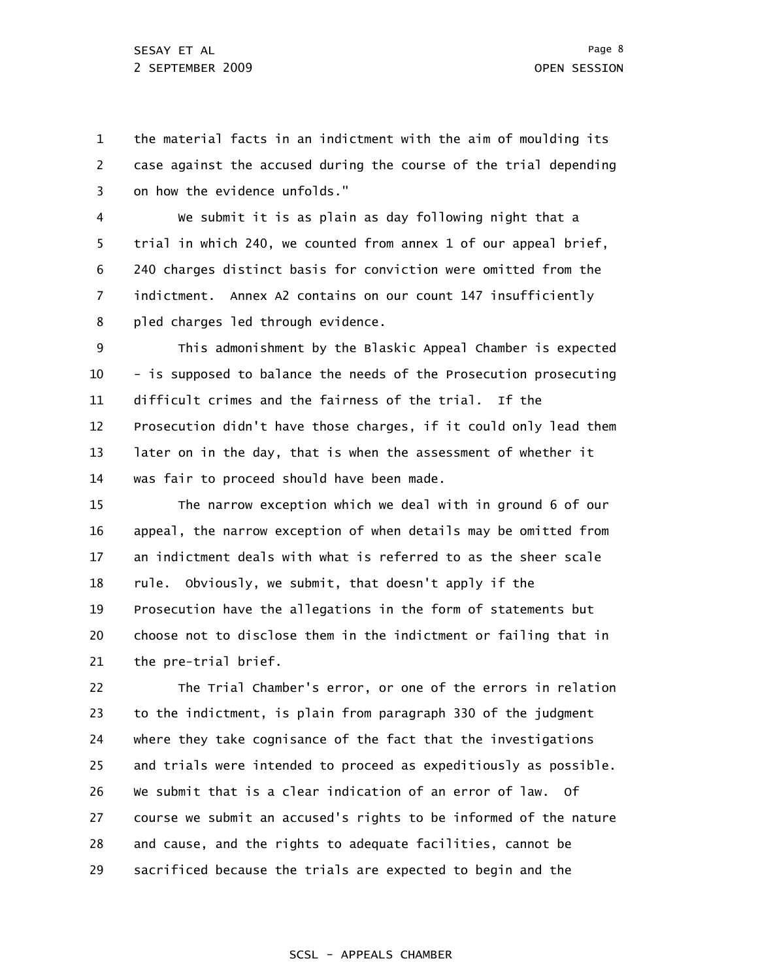1 2 3 the material facts in an indictment with the aim of moulding its case against the accused during the course of the trial depending on how the evidence unfolds."

4 5 6 7 8 We submit it is as plain as day following night that a trial in which 240, we counted from annex 1 of our appeal brief, 240 charges distinct basis for conviction were omitted from the indictment. Annex A2 contains on our count 147 insufficiently pled charges led through evidence.

9 10 11 12 13 14 This admonishment by the Blaskic Appeal Chamber is expected - is supposed to balance the needs of the Prosecution prosecuting difficult crimes and the fairness of the trial. If the Prosecution didn't have those charges, if it could only lead them later on in the day, that is when the assessment of whether it was fair to proceed should have been made.

15 16 17 18 19 20 21 The narrow exception which we deal with in ground 6 of our appeal, the narrow exception of when details may be omitted from an indictment deals with what is referred to as the sheer scale rule. Obviously, we submit, that doesn't apply if the Prosecution have the allegations in the form of statements but choose not to disclose them in the indictment or failing that in the pre-trial brief.

22 23 24 25 26 27 28 29 The Trial Chamber's error, or one of the errors in relation to the indictment, is plain from paragraph 330 of the judgment where they take cognisance of the fact that the investigations and trials were intended to proceed as expeditiously as possible. We submit that is a clear indication of an error of law. Of course we submit an accused's rights to be informed of the nature and cause, and the rights to adequate facilities, cannot be sacrificed because the trials are expected to begin and the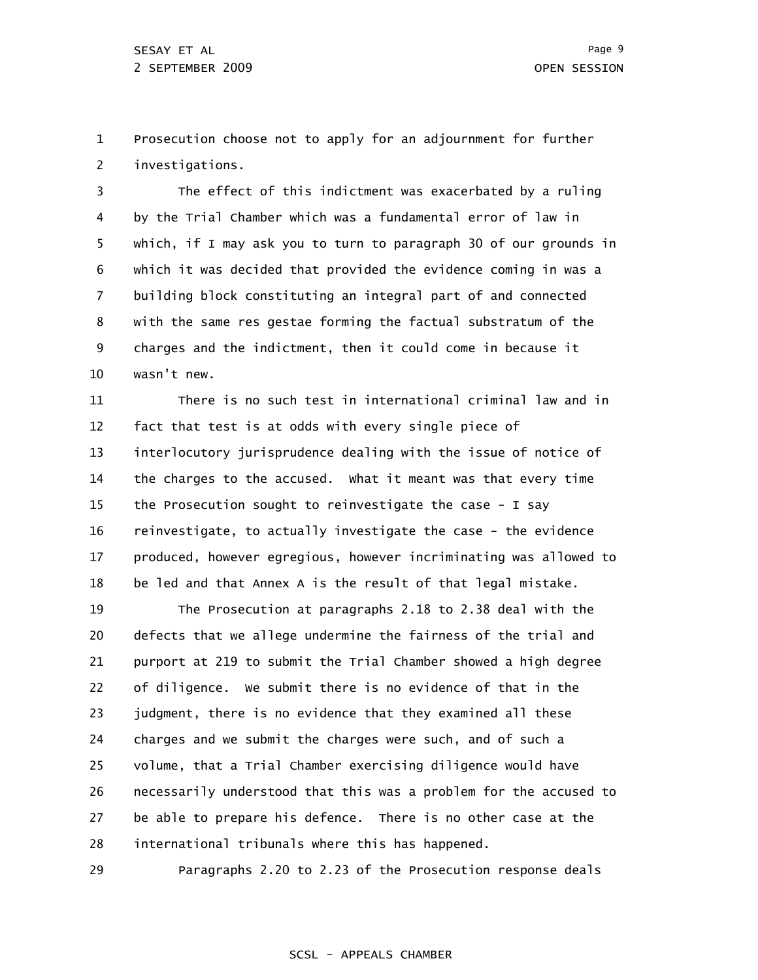1 2 Prosecution choose not to apply for an adjournment for further investigations.

3 4 5 6 7 8 9 10 The effect of this indictment was exacerbated by a ruling by the Trial Chamber which was a fundamental error of law in which, if I may ask you to turn to paragraph 30 of our grounds in which it was decided that provided the evidence coming in was a building block constituting an integral part of and connected with the same res gestae forming the factual substratum of the charges and the indictment, then it could come in because it wasn't new.

11 12 13 14 15 16 17 18 There is no such test in international criminal law and in fact that test is at odds with every single piece of interlocutory jurisprudence dealing with the issue of notice of the charges to the accused. What it meant was that every time the Prosecution sought to reinvestigate the case - I say reinvestigate, to actually investigate the case - the evidence produced, however egregious, however incriminating was allowed to be led and that Annex A is the result of that legal mistake.

19 20 21 22 23 24 25 26 27 28 The Prosecution at paragraphs 2.18 to 2.38 deal with the defects that we allege undermine the fairness of the trial and purport at 219 to submit the Trial Chamber showed a high degree of diligence. We submit there is no evidence of that in the judgment, there is no evidence that they examined all these charges and we submit the charges were such, and of such a volume, that a Trial Chamber exercising diligence would have necessarily understood that this was a problem for the accused to be able to prepare his defence. There is no other case at the international tribunals where this has happened.

29 Paragraphs 2.20 to 2.23 of the Prosecution response deals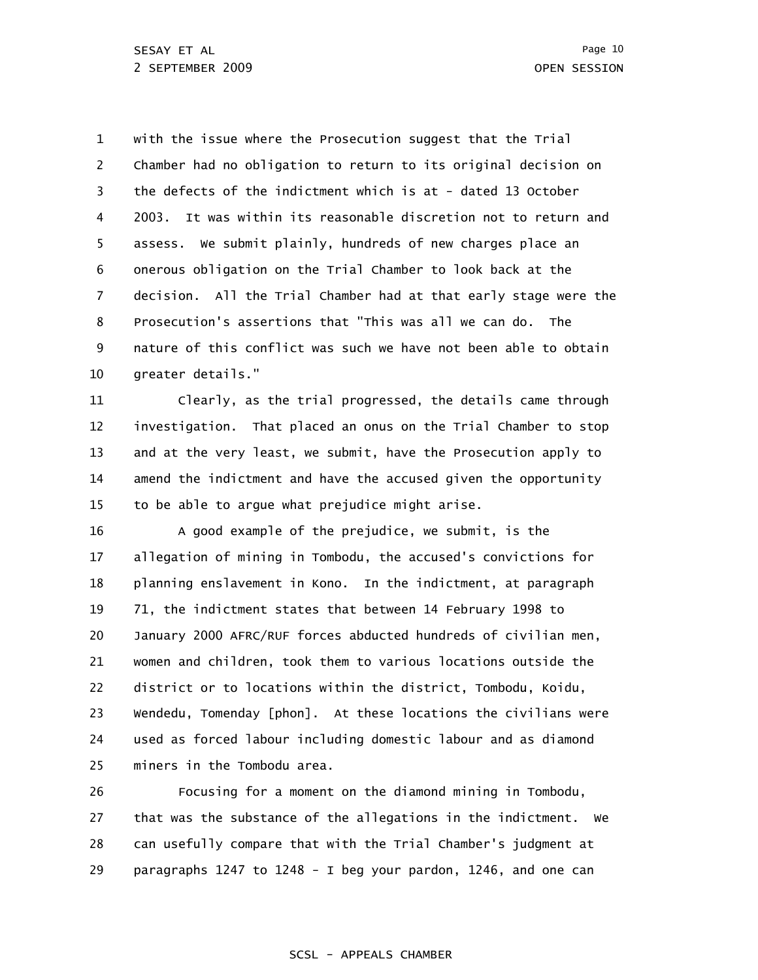1 2 3 4 5 6 7 8 9 10 with the issue where the Prosecution suggest that the Trial Chamber had no obligation to return to its original decision on the defects of the indictment which is at - dated 13 October 2003. It was within its reasonable discretion not to return and assess. We submit plainly, hundreds of new charges place an onerous obligation on the Trial Chamber to look back at the decision. All the Trial Chamber had at that early stage were the Prosecution's assertions that "This was all we can do. The nature of this conflict was such we have not been able to obtain greater details."

11 12 13 14 15 Clearly, as the trial progressed, the details came through investigation. That placed an onus on the Trial Chamber to stop and at the very least, we submit, have the Prosecution apply to amend the indictment and have the accused given the opportunity to be able to argue what prejudice might arise.

16 17 18 19 20 21 22 23 24 25 A good example of the prejudice, we submit, is the allegation of mining in Tombodu, the accused's convictions for planning enslavement in Kono. In the indictment, at paragraph 71, the indictment states that between 14 February 1998 to January 2000 AFRC/RUF forces abducted hundreds of civilian men, women and children, took them to various locations outside the district or to locations within the district, Tombodu, Koidu, Wendedu, Tomenday [phon]. At these locations the civilians were used as forced labour including domestic labour and as diamond miners in the Tombodu area.

26 27 28 29 Focusing for a moment on the diamond mining in Tombodu, that was the substance of the allegations in the indictment. We can usefully compare that with the Trial Chamber's judgment at paragraphs 1247 to 1248 - I beg your pardon, 1246, and one can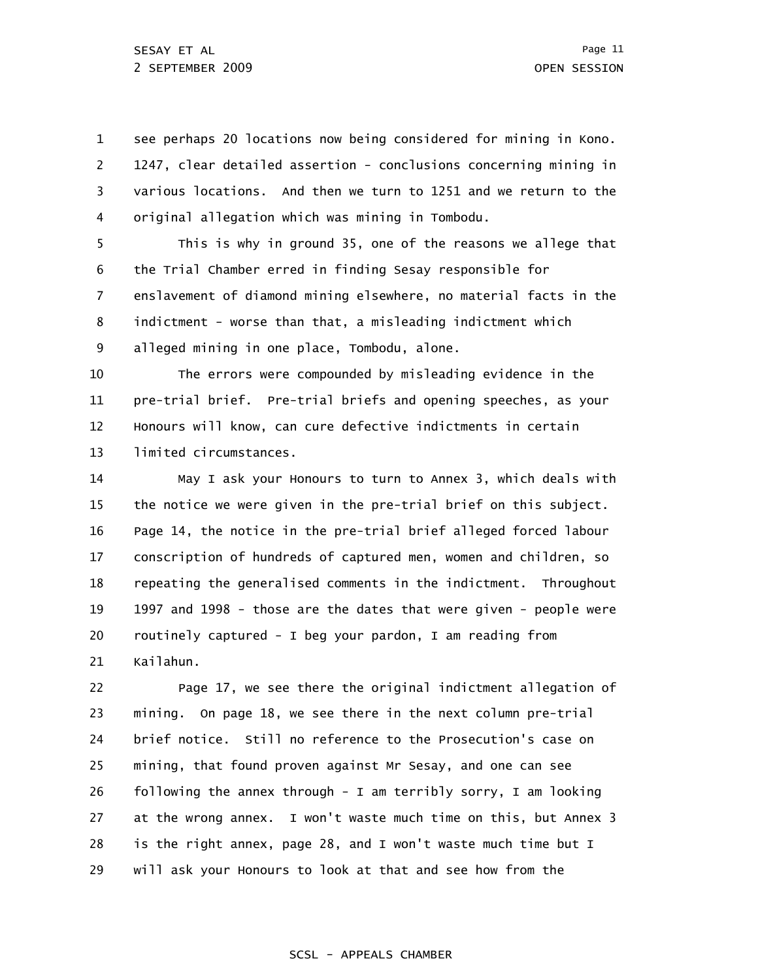1 2 3 4 see perhaps 20 locations now being considered for mining in Kono. 1247, clear detailed assertion - conclusions concerning mining in various locations. And then we turn to 1251 and we return to the original allegation which was mining in Tombodu.

5 6 7 8 9 This is why in ground 35, one of the reasons we allege that the Trial Chamber erred in finding Sesay responsible for enslavement of diamond mining elsewhere, no material facts in the indictment - worse than that, a misleading indictment which alleged mining in one place, Tombodu, alone.

10 11 12 13 The errors were compounded by misleading evidence in the pre-trial brief. Pre-trial briefs and opening speeches, as your Honours will know, can cure defective indictments in certain limited circumstances.

14 15 16 17 18 19 20 21 May I ask your Honours to turn to Annex 3, which deals with the notice we were given in the pre-trial brief on this subject. Page 14, the notice in the pre-trial brief alleged forced labour conscription of hundreds of captured men, women and children, so repeating the generalised comments in the indictment. Throughout 1997 and 1998 - those are the dates that were given - people were routinely captured - I beg your pardon, I am reading from Kailahun.

22 23 24 25 26 27 28 29 Page 17, we see there the original indictment allegation of mining. On page 18, we see there in the next column pre-trial brief notice. Still no reference to the Prosecution's case on mining, that found proven against Mr Sesay, and one can see following the annex through - I am terribly sorry, I am looking at the wrong annex. I won't waste much time on this, but Annex 3 is the right annex, page 28, and I won't waste much time but I will ask your Honours to look at that and see how from the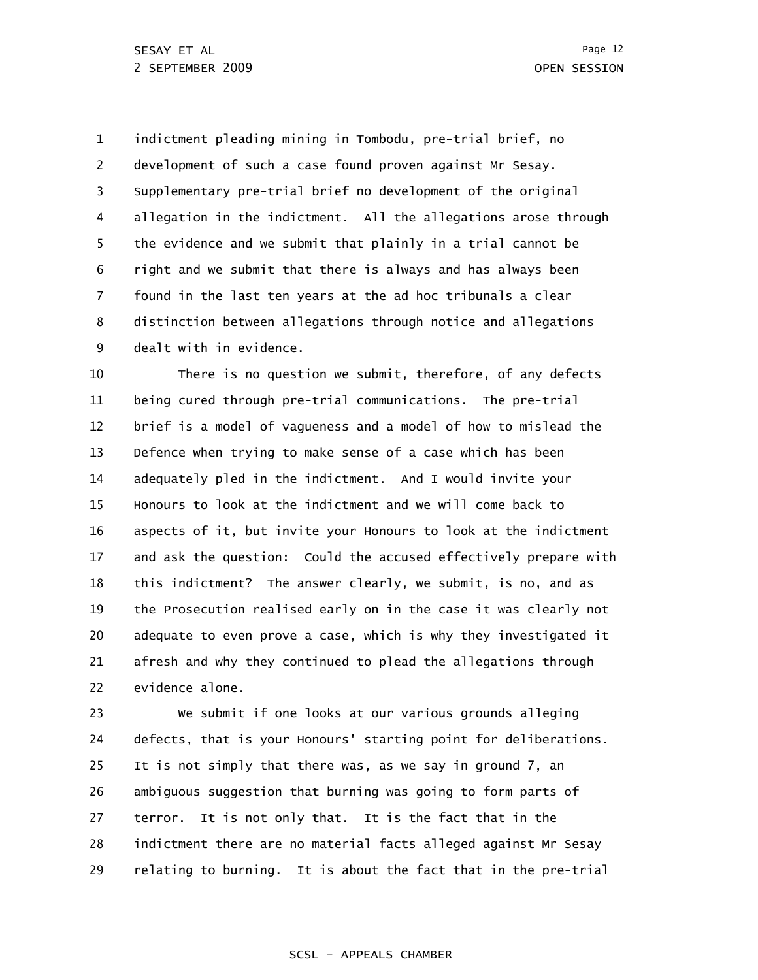1 2 3 4 5 6 7 8 9 indictment pleading mining in Tombodu, pre-trial brief, no development of such a case found proven against Mr Sesay. Supplementary pre-trial brief no development of the original allegation in the indictment. All the allegations arose through the evidence and we submit that plainly in a trial cannot be right and we submit that there is always and has always been found in the last ten years at the ad hoc tribunals a clear distinction between allegations through notice and allegations dealt with in evidence.

10 11 12 13 14 15 16 17 18 19 20 21 22 There is no question we submit, therefore, of any defects being cured through pre-trial communications. The pre-trial brief is a model of vagueness and a model of how to mislead the Defence when trying to make sense of a case which has been adequately pled in the indictment. And I would invite your Honours to look at the indictment and we will come back to aspects of it, but invite your Honours to look at the indictment and ask the question: Could the accused effectively prepare with this indictment? The answer clearly, we submit, is no, and as the Prosecution realised early on in the case it was clearly not adequate to even prove a case, which is why they investigated it afresh and why they continued to plead the allegations through evidence alone.

23 24 25 26 27 28 29 We submit if one looks at our various grounds alleging defects, that is your Honours' starting point for deliberations. It is not simply that there was, as we say in ground 7, an ambiguous suggestion that burning was going to form parts of terror. It is not only that. It is the fact that in the indictment there are no material facts alleged against Mr Sesay relating to burning. It is about the fact that in the pre-trial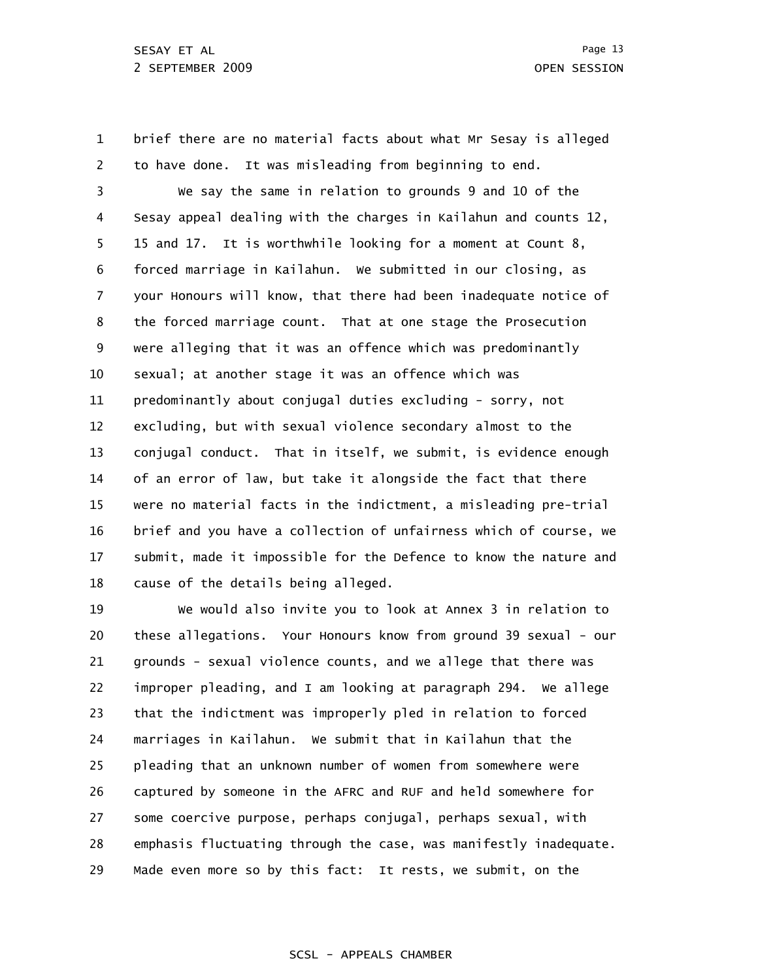1 2 brief there are no material facts about what Mr Sesay is alleged to have done. It was misleading from beginning to end.

3 4 5 6 7 8 9 10 11 12 13 14 15 16 17 18 We say the same in relation to grounds 9 and 10 of the Sesay appeal dealing with the charges in Kailahun and counts 12, 15 and 17. It is worthwhile looking for a moment at Count 8, forced marriage in Kailahun. We submitted in our closing, as your Honours will know, that there had been inadequate notice of the forced marriage count. That at one stage the Prosecution were alleging that it was an offence which was predominantly sexual; at another stage it was an offence which was predominantly about conjugal duties excluding - sorry, not excluding, but with sexual violence secondary almost to the conjugal conduct. That in itself, we submit, is evidence enough of an error of law, but take it alongside the fact that there were no material facts in the indictment, a misleading pre-trial brief and you have a collection of unfairness which of course, we submit, made it impossible for the Defence to know the nature and cause of the details being alleged.

19 20 21 22 23 24 25 26 27 28 29 We would also invite you to look at Annex 3 in relation to these allegations. Your Honours know from ground 39 sexual - our grounds - sexual violence counts, and we allege that there was improper pleading, and I am looking at paragraph 294. We allege that the indictment was improperly pled in relation to forced marriages in Kailahun. We submit that in Kailahun that the pleading that an unknown number of women from somewhere were captured by someone in the AFRC and RUF and held somewhere for some coercive purpose, perhaps conjugal, perhaps sexual, with emphasis fluctuating through the case, was manifestly inadequate. Made even more so by this fact: It rests, we submit, on the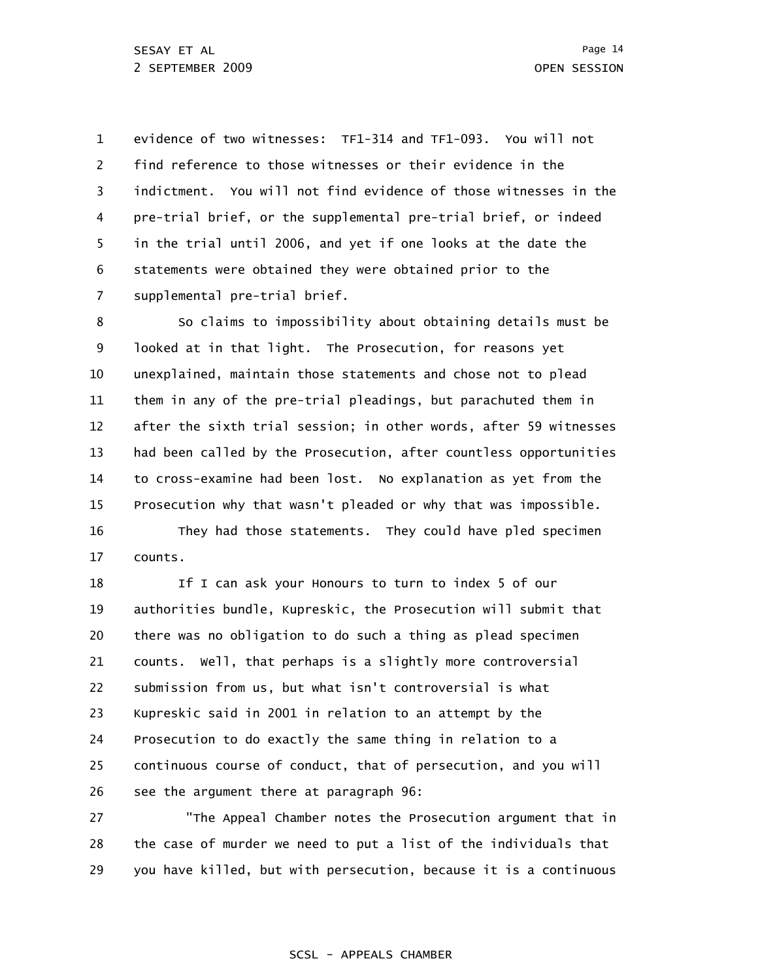1 2 3 4 5 6 7 evidence of two witnesses: TF1-314 and TF1-093. You will not find reference to those witnesses or their evidence in the indictment. You will not find evidence of those witnesses in the pre-trial brief, or the supplemental pre-trial brief, or indeed in the trial until 2006, and yet if one looks at the date the statements were obtained they were obtained prior to the supplemental pre-trial brief.

8 9 10 11 12 13 14 15 16 17 So claims to impossibility about obtaining details must be looked at in that light. The Prosecution, for reasons yet unexplained, maintain those statements and chose not to plead them in any of the pre-trial pleadings, but parachuted them in after the sixth trial session; in other words, after 59 witnesses had been called by the Prosecution, after countless opportunities to cross-examine had been lost. No explanation as yet from the Prosecution why that wasn't pleaded or why that was impossible. They had those statements. They could have pled specimen counts.

18 19 20 21 22 23 24 25 26 If I can ask your Honours to turn to index 5 of our authorities bundle, Kupreskic, the Prosecution will submit that there was no obligation to do such a thing as plead specimen counts. Well, that perhaps is a slightly more controversial submission from us, but what isn't controversial is what Kupreskic said in 2001 in relation to an attempt by the Prosecution to do exactly the same thing in relation to a continuous course of conduct, that of persecution, and you will see the argument there at paragraph 96:

27 28 29 "The Appeal Chamber notes the Prosecution argument that in the case of murder we need to put a list of the individuals that you have killed, but with persecution, because it is a continuous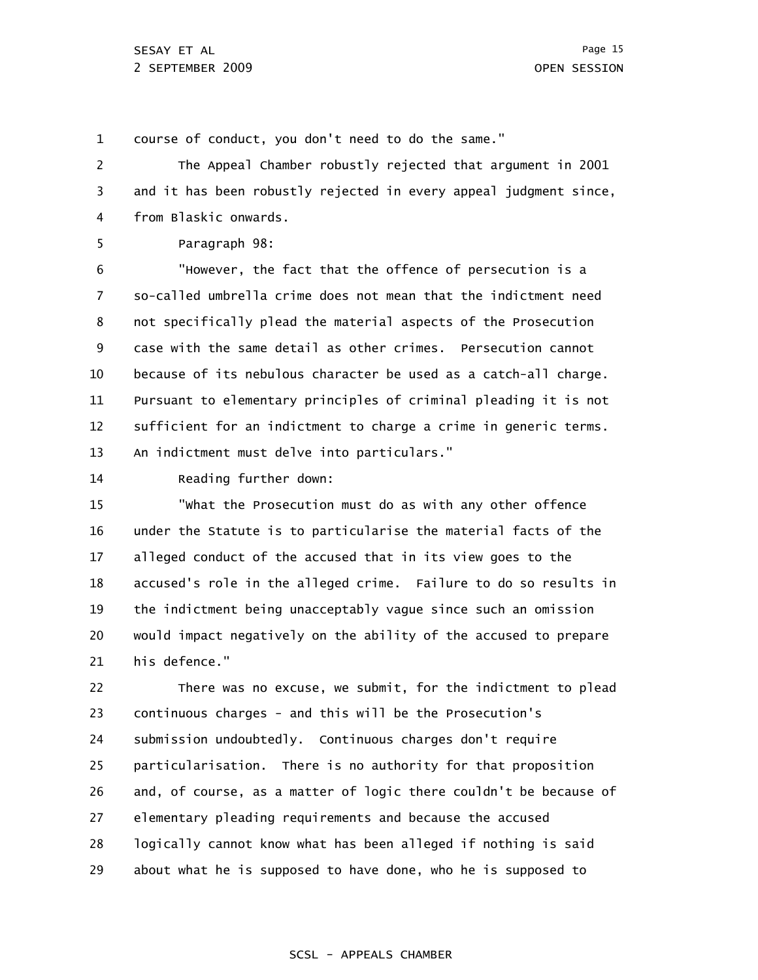1 course of conduct, you don't need to do the same."

2 3 4 The Appeal Chamber robustly rejected that argument in 2001 and it has been robustly rejected in every appeal judgment since, from Blaskic onwards.

5 Paragraph 98:

6 7 8 9 10 11 12 13 "However, the fact that the offence of persecution is a so-called umbrella crime does not mean that the indictment need not specifically plead the material aspects of the Prosecution case with the same detail as other crimes. Persecution cannot because of its nebulous character be used as a catch-all charge. Pursuant to elementary principles of criminal pleading it is not sufficient for an indictment to charge a crime in generic terms. An indictment must delve into particulars."

14 Reading further down:

15 16 17 18 19 20 21 "What the Prosecution must do as with any other offence under the Statute is to particularise the material facts of the alleged conduct of the accused that in its view goes to the accused's role in the alleged crime. Failure to do so results in the indictment being unacceptably vague since such an omission would impact negatively on the ability of the accused to prepare his defence."

22 23 24 25 26 27 28 29 There was no excuse, we submit, for the indictment to plead continuous charges - and this will be the Prosecution's submission undoubtedly. Continuous charges don't require particularisation. There is no authority for that proposition and, of course, as a matter of logic there couldn't be because of elementary pleading requirements and because the accused logically cannot know what has been alleged if nothing is said about what he is supposed to have done, who he is supposed to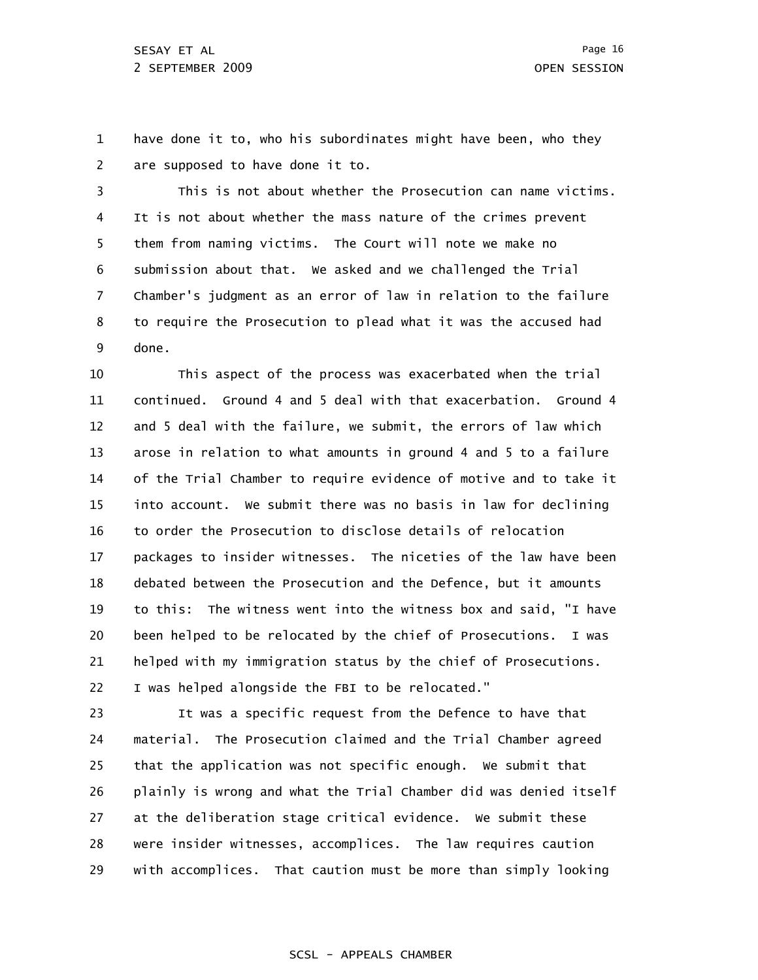1 2 have done it to, who his subordinates might have been, who they are supposed to have done it to.

3 4 5 6 7 8 9 This is not about whether the Prosecution can name victims. It is not about whether the mass nature of the crimes prevent them from naming victims. The Court will note we make no submission about that. We asked and we challenged the Trial Chamber's judgment as an error of law in relation to the failure to require the Prosecution to plead what it was the accused had done.

10 11 12 13 14 15 16 17 18 19 20 21 22 This aspect of the process was exacerbated when the trial continued. Ground 4 and 5 deal with that exacerbation. Ground 4 and 5 deal with the failure, we submit, the errors of law which arose in relation to what amounts in ground 4 and 5 to a failure of the Trial Chamber to require evidence of motive and to take it into account. We submit there was no basis in law for declining to order the Prosecution to disclose details of relocation packages to insider witnesses. The niceties of the law have been debated between the Prosecution and the Defence, but it amounts to this: The witness went into the witness box and said, "I have been helped to be relocated by the chief of Prosecutions. I was helped with my immigration status by the chief of Prosecutions. I was helped alongside the FBI to be relocated."

23 24 25 26 27 28 29 It was a specific request from the Defence to have that material. The Prosecution claimed and the Trial Chamber agreed that the application was not specific enough. We submit that plainly is wrong and what the Trial Chamber did was denied itself at the deliberation stage critical evidence. We submit these were insider witnesses, accomplices. The law requires caution with accomplices. That caution must be more than simply looking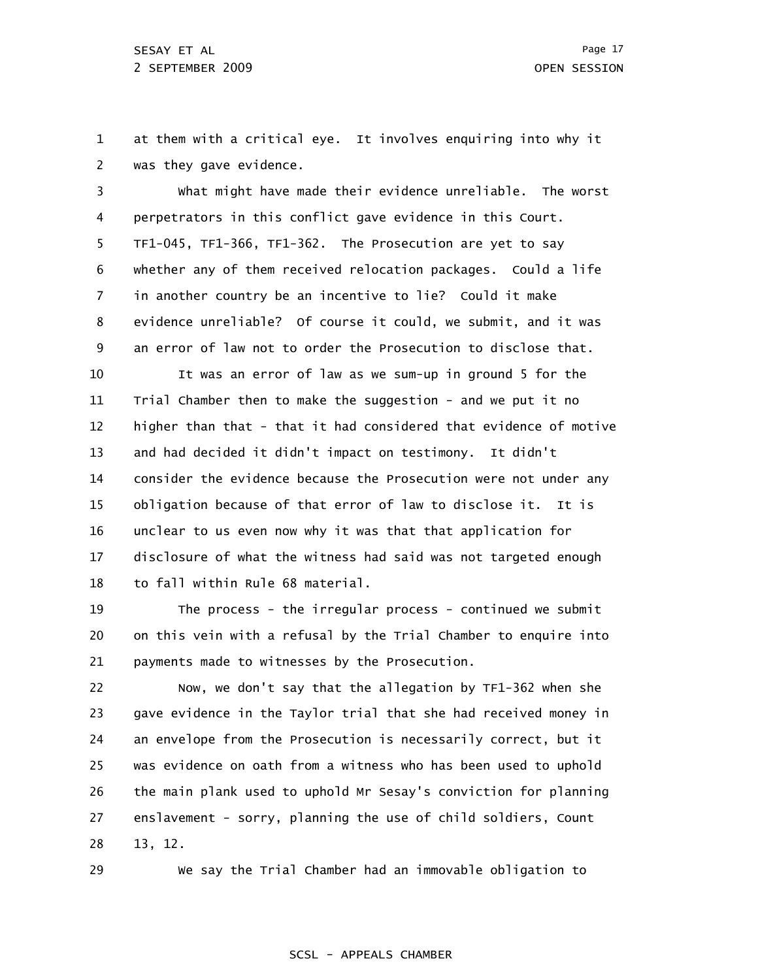1 2 at them with a critical eye. It involves enquiring into why it was they gave evidence.

3 4 5 6 7 8 9 What might have made their evidence unreliable. The worst perpetrators in this conflict gave evidence in this Court. TF1-045, TF1-366, TF1-362. The Prosecution are yet to say whether any of them received relocation packages. Could a life in another country be an incentive to lie? Could it make evidence unreliable? Of course it could, we submit, and it was an error of law not to order the Prosecution to disclose that.

10 11 12 13 14 15 16 17 18 It was an error of law as we sum-up in ground 5 for the Trial Chamber then to make the suggestion - and we put it no higher than that - that it had considered that evidence of motive and had decided it didn't impact on testimony. It didn't consider the evidence because the Prosecution were not under any obligation because of that error of law to disclose it. It is unclear to us even now why it was that that application for disclosure of what the witness had said was not targeted enough to fall within Rule 68 material.

19 20 21 The process - the irregular process - continued we submit on this vein with a refusal by the Trial Chamber to enquire into payments made to witnesses by the Prosecution.

22 23 24 25 26 27 28 Now, we don't say that the allegation by TF1-362 when she gave evidence in the Taylor trial that she had received money in an envelope from the Prosecution is necessarily correct, but it was evidence on oath from a witness who has been used to uphold the main plank used to uphold Mr Sesay's conviction for planning enslavement - sorry, planning the use of child soldiers, Count 13, 12.

29 We say the Trial Chamber had an immovable obligation to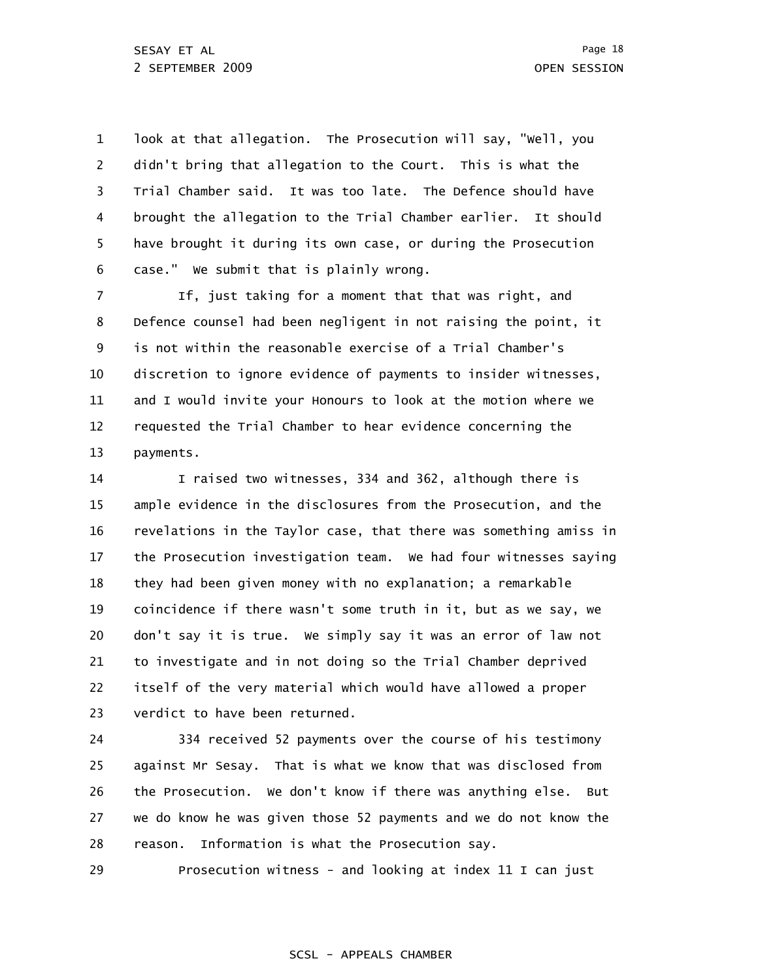1 2 3 4 5 6 look at that allegation. The Prosecution will say, "Well, you didn't bring that allegation to the Court. This is what the Trial Chamber said. It was too late. The Defence should have brought the allegation to the Trial Chamber earlier. It should have brought it during its own case, or during the Prosecution case." We submit that is plainly wrong.

7 8 9 10 11 12 13 If, just taking for a moment that that was right, and Defence counsel had been negligent in not raising the point, it is not within the reasonable exercise of a Trial Chamber's discretion to ignore evidence of payments to insider witnesses, and I would invite your Honours to look at the motion where we requested the Trial Chamber to hear evidence concerning the payments.

14 15 16 17 18 19 20 21 22 23 I raised two witnesses, 334 and 362, although there is ample evidence in the disclosures from the Prosecution, and the revelations in the Taylor case, that there was something amiss in the Prosecution investigation team. We had four witnesses saying they had been given money with no explanation; a remarkable coincidence if there wasn't some truth in it, but as we say, we don't say it is true. We simply say it was an error of law not to investigate and in not doing so the Trial Chamber deprived itself of the very material which would have allowed a proper verdict to have been returned.

24 25 26 27 28 334 received 52 payments over the course of his testimony against Mr Sesay. That is what we know that was disclosed from the Prosecution. We don't know if there was anything else. But we do know he was given those 52 payments and we do not know the reason. Information is what the Prosecution say.

29 Prosecution witness - and looking at index 11 I can just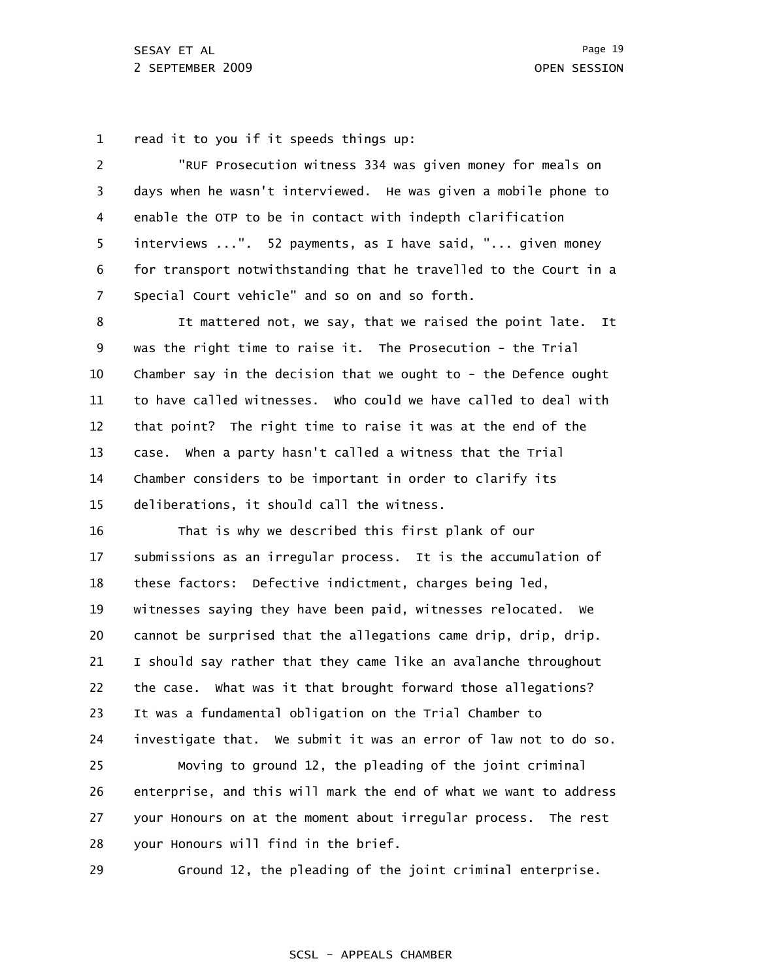1 read it to you if it speeds things up:

2 3 4 5 6 7 "RUF Prosecution witness 334 was given money for meals on days when he wasn't interviewed. He was given a mobile phone to enable the OTP to be in contact with indepth clarification interviews ...". 52 payments, as I have said, "... given money for transport notwithstanding that he travelled to the Court in a Special Court vehicle" and so on and so forth.

8 9 10 11 12 13 14 15 It mattered not, we say, that we raised the point late. It was the right time to raise it. The Prosecution - the Trial Chamber say in the decision that we ought to - the Defence ought to have called witnesses. Who could we have called to deal with that point? The right time to raise it was at the end of the case. When a party hasn't called a witness that the Trial Chamber considers to be important in order to clarify its deliberations, it should call the witness.

16 17 18 19 20 21 22 23 24 25 26 27 28 That is why we described this first plank of our submissions as an irregular process. It is the accumulation of these factors: Defective indictment, charges being led, witnesses saying they have been paid, witnesses relocated. We cannot be surprised that the allegations came drip, drip, drip. I should say rather that they came like an avalanche throughout the case. What was it that brought forward those allegations? It was a fundamental obligation on the Trial Chamber to investigate that. We submit it was an error of law not to do so. Moving to ground 12, the pleading of the joint criminal enterprise, and this will mark the end of what we want to address your Honours on at the moment about irregular process. The rest your Honours will find in the brief.

29 Ground 12, the pleading of the joint criminal enterprise.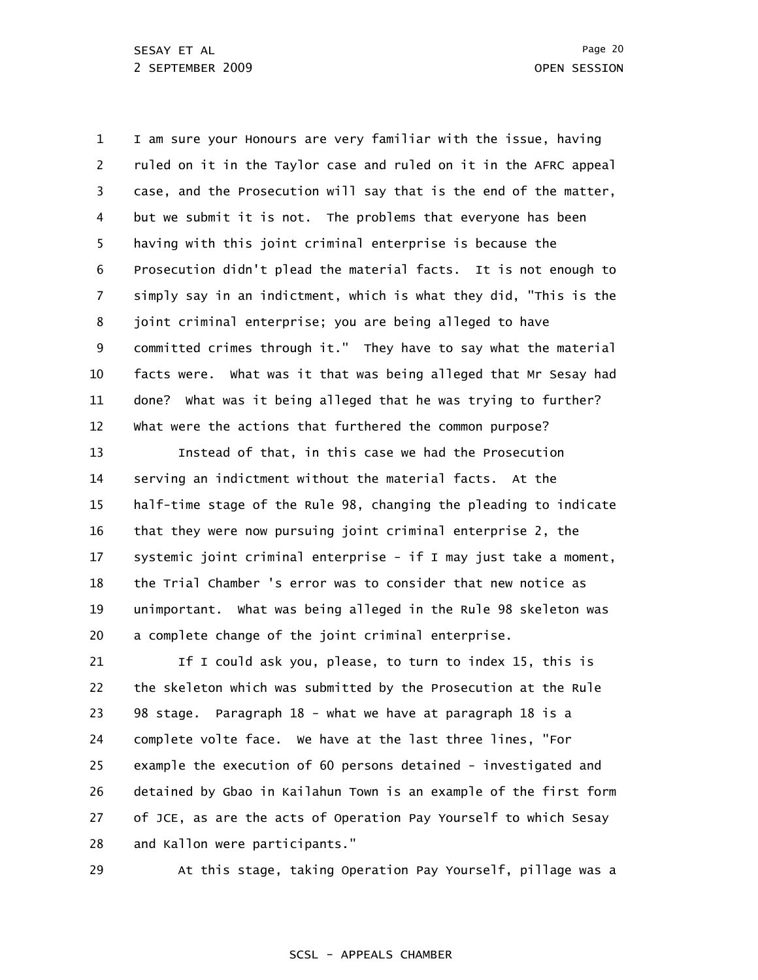1 2 3 4 5 6 7 8 9 10 11 12 I am sure your Honours are very familiar with the issue, having ruled on it in the Taylor case and ruled on it in the AFRC appeal case, and the Prosecution will say that is the end of the matter, but we submit it is not. The problems that everyone has been having with this joint criminal enterprise is because the Prosecution didn't plead the material facts. It is not enough to simply say in an indictment, which is what they did, "This is the joint criminal enterprise; you are being alleged to have committed crimes through it." They have to say what the material facts were. What was it that was being alleged that Mr Sesay had done? What was it being alleged that he was trying to further? What were the actions that furthered the common purpose?

13 14 15 16 17 18 19 20 Instead of that, in this case we had the Prosecution serving an indictment without the material facts. At the half-time stage of the Rule 98, changing the pleading to indicate that they were now pursuing joint criminal enterprise 2, the systemic joint criminal enterprise - if I may just take a moment, the Trial Chamber 's error was to consider that new notice as unimportant. What was being alleged in the Rule 98 skeleton was a complete change of the joint criminal enterprise.

21 22 23 24 25 26 27 28 If I could ask you, please, to turn to index 15, this is the skeleton which was submitted by the Prosecution at the Rule 98 stage. Paragraph 18 - what we have at paragraph 18 is a complete volte face. We have at the last three lines, "For example the execution of 60 persons detained - investigated and detained by Gbao in Kailahun Town is an example of the first form of JCE, as are the acts of Operation Pay Yourself to which Sesay and Kallon were participants."

29

At this stage, taking Operation Pay Yourself, pillage was a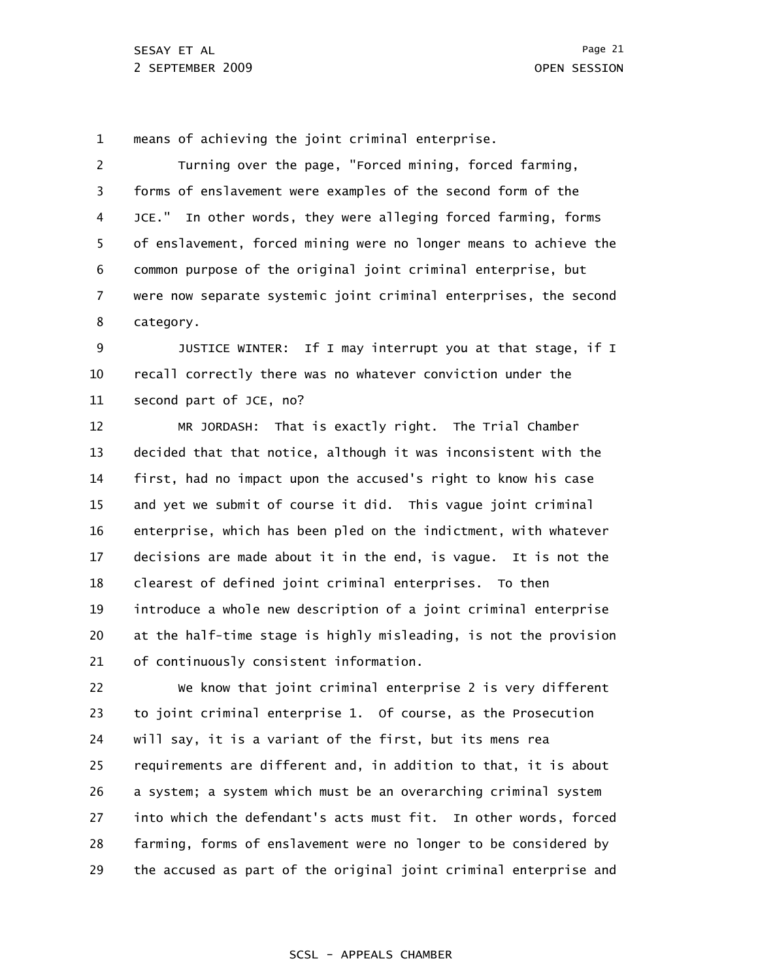1 means of achieving the joint criminal enterprise.

2 3 4 5 6 7 8 Turning over the page, "Forced mining, forced farming, forms of enslavement were examples of the second form of the JCE." In other words, they were alleging forced farming, forms of enslavement, forced mining were no longer means to achieve the common purpose of the original joint criminal enterprise, but were now separate systemic joint criminal enterprises, the second category.

9 10 11 JUSTICE WINTER: If I may interrupt you at that stage, if I recall correctly there was no whatever conviction under the second part of JCE, no?

12 13 14 15 16 17 18 19 20 21 MR JORDASH: That is exactly right. The Trial Chamber decided that that notice, although it was inconsistent with the first, had no impact upon the accused's right to know his case and yet we submit of course it did. This vague joint criminal enterprise, which has been pled on the indictment, with whatever decisions are made about it in the end, is vague. It is not the clearest of defined joint criminal enterprises. To then introduce a whole new description of a joint criminal enterprise at the half-time stage is highly misleading, is not the provision of continuously consistent information.

22 23 24 25 26 27 28 29 We know that joint criminal enterprise 2 is very different to joint criminal enterprise 1. Of course, as the Prosecution will say, it is a variant of the first, but its mens rea requirements are different and, in addition to that, it is about a system; a system which must be an overarching criminal system into which the defendant's acts must fit. In other words, forced farming, forms of enslavement were no longer to be considered by the accused as part of the original joint criminal enterprise and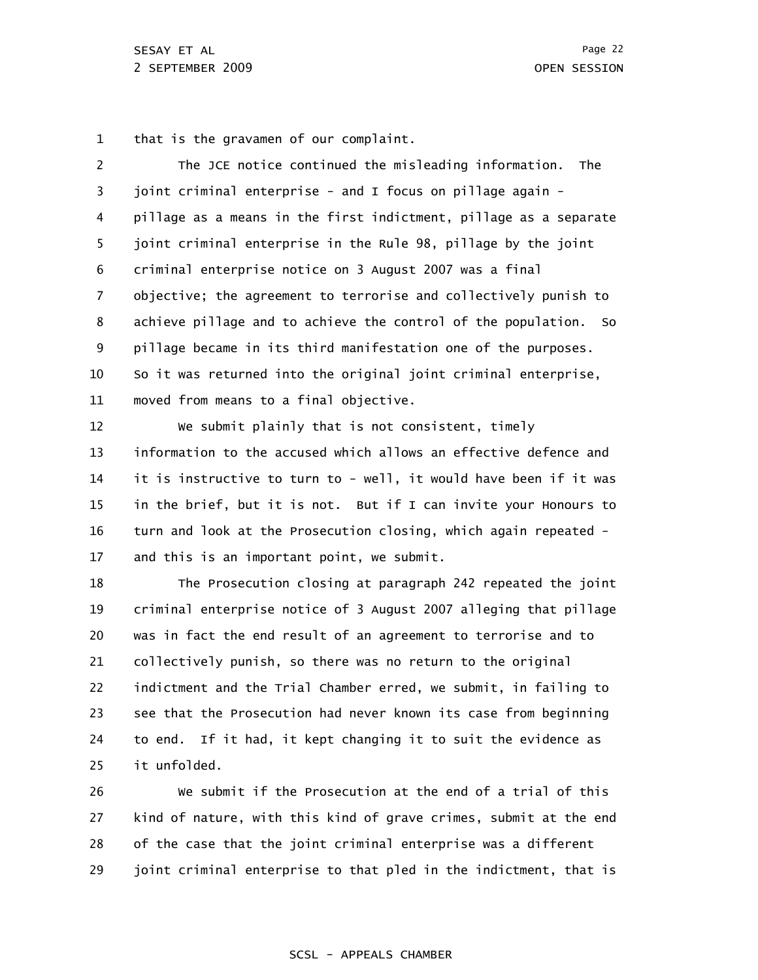1 that is the gravamen of our complaint.

2 3 4 5 6 7 8 9 10 11 12 13 14 15 16 17 18 19 20 21 22 23 24 25 The JCE notice continued the misleading information. The joint criminal enterprise - and I focus on pillage again pillage as a means in the first indictment, pillage as a separate joint criminal enterprise in the Rule 98, pillage by the joint criminal enterprise notice on 3 August 2007 was a final objective; the agreement to terrorise and collectively punish to achieve pillage and to achieve the control of the population. So pillage became in its third manifestation one of the purposes. So it was returned into the original joint criminal enterprise, moved from means to a final objective. We submit plainly that is not consistent, timely information to the accused which allows an effective defence and it is instructive to turn to - well, it would have been if it was in the brief, but it is not. But if I can invite your Honours to turn and look at the Prosecution closing, which again repeated and this is an important point, we submit. The Prosecution closing at paragraph 242 repeated the joint criminal enterprise notice of 3 August 2007 alleging that pillage was in fact the end result of an agreement to terrorise and to collectively punish, so there was no return to the original indictment and the Trial Chamber erred, we submit, in failing to see that the Prosecution had never known its case from beginning to end. If it had, it kept changing it to suit the evidence as it unfolded.

26 27 28 29 We submit if the Prosecution at the end of a trial of this kind of nature, with this kind of grave crimes, submit at the end of the case that the joint criminal enterprise was a different joint criminal enterprise to that pled in the indictment, that is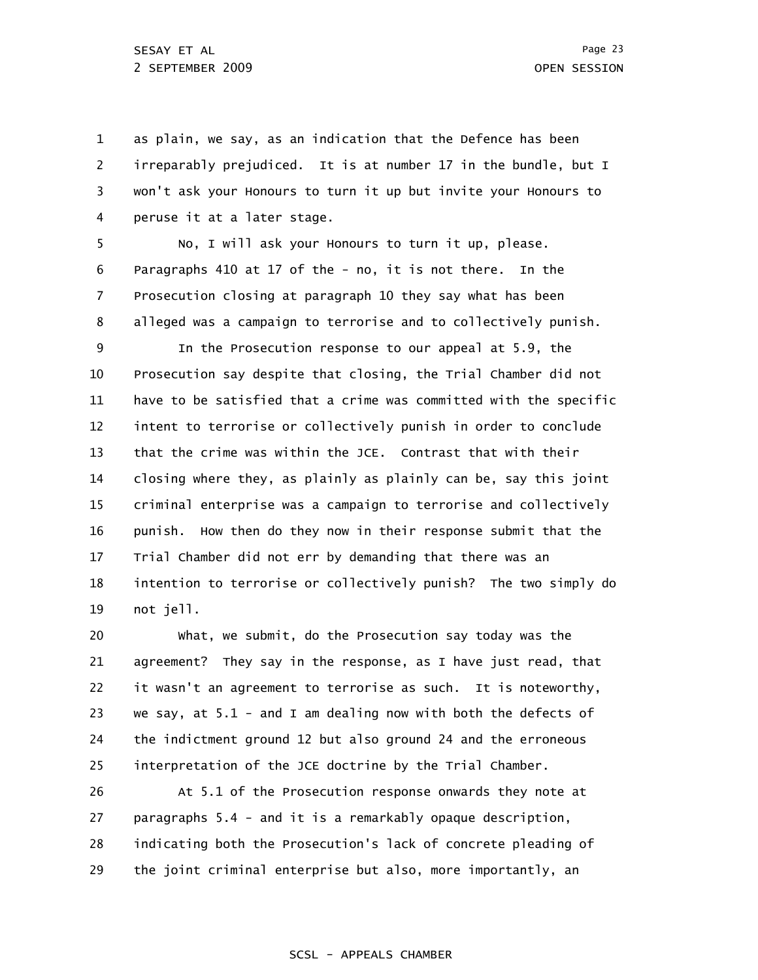1 2 3 4 as plain, we say, as an indication that the Defence has been irreparably prejudiced. It is at number 17 in the bundle, but I won't ask your Honours to turn it up but invite your Honours to peruse it at a later stage.

5 6 7 8 No, I will ask your Honours to turn it up, please. Paragraphs 410 at 17 of the - no, it is not there. In the Prosecution closing at paragraph 10 they say what has been alleged was a campaign to terrorise and to collectively punish.

9 10 11 12 13 14 15 16 17 18 19 In the Prosecution response to our appeal at 5.9, the Prosecution say despite that closing, the Trial Chamber did not have to be satisfied that a crime was committed with the specific intent to terrorise or collectively punish in order to conclude that the crime was within the JCE. Contrast that with their closing where they, as plainly as plainly can be, say this joint criminal enterprise was a campaign to terrorise and collectively punish. How then do they now in their response submit that the Trial Chamber did not err by demanding that there was an intention to terrorise or collectively punish? The two simply do not jell.

20 21 22 23 24 25 What, we submit, do the Prosecution say today was the agreement? They say in the response, as I have just read, that it wasn't an agreement to terrorise as such. It is noteworthy, we say, at 5.1 - and I am dealing now with both the defects of the indictment ground 12 but also ground 24 and the erroneous interpretation of the JCE doctrine by the Trial Chamber.

26 27 28 29 At 5.1 of the Prosecution response onwards they note at paragraphs 5.4 - and it is a remarkably opaque description, indicating both the Prosecution's lack of concrete pleading of the joint criminal enterprise but also, more importantly, an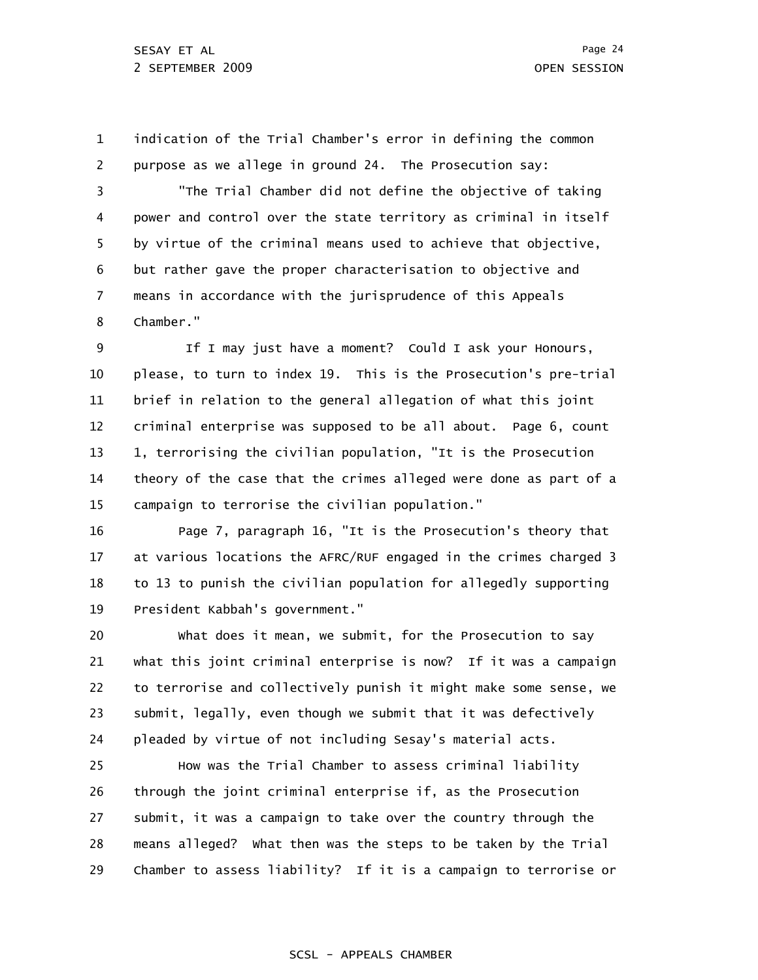1 2 indication of the Trial Chamber's error in defining the common purpose as we allege in ground 24. The Prosecution say:

3 4 5 6 7 8 "The Trial Chamber did not define the objective of taking power and control over the state territory as criminal in itself by virtue of the criminal means used to achieve that objective, but rather gave the proper characterisation to objective and means in accordance with the jurisprudence of this Appeals Chamber."

9 10 11 12 13 14 15 If I may just have a moment? Could I ask your Honours, please, to turn to index 19. This is the Prosecution's pre-trial brief in relation to the general allegation of what this joint criminal enterprise was supposed to be all about. Page 6, count 1, terrorising the civilian population, "It is the Prosecution theory of the case that the crimes alleged were done as part of a campaign to terrorise the civilian population."

16 17 18 19 Page 7, paragraph 16, "It is the Prosecution's theory that at various locations the AFRC/RUF engaged in the crimes charged 3 to 13 to punish the civilian population for allegedly supporting President Kabbah's government."

20 21 22 23 24 What does it mean, we submit, for the Prosecution to say what this joint criminal enterprise is now? If it was a campaign to terrorise and collectively punish it might make some sense, we submit, legally, even though we submit that it was defectively pleaded by virtue of not including Sesay's material acts.

25 26 27 28 29 How was the Trial Chamber to assess criminal liability through the joint criminal enterprise if, as the Prosecution submit, it was a campaign to take over the country through the means alleged? What then was the steps to be taken by the Trial Chamber to assess liability? If it is a campaign to terrorise or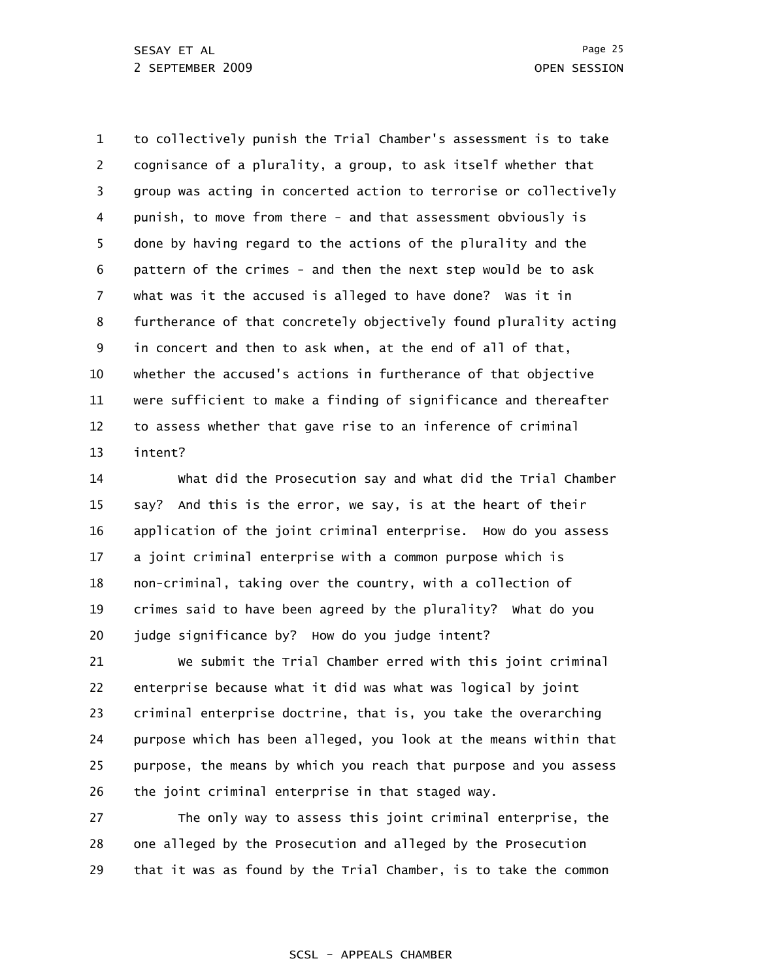1 2 3 4 5 6 7 8 9 10 11 12 13 to collectively punish the Trial Chamber's assessment is to take cognisance of a plurality, a group, to ask itself whether that group was acting in concerted action to terrorise or collectively punish, to move from there - and that assessment obviously is done by having regard to the actions of the plurality and the pattern of the crimes - and then the next step would be to ask what was it the accused is alleged to have done? Was it in furtherance of that concretely objectively found plurality acting in concert and then to ask when, at the end of all of that, whether the accused's actions in furtherance of that objective were sufficient to make a finding of significance and thereafter to assess whether that gave rise to an inference of criminal intent?

14 15 16 17 18 19 20 What did the Prosecution say and what did the Trial Chamber say? And this is the error, we say, is at the heart of their application of the joint criminal enterprise. How do you assess a joint criminal enterprise with a common purpose which is non-criminal, taking over the country, with a collection of crimes said to have been agreed by the plurality? What do you judge significance by? How do you judge intent?

21 22 23 24 25 26 We submit the Trial Chamber erred with this joint criminal enterprise because what it did was what was logical by joint criminal enterprise doctrine, that is, you take the overarching purpose which has been alleged, you look at the means within that purpose, the means by which you reach that purpose and you assess the joint criminal enterprise in that staged way.

27 28 29 The only way to assess this joint criminal enterprise, the one alleged by the Prosecution and alleged by the Prosecution that it was as found by the Trial Chamber, is to take the common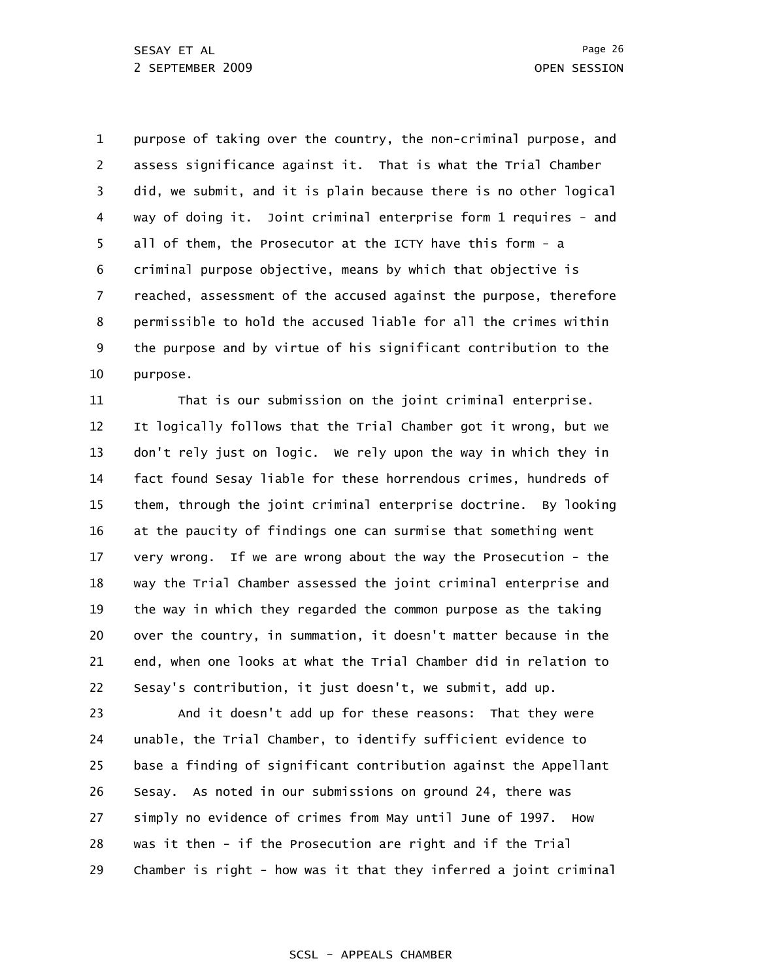1 2 3 4 5 6 7 8 9 10 purpose of taking over the country, the non-criminal purpose, and assess significance against it. That is what the Trial Chamber did, we submit, and it is plain because there is no other logical way of doing it. Joint criminal enterprise form 1 requires - and all of them, the Prosecutor at the ICTY have this form - a criminal purpose objective, means by which that objective is reached, assessment of the accused against the purpose, therefore permissible to hold the accused liable for all the crimes within the purpose and by virtue of his significant contribution to the purpose.

11 12 13 14 15 16 17 18 19 20 21 22 That is our submission on the joint criminal enterprise. It logically follows that the Trial Chamber got it wrong, but we don't rely just on logic. We rely upon the way in which they in fact found Sesay liable for these horrendous crimes, hundreds of them, through the joint criminal enterprise doctrine. By looking at the paucity of findings one can surmise that something went very wrong. If we are wrong about the way the Prosecution - the way the Trial Chamber assessed the joint criminal enterprise and the way in which they regarded the common purpose as the taking over the country, in summation, it doesn't matter because in the end, when one looks at what the Trial Chamber did in relation to Sesay's contribution, it just doesn't, we submit, add up.

23 24 25 26 27 28 29 And it doesn't add up for these reasons: That they were unable, the Trial Chamber, to identify sufficient evidence to base a finding of significant contribution against the Appellant Sesay. As noted in our submissions on ground 24, there was simply no evidence of crimes from May until June of 1997. How was it then - if the Prosecution are right and if the Trial Chamber is right - how was it that they inferred a joint criminal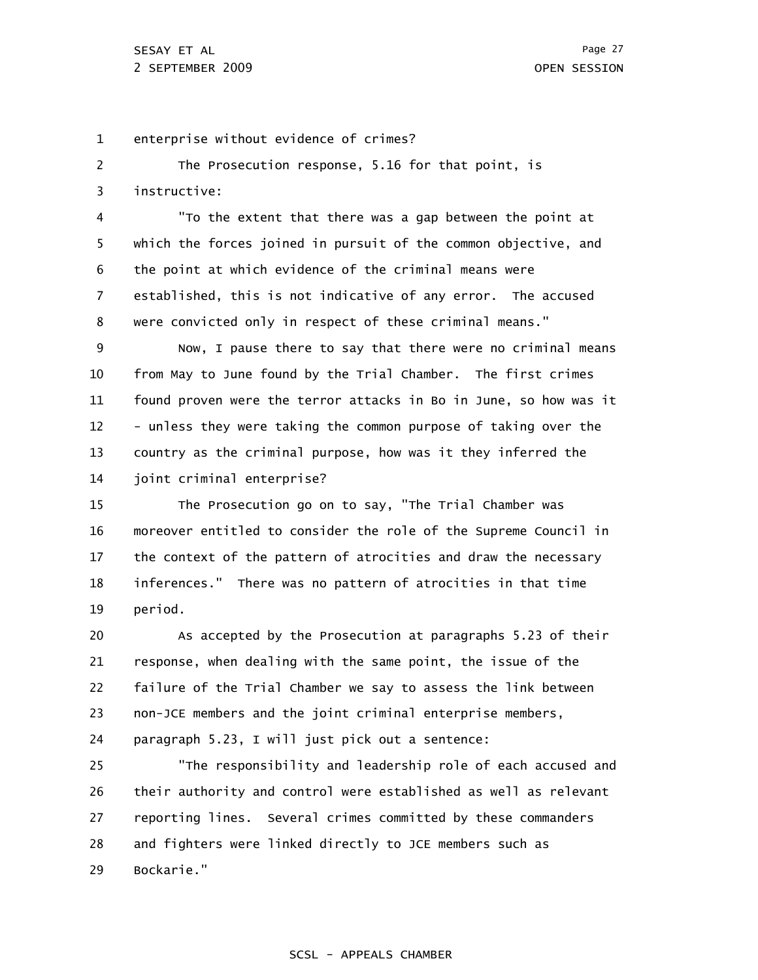1 enterprise without evidence of crimes?

2 3 The Prosecution response, 5.16 for that point, is instructive:

4 5 6 7 8 "To the extent that there was a gap between the point at which the forces joined in pursuit of the common objective, and the point at which evidence of the criminal means were established, this is not indicative of any error. The accused were convicted only in respect of these criminal means."

9 10 11 12 13 14 Now, I pause there to say that there were no criminal means from May to June found by the Trial Chamber. The first crimes found proven were the terror attacks in Bo in June, so how was it - unless they were taking the common purpose of taking over the country as the criminal purpose, how was it they inferred the joint criminal enterprise?

15 16 17 18 19 The Prosecution go on to say, "The Trial Chamber was moreover entitled to consider the role of the Supreme Council in the context of the pattern of atrocities and draw the necessary inferences." There was no pattern of atrocities in that time period.

20 21 22 23 24 As accepted by the Prosecution at paragraphs 5.23 of their response, when dealing with the same point, the issue of the failure of the Trial Chamber we say to assess the link between non-JCE members and the joint criminal enterprise members, paragraph 5.23, I will just pick out a sentence:

25 26 27 28 29 "The responsibility and leadership role of each accused and their authority and control were established as well as relevant reporting lines. Several crimes committed by these commanders and fighters were linked directly to JCE members such as Bockarie."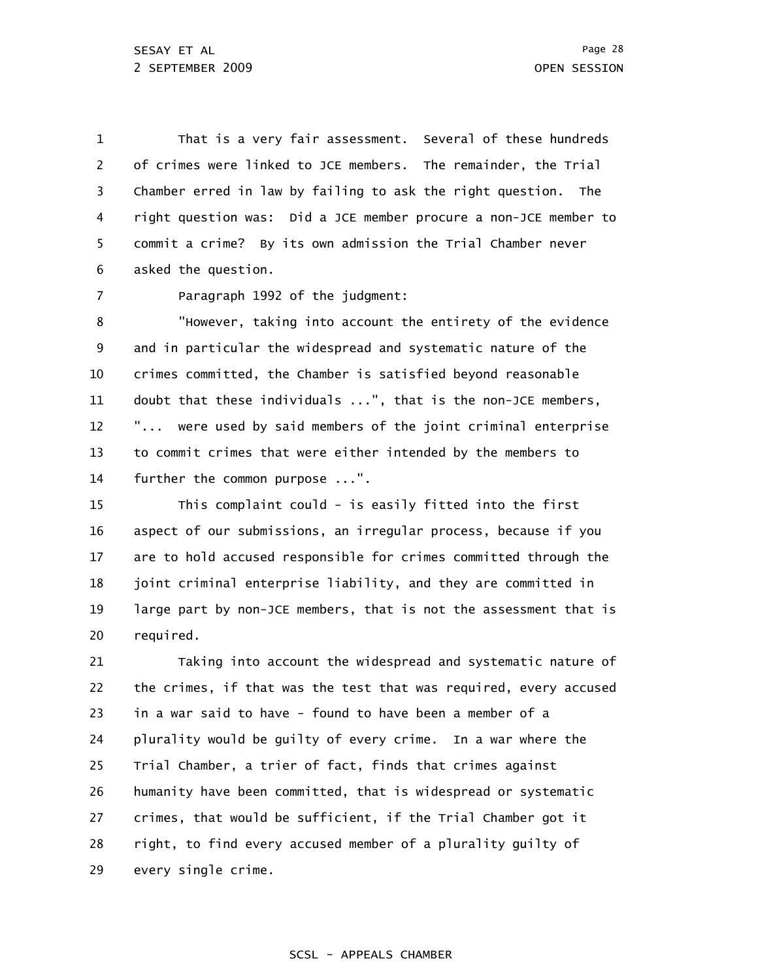1 2 3 4 5 6 That is a very fair assessment. Several of these hundreds of crimes were linked to JCE members. The remainder, the Trial Chamber erred in law by failing to ask the right question. The right question was: Did a JCE member procure a non-JCE member to commit a crime? By its own admission the Trial Chamber never asked the question.

7 Paragraph 1992 of the judgment:

8 9 10 11 12 13 14 "However, taking into account the entirety of the evidence and in particular the widespread and systematic nature of the crimes committed, the Chamber is satisfied beyond reasonable doubt that these individuals ...", that is the non-JCE members, "... were used by said members of the joint criminal enterprise to commit crimes that were either intended by the members to further the common purpose ...".

15 16 17 18 19 20 This complaint could - is easily fitted into the first aspect of our submissions, an irregular process, because if you are to hold accused responsible for crimes committed through the joint criminal enterprise liability, and they are committed in large part by non-JCE members, that is not the assessment that is required.

21 22 23 24 25 26 27 28 29 Taking into account the widespread and systematic nature of the crimes, if that was the test that was required, every accused in a war said to have - found to have been a member of a plurality would be guilty of every crime. In a war where the Trial Chamber, a trier of fact, finds that crimes against humanity have been committed, that is widespread or systematic crimes, that would be sufficient, if the Trial Chamber got it right, to find every accused member of a plurality guilty of every single crime.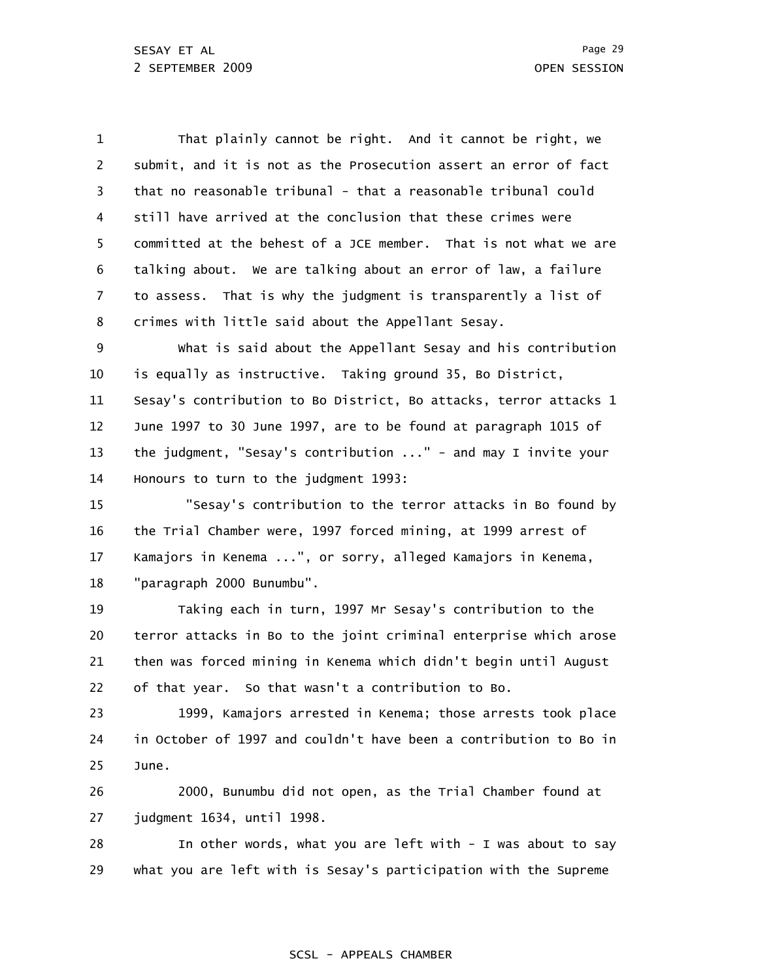1 2 3 4 5 6 7 8 9 10 11 12 13 14 That plainly cannot be right. And it cannot be right, we submit, and it is not as the Prosecution assert an error of fact that no reasonable tribunal - that a reasonable tribunal could still have arrived at the conclusion that these crimes were committed at the behest of a JCE member. That is not what we are talking about. We are talking about an error of law, a failure to assess. That is why the judgment is transparently a list of crimes with little said about the Appellant Sesay. What is said about the Appellant Sesay and his contribution is equally as instructive. Taking ground 35, Bo District, Sesay's contribution to Bo District, Bo attacks, terror attacks 1 June 1997 to 30 June 1997, are to be found at paragraph 1015 of the judgment, "Sesay's contribution ..." - and may I invite your Honours to turn to the judgment 1993:

15 16 17 18 "Sesay's contribution to the terror attacks in Bo found by the Trial Chamber were, 1997 forced mining, at 1999 arrest of Kamajors in Kenema ...", or sorry, alleged Kamajors in Kenema, "paragraph 2000 Bunumbu".

19 20 21 22 Taking each in turn, 1997 Mr Sesay's contribution to the terror attacks in Bo to the joint criminal enterprise which arose then was forced mining in Kenema which didn't begin until August of that year. So that wasn't a contribution to Bo.

23 24 25 1999, Kamajors arrested in Kenema; those arrests took place in October of 1997 and couldn't have been a contribution to Bo in June.

26 27 2000, Bunumbu did not open, as the Trial Chamber found at judgment 1634, until 1998.

28 29 In other words, what you are left with - I was about to say what you are left with is Sesay's participation with the Supreme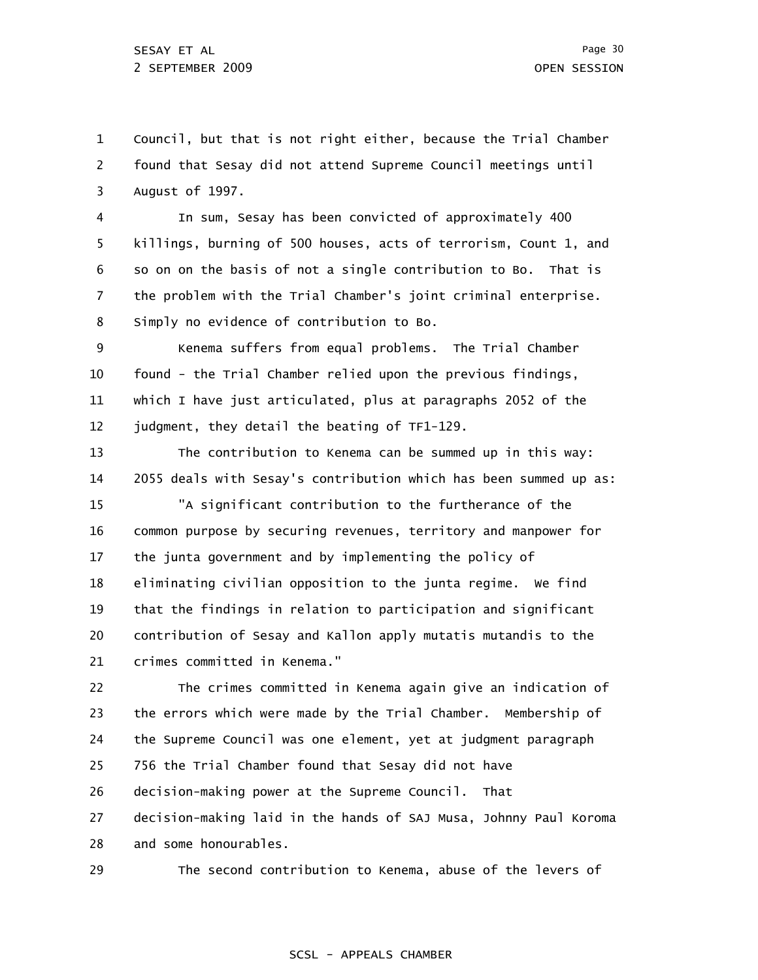1 2 3 Council, but that is not right either, because the Trial Chamber found that Sesay did not attend Supreme Council meetings until August of 1997.

4 5 6 7 8 In sum, Sesay has been convicted of approximately 400 killings, burning of 500 houses, acts of terrorism, Count 1, and so on on the basis of not a single contribution to Bo. That is the problem with the Trial Chamber's joint criminal enterprise. Simply no evidence of contribution to Bo.

9 10 11 12 Kenema suffers from equal problems. The Trial Chamber found - the Trial Chamber relied upon the previous findings, which I have just articulated, plus at paragraphs 2052 of the judgment, they detail the beating of TF1-129.

13 14 The contribution to Kenema can be summed up in this way: 2055 deals with Sesay's contribution which has been summed up as:

15 16 17 18 19 20 21 "A significant contribution to the furtherance of the common purpose by securing revenues, territory and manpower for the junta government and by implementing the policy of eliminating civilian opposition to the junta regime. We find that the findings in relation to participation and significant contribution of Sesay and Kallon apply mutatis mutandis to the crimes committed in Kenema."

22 23 24 25 26 27 28 The crimes committed in Kenema again give an indication of the errors which were made by the Trial Chamber. Membership of the Supreme Council was one element, yet at judgment paragraph 756 the Trial Chamber found that Sesay did not have decision-making power at the Supreme Council. That decision-making laid in the hands of SAJ Musa, Johnny Paul Koroma and some honourables.

29 The second contribution to Kenema, abuse of the levers of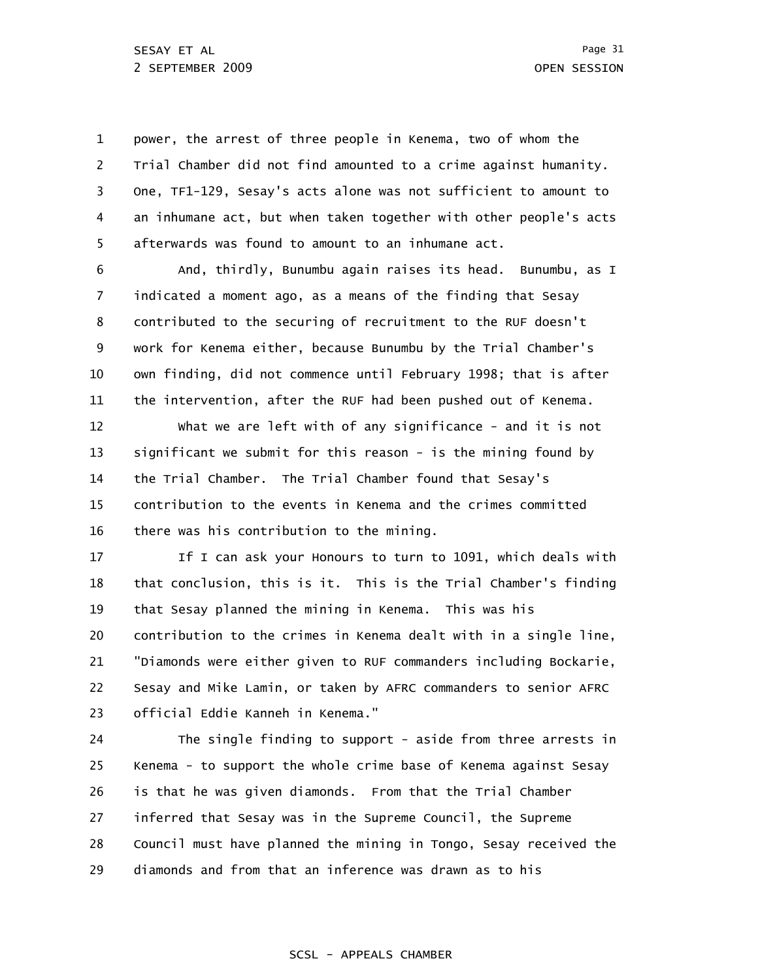1 2 3 4 5 power, the arrest of three people in Kenema, two of whom the Trial Chamber did not find amounted to a crime against humanity. One, TF1-129, Sesay's acts alone was not sufficient to amount to an inhumane act, but when taken together with other people's acts afterwards was found to amount to an inhumane act.

6 7 8 9 10 11 12 13 14 And, thirdly, Bunumbu again raises its head. Bunumbu, as I indicated a moment ago, as a means of the finding that Sesay contributed to the securing of recruitment to the RUF doesn't work for Kenema either, because Bunumbu by the Trial Chamber's own finding, did not commence until February 1998; that is after the intervention, after the RUF had been pushed out of Kenema. What we are left with of any significance - and it is not significant we submit for this reason - is the mining found by the Trial Chamber. The Trial Chamber found that Sesay's

15 16 contribution to the events in Kenema and the crimes committed there was his contribution to the mining.

17 18 19 20 21 22 23 If I can ask your Honours to turn to 1091, which deals with that conclusion, this is it. This is the Trial Chamber's finding that Sesay planned the mining in Kenema. This was his contribution to the crimes in Kenema dealt with in a single line, "Diamonds were either given to RUF commanders including Bockarie, Sesay and Mike Lamin, or taken by AFRC commanders to senior AFRC official Eddie Kanneh in Kenema."

24 25 26 27 28 29 The single finding to support - aside from three arrests in Kenema - to support the whole crime base of Kenema against Sesay is that he was given diamonds. From that the Trial Chamber inferred that Sesay was in the Supreme Council, the Supreme Council must have planned the mining in Tongo, Sesay received the diamonds and from that an inference was drawn as to his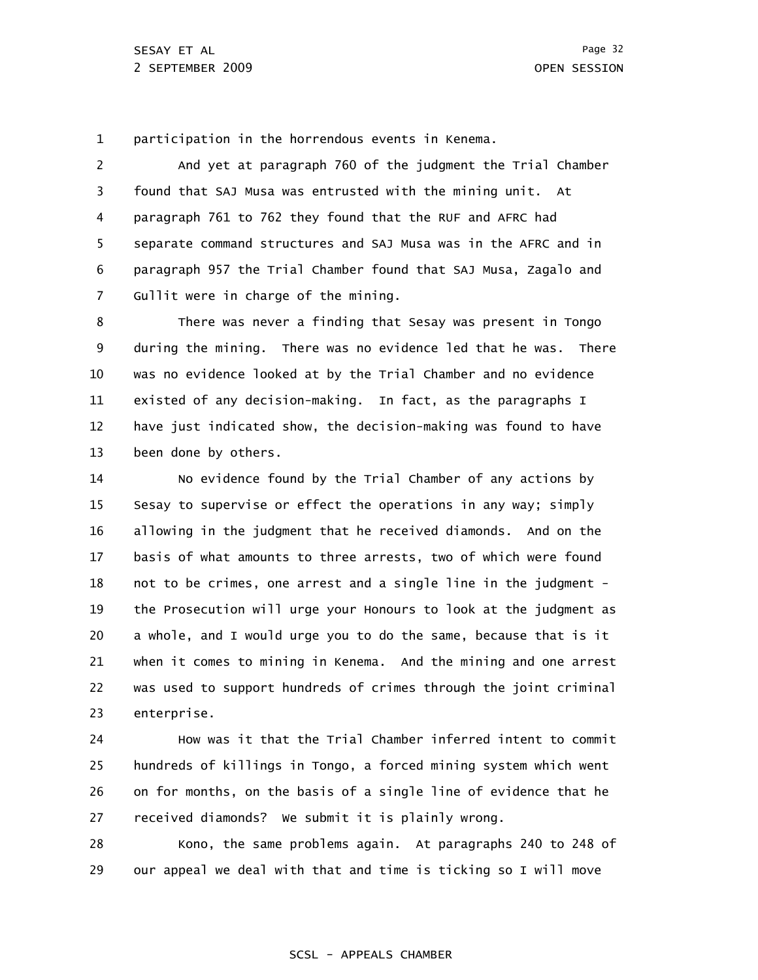1 participation in the horrendous events in Kenema.

2 3 4 5 6 7 And yet at paragraph 760 of the judgment the Trial Chamber found that SAJ Musa was entrusted with the mining unit. At paragraph 761 to 762 they found that the RUF and AFRC had separate command structures and SAJ Musa was in the AFRC and in paragraph 957 the Trial Chamber found that SAJ Musa, Zagalo and Gullit were in charge of the mining.

8 9 10 11 12 13 There was never a finding that Sesay was present in Tongo during the mining. There was no evidence led that he was. There was no evidence looked at by the Trial Chamber and no evidence existed of any decision-making. In fact, as the paragraphs I have just indicated show, the decision-making was found to have been done by others.

14 15 16 17 18 19 20 21 22 23 No evidence found by the Trial Chamber of any actions by Sesay to supervise or effect the operations in any way; simply allowing in the judgment that he received diamonds. And on the basis of what amounts to three arrests, two of which were found not to be crimes, one arrest and a single line in the judgment the Prosecution will urge your Honours to look at the judgment as a whole, and I would urge you to do the same, because that is it when it comes to mining in Kenema. And the mining and one arrest was used to support hundreds of crimes through the joint criminal enterprise.

24 25 26 27 How was it that the Trial Chamber inferred intent to commit hundreds of killings in Tongo, a forced mining system which went on for months, on the basis of a single line of evidence that he received diamonds? We submit it is plainly wrong.

28 29 Kono, the same problems again. At paragraphs 240 to 248 of our appeal we deal with that and time is ticking so I will move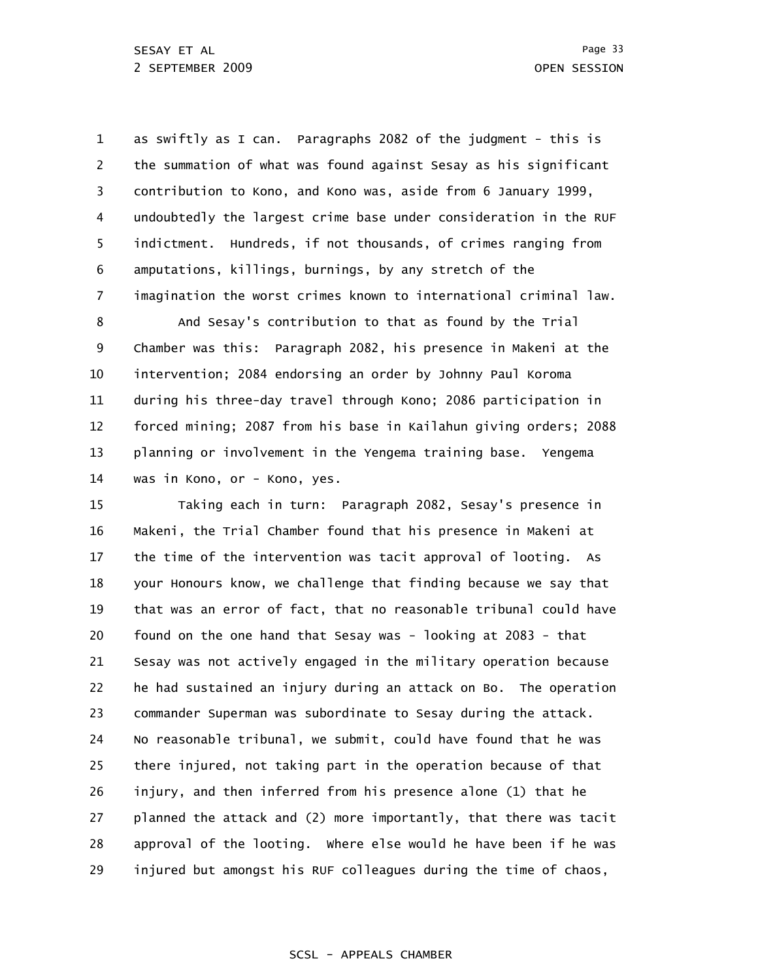1 2 3 4 5 6 7 8 9 10 11 12 13 14 as swiftly as I can. Paragraphs 2082 of the judgment - this is the summation of what was found against Sesay as his significant contribution to Kono, and Kono was, aside from 6 January 1999, undoubtedly the largest crime base under consideration in the RUF indictment. Hundreds, if not thousands, of crimes ranging from amputations, killings, burnings, by any stretch of the imagination the worst crimes known to international criminal law. And Sesay's contribution to that as found by the Trial Chamber was this: Paragraph 2082, his presence in Makeni at the intervention; 2084 endorsing an order by Johnny Paul Koroma during his three-day travel through Kono; 2086 participation in forced mining; 2087 from his base in Kailahun giving orders; 2088 planning or involvement in the Yengema training base. Yengema was in Kono, or - Kono, yes.

15 16 17 18 19 20 21 22 23 24 25 26 27 28 29 Taking each in turn: Paragraph 2082, Sesay's presence in Makeni, the Trial Chamber found that his presence in Makeni at the time of the intervention was tacit approval of looting. As your Honours know, we challenge that finding because we say that that was an error of fact, that no reasonable tribunal could have found on the one hand that Sesay was - looking at 2083 - that Sesay was not actively engaged in the military operation because he had sustained an injury during an attack on Bo. The operation commander Superman was subordinate to Sesay during the attack. No reasonable tribunal, we submit, could have found that he was there injured, not taking part in the operation because of that injury, and then inferred from his presence alone (1) that he planned the attack and (2) more importantly, that there was tacit approval of the looting. Where else would he have been if he was injured but amongst his RUF colleagues during the time of chaos,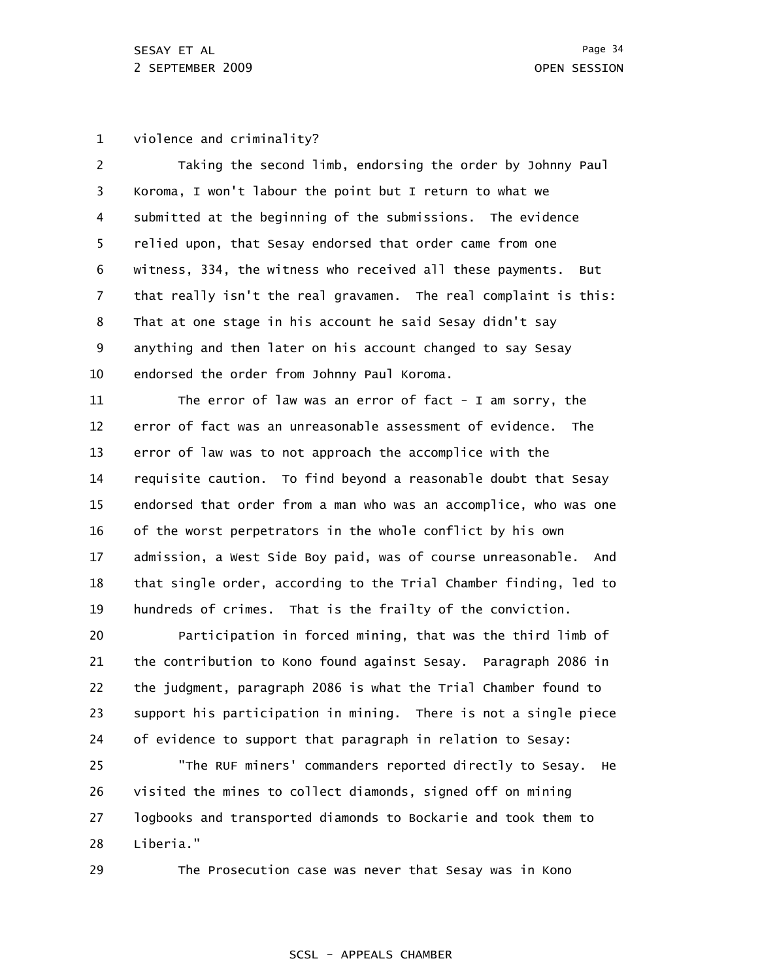1 violence and criminality?

2 3 4 5 6 7 8 9 10 11 12 13 14 Taking the second limb, endorsing the order by Johnny Paul Koroma, I won't labour the point but I return to what we submitted at the beginning of the submissions. The evidence relied upon, that Sesay endorsed that order came from one witness, 334, the witness who received all these payments. But that really isn't the real gravamen. The real complaint is this: That at one stage in his account he said Sesay didn't say anything and then later on his account changed to say Sesay endorsed the order from Johnny Paul Koroma. The error of law was an error of fact  $-$  I am sorry, the error of fact was an unreasonable assessment of evidence. The error of law was to not approach the accomplice with the requisite caution. To find beyond a reasonable doubt that Sesay

15 16 17 18 19 endorsed that order from a man who was an accomplice, who was one of the worst perpetrators in the whole conflict by his own admission, a West Side Boy paid, was of course unreasonable. And that single order, according to the Trial Chamber finding, led to hundreds of crimes. That is the frailty of the conviction.

20 21 22 23 24 Participation in forced mining, that was the third limb of the contribution to Kono found against Sesay. Paragraph 2086 in the judgment, paragraph 2086 is what the Trial Chamber found to support his participation in mining. There is not a single piece of evidence to support that paragraph in relation to Sesay:

25 26 27 28 "The RUF miners' commanders reported directly to Sesay. He visited the mines to collect diamonds, signed off on mining logbooks and transported diamonds to Bockarie and took them to Liberia."

29

The Prosecution case was never that Sesay was in Kono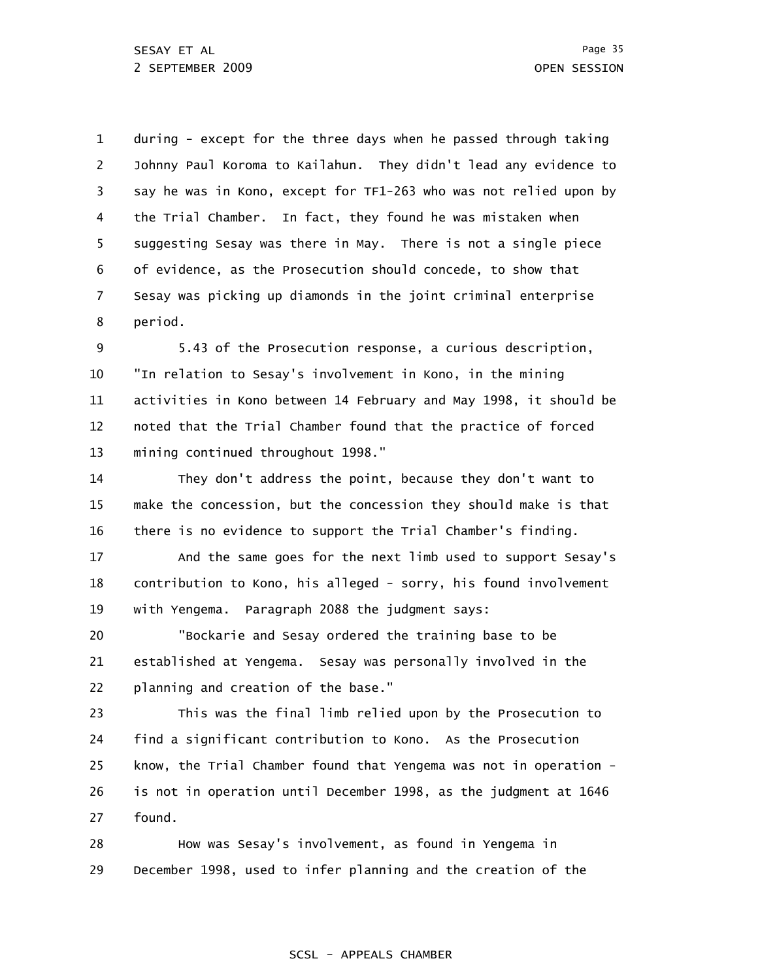1 2 3 4 5 6 7 8 during - except for the three days when he passed through taking Johnny Paul Koroma to Kailahun. They didn't lead any evidence to say he was in Kono, except for TF1-263 who was not relied upon by the Trial Chamber. In fact, they found he was mistaken when suggesting Sesay was there in May. There is not a single piece of evidence, as the Prosecution should concede, to show that Sesay was picking up diamonds in the joint criminal enterprise period.

9 10 11 12 13 5.43 of the Prosecution response, a curious description, "In relation to Sesay's involvement in Kono, in the mining activities in Kono between 14 February and May 1998, it should be noted that the Trial Chamber found that the practice of forced mining continued throughout 1998."

14 15 16 They don't address the point, because they don't want to make the concession, but the concession they should make is that there is no evidence to support the Trial Chamber's finding.

17 18 19 And the same goes for the next limb used to support Sesay's contribution to Kono, his alleged - sorry, his found involvement with Yengema. Paragraph 2088 the judgment says:

20 21 22 "Bockarie and Sesay ordered the training base to be established at Yengema. Sesay was personally involved in the planning and creation of the base."

23 24 25 26 27 This was the final limb relied upon by the Prosecution to find a significant contribution to Kono. As the Prosecution know, the Trial Chamber found that Yengema was not in operation is not in operation until December 1998, as the judgment at 1646 found.

28 29 How was Sesay's involvement, as found in Yengema in December 1998, used to infer planning and the creation of the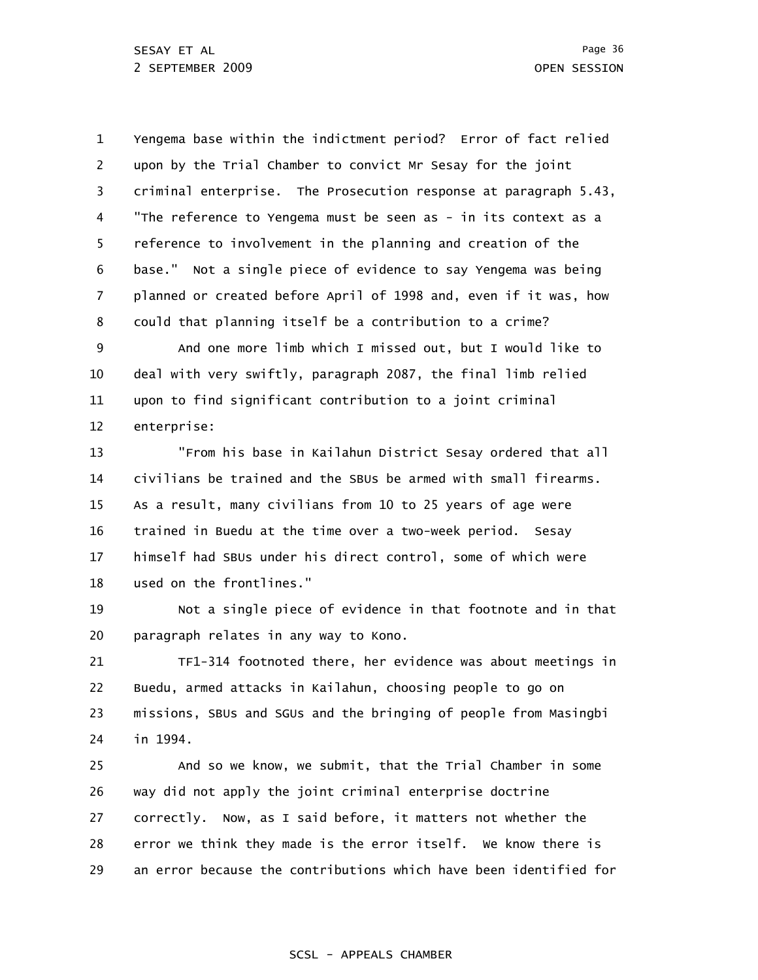1 2 3 4 5 6 7 8 Yengema base within the indictment period? Error of fact relied upon by the Trial Chamber to convict Mr Sesay for the joint criminal enterprise. The Prosecution response at paragraph 5.43, "The reference to Yengema must be seen as - in its context as a reference to involvement in the planning and creation of the base." Not a single piece of evidence to say Yengema was being planned or created before April of 1998 and, even if it was, how could that planning itself be a contribution to a crime?

9 10 11 12 And one more limb which I missed out, but I would like to deal with very swiftly, paragraph 2087, the final limb relied upon to find significant contribution to a joint criminal enterprise:

13 14 15 16 17 18 "From his base in Kailahun District Sesay ordered that all civilians be trained and the SBUs be armed with small firearms. As a result, many civilians from 10 to 25 years of age were trained in Buedu at the time over a two-week period. Sesay himself had SBUs under his direct control, some of which were used on the frontlines."

19 20 Not a single piece of evidence in that footnote and in that paragraph relates in any way to Kono.

21 22 23 24 TF1-314 footnoted there, her evidence was about meetings in Buedu, armed attacks in Kailahun, choosing people to go on missions, SBUs and SGUs and the bringing of people from Masingbi in 1994.

25 26 27 28 29 And so we know, we submit, that the Trial Chamber in some way did not apply the joint criminal enterprise doctrine correctly. Now, as I said before, it matters not whether the error we think they made is the error itself. We know there is an error because the contributions which have been identified for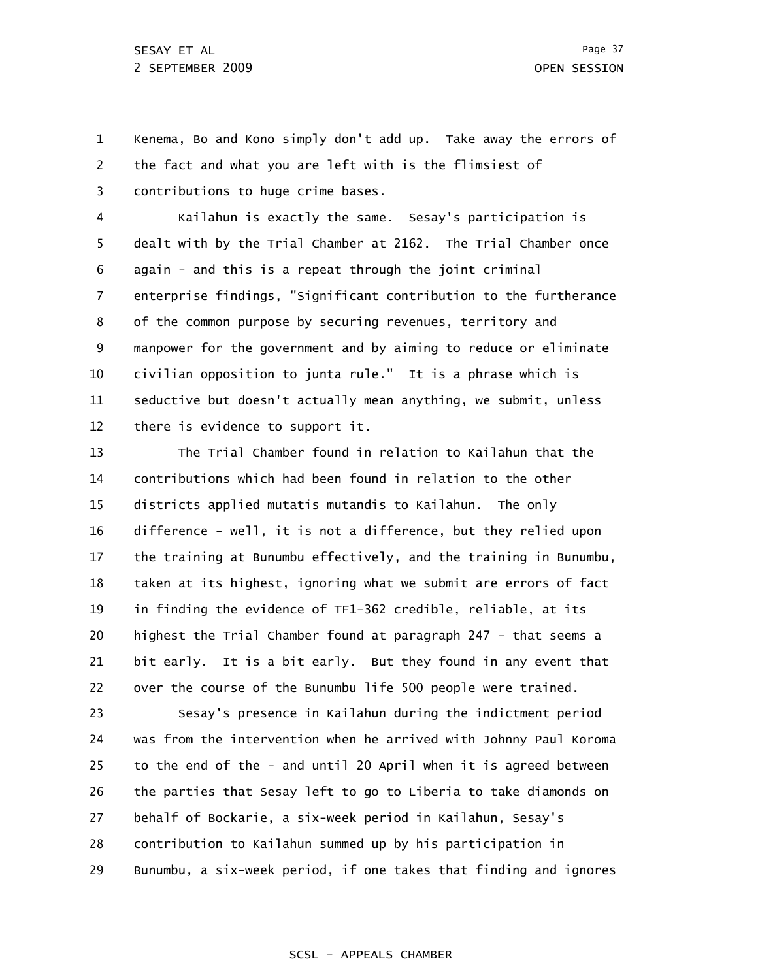1 2 3 Kenema, Bo and Kono simply don't add up. Take away the errors of the fact and what you are left with is the flimsiest of contributions to huge crime bases.

4 5 6 7 8 9 10 11 12 Kailahun is exactly the same. Sesay's participation is dealt with by the Trial Chamber at 2162. The Trial Chamber once again - and this is a repeat through the joint criminal enterprise findings, "Significant contribution to the furtherance of the common purpose by securing revenues, territory and manpower for the government and by aiming to reduce or eliminate civilian opposition to junta rule." It is a phrase which is seductive but doesn't actually mean anything, we submit, unless there is evidence to support it.

13 14 15 16 17 18 19 20 21 22 The Trial Chamber found in relation to Kailahun that the contributions which had been found in relation to the other districts applied mutatis mutandis to Kailahun. The only difference - well, it is not a difference, but they relied upon the training at Bunumbu effectively, and the training in Bunumbu, taken at its highest, ignoring what we submit are errors of fact in finding the evidence of TF1-362 credible, reliable, at its highest the Trial Chamber found at paragraph 247 - that seems a bit early. It is a bit early. But they found in any event that over the course of the Bunumbu life 500 people were trained.

23 24 25 26 27 28 29 Sesay's presence in Kailahun during the indictment period was from the intervention when he arrived with Johnny Paul Koroma to the end of the - and until 20 April when it is agreed between the parties that Sesay left to go to Liberia to take diamonds on behalf of Bockarie, a six-week period in Kailahun, Sesay's contribution to Kailahun summed up by his participation in Bunumbu, a six-week period, if one takes that finding and ignores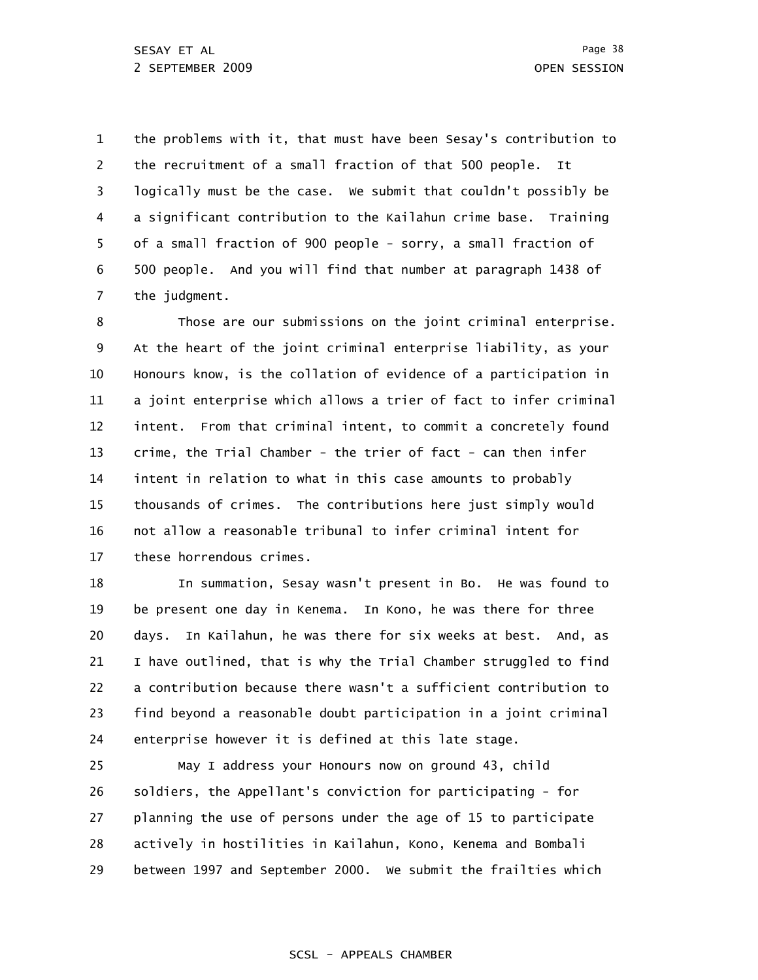1 2 3 4 5 6 7 the problems with it, that must have been Sesay's contribution to the recruitment of a small fraction of that 500 people. It logically must be the case. We submit that couldn't possibly be a significant contribution to the Kailahun crime base. Training of a small fraction of 900 people - sorry, a small fraction of 500 people. And you will find that number at paragraph 1438 of the judgment.

8 9 10 11 12 13 14 15 16 17 Those are our submissions on the joint criminal enterprise. At the heart of the joint criminal enterprise liability, as your Honours know, is the collation of evidence of a participation in a joint enterprise which allows a trier of fact to infer criminal intent. From that criminal intent, to commit a concretely found crime, the Trial Chamber - the trier of fact - can then infer intent in relation to what in this case amounts to probably thousands of crimes. The contributions here just simply would not allow a reasonable tribunal to infer criminal intent for these horrendous crimes.

18 19 20 21 22 23 24 In summation, Sesay wasn't present in Bo. He was found to be present one day in Kenema. In Kono, he was there for three days. In Kailahun, he was there for six weeks at best. And, as I have outlined, that is why the Trial Chamber struggled to find a contribution because there wasn't a sufficient contribution to find beyond a reasonable doubt participation in a joint criminal enterprise however it is defined at this late stage.

25 26 27 28 29 May I address your Honours now on ground 43, child soldiers, the Appellant's conviction for participating - for planning the use of persons under the age of 15 to participate actively in hostilities in Kailahun, Kono, Kenema and Bombali between 1997 and September 2000. We submit the frailties which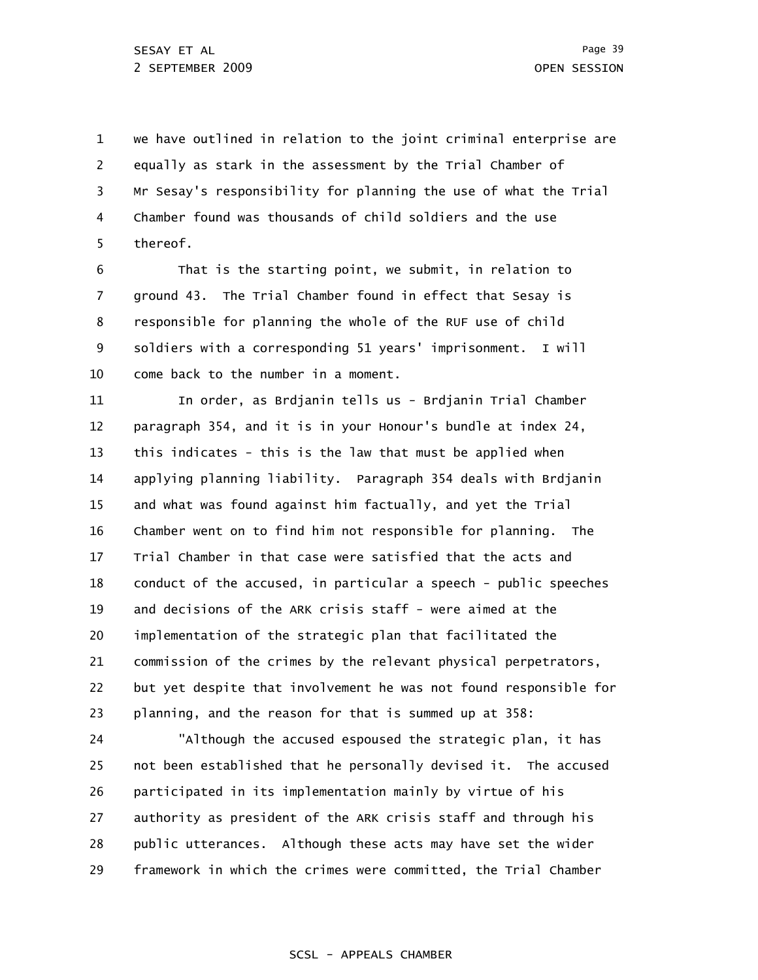1 2 3 4 5 we have outlined in relation to the joint criminal enterprise are equally as stark in the assessment by the Trial Chamber of Mr Sesay's responsibility for planning the use of what the Trial Chamber found was thousands of child soldiers and the use thereof.

6 7 8 9 10 That is the starting point, we submit, in relation to ground 43. The Trial Chamber found in effect that Sesay is responsible for planning the whole of the RUF use of child soldiers with a corresponding 51 years' imprisonment. I will come back to the number in a moment.

11 12 13 14 15 16 17 18 19 20 21 22 23 In order, as Brdjanin tells us - Brdjanin Trial Chamber paragraph 354, and it is in your Honour's bundle at index 24, this indicates - this is the law that must be applied when applying planning liability. Paragraph 354 deals with Brdjanin and what was found against him factually, and yet the Trial Chamber went on to find him not responsible for planning. The Trial Chamber in that case were satisfied that the acts and conduct of the accused, in particular a speech - public speeches and decisions of the ARK crisis staff - were aimed at the implementation of the strategic plan that facilitated the commission of the crimes by the relevant physical perpetrators, but yet despite that involvement he was not found responsible for planning, and the reason for that is summed up at 358:

24 25 26 27 28 29 "Although the accused espoused the strategic plan, it has not been established that he personally devised it. The accused participated in its implementation mainly by virtue of his authority as president of the ARK crisis staff and through his public utterances. Although these acts may have set the wider framework in which the crimes were committed, the Trial Chamber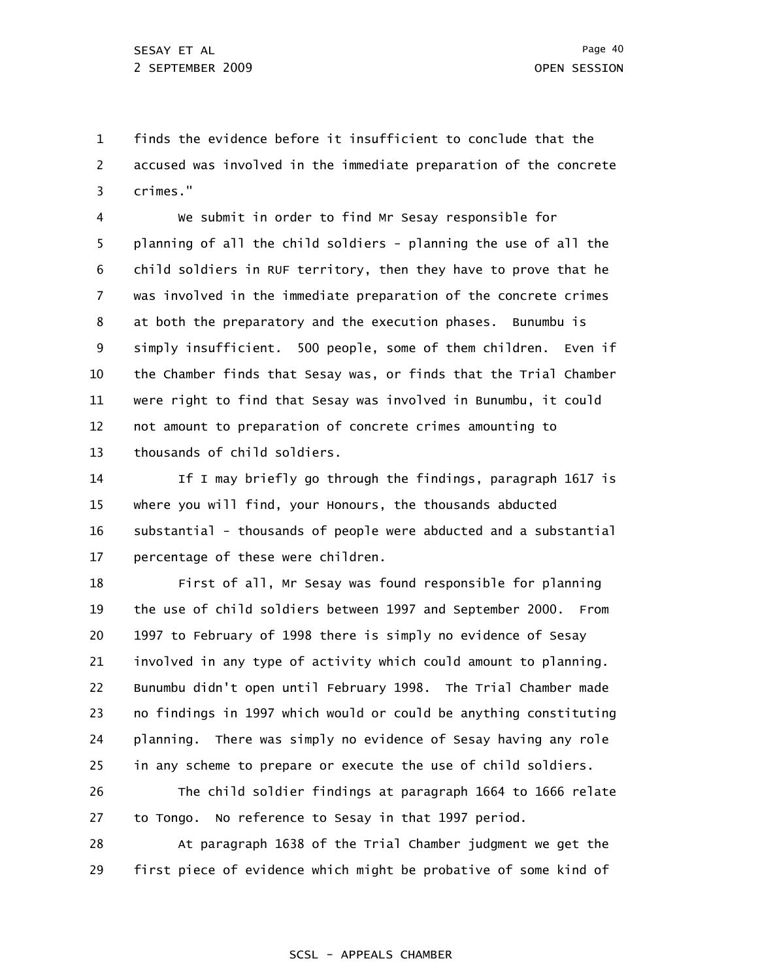1 2 3 finds the evidence before it insufficient to conclude that the accused was involved in the immediate preparation of the concrete crimes."

4 5 6 7 8 9 10 11 12 13 We submit in order to find Mr Sesay responsible for planning of all the child soldiers - planning the use of all the child soldiers in RUF territory, then they have to prove that he was involved in the immediate preparation of the concrete crimes at both the preparatory and the execution phases. Bunumbu is simply insufficient. 500 people, some of them children. Even if the Chamber finds that Sesay was, or finds that the Trial Chamber were right to find that Sesay was involved in Bunumbu, it could not amount to preparation of concrete crimes amounting to thousands of child soldiers.

14 15 16 17 If I may briefly go through the findings, paragraph 1617 is where you will find, your Honours, the thousands abducted substantial - thousands of people were abducted and a substantial percentage of these were children.

18 19 20 21 22 23 24 25 First of all, Mr Sesay was found responsible for planning the use of child soldiers between 1997 and September 2000. From 1997 to February of 1998 there is simply no evidence of Sesay involved in any type of activity which could amount to planning. Bunumbu didn't open until February 1998. The Trial Chamber made no findings in 1997 which would or could be anything constituting planning. There was simply no evidence of Sesay having any role in any scheme to prepare or execute the use of child soldiers.

26 27 The child soldier findings at paragraph 1664 to 1666 relate to Tongo. No reference to Sesay in that 1997 period.

28 29 At paragraph 1638 of the Trial Chamber judgment we get the first piece of evidence which might be probative of some kind of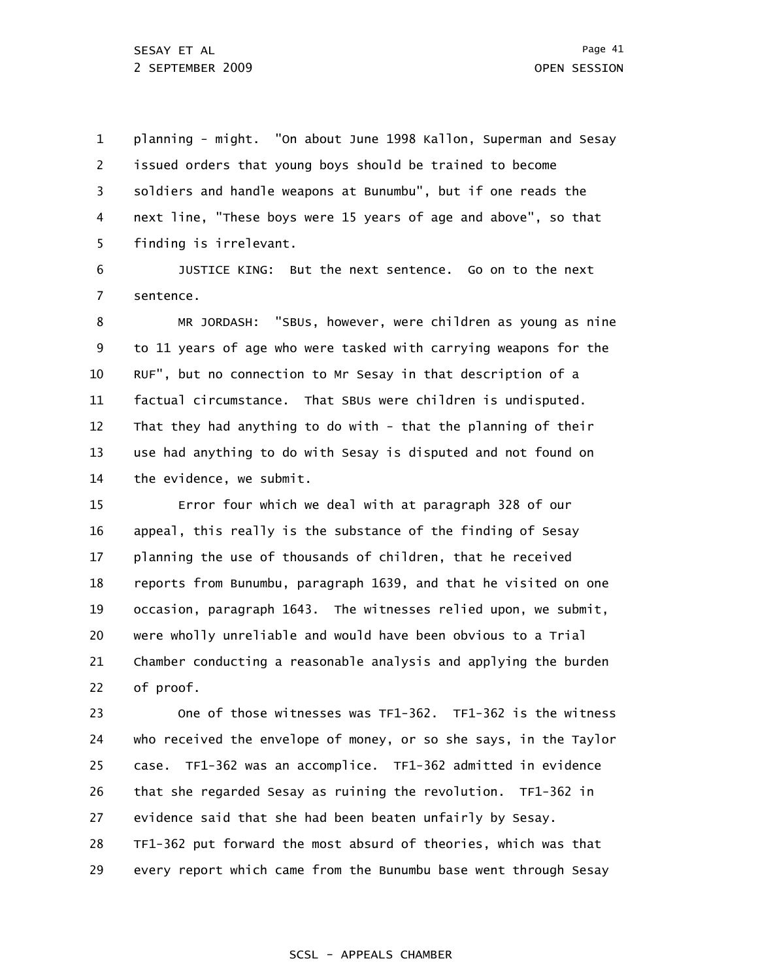1 2 3 4 5 planning - might. "On about June 1998 Kallon, Superman and Sesay issued orders that young boys should be trained to become soldiers and handle weapons at Bunumbu", but if one reads the next line, "These boys were 15 years of age and above", so that finding is irrelevant.

6 7 JUSTICE KING: But the next sentence. Go on to the next sentence.

8 9 10 11 12 13 14 MR JORDASH: "SBUs, however, were children as young as nine to 11 years of age who were tasked with carrying weapons for the RUF", but no connection to Mr Sesay in that description of a factual circumstance. That SBUs were children is undisputed. That they had anything to do with - that the planning of their use had anything to do with Sesay is disputed and not found on the evidence, we submit.

15 16 17 18 19 20 21 22 Error four which we deal with at paragraph 328 of our appeal, this really is the substance of the finding of Sesay planning the use of thousands of children, that he received reports from Bunumbu, paragraph 1639, and that he visited on one occasion, paragraph 1643. The witnesses relied upon, we submit, were wholly unreliable and would have been obvious to a Trial Chamber conducting a reasonable analysis and applying the burden of proof.

23 24 25 26 27 28 29 One of those witnesses was TF1-362. TF1-362 is the witness who received the envelope of money, or so she says, in the Taylor case. TF1-362 was an accomplice. TF1-362 admitted in evidence that she regarded Sesay as ruining the revolution. TF1-362 in evidence said that she had been beaten unfairly by Sesay. TF1-362 put forward the most absurd of theories, which was that every report which came from the Bunumbu base went through Sesay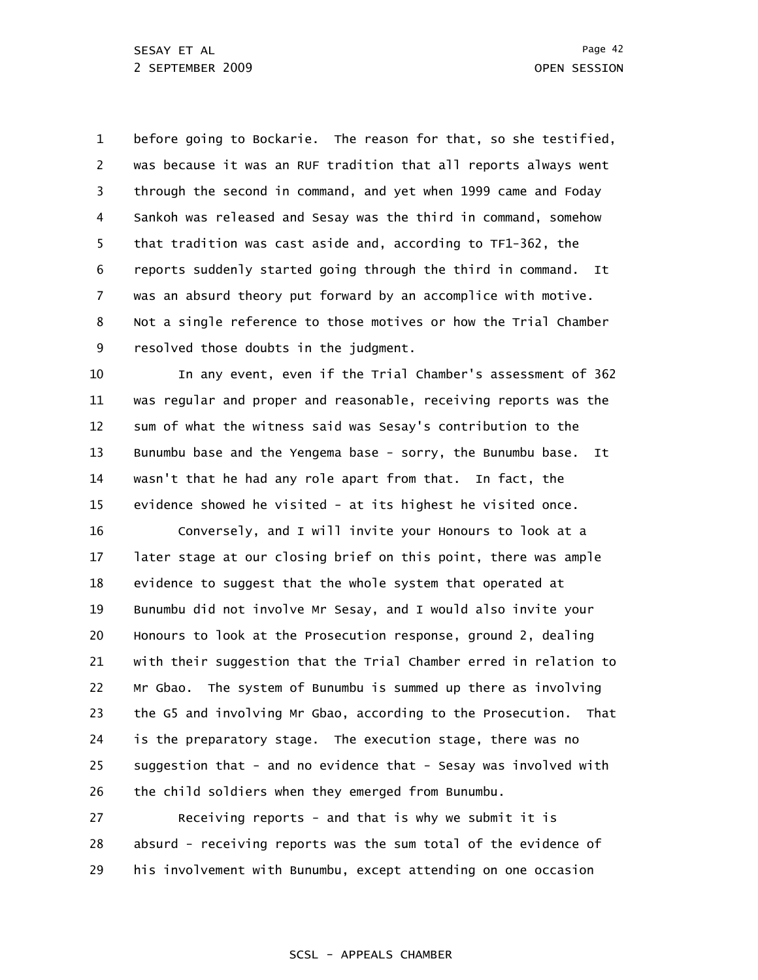1 2 3 4 5 6 7 8 9 before going to Bockarie. The reason for that, so she testified, was because it was an RUF tradition that all reports always went through the second in command, and yet when 1999 came and Foday Sankoh was released and Sesay was the third in command, somehow that tradition was cast aside and, according to TF1-362, the reports suddenly started going through the third in command. It was an absurd theory put forward by an accomplice with motive. Not a single reference to those motives or how the Trial Chamber resolved those doubts in the judgment.

10 11 12 13 14 15 In any event, even if the Trial Chamber's assessment of 362 was regular and proper and reasonable, receiving reports was the sum of what the witness said was Sesay's contribution to the Bunumbu base and the Yengema base - sorry, the Bunumbu base. It wasn't that he had any role apart from that. In fact, the evidence showed he visited - at its highest he visited once.

16 17 18 19 20 21 22 23 24 25 26 Conversely, and I will invite your Honours to look at a later stage at our closing brief on this point, there was ample evidence to suggest that the whole system that operated at Bunumbu did not involve Mr Sesay, and I would also invite your Honours to look at the Prosecution response, ground 2, dealing with their suggestion that the Trial Chamber erred in relation to Mr Gbao. The system of Bunumbu is summed up there as involving the G5 and involving Mr Gbao, according to the Prosecution. That is the preparatory stage. The execution stage, there was no suggestion that - and no evidence that - Sesay was involved with the child soldiers when they emerged from Bunumbu.

27 28 29 Receiving reports - and that is why we submit it is absurd - receiving reports was the sum total of the evidence of his involvement with Bunumbu, except attending on one occasion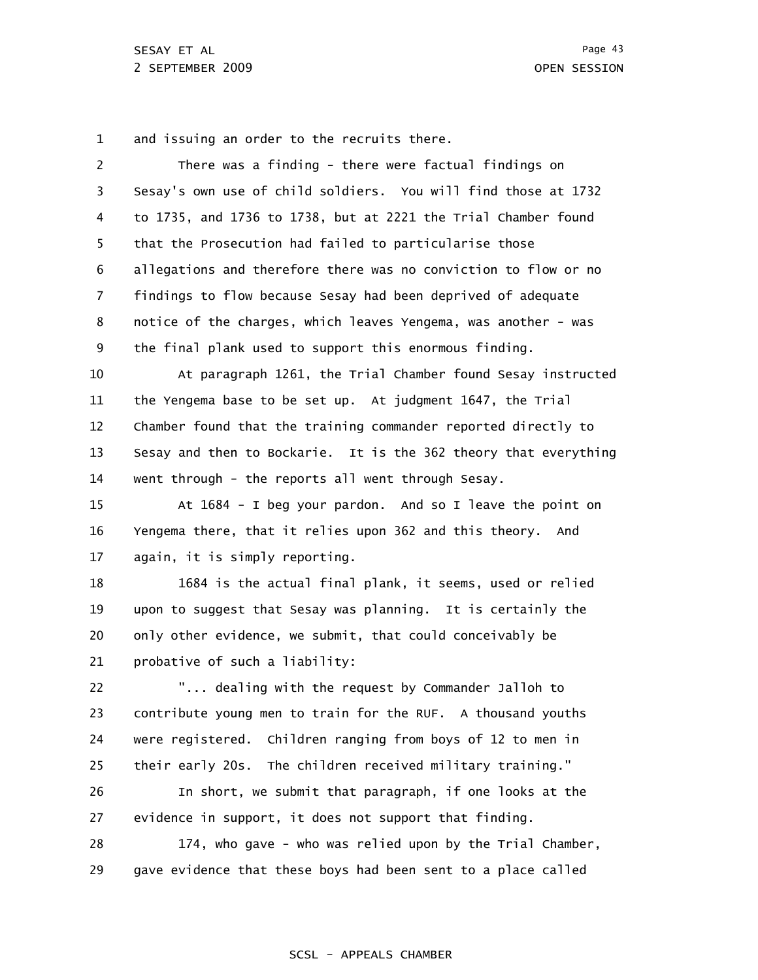29

1 and issuing an order to the recruits there.

2 3 4 5 6 7 8 9 10 11 12 13 14 15 16 17 18 19 20 21 22 23 24 25 26 27 28 There was a finding - there were factual findings on Sesay's own use of child soldiers. You will find those at 1732 to 1735, and 1736 to 1738, but at 2221 the Trial Chamber found that the Prosecution had failed to particularise those allegations and therefore there was no conviction to flow or no findings to flow because Sesay had been deprived of adequate notice of the charges, which leaves Yengema, was another - was the final plank used to support this enormous finding. At paragraph 1261, the Trial Chamber found Sesay instructed the Yengema base to be set up. At judgment 1647, the Trial Chamber found that the training commander reported directly to Sesay and then to Bockarie. It is the 362 theory that everything went through - the reports all went through Sesay. At 1684 - I beg your pardon. And so I leave the point on Yengema there, that it relies upon 362 and this theory. And again, it is simply reporting. 1684 is the actual final plank, it seems, used or relied upon to suggest that Sesay was planning. It is certainly the only other evidence, we submit, that could conceivably be probative of such a liability: "... dealing with the request by Commander Jalloh to contribute young men to train for the RUF. A thousand youths were registered. Children ranging from boys of 12 to men in their early 20s. The children received military training." In short, we submit that paragraph, if one looks at the evidence in support, it does not support that finding. 174, who gave - who was relied upon by the Trial Chamber,

gave evidence that these boys had been sent to a place called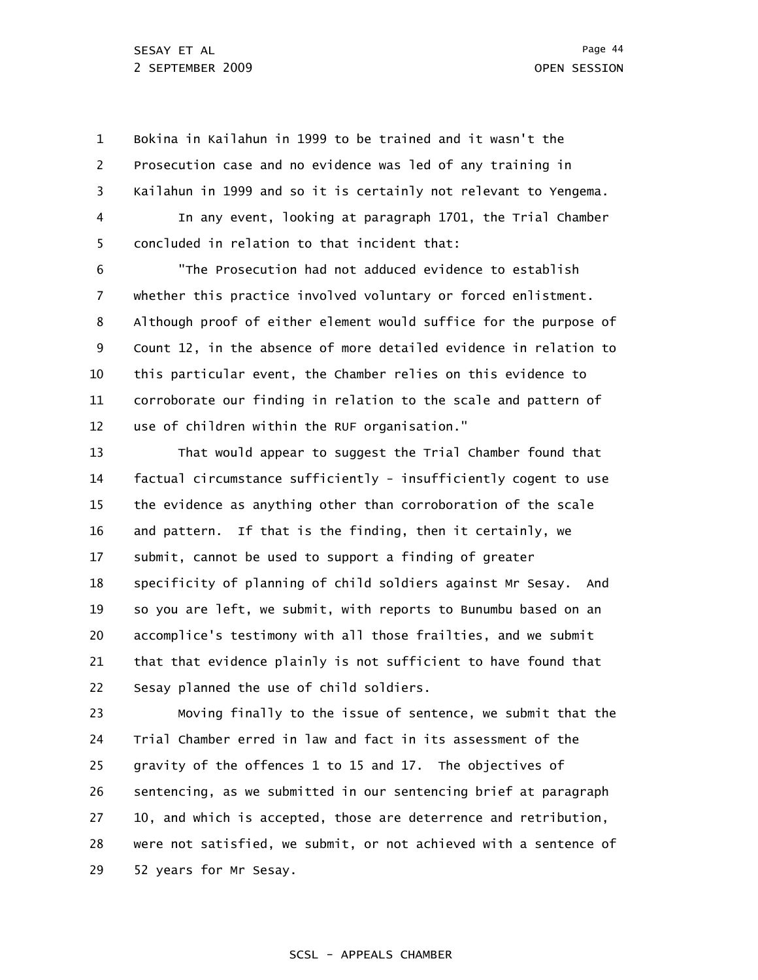1 2 3 4 5 Bokina in Kailahun in 1999 to be trained and it wasn't the Prosecution case and no evidence was led of any training in Kailahun in 1999 and so it is certainly not relevant to Yengema. In any event, looking at paragraph 1701, the Trial Chamber concluded in relation to that incident that:

6 7 8 9 10 11 12 "The Prosecution had not adduced evidence to establish whether this practice involved voluntary or forced enlistment. Although proof of either element would suffice for the purpose of Count 12, in the absence of more detailed evidence in relation to this particular event, the Chamber relies on this evidence to corroborate our finding in relation to the scale and pattern of use of children within the RUF organisation."

13 14 15 16 17 18 19 20 21 22 That would appear to suggest the Trial Chamber found that factual circumstance sufficiently - insufficiently cogent to use the evidence as anything other than corroboration of the scale and pattern. If that is the finding, then it certainly, we submit, cannot be used to support a finding of greater specificity of planning of child soldiers against Mr Sesay. And so you are left, we submit, with reports to Bunumbu based on an accomplice's testimony with all those frailties, and we submit that that evidence plainly is not sufficient to have found that Sesay planned the use of child soldiers.

23 24 25 26 27 28 29 Moving finally to the issue of sentence, we submit that the Trial Chamber erred in law and fact in its assessment of the gravity of the offences 1 to 15 and 17. The objectives of sentencing, as we submitted in our sentencing brief at paragraph 10, and which is accepted, those are deterrence and retribution, were not satisfied, we submit, or not achieved with a sentence of 52 years for Mr Sesay.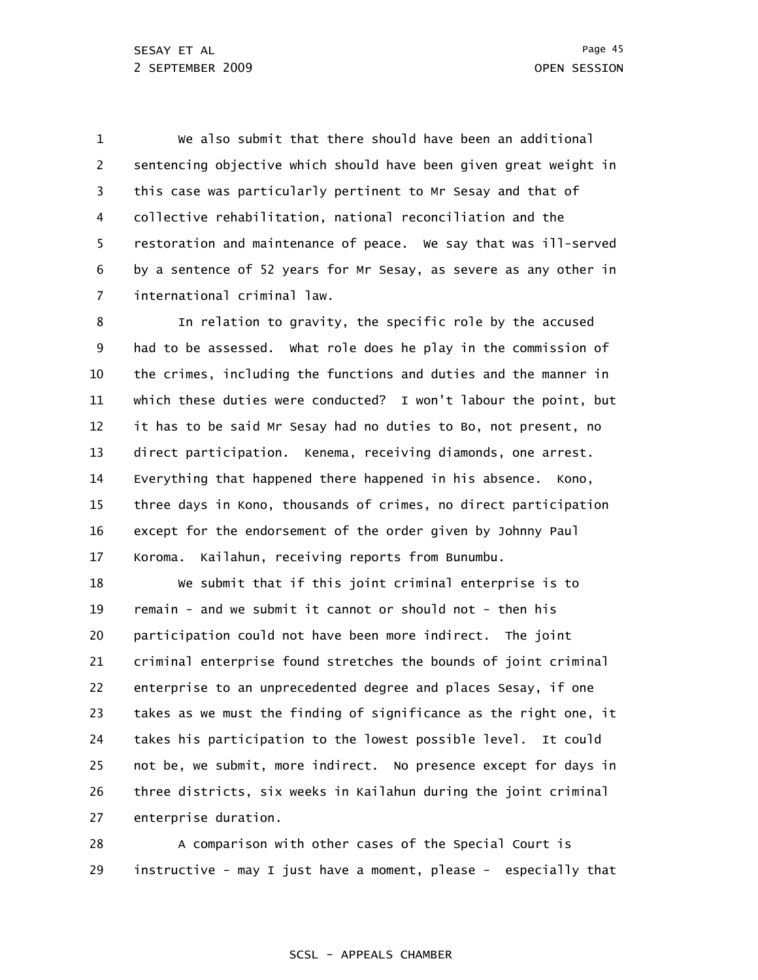1 2 3 4 5 6 7 We also submit that there should have been an additional sentencing objective which should have been given great weight in this case was particularly pertinent to Mr Sesay and that of collective rehabilitation, national reconciliation and the restoration and maintenance of peace. We say that was ill-served by a sentence of 52 years for Mr Sesay, as severe as any other in international criminal law.

8 9 10 11 12 13 14 15 16 17 In relation to gravity, the specific role by the accused had to be assessed. What role does he play in the commission of the crimes, including the functions and duties and the manner in which these duties were conducted? I won't labour the point, but it has to be said Mr Sesay had no duties to Bo, not present, no direct participation. Kenema, receiving diamonds, one arrest. Everything that happened there happened in his absence. Kono, three days in Kono, thousands of crimes, no direct participation except for the endorsement of the order given by Johnny Paul Koroma. Kailahun, receiving reports from Bunumbu.

18 19 20 21 22 23 24 25 26 27 We submit that if this joint criminal enterprise is to remain - and we submit it cannot or should not - then his participation could not have been more indirect. The joint criminal enterprise found stretches the bounds of joint criminal enterprise to an unprecedented degree and places Sesay, if one takes as we must the finding of significance as the right one, it takes his participation to the lowest possible level. It could not be, we submit, more indirect. No presence except for days in three districts, six weeks in Kailahun during the joint criminal enterprise duration.

28 29 A comparison with other cases of the Special Court is instructive - may I just have a moment, please - especially that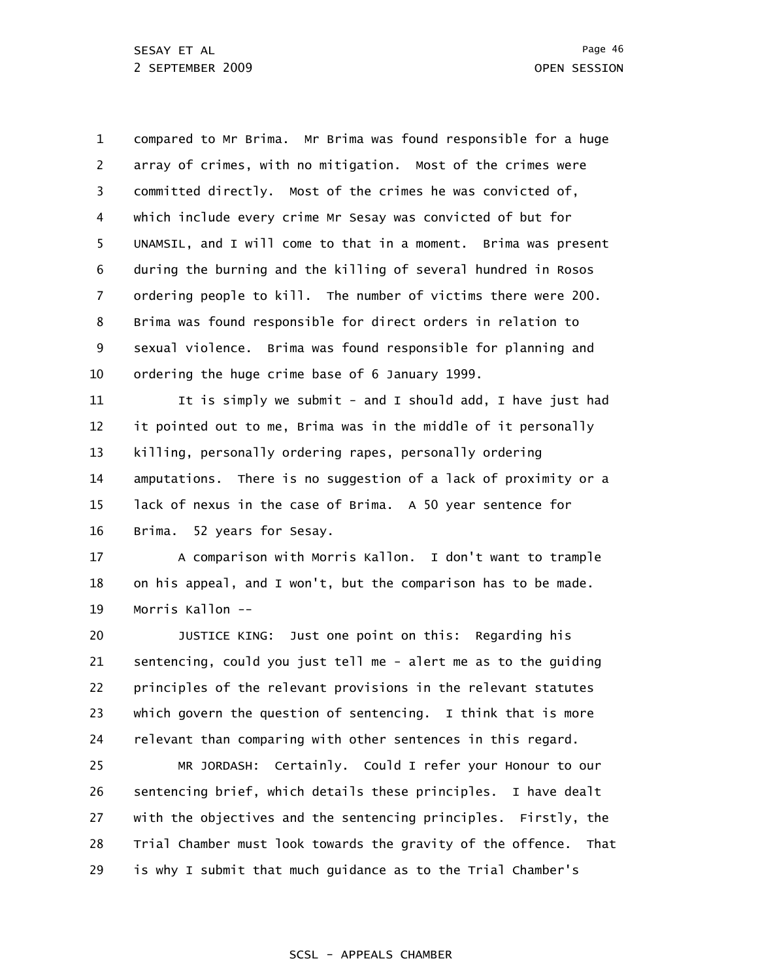1 2 3 4 5 6 7 8 9 10 compared to Mr Brima. Mr Brima was found responsible for a huge array of crimes, with no mitigation. Most of the crimes were committed directly. Most of the crimes he was convicted of, which include every crime Mr Sesay was convicted of but for UNAMSIL, and I will come to that in a moment. Brima was present during the burning and the killing of several hundred in Rosos ordering people to kill. The number of victims there were 200. Brima was found responsible for direct orders in relation to sexual violence. Brima was found responsible for planning and ordering the huge crime base of 6 January 1999.

11 12 13 14 15 16 It is simply we submit - and I should add, I have just had it pointed out to me, Brima was in the middle of it personally killing, personally ordering rapes, personally ordering amputations. There is no suggestion of a lack of proximity or a lack of nexus in the case of Brima. A 50 year sentence for Brima. 52 years for Sesay.

17 18 19 A comparison with Morris Kallon. I don't want to trample on his appeal, and I won't, but the comparison has to be made. Morris Kallon --

20 21 22 23 24 JUSTICE KING: Just one point on this: Regarding his sentencing, could you just tell me - alert me as to the guiding principles of the relevant provisions in the relevant statutes which govern the question of sentencing. I think that is more relevant than comparing with other sentences in this regard.

25 26 27 28 29 MR JORDASH: Certainly. Could I refer your Honour to our sentencing brief, which details these principles. I have dealt with the objectives and the sentencing principles. Firstly, the Trial Chamber must look towards the gravity of the offence. That is why I submit that much guidance as to the Trial Chamber's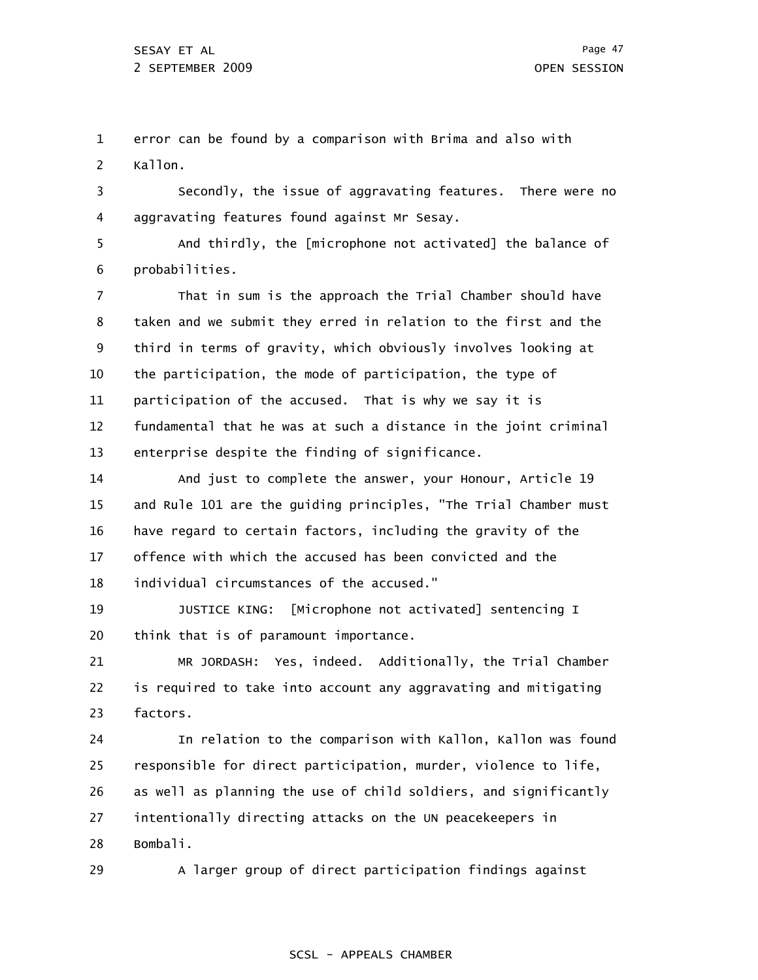1 2 error can be found by a comparison with Brima and also with Kallon.

3 4 Secondly, the issue of aggravating features. There were no aggravating features found against Mr Sesay.

5 6 And thirdly, the [microphone not activated] the balance of probabilities.

7 8 9 10 11 12 13 That in sum is the approach the Trial Chamber should have taken and we submit they erred in relation to the first and the third in terms of gravity, which obviously involves looking at the participation, the mode of participation, the type of participation of the accused. That is why we say it is fundamental that he was at such a distance in the joint criminal enterprise despite the finding of significance.

14 15 16 17 18 And just to complete the answer, your Honour, Article 19 and Rule 101 are the guiding principles, "The Trial Chamber must have regard to certain factors, including the gravity of the offence with which the accused has been convicted and the individual circumstances of the accused."

19 20 JUSTICE KING: [Microphone not activated] sentencing I think that is of paramount importance.

21 22 23 MR JORDASH: Yes, indeed. Additionally, the Trial Chamber is required to take into account any aggravating and mitigating factors.

24 25 26 27 28 In relation to the comparison with Kallon, Kallon was found responsible for direct participation, murder, violence to life, as well as planning the use of child soldiers, and significantly intentionally directing attacks on the UN peacekeepers in Bombali.

29 A larger group of direct participation findings against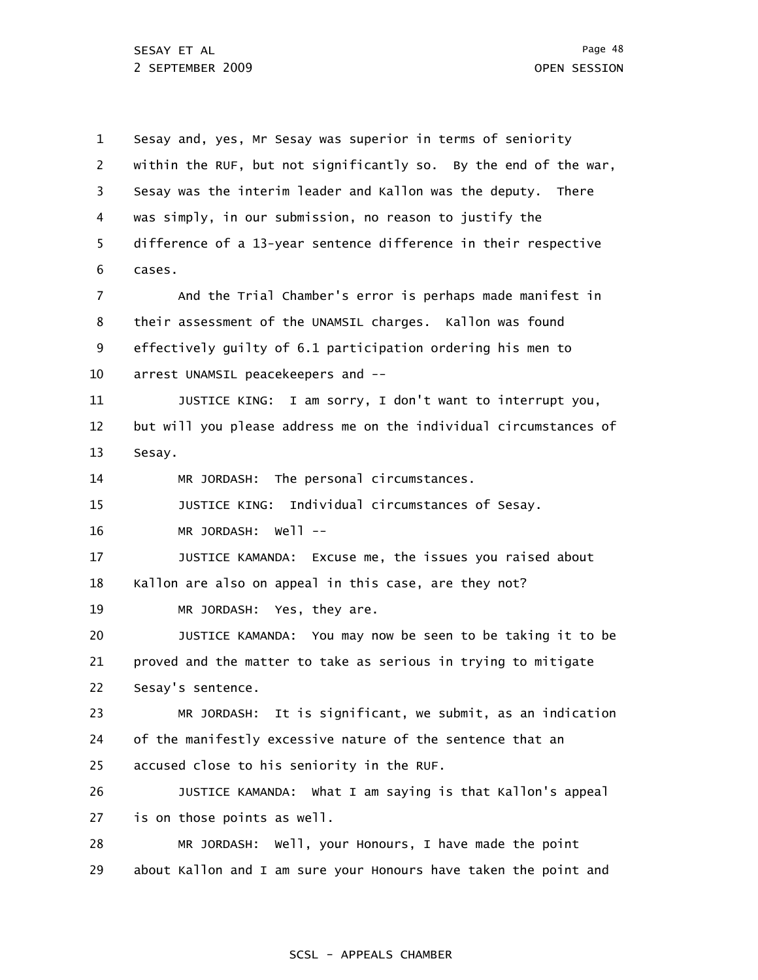SESAY ET AL 2 SEPTEMBER 2009 OPEN SESSION

1 2 3 4 5 6 7 8 9 10 11 12 13 14 15 16 17 18 19 20 21 22 23 24 25 26 27 28 29 Sesay and, yes, Mr Sesay was superior in terms of seniority within the RUF, but not significantly so. By the end of the war, Sesay was the interim leader and Kallon was the deputy. There was simply, in our submission, no reason to justify the difference of a 13-year sentence difference in their respective cases. And the Trial Chamber's error is perhaps made manifest in their assessment of the UNAMSIL charges. Kallon was found effectively guilty of 6.1 participation ordering his men to arrest UNAMSIL peacekeepers and -- JUSTICE KING: I am sorry, I don't want to interrupt you, but will you please address me on the individual circumstances of Sesay. MR JORDASH: The personal circumstances. JUSTICE KING: Individual circumstances of Sesay. MR JORDASH: Well -- JUSTICE KAMANDA: Excuse me, the issues you raised about Kallon are also on appeal in this case, are they not? MR JORDASH: Yes, they are. JUSTICE KAMANDA: You may now be seen to be taking it to be proved and the matter to take as serious in trying to mitigate Sesay's sentence. MR JORDASH: It is significant, we submit, as an indication of the manifestly excessive nature of the sentence that an accused close to his seniority in the RUF. JUSTICE KAMANDA: What I am saying is that Kallon's appeal is on those points as well. MR JORDASH: Well, your Honours, I have made the point about Kallon and I am sure your Honours have taken the point and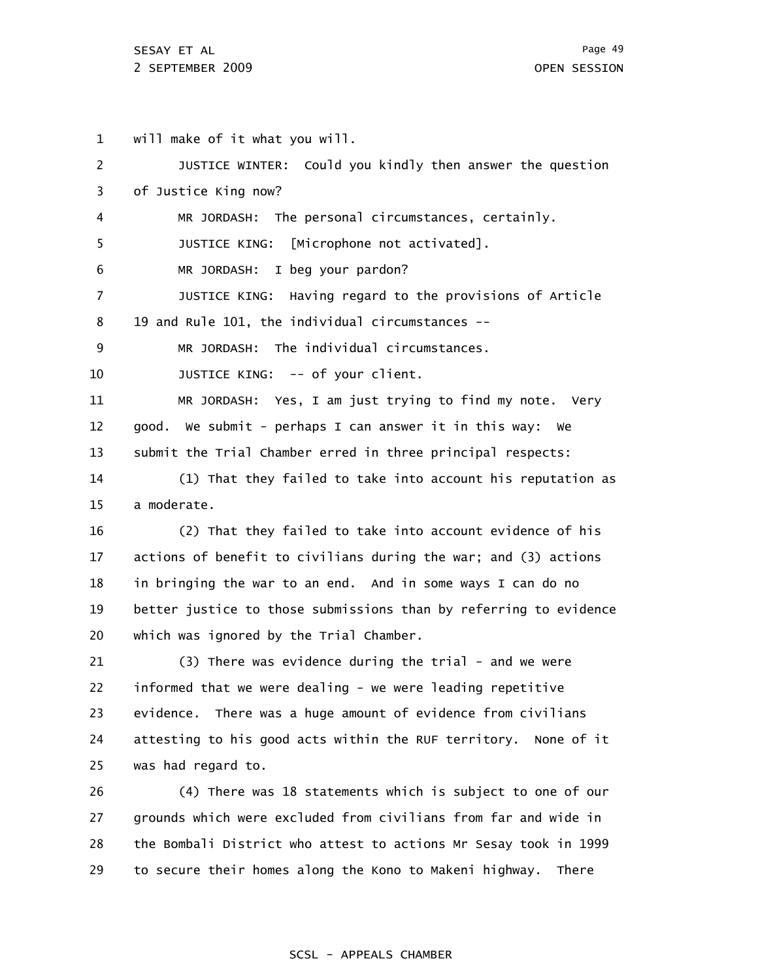1 2 3 4 5 6 7 8 9 10 11 12 13 14 15 16 17 18 19 20 21 22 23 24 25 26 27 will make of it what you will. JUSTICE WINTER: Could you kindly then answer the question of Justice King now? MR JORDASH: The personal circumstances, certainly. JUSTICE KING: [Microphone not activated]. MR JORDASH: I beg your pardon? JUSTICE KING: Having regard to the provisions of Article 19 and Rule 101, the individual circumstances -- MR JORDASH: The individual circumstances. JUSTICE KING: -- of your client. MR JORDASH: Yes, I am just trying to find my note. Very good. We submit - perhaps I can answer it in this way: We submit the Trial Chamber erred in three principal respects: (1) That they failed to take into account his reputation as a moderate. (2) That they failed to take into account evidence of his actions of benefit to civilians during the war; and (3) actions in bringing the war to an end. And in some ways I can do no better justice to those submissions than by referring to evidence which was ignored by the Trial Chamber. (3) There was evidence during the trial - and we were informed that we were dealing - we were leading repetitive evidence. There was a huge amount of evidence from civilians attesting to his good acts within the RUF territory. None of it was had regard to. (4) There was 18 statements which is subject to one of our grounds which were excluded from civilians from far and wide in

29 to secure their homes along the Kono to Makeni highway. There

28

# SCSL - APPEALS CHAMBER

the Bombali District who attest to actions Mr Sesay took in 1999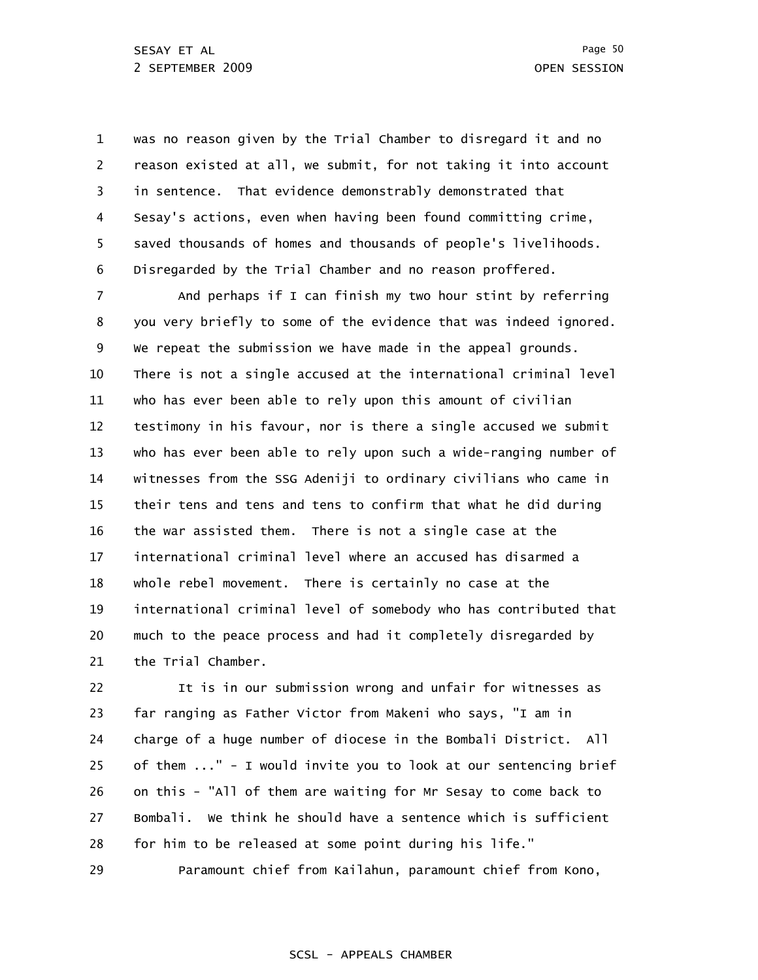1 2 3 4 5 6 was no reason given by the Trial Chamber to disregard it and no reason existed at all, we submit, for not taking it into account in sentence. That evidence demonstrably demonstrated that Sesay's actions, even when having been found committing crime, saved thousands of homes and thousands of people's livelihoods. Disregarded by the Trial Chamber and no reason proffered.

7 8 9 10 11 12 13 14 15 16 17 18 19 20 21 And perhaps if I can finish my two hour stint by referring you very briefly to some of the evidence that was indeed ignored. We repeat the submission we have made in the appeal grounds. There is not a single accused at the international criminal level who has ever been able to rely upon this amount of civilian testimony in his favour, nor is there a single accused we submit who has ever been able to rely upon such a wide-ranging number of witnesses from the SSG Adeniji to ordinary civilians who came in their tens and tens and tens to confirm that what he did during the war assisted them. There is not a single case at the international criminal level where an accused has disarmed a whole rebel movement. There is certainly no case at the international criminal level of somebody who has contributed that much to the peace process and had it completely disregarded by the Trial Chamber.

22 23 24 25 26 27 28 It is in our submission wrong and unfair for witnesses as far ranging as Father Victor from Makeni who says, "I am in charge of a huge number of diocese in the Bombali District. All of them ..." - I would invite you to look at our sentencing brief on this - "All of them are waiting for Mr Sesay to come back to Bombali. We think he should have a sentence which is sufficient for him to be released at some point during his life."

29 Paramount chief from Kailahun, paramount chief from Kono,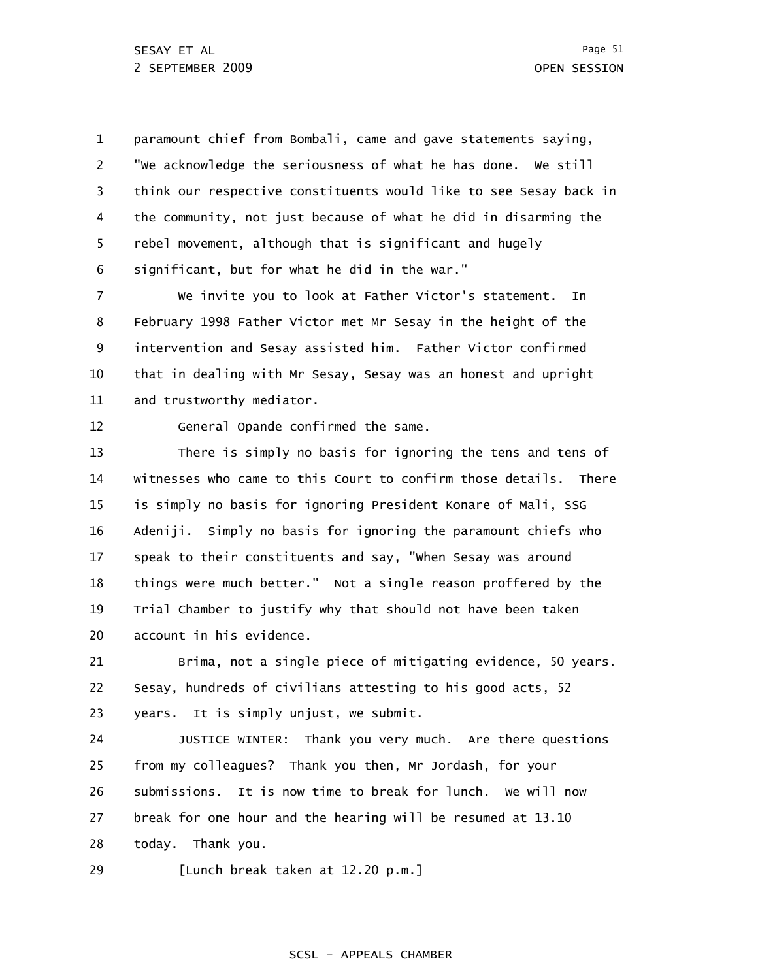1 2 3 4 5 6 paramount chief from Bombali, came and gave statements saying, "We acknowledge the seriousness of what he has done. We still think our respective constituents would like to see Sesay back in the community, not just because of what he did in disarming the rebel movement, although that is significant and hugely significant, but for what he did in the war."

7 8 9 10 11 We invite you to look at Father Victor's statement. In February 1998 Father Victor met Mr Sesay in the height of the intervention and Sesay assisted him. Father Victor confirmed that in dealing with Mr Sesay, Sesay was an honest and upright and trustworthy mediator.

12

General Opande confirmed the same.

13 14 15 16 17 18 19 20 There is simply no basis for ignoring the tens and tens of witnesses who came to this Court to confirm those details. There is simply no basis for ignoring President Konare of Mali, SSG Adeniji. Simply no basis for ignoring the paramount chiefs who speak to their constituents and say, "When Sesay was around things were much better." Not a single reason proffered by the Trial Chamber to justify why that should not have been taken account in his evidence.

21 22 23 Brima, not a single piece of mitigating evidence, 50 years. Sesay, hundreds of civilians attesting to his good acts, 52 years. It is simply unjust, we submit.

24 25 26 27 28 JUSTICE WINTER: Thank you very much. Are there questions from my colleagues? Thank you then, Mr Jordash, for your submissions. It is now time to break for lunch. We will now break for one hour and the hearing will be resumed at 13.10 today. Thank you.

29 [Lunch break taken at 12.20 p.m.]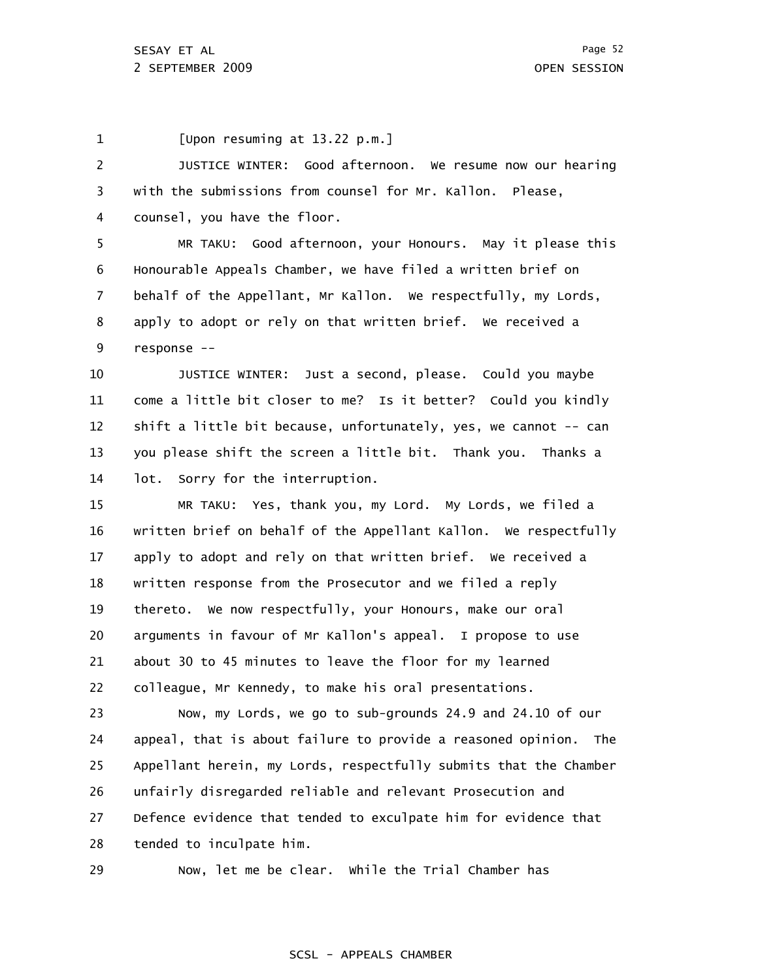[Upon resuming at 13.22 p.m.]

1

2 3 4 5 6 7 8 9 10 11 12 13 14 15 16 17 18 19 20 21 22 23 24 25 26 27 28 29 JUSTICE WINTER: Good afternoon. We resume now our hearing with the submissions from counsel for Mr. Kallon. Please, counsel, you have the floor. MR TAKU: Good afternoon, your Honours. May it please this Honourable Appeals Chamber, we have filed a written brief on behalf of the Appellant, Mr Kallon. We respectfully, my Lords, apply to adopt or rely on that written brief. We received a response -- JUSTICE WINTER: Just a second, please. Could you maybe come a little bit closer to me? Is it better? Could you kindly shift a little bit because, unfortunately, yes, we cannot -- can you please shift the screen a little bit. Thank you. Thanks a lot. Sorry for the interruption. MR TAKU: Yes, thank you, my Lord. My Lords, we filed a written brief on behalf of the Appellant Kallon. We respectfully apply to adopt and rely on that written brief. We received a written response from the Prosecutor and we filed a reply thereto. We now respectfully, your Honours, make our oral arguments in favour of Mr Kallon's appeal. I propose to use about 30 to 45 minutes to leave the floor for my learned colleague, Mr Kennedy, to make his oral presentations. Now, my Lords, we go to sub-grounds 24.9 and 24.10 of our appeal, that is about failure to provide a reasoned opinion. The Appellant herein, my Lords, respectfully submits that the Chamber unfairly disregarded reliable and relevant Prosecution and Defence evidence that tended to exculpate him for evidence that tended to inculpate him. Now, let me be clear. While the Trial Chamber has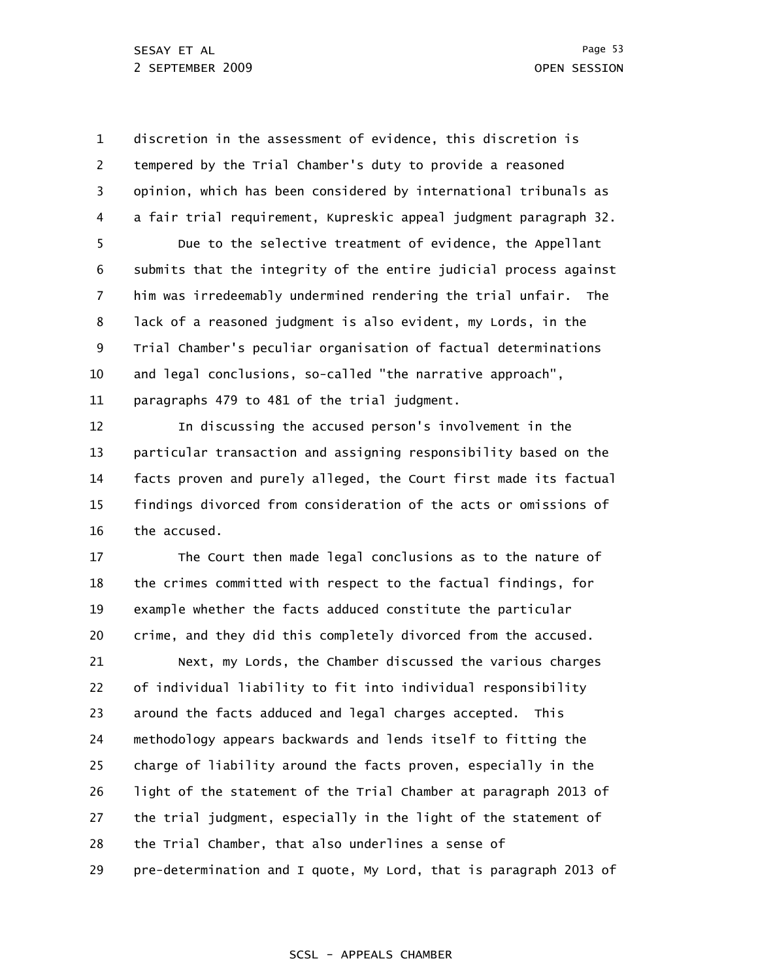1 2 3 4 5 6 7 8 9 10 11 discretion in the assessment of evidence, this discretion is tempered by the Trial Chamber's duty to provide a reasoned opinion, which has been considered by international tribunals as a fair trial requirement, Kupreskic appeal judgment paragraph 32. Due to the selective treatment of evidence, the Appellant submits that the integrity of the entire judicial process against him was irredeemably undermined rendering the trial unfair. The lack of a reasoned judgment is also evident, my Lords, in the Trial Chamber's peculiar organisation of factual determinations and legal conclusions, so-called "the narrative approach", paragraphs 479 to 481 of the trial judgment.

12 13 14 15 16 In discussing the accused person's involvement in the particular transaction and assigning responsibility based on the facts proven and purely alleged, the Court first made its factual findings divorced from consideration of the acts or omissions of the accused.

17 18 19 20 21 22 23 24 25 26 27 28 29 The Court then made legal conclusions as to the nature of the crimes committed with respect to the factual findings, for example whether the facts adduced constitute the particular crime, and they did this completely divorced from the accused. Next, my Lords, the Chamber discussed the various charges of individual liability to fit into individual responsibility around the facts adduced and legal charges accepted. This methodology appears backwards and lends itself to fitting the charge of liability around the facts proven, especially in the light of the statement of the Trial Chamber at paragraph 2013 of the trial judgment, especially in the light of the statement of the Trial Chamber, that also underlines a sense of pre-determination and I quote, My Lord, that is paragraph 2013 of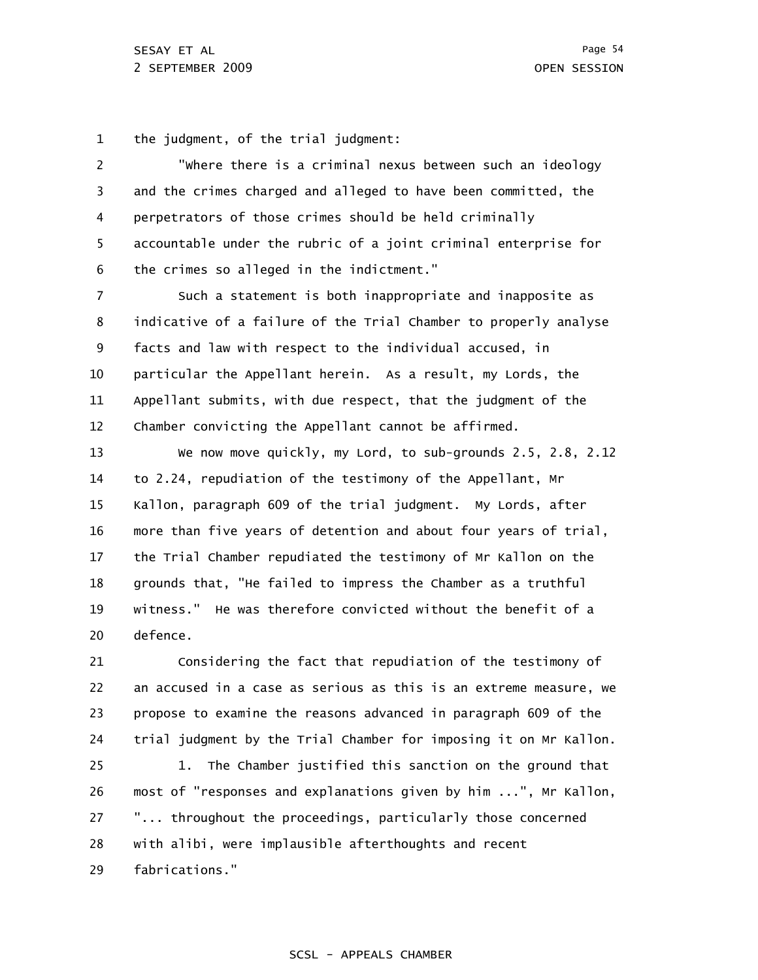1 the judgment, of the trial judgment:

2 3 4 5 6 "Where there is a criminal nexus between such an ideology and the crimes charged and alleged to have been committed, the perpetrators of those crimes should be held criminally accountable under the rubric of a joint criminal enterprise for the crimes so alleged in the indictment."

7 8 9 10 11 12 Such a statement is both inappropriate and inapposite as indicative of a failure of the Trial Chamber to properly analyse facts and law with respect to the individual accused, in particular the Appellant herein. As a result, my Lords, the Appellant submits, with due respect, that the judgment of the Chamber convicting the Appellant cannot be affirmed.

13 14 15 16 17 18 19 20 We now move quickly, my Lord, to sub-grounds 2.5, 2.8, 2.12 to 2.24, repudiation of the testimony of the Appellant, Mr Kallon, paragraph 609 of the trial judgment. My Lords, after more than five years of detention and about four years of trial, the Trial Chamber repudiated the testimony of Mr Kallon on the grounds that, "He failed to impress the Chamber as a truthful witness." He was therefore convicted without the benefit of a defence.

21 22 23 24 Considering the fact that repudiation of the testimony of an accused in a case as serious as this is an extreme measure, we propose to examine the reasons advanced in paragraph 609 of the trial judgment by the Trial Chamber for imposing it on Mr Kallon.

25 26 27 28 29 1. The Chamber justified this sanction on the ground that most of "responses and explanations given by him ...", Mr Kallon, "... throughout the proceedings, particularly those concerned with alibi, were implausible afterthoughts and recent fabrications."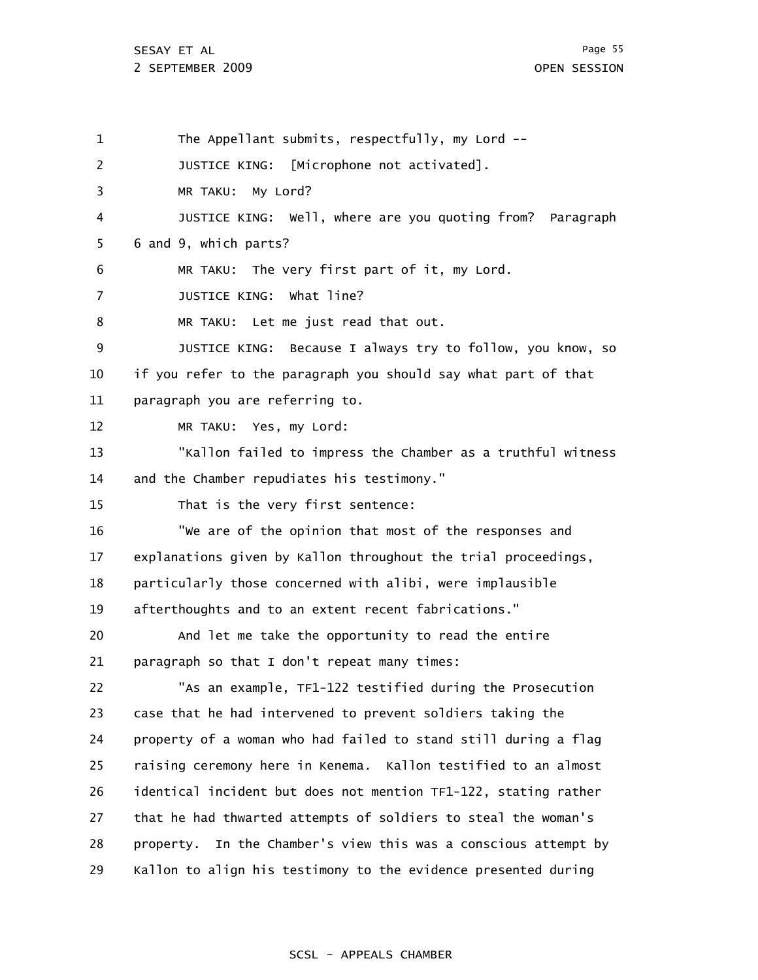SESAY ET AL 2 SEPTEMBER 2009 **OPEN SESSION** 

1 2 3 4 5 6 7 8 9 10 11 12 13 14 15 16 17 18 19 20 21 22 23 24 25 26 27 28 29 The Appellant submits, respectfully, my Lord -- JUSTICE KING: [Microphone not activated]. MR TAKU: My Lord? JUSTICE KING: Well, where are you quoting from? Paragraph 6 and 9, which parts? MR TAKU: The very first part of it, my Lord. JUSTICE KING: What line? MR TAKU: Let me just read that out. JUSTICE KING: Because I always try to follow, you know, so if you refer to the paragraph you should say what part of that paragraph you are referring to. MR TAKU: Yes, my Lord: "Kallon failed to impress the Chamber as a truthful witness and the Chamber repudiates his testimony." That is the very first sentence: "We are of the opinion that most of the responses and explanations given by Kallon throughout the trial proceedings, particularly those concerned with alibi, were implausible afterthoughts and to an extent recent fabrications." And let me take the opportunity to read the entire paragraph so that I don't repeat many times: "As an example, TF1-122 testified during the Prosecution case that he had intervened to prevent soldiers taking the property of a woman who had failed to stand still during a flag raising ceremony here in Kenema. Kallon testified to an almost identical incident but does not mention TF1-122, stating rather that he had thwarted attempts of soldiers to steal the woman's property. In the Chamber's view this was a conscious attempt by Kallon to align his testimony to the evidence presented during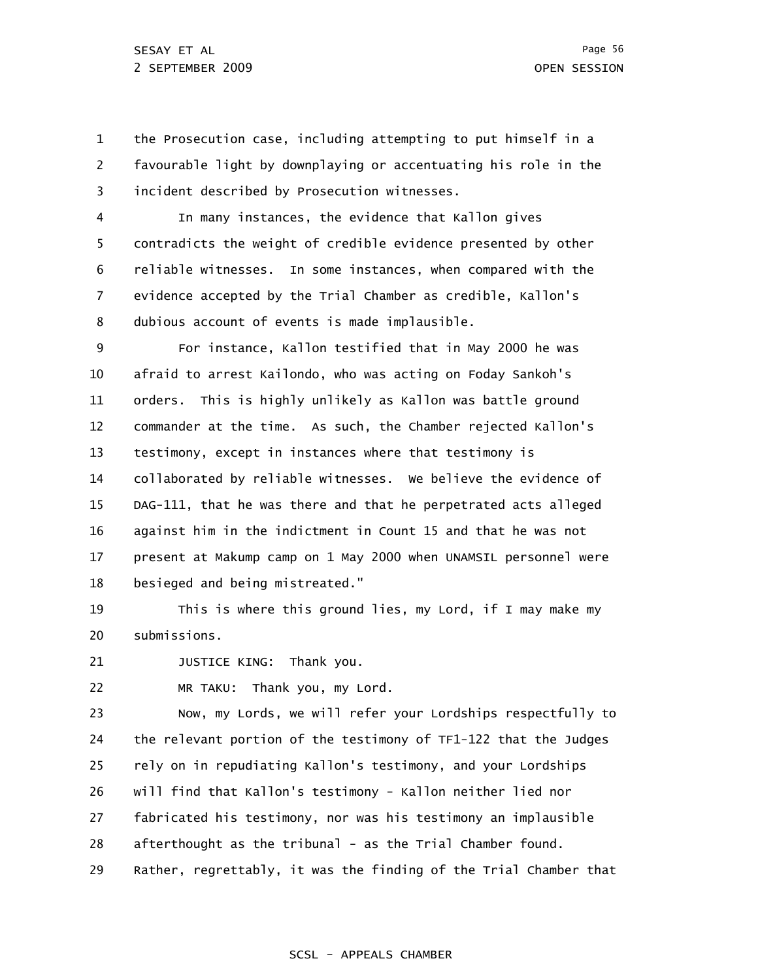1 2 3 the Prosecution case, including attempting to put himself in a favourable light by downplaying or accentuating his role in the incident described by Prosecution witnesses.

4 5 6 7 8 In many instances, the evidence that Kallon gives contradicts the weight of credible evidence presented by other reliable witnesses. In some instances, when compared with the evidence accepted by the Trial Chamber as credible, Kallon's dubious account of events is made implausible.

9 10 11 12 13 14 15 16 17 18 For instance, Kallon testified that in May 2000 he was afraid to arrest Kailondo, who was acting on Foday Sankoh's orders. This is highly unlikely as Kallon was battle ground commander at the time. As such, the Chamber rejected Kallon's testimony, except in instances where that testimony is collaborated by reliable witnesses. We believe the evidence of DAG-111, that he was there and that he perpetrated acts alleged against him in the indictment in Count 15 and that he was not present at Makump camp on 1 May 2000 when UNAMSIL personnel were besieged and being mistreated."

19 20 This is where this ground lies, my Lord, if I may make my submissions.

21 JUSTICE KING: Thank you.

22

MR TAKU: Thank you, my Lord.

23 24 25 26 27 28 29 Now, my Lords, we will refer your Lordships respectfully to the relevant portion of the testimony of TF1-122 that the Judges rely on in repudiating Kallon's testimony, and your Lordships will find that Kallon's testimony - Kallon neither lied nor fabricated his testimony, nor was his testimony an implausible afterthought as the tribunal - as the Trial Chamber found. Rather, regrettably, it was the finding of the Trial Chamber that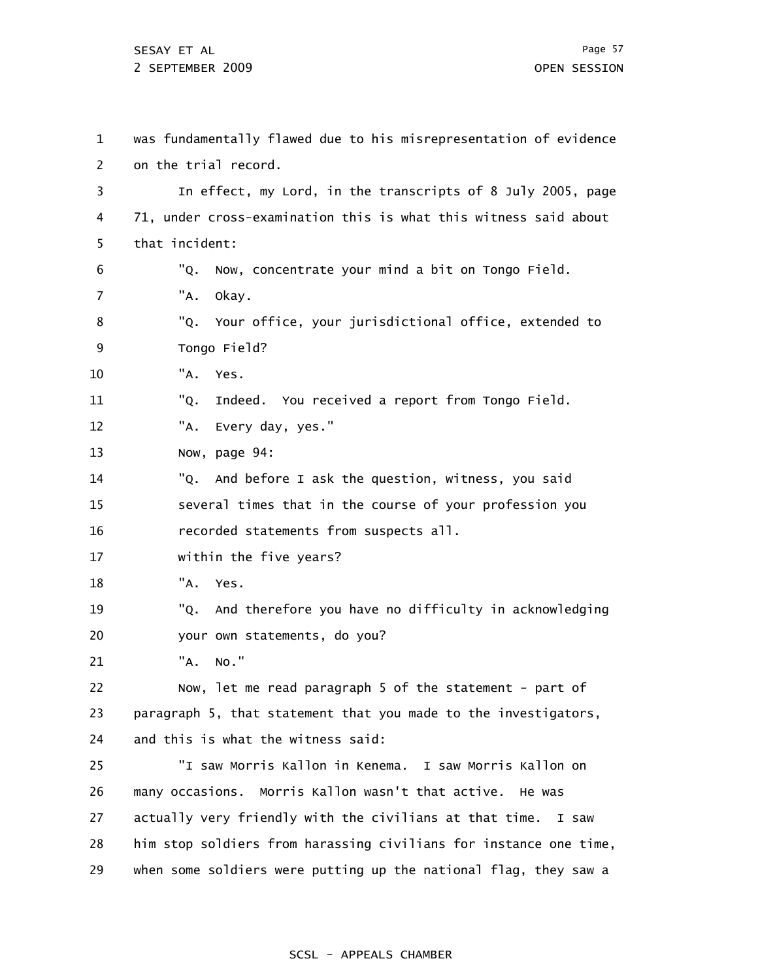1 2 3 4 5 6 7 8 9 10 11 12 13 14 15 16 17 18 19 20 21 22 23 24 25 26 27 28 29 was fundamentally flawed due to his misrepresentation of evidence on the trial record. In effect, my Lord, in the transcripts of 8 July 2005, page 71, under cross-examination this is what this witness said about that incident: "Q. Now, concentrate your mind a bit on Tongo Field. "A. Okay. "Q. Your office, your jurisdictional office, extended to Tongo Field? "A. Yes. "Q. Indeed. You received a report from Tongo Field. "A. Every day, yes." Now, page 94: "Q. And before I ask the question, witness, you said several times that in the course of your profession you recorded statements from suspects all. within the five years? "A. Yes. "Q. And therefore you have no difficulty in acknowledging your own statements, do you? "A. No." Now, let me read paragraph 5 of the statement - part of paragraph 5, that statement that you made to the investigators, and this is what the witness said: "I saw Morris Kallon in Kenema. I saw Morris Kallon on many occasions. Morris Kallon wasn't that active. He was actually very friendly with the civilians at that time. I saw him stop soldiers from harassing civilians for instance one time, when some soldiers were putting up the national flag, they saw a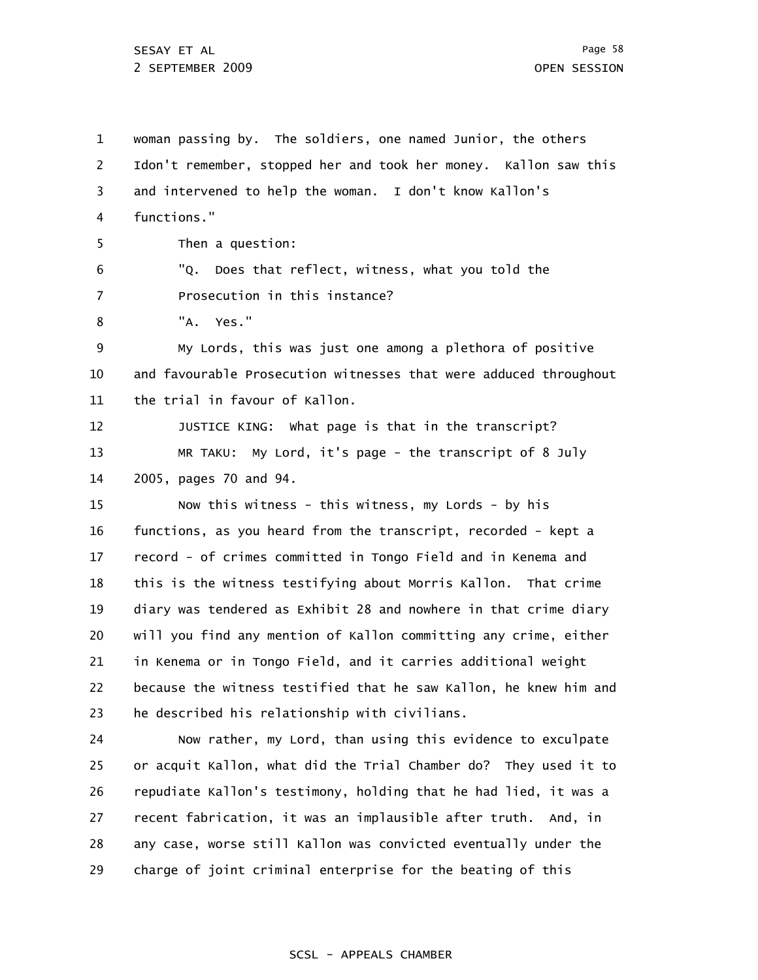1 2 3 4 5 6 7 8 9 10 11 12 13 14 15 16 17 18 19 20 21 22 23 24 25 26 27 28 29 woman passing by. The soldiers, one named Junior, the others Idon't remember, stopped her and took her money. Kallon saw this and intervened to help the woman. I don't know Kallon's functions." Then a question: "Q. Does that reflect, witness, what you told the Prosecution in this instance? "A. Yes." My Lords, this was just one among a plethora of positive and favourable Prosecution witnesses that were adduced throughout the trial in favour of Kallon. JUSTICE KING: What page is that in the transcript? MR TAKU: My Lord, it's page - the transcript of 8 July 2005, pages 70 and 94. Now this witness - this witness, my Lords - by his functions, as you heard from the transcript, recorded - kept a record - of crimes committed in Tongo Field and in Kenema and this is the witness testifying about Morris Kallon. That crime diary was tendered as Exhibit 28 and nowhere in that crime diary will you find any mention of Kallon committing any crime, either in Kenema or in Tongo Field, and it carries additional weight because the witness testified that he saw Kallon, he knew him and he described his relationship with civilians. Now rather, my Lord, than using this evidence to exculpate or acquit Kallon, what did the Trial Chamber do? They used it to repudiate Kallon's testimony, holding that he had lied, it was a recent fabrication, it was an implausible after truth. And, in any case, worse still Kallon was convicted eventually under the charge of joint criminal enterprise for the beating of this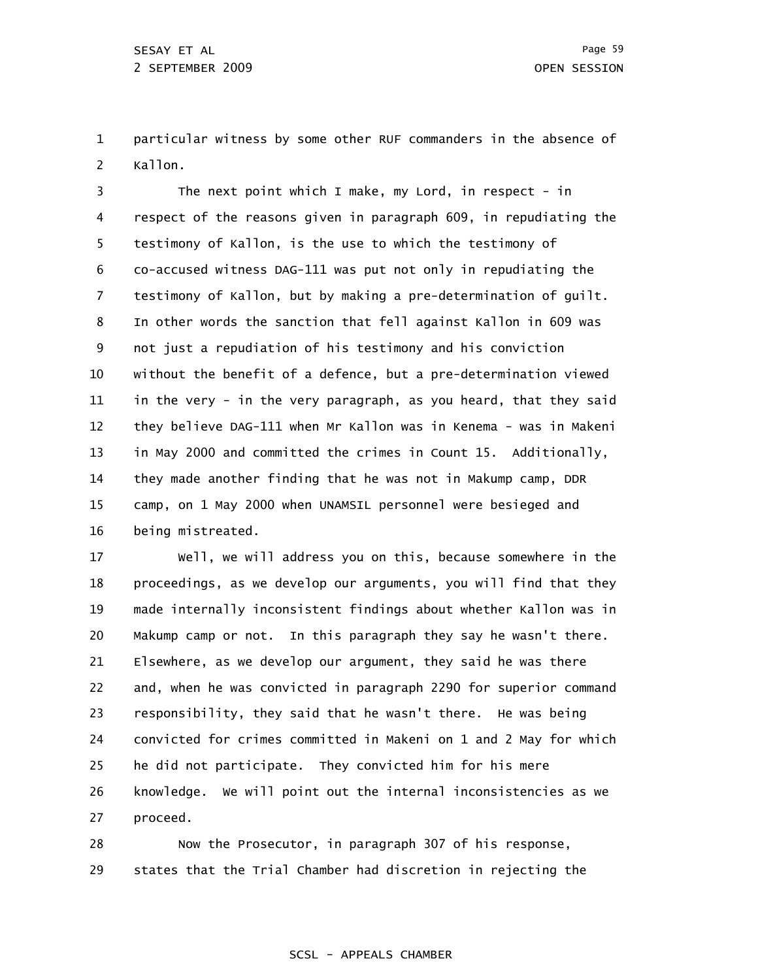1 2 particular witness by some other RUF commanders in the absence of Kallon.

3 4 5 6 7 8 9 10 11 12 13 14 15 16 The next point which I make, my Lord, in respect - in respect of the reasons given in paragraph 609, in repudiating the testimony of Kallon, is the use to which the testimony of co-accused witness DAG-111 was put not only in repudiating the testimony of Kallon, but by making a pre-determination of guilt. In other words the sanction that fell against Kallon in 609 was not just a repudiation of his testimony and his conviction without the benefit of a defence, but a pre-determination viewed in the very - in the very paragraph, as you heard, that they said they believe DAG-111 when Mr Kallon was in Kenema - was in Makeni in May 2000 and committed the crimes in Count 15. Additionally, they made another finding that he was not in Makump camp, DDR camp, on 1 May 2000 when UNAMSIL personnel were besieged and being mistreated.

17 18 19 20 21 22 23 24 25 26 27 Well, we will address you on this, because somewhere in the proceedings, as we develop our arguments, you will find that they made internally inconsistent findings about whether Kallon was in Makump camp or not. In this paragraph they say he wasn't there. Elsewhere, as we develop our argument, they said he was there and, when he was convicted in paragraph 2290 for superior command responsibility, they said that he wasn't there. He was being convicted for crimes committed in Makeni on 1 and 2 May for which he did not participate. They convicted him for his mere knowledge. We will point out the internal inconsistencies as we proceed.

28 29 Now the Prosecutor, in paragraph 307 of his response, states that the Trial Chamber had discretion in rejecting the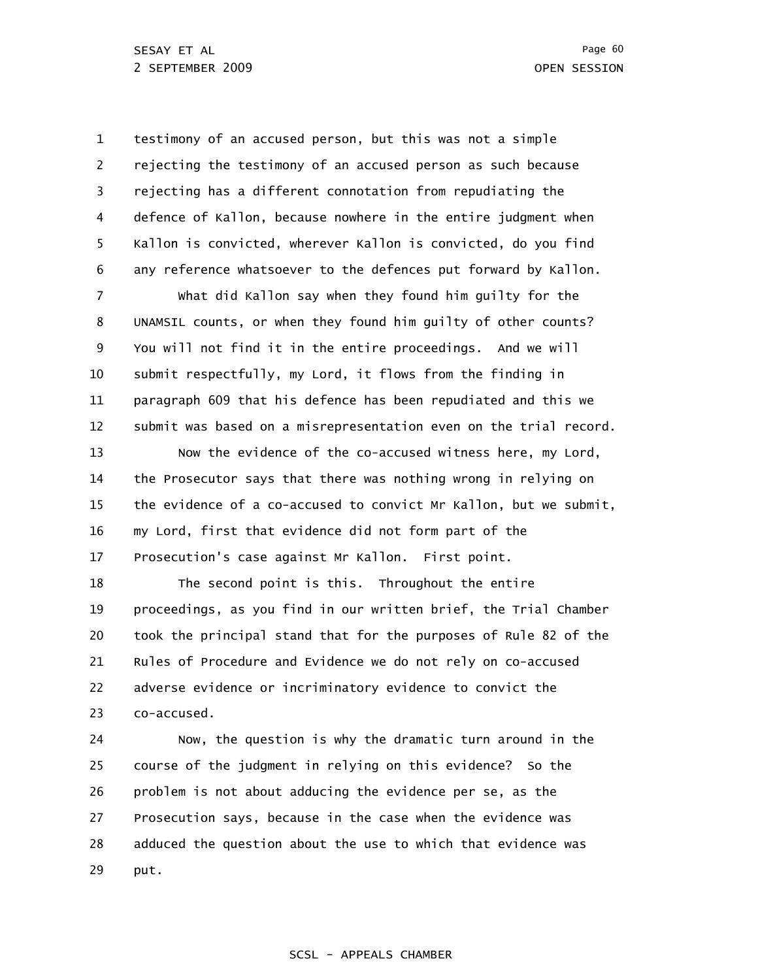1 2 3 4 5 6 7 8 9 10 11 12 13 14 15 16 17 18 19 20 21 22 23 24 25 26 testimony of an accused person, but this was not a simple rejecting the testimony of an accused person as such because rejecting has a different connotation from repudiating the defence of Kallon, because nowhere in the entire judgment when Kallon is convicted, wherever Kallon is convicted, do you find any reference whatsoever to the defences put forward by Kallon. What did Kallon say when they found him guilty for the UNAMSIL counts, or when they found him guilty of other counts? You will not find it in the entire proceedings. And we will submit respectfully, my Lord, it flows from the finding in paragraph 609 that his defence has been repudiated and this we submit was based on a misrepresentation even on the trial record. Now the evidence of the co-accused witness here, my Lord, the Prosecutor says that there was nothing wrong in relying on the evidence of a co-accused to convict Mr Kallon, but we submit, my Lord, first that evidence did not form part of the Prosecution's case against Mr Kallon. First point. The second point is this. Throughout the entire proceedings, as you find in our written brief, the Trial Chamber took the principal stand that for the purposes of Rule 82 of the Rules of Procedure and Evidence we do not rely on co-accused adverse evidence or incriminatory evidence to convict the co-accused. Now, the question is why the dramatic turn around in the course of the judgment in relying on this evidence? So the problem is not about adducing the evidence per se, as the Prosecution says, because in the case when the evidence was

28 29 adduced the question about the use to which that evidence was put.

27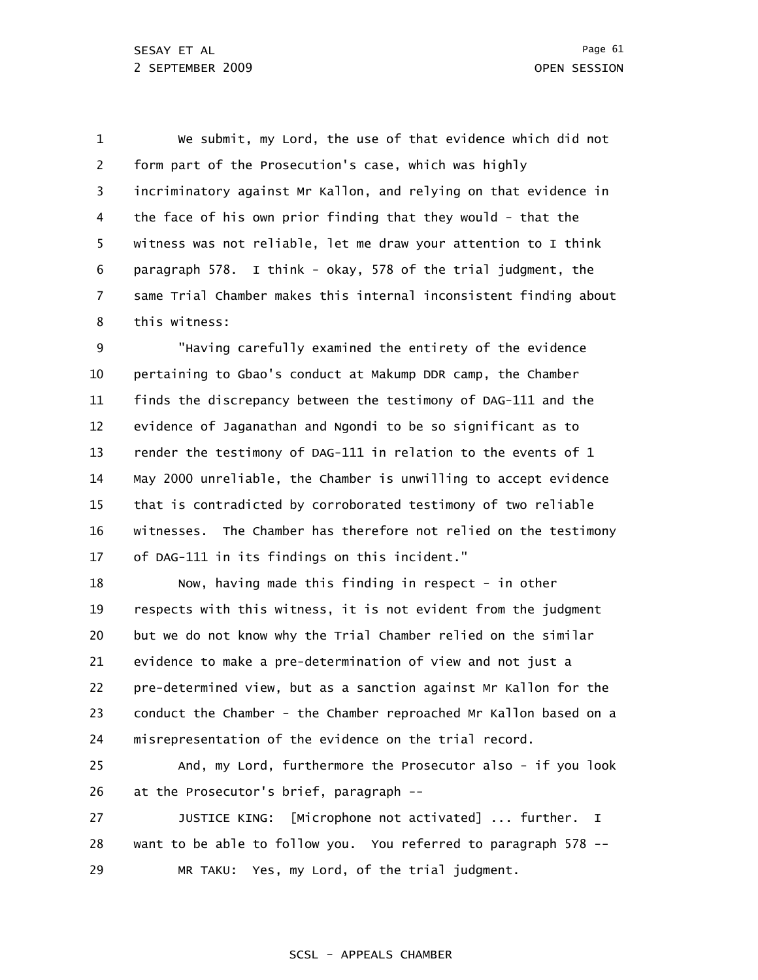1 2 3 4 5 6 7 8 We submit, my Lord, the use of that evidence which did not form part of the Prosecution's case, which was highly incriminatory against Mr Kallon, and relying on that evidence in the face of his own prior finding that they would - that the witness was not reliable, let me draw your attention to I think paragraph 578. I think - okay, 578 of the trial judgment, the same Trial Chamber makes this internal inconsistent finding about this witness:

9 10 11 12 13 14 15 16 17 "Having carefully examined the entirety of the evidence pertaining to Gbao's conduct at Makump DDR camp, the Chamber finds the discrepancy between the testimony of DAG-111 and the evidence of Jaganathan and Ngondi to be so significant as to render the testimony of DAG-111 in relation to the events of 1 May 2000 unreliable, the Chamber is unwilling to accept evidence that is contradicted by corroborated testimony of two reliable witnesses. The Chamber has therefore not relied on the testimony of DAG-111 in its findings on this incident."

18 19 20 21 22 23 24 Now, having made this finding in respect - in other respects with this witness, it is not evident from the judgment but we do not know why the Trial Chamber relied on the similar evidence to make a pre-determination of view and not just a pre-determined view, but as a sanction against Mr Kallon for the conduct the Chamber - the Chamber reproached Mr Kallon based on a misrepresentation of the evidence on the trial record.

25 26 And, my Lord, furthermore the Prosecutor also - if you look at the Prosecutor's brief, paragraph --

27 28 29 JUSTICE KING: [Microphone not activated] ... further. I want to be able to follow you. You referred to paragraph 578 -- MR TAKU: Yes, my Lord, of the trial judgment.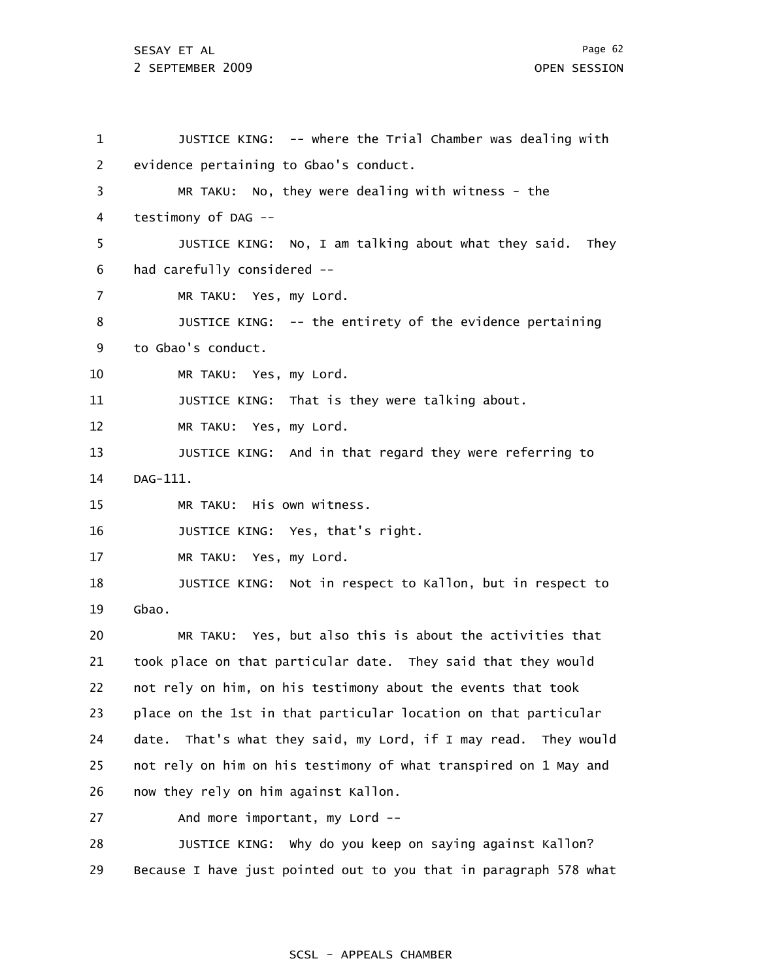1 2 3 4 5 6 7 8 9 10 11 12 13 14 15 16 17 18 19 20 21 22 23 24 25 26 27 28 JUSTICE KING: -- where the Trial Chamber was dealing with evidence pertaining to Gbao's conduct. MR TAKU: No, they were dealing with witness - the testimony of DAG -- JUSTICE KING: No, I am talking about what they said. They had carefully considered -- MR TAKU: Yes, my Lord. JUSTICE KING: -- the entirety of the evidence pertaining to Gbao's conduct. MR TAKU: Yes, my Lord. JUSTICE KING: That is they were talking about. MR TAKU: Yes, my Lord. JUSTICE KING: And in that regard they were referring to DAG-111. MR TAKU: His own witness. JUSTICE KING: Yes, that's right. MR TAKU: Yes, my Lord. JUSTICE KING: Not in respect to Kallon, but in respect to Gbao. MR TAKU: Yes, but also this is about the activities that took place on that particular date. They said that they would not rely on him, on his testimony about the events that took place on the 1st in that particular location on that particular date. That's what they said, my Lord, if I may read. They would not rely on him on his testimony of what transpired on 1 May and now they rely on him against Kallon. And more important, my Lord -- JUSTICE KING: Why do you keep on saying against Kallon?

29 Because I have just pointed out to you that in paragraph 578 what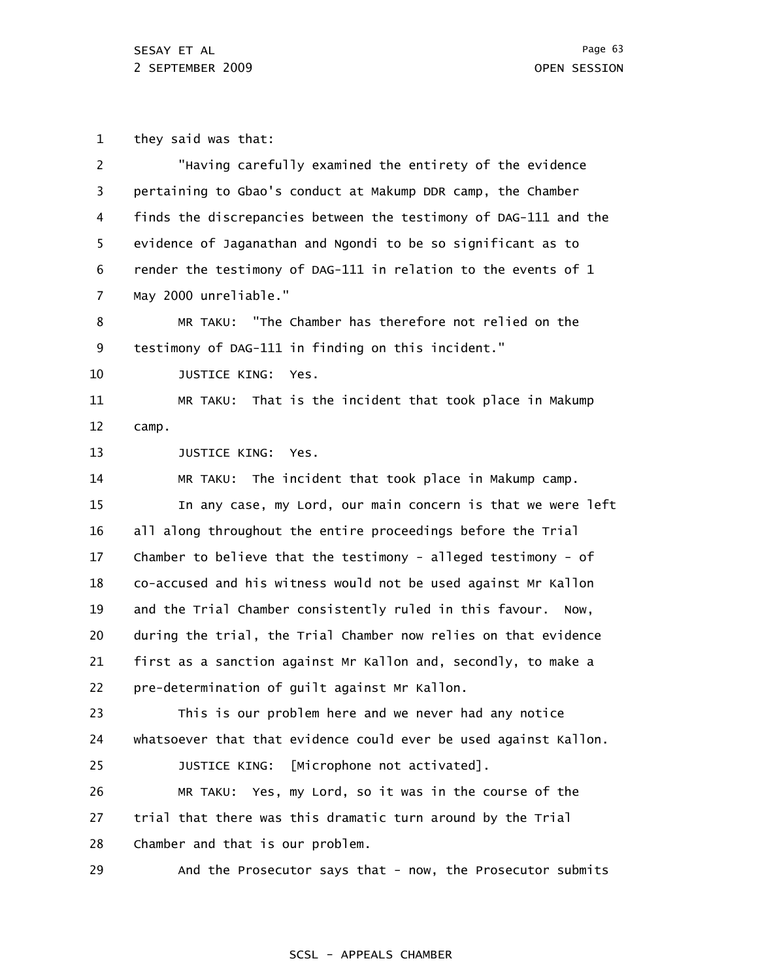1 they said was that:

| $\overline{2}$ | "Having carefully examined the entirety of the evidence          |
|----------------|------------------------------------------------------------------|
| 3              | pertaining to Gbao's conduct at Makump DDR camp, the Chamber     |
| 4              | finds the discrepancies between the testimony of DAG-111 and the |
| 5              | evidence of Jaganathan and Ngondi to be so significant as to     |
| 6              | render the testimony of DAG-111 in relation to the events of 1   |
| 7              | May 2000 unreliable."                                            |
| 8              | MR TAKU: "The Chamber has therefore not relied on the            |
| 9              | testimony of DAG-111 in finding on this incident."               |
| 10             | <b>JUSTICE KING:</b><br>Yes.                                     |
| 11             | MR TAKU: That is the incident that took place in Makump          |
| 12             | camp.                                                            |
| 13             | <b>JUSTICE KING:</b><br>Yes.                                     |
| 14             | MR TAKU: The incident that took place in Makump camp.            |
| 15             | In any case, my Lord, our main concern is that we were left      |
| 16             | all along throughout the entire proceedings before the Trial     |
| 17             | Chamber to believe that the testimony - alleged testimony - of   |
| 18             | co-accused and his witness would not be used against Mr Kallon   |
| 19             | and the Trial Chamber consistently ruled in this favour. Now,    |
| 20             | during the trial, the Trial Chamber now relies on that evidence  |
| 21             | first as a sanction against Mr Kallon and, secondly, to make a   |
| 22             | pre-determination of guilt against Mr Kallon.                    |
| 23             | This is our problem here and we never had any notice             |
| 24             | whatsoever that that evidence could ever be used against Kallon. |
| 25             | JUSTICE KING: [Microphone not activated].                        |
| 26             | MR TAKU: Yes, my Lord, so it was in the course of the            |
| 27             | trial that there was this dramatic turn around by the Trial      |
| 28             | Chamber and that is our problem.                                 |
| 29             | And the Prosecutor says that - now, the Prosecutor submits       |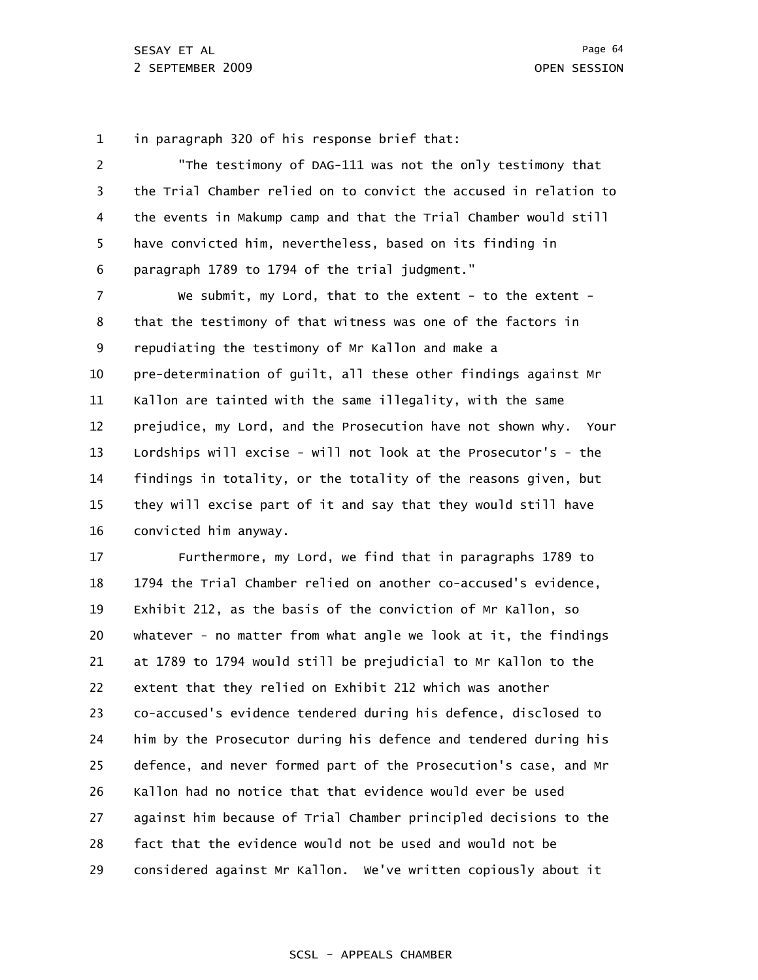1 in paragraph 320 of his response brief that:

2 3 4 5 6 "The testimony of DAG-111 was not the only testimony that the Trial Chamber relied on to convict the accused in relation to the events in Makump camp and that the Trial Chamber would still have convicted him, nevertheless, based on its finding in paragraph 1789 to 1794 of the trial judgment."

7 8 9 10 11 12 13 14 15 16 We submit, my Lord, that to the extent - to the extent that the testimony of that witness was one of the factors in repudiating the testimony of Mr Kallon and make a pre-determination of guilt, all these other findings against Mr Kallon are tainted with the same illegality, with the same prejudice, my Lord, and the Prosecution have not shown why. Your Lordships will excise - will not look at the Prosecutor's - the findings in totality, or the totality of the reasons given, but they will excise part of it and say that they would still have convicted him anyway.

17 18 19 20 21 22 23 24 25 26 27 28 29 Furthermore, my Lord, we find that in paragraphs 1789 to 1794 the Trial Chamber relied on another co-accused's evidence, Exhibit 212, as the basis of the conviction of Mr Kallon, so whatever - no matter from what angle we look at it, the findings at 1789 to 1794 would still be prejudicial to Mr Kallon to the extent that they relied on Exhibit 212 which was another co-accused's evidence tendered during his defence, disclosed to him by the Prosecutor during his defence and tendered during his defence, and never formed part of the Prosecution's case, and Mr Kallon had no notice that that evidence would ever be used against him because of Trial Chamber principled decisions to the fact that the evidence would not be used and would not be considered against Mr Kallon. We've written copiously about it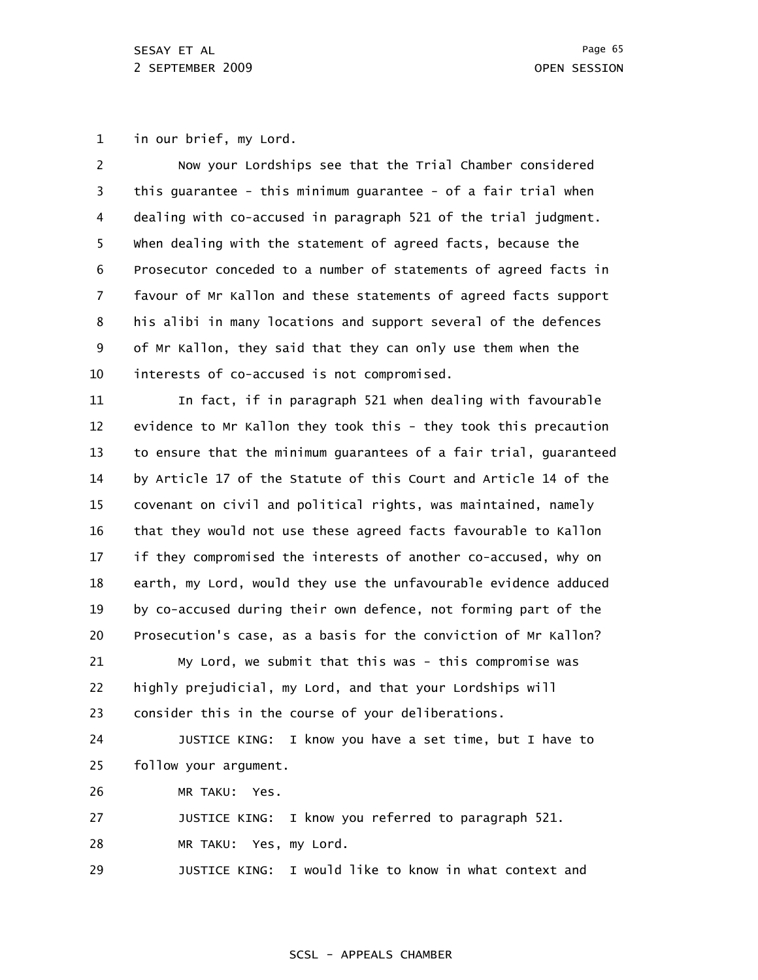1 in our brief, my Lord.

2 3 4 5 6 7 8 9 10 Now your Lordships see that the Trial Chamber considered this guarantee - this minimum guarantee - of a fair trial when dealing with co-accused in paragraph 521 of the trial judgment. When dealing with the statement of agreed facts, because the Prosecutor conceded to a number of statements of agreed facts in favour of Mr Kallon and these statements of agreed facts support his alibi in many locations and support several of the defences of Mr Kallon, they said that they can only use them when the interests of co-accused is not compromised.

11 12 13 14 15 16 17 18 19 20 21 In fact, if in paragraph 521 when dealing with favourable evidence to Mr Kallon they took this - they took this precaution to ensure that the minimum guarantees of a fair trial, guaranteed by Article 17 of the Statute of this Court and Article 14 of the covenant on civil and political rights, was maintained, namely that they would not use these agreed facts favourable to Kallon if they compromised the interests of another co-accused, why on earth, my Lord, would they use the unfavourable evidence adduced by co-accused during their own defence, not forming part of the Prosecution's case, as a basis for the conviction of Mr Kallon? My Lord, we submit that this was - this compromise was

22 23 highly prejudicial, my Lord, and that your Lordships will consider this in the course of your deliberations.

24 25 JUSTICE KING: I know you have a set time, but I have to follow your argument.

26 MR TAKU: Yes.

27 JUSTICE KING: I know you referred to paragraph 521.

28 MR TAKU: Yes, my Lord.

29 JUSTICE KING: I would like to know in what context and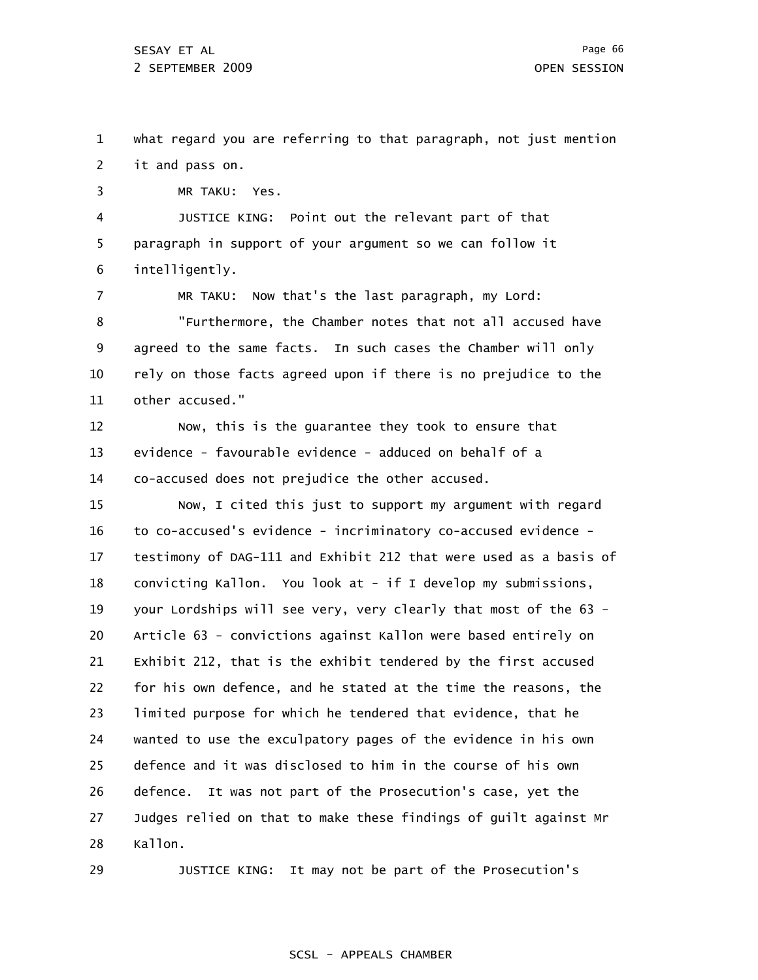1

2 3 4 5 6 7 8 9 10 11 12 13 14 15 16 17 18 19 it and pass on. MR TAKU: Yes. JUSTICE KING: Point out the relevant part of that paragraph in support of your argument so we can follow it intelligently. MR TAKU: Now that's the last paragraph, my Lord: "Furthermore, the Chamber notes that not all accused have agreed to the same facts. In such cases the Chamber will only rely on those facts agreed upon if there is no prejudice to the other accused." Now, this is the guarantee they took to ensure that evidence - favourable evidence - adduced on behalf of a co-accused does not prejudice the other accused. Now, I cited this just to support my argument with regard to co-accused's evidence - incriminatory co-accused evidence testimony of DAG-111 and Exhibit 212 that were used as a basis of convicting Kallon. You look at - if I develop my submissions, your Lordships will see very, very clearly that most of the 63 -

what regard you are referring to that paragraph, not just mention

20 21 22 23 24 25 26 27 28 Article 63 - convictions against Kallon were based entirely on Exhibit 212, that is the exhibit tendered by the first accused for his own defence, and he stated at the time the reasons, the limited purpose for which he tendered that evidence, that he wanted to use the exculpatory pages of the evidence in his own defence and it was disclosed to him in the course of his own defence. It was not part of the Prosecution's case, yet the Judges relied on that to make these findings of guilt against Mr Kallon.

29 JUSTICE KING: It may not be part of the Prosecution's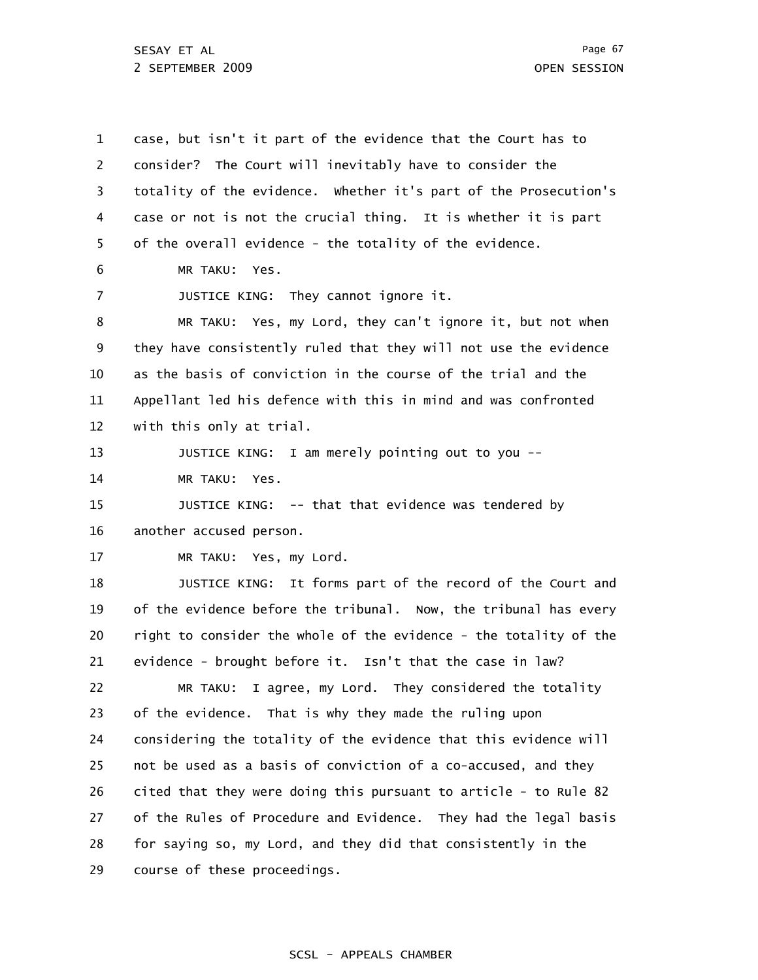SESAY ET AL 2 SEPTEMBER 2009 OPEN SESSION

Page 67

1 2 3 4 5 6 7 8 9 10 11 12 13 14 15 16 17 18 19 20 21 22 23 24 25 26 27 28 29 case, but isn't it part of the evidence that the Court has to consider? The Court will inevitably have to consider the totality of the evidence. Whether it's part of the Prosecution's case or not is not the crucial thing. It is whether it is part of the overall evidence - the totality of the evidence. MR TAKU: Yes. JUSTICE KING: They cannot ignore it. MR TAKU: Yes, my Lord, they can't ignore it, but not when they have consistently ruled that they will not use the evidence as the basis of conviction in the course of the trial and the Appellant led his defence with this in mind and was confronted with this only at trial. JUSTICE KING: I am merely pointing out to you -- MR TAKU: Yes. JUSTICE KING: -- that that evidence was tendered by another accused person. MR TAKU: Yes, my Lord. JUSTICE KING: It forms part of the record of the Court and of the evidence before the tribunal. Now, the tribunal has every right to consider the whole of the evidence - the totality of the evidence - brought before it. Isn't that the case in law? MR TAKU: I agree, my Lord. They considered the totality of the evidence. That is why they made the ruling upon considering the totality of the evidence that this evidence will not be used as a basis of conviction of a co-accused, and they cited that they were doing this pursuant to article - to Rule 82 of the Rules of Procedure and Evidence. They had the legal basis for saying so, my Lord, and they did that consistently in the course of these proceedings.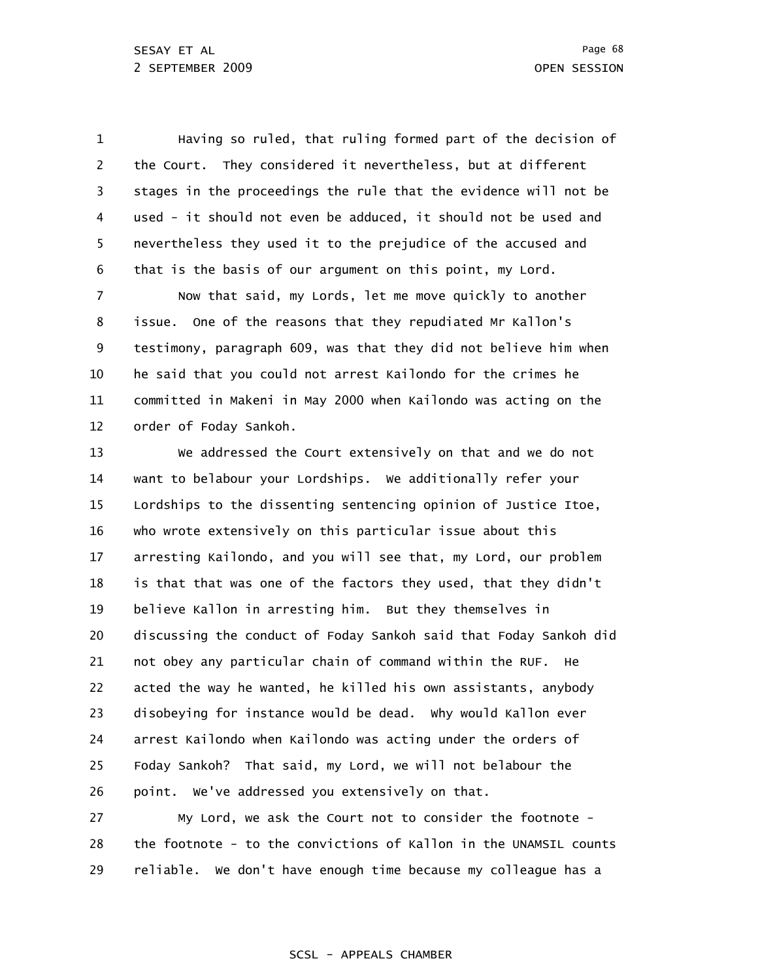1 2 3 4 5 6 Having so ruled, that ruling formed part of the decision of the Court. They considered it nevertheless, but at different stages in the proceedings the rule that the evidence will not be used - it should not even be adduced, it should not be used and nevertheless they used it to the prejudice of the accused and that is the basis of our argument on this point, my Lord.

7 8 9 10 11 12 Now that said, my Lords, let me move quickly to another issue. One of the reasons that they repudiated Mr Kallon's testimony, paragraph 609, was that they did not believe him when he said that you could not arrest Kailondo for the crimes he committed in Makeni in May 2000 when Kailondo was acting on the order of Foday Sankoh.

13 14 15 16 17 18 19 20 21 22 23 24 25 26 We addressed the Court extensively on that and we do not want to belabour your Lordships. We additionally refer your Lordships to the dissenting sentencing opinion of Justice Itoe, who wrote extensively on this particular issue about this arresting Kailondo, and you will see that, my Lord, our problem is that that was one of the factors they used, that they didn't believe Kallon in arresting him. But they themselves in discussing the conduct of Foday Sankoh said that Foday Sankoh did not obey any particular chain of command within the RUF. He acted the way he wanted, he killed his own assistants, anybody disobeying for instance would be dead. Why would Kallon ever arrest Kailondo when Kailondo was acting under the orders of Foday Sankoh? That said, my Lord, we will not belabour the point. We've addressed you extensively on that.

27 28 29 My Lord, we ask the Court not to consider the footnote the footnote - to the convictions of Kallon in the UNAMSIL counts reliable. We don't have enough time because my colleague has a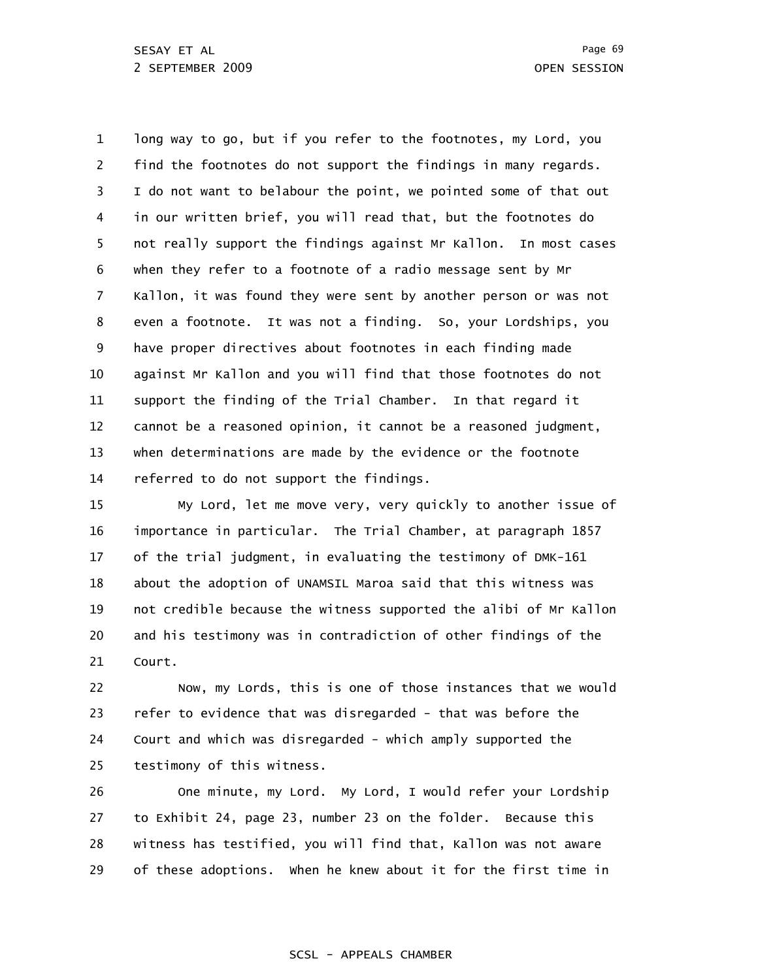1 2 3 4 5 6 7 8 9 10 11 12 13 14 long way to go, but if you refer to the footnotes, my Lord, you find the footnotes do not support the findings in many regards. I do not want to belabour the point, we pointed some of that out in our written brief, you will read that, but the footnotes do not really support the findings against Mr Kallon. In most cases when they refer to a footnote of a radio message sent by Mr Kallon, it was found they were sent by another person or was not even a footnote. It was not a finding. So, your Lordships, you have proper directives about footnotes in each finding made against Mr Kallon and you will find that those footnotes do not support the finding of the Trial Chamber. In that regard it cannot be a reasoned opinion, it cannot be a reasoned judgment, when determinations are made by the evidence or the footnote referred to do not support the findings.

15 16 17 18 19 20 21 My Lord, let me move very, very quickly to another issue of importance in particular. The Trial Chamber, at paragraph 1857 of the trial judgment, in evaluating the testimony of DMK-161 about the adoption of UNAMSIL Maroa said that this witness was not credible because the witness supported the alibi of Mr Kallon and his testimony was in contradiction of other findings of the Court.

22 23 24 25 Now, my Lords, this is one of those instances that we would refer to evidence that was disregarded - that was before the Court and which was disregarded - which amply supported the testimony of this witness.

26 27 28 29 One minute, my Lord. My Lord, I would refer your Lordship to Exhibit 24, page 23, number 23 on the folder. Because this witness has testified, you will find that, Kallon was not aware of these adoptions. When he knew about it for the first time in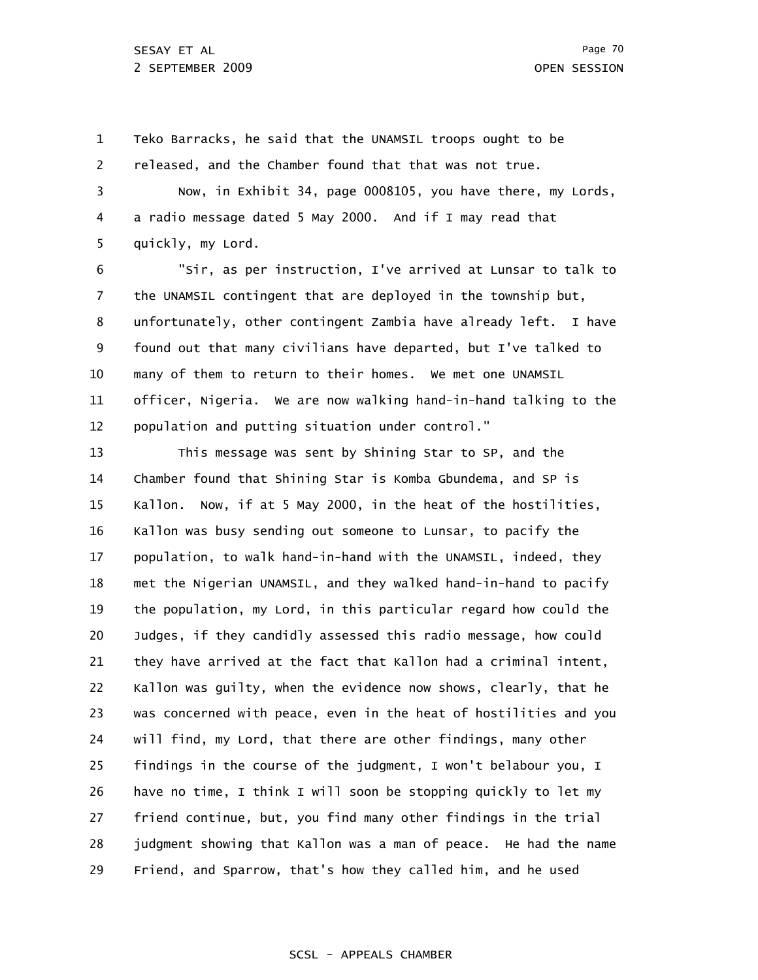1 2 3 4 5 6 Teko Barracks, he said that the UNAMSIL troops ought to be released, and the Chamber found that that was not true. Now, in Exhibit 34, page 0008105, you have there, my Lords, a radio message dated 5 May 2000. And if I may read that quickly, my Lord. "Sir, as per instruction, I've arrived at Lunsar to talk to

7 8 9 10 11 12 the UNAMSIL contingent that are deployed in the township but, unfortunately, other contingent Zambia have already left. I have found out that many civilians have departed, but I've talked to many of them to return to their homes. We met one UNAMSIL officer, Nigeria. We are now walking hand-in-hand talking to the population and putting situation under control."

13 14 15 16 17 18 19 20 21 22 23 24 25 26 27 28 29 This message was sent by Shining Star to SP, and the Chamber found that Shining Star is Komba Gbundema, and SP is Kallon. Now, if at 5 May 2000, in the heat of the hostilities, Kallon was busy sending out someone to Lunsar, to pacify the population, to walk hand-in-hand with the UNAMSIL, indeed, they met the Nigerian UNAMSIL, and they walked hand-in-hand to pacify the population, my Lord, in this particular regard how could the Judges, if they candidly assessed this radio message, how could they have arrived at the fact that Kallon had a criminal intent, Kallon was guilty, when the evidence now shows, clearly, that he was concerned with peace, even in the heat of hostilities and you will find, my Lord, that there are other findings, many other findings in the course of the judgment, I won't belabour you, I have no time, I think I will soon be stopping quickly to let my friend continue, but, you find many other findings in the trial judgment showing that Kallon was a man of peace. He had the name Friend, and Sparrow, that's how they called him, and he used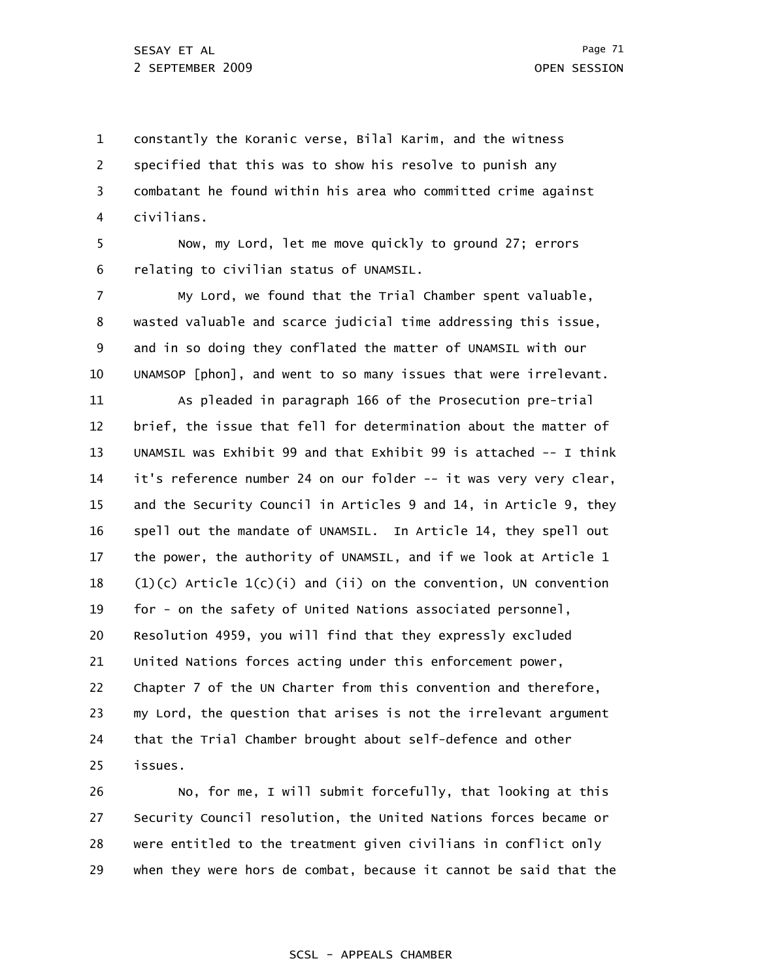1 2 3 4 constantly the Koranic verse, Bilal Karim, and the witness specified that this was to show his resolve to punish any combatant he found within his area who committed crime against civilians.

5 6 Now, my Lord, let me move quickly to ground 27; errors relating to civilian status of UNAMSIL.

7 8 9 10 My Lord, we found that the Trial Chamber spent valuable, wasted valuable and scarce judicial time addressing this issue, and in so doing they conflated the matter of UNAMSIL with our UNAMSOP [phon], and went to so many issues that were irrelevant.

11 12 13 14 15 16 17 18 19 20 21 22 23 24 25 As pleaded in paragraph 166 of the Prosecution pre-trial brief, the issue that fell for determination about the matter of UNAMSIL was Exhibit 99 and that Exhibit 99 is attached -- I think it's reference number 24 on our folder -- it was very very clear, and the Security Council in Articles 9 and 14, in Article 9, they spell out the mandate of UNAMSIL. In Article 14, they spell out the power, the authority of UNAMSIL, and if we look at Article 1  $(1)(c)$  Article  $1(c)(i)$  and  $(ii)$  on the convention, UN convention for - on the safety of United Nations associated personnel, Resolution 4959, you will find that they expressly excluded United Nations forces acting under this enforcement power, Chapter 7 of the UN Charter from this convention and therefore, my Lord, the question that arises is not the irrelevant argument that the Trial Chamber brought about self-defence and other issues.

26 27 28 29 No, for me, I will submit forcefully, that looking at this Security Council resolution, the United Nations forces became or were entitled to the treatment given civilians in conflict only when they were hors de combat, because it cannot be said that the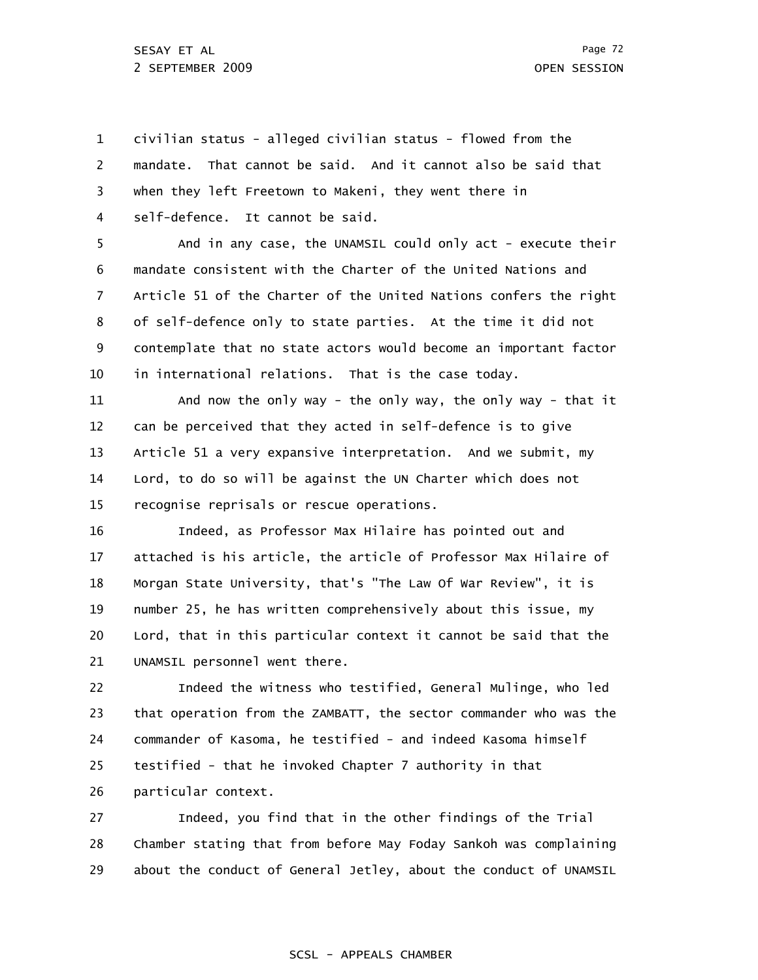1 2 3 4 civilian status - alleged civilian status - flowed from the mandate. That cannot be said. And it cannot also be said that when they left Freetown to Makeni, they went there in self-defence. It cannot be said.

5 6 7 8 9 10 And in any case, the UNAMSIL could only act - execute their mandate consistent with the Charter of the United Nations and Article 51 of the Charter of the United Nations confers the right of self-defence only to state parties. At the time it did not contemplate that no state actors would become an important factor in international relations. That is the case today.

11 12 13 14 15 And now the only way - the only way, the only way - that it can be perceived that they acted in self-defence is to give Article 51 a very expansive interpretation. And we submit, my Lord, to do so will be against the UN Charter which does not recognise reprisals or rescue operations.

16 17 18 19 20 21 Indeed, as Professor Max Hilaire has pointed out and attached is his article, the article of Professor Max Hilaire of Morgan State University, that's "The Law Of War Review", it is number 25, he has written comprehensively about this issue, my Lord, that in this particular context it cannot be said that the UNAMSIL personnel went there.

22 23 24 25 26 Indeed the witness who testified, General Mulinge, who led that operation from the ZAMBATT, the sector commander who was the commander of Kasoma, he testified - and indeed Kasoma himself testified - that he invoked Chapter 7 authority in that particular context.

27 28 29 Indeed, you find that in the other findings of the Trial Chamber stating that from before May Foday Sankoh was complaining about the conduct of General Jetley, about the conduct of UNAMSIL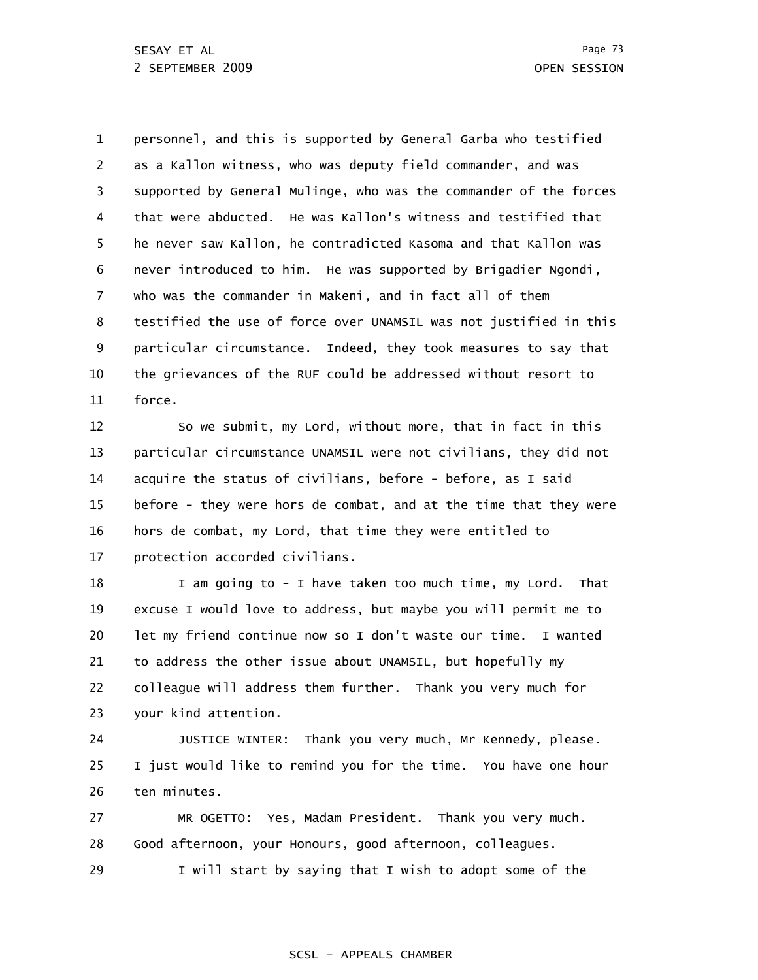1 2 3 4 5 6 7 8 9 10 11 personnel, and this is supported by General Garba who testified as a Kallon witness, who was deputy field commander, and was supported by General Mulinge, who was the commander of the forces that were abducted. He was Kallon's witness and testified that he never saw Kallon, he contradicted Kasoma and that Kallon was never introduced to him. He was supported by Brigadier Ngondi, who was the commander in Makeni, and in fact all of them testified the use of force over UNAMSIL was not justified in this particular circumstance. Indeed, they took measures to say that the grievances of the RUF could be addressed without resort to force.

12 13 14 15 16 17 So we submit, my Lord, without more, that in fact in this particular circumstance UNAMSIL were not civilians, they did not acquire the status of civilians, before - before, as I said before - they were hors de combat, and at the time that they were hors de combat, my Lord, that time they were entitled to protection accorded civilians.

18 19 20 21 22 23 I am going to - I have taken too much time, my Lord. That excuse I would love to address, but maybe you will permit me to let my friend continue now so I don't waste our time. I wanted to address the other issue about UNAMSIL, but hopefully my colleague will address them further. Thank you very much for your kind attention.

24 25 26 JUSTICE WINTER: Thank you very much, Mr Kennedy, please. I just would like to remind you for the time. You have one hour ten minutes.

27 28 MR OGETTO: Yes, Madam President. Thank you very much. Good afternoon, your Honours, good afternoon, colleagues.

29 I will start by saying that I wish to adopt some of the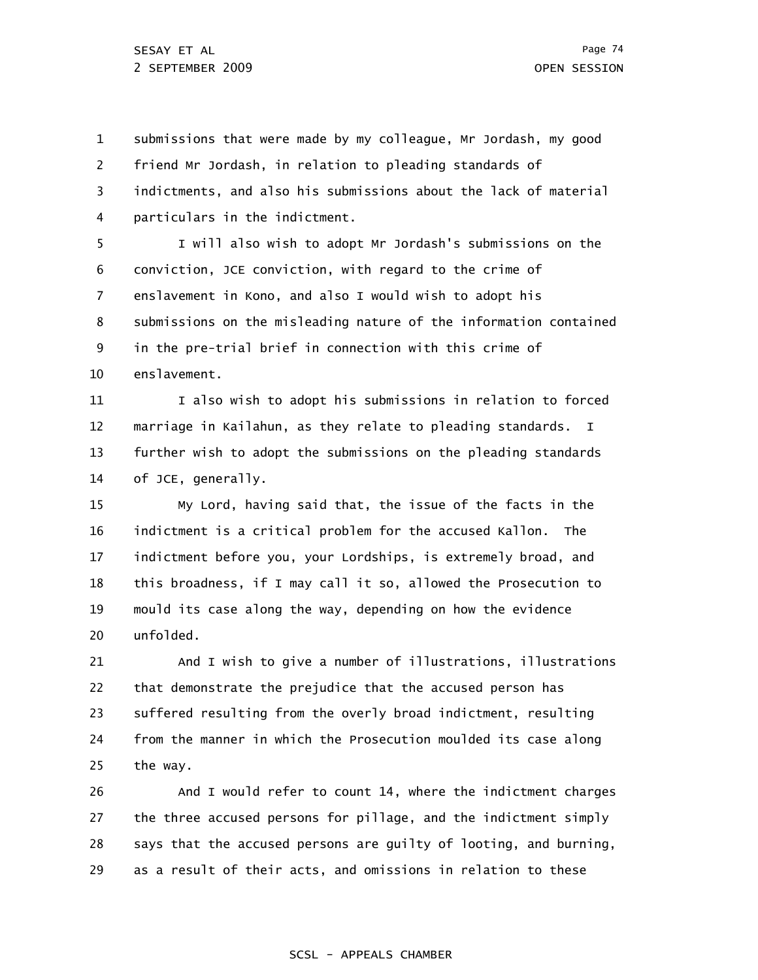1 2 3 4 submissions that were made by my colleague, Mr Jordash, my good friend Mr Jordash, in relation to pleading standards of indictments, and also his submissions about the lack of material particulars in the indictment.

5 6 7 8 9 10 I will also wish to adopt Mr Jordash's submissions on the conviction, JCE conviction, with regard to the crime of enslavement in Kono, and also I would wish to adopt his submissions on the misleading nature of the information contained in the pre-trial brief in connection with this crime of enslavement.

11 12 13 14 I also wish to adopt his submissions in relation to forced marriage in Kailahun, as they relate to pleading standards. I further wish to adopt the submissions on the pleading standards of JCE, generally.

15 16 17 18 19 20 My Lord, having said that, the issue of the facts in the indictment is a critical problem for the accused Kallon. The indictment before you, your Lordships, is extremely broad, and this broadness, if I may call it so, allowed the Prosecution to mould its case along the way, depending on how the evidence unfolded.

21 22 23 24 25 And I wish to give a number of illustrations, illustrations that demonstrate the prejudice that the accused person has suffered resulting from the overly broad indictment, resulting from the manner in which the Prosecution moulded its case along the way.

26 27 28 29 And I would refer to count 14, where the indictment charges the three accused persons for pillage, and the indictment simply says that the accused persons are guilty of looting, and burning, as a result of their acts, and omissions in relation to these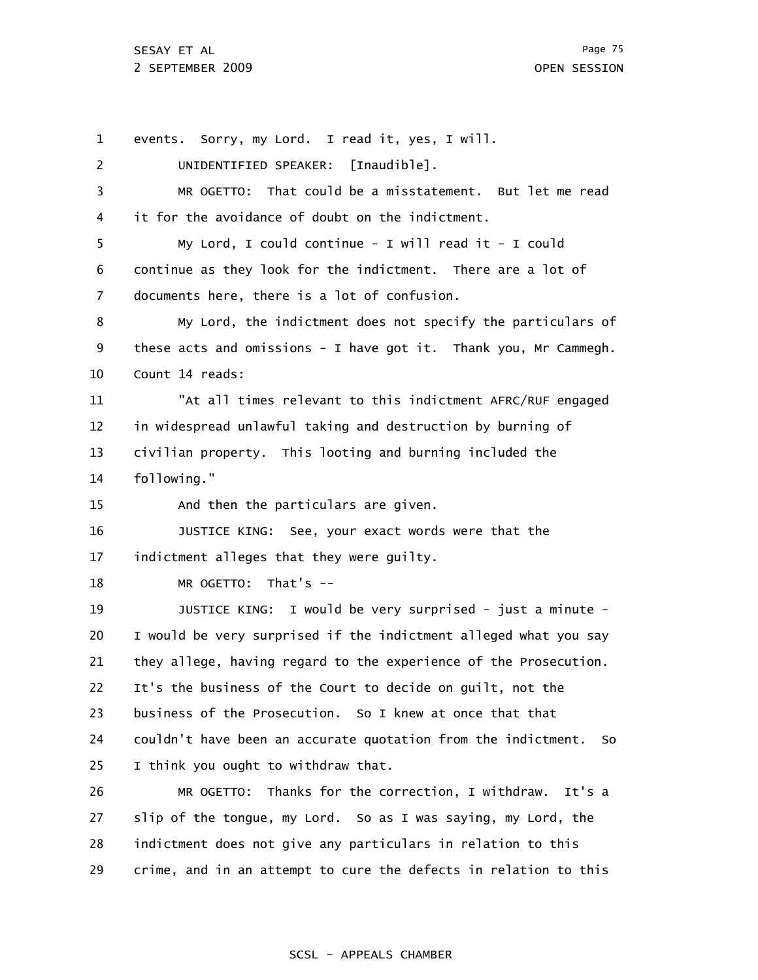1 2 3 4 5 6 7 8 9 10 11 12 13 14 15 16 17 18 19 20 21 22 23 24 25 26 27 28 29 events. Sorry, my Lord. I read it, yes, I will. UNIDENTIFIED SPEAKER: [Inaudible]. MR OGETTO: That could be a misstatement. But let me read it for the avoidance of doubt on the indictment. My Lord, I could continue - I will read it - I could continue as they look for the indictment. There are a lot of documents here, there is a lot of confusion. My Lord, the indictment does not specify the particulars of these acts and omissions - I have got it. Thank you, Mr Cammegh. Count 14 reads: "At all times relevant to this indictment AFRC/RUF engaged in widespread unlawful taking and destruction by burning of civilian property. This looting and burning included the following." And then the particulars are given. JUSTICE KING: See, your exact words were that the indictment alleges that they were guilty. MR OGETTO: That's -- JUSTICE KING: I would be very surprised - just a minute - I would be very surprised if the indictment alleged what you say they allege, having regard to the experience of the Prosecution. It's the business of the Court to decide on guilt, not the business of the Prosecution. So I knew at once that that couldn't have been an accurate quotation from the indictment. So I think you ought to withdraw that. MR OGETTO: Thanks for the correction, I withdraw. It's a slip of the tongue, my Lord. So as I was saying, my Lord, the indictment does not give any particulars in relation to this crime, and in an attempt to cure the defects in relation to this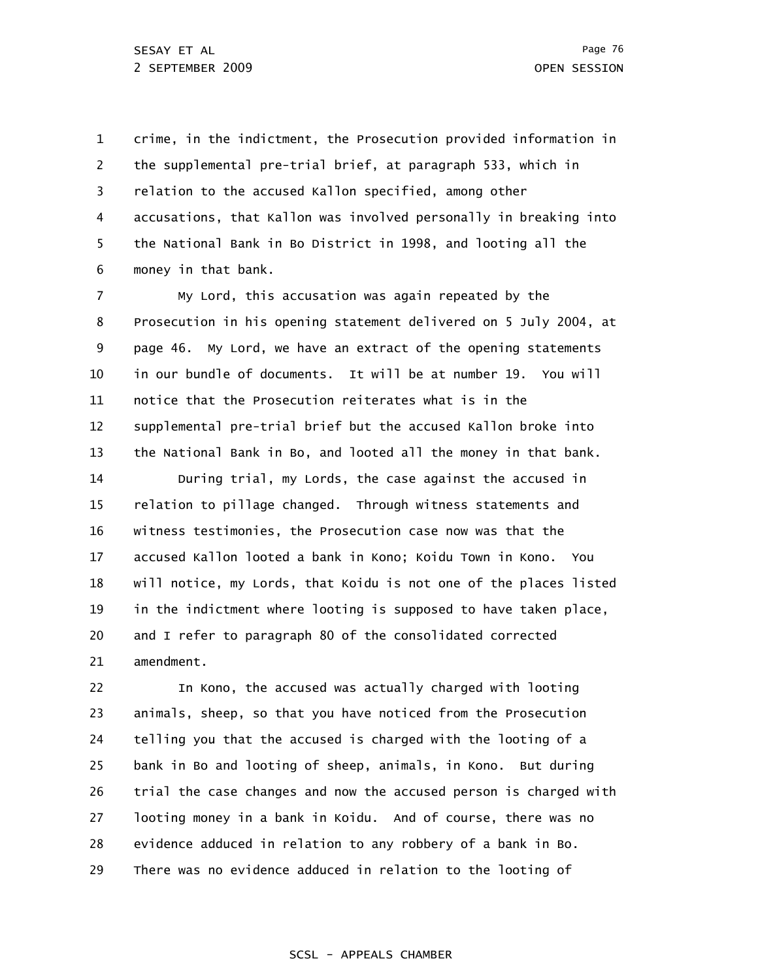1 2 3 4 5 6 crime, in the indictment, the Prosecution provided information in the supplemental pre-trial brief, at paragraph 533, which in relation to the accused Kallon specified, among other accusations, that Kallon was involved personally in breaking into the National Bank in Bo District in 1998, and looting all the money in that bank.

7 8 9 10 11 12 13 14 15 16 17 18 19 20 21 My Lord, this accusation was again repeated by the Prosecution in his opening statement delivered on 5 July 2004, at page 46. My Lord, we have an extract of the opening statements in our bundle of documents. It will be at number 19. You will notice that the Prosecution reiterates what is in the supplemental pre-trial brief but the accused Kallon broke into the National Bank in Bo, and looted all the money in that bank. During trial, my Lords, the case against the accused in relation to pillage changed. Through witness statements and witness testimonies, the Prosecution case now was that the accused Kallon looted a bank in Kono; Koidu Town in Kono. You will notice, my Lords, that Koidu is not one of the places listed in the indictment where looting is supposed to have taken place, and I refer to paragraph 80 of the consolidated corrected amendment.

22 23 24 25 26 27 28 29 In Kono, the accused was actually charged with looting animals, sheep, so that you have noticed from the Prosecution telling you that the accused is charged with the looting of a bank in Bo and looting of sheep, animals, in Kono. But during trial the case changes and now the accused person is charged with looting money in a bank in Koidu. And of course, there was no evidence adduced in relation to any robbery of a bank in Bo. There was no evidence adduced in relation to the looting of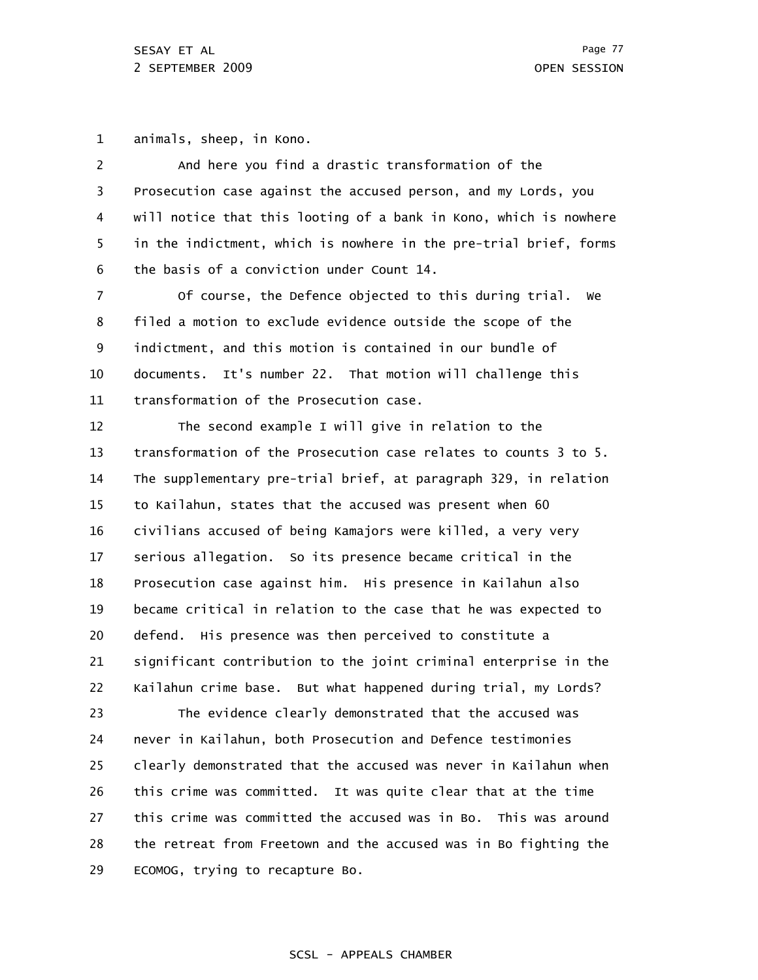1 animals, sheep, in Kono.

2 3 4 5 6 And here you find a drastic transformation of the Prosecution case against the accused person, and my Lords, you will notice that this looting of a bank in Kono, which is nowhere in the indictment, which is nowhere in the pre-trial brief, forms the basis of a conviction under Count 14.

7 8 9 10 11 Of course, the Defence objected to this during trial. We filed a motion to exclude evidence outside the scope of the indictment, and this motion is contained in our bundle of documents. It's number 22. That motion will challenge this transformation of the Prosecution case.

12 13 14 15 16 17 18 19 20 21 22 23 24 25 26 27 28 29 The second example I will give in relation to the transformation of the Prosecution case relates to counts 3 to 5. The supplementary pre-trial brief, at paragraph 329, in relation to Kailahun, states that the accused was present when 60 civilians accused of being Kamajors were killed, a very very serious allegation. So its presence became critical in the Prosecution case against him. His presence in Kailahun also became critical in relation to the case that he was expected to defend. His presence was then perceived to constitute a significant contribution to the joint criminal enterprise in the Kailahun crime base. But what happened during trial, my Lords? The evidence clearly demonstrated that the accused was never in Kailahun, both Prosecution and Defence testimonies clearly demonstrated that the accused was never in Kailahun when this crime was committed. It was quite clear that at the time this crime was committed the accused was in Bo. This was around the retreat from Freetown and the accused was in Bo fighting the ECOMOG, trying to recapture Bo.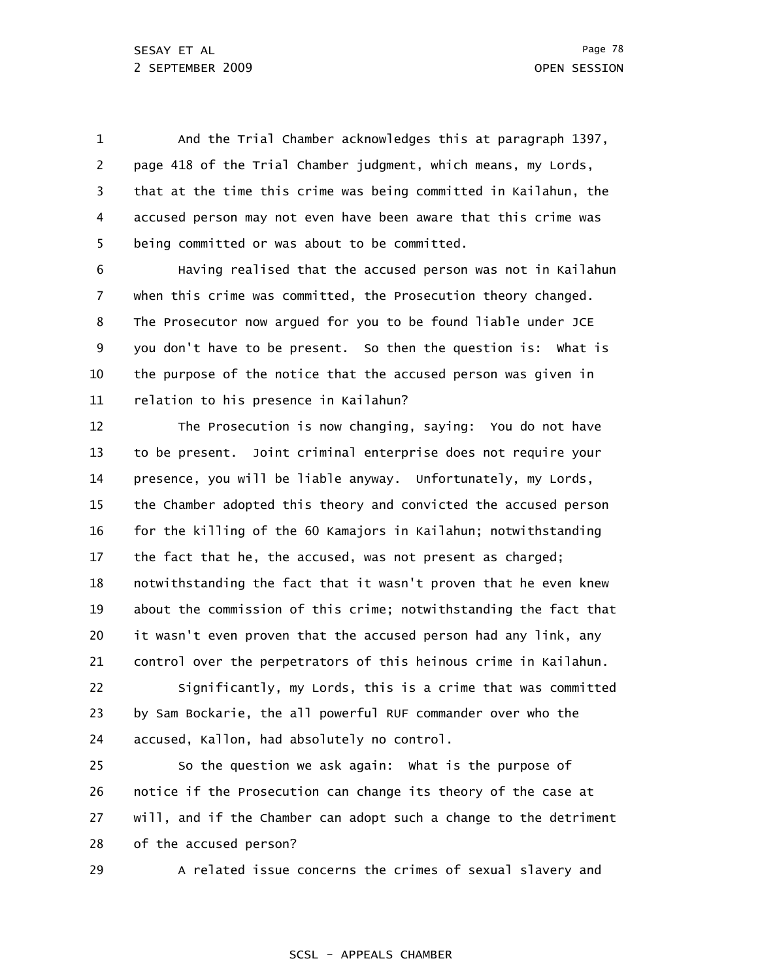1 2 3 4 5 And the Trial Chamber acknowledges this at paragraph 1397, page 418 of the Trial Chamber judgment, which means, my Lords, that at the time this crime was being committed in Kailahun, the accused person may not even have been aware that this crime was being committed or was about to be committed.

6 7 8 9 10 11 Having realised that the accused person was not in Kailahun when this crime was committed, the Prosecution theory changed. The Prosecutor now argued for you to be found liable under JCE you don't have to be present. So then the question is: What is the purpose of the notice that the accused person was given in relation to his presence in Kailahun?

12 13 14 15 16 17 18 19 20 21 The Prosecution is now changing, saying: You do not have to be present. Joint criminal enterprise does not require your presence, you will be liable anyway. Unfortunately, my Lords, the Chamber adopted this theory and convicted the accused person for the killing of the 60 Kamajors in Kailahun; notwithstanding the fact that he, the accused, was not present as charged; notwithstanding the fact that it wasn't proven that he even knew about the commission of this crime; notwithstanding the fact that it wasn't even proven that the accused person had any link, any control over the perpetrators of this heinous crime in Kailahun.

22 23 24 Significantly, my Lords, this is a crime that was committed by Sam Bockarie, the all powerful RUF commander over who the accused, Kallon, had absolutely no control.

25 26 27 28 So the question we ask again: What is the purpose of notice if the Prosecution can change its theory of the case at will, and if the Chamber can adopt such a change to the detriment of the accused person?

29

A related issue concerns the crimes of sexual slavery and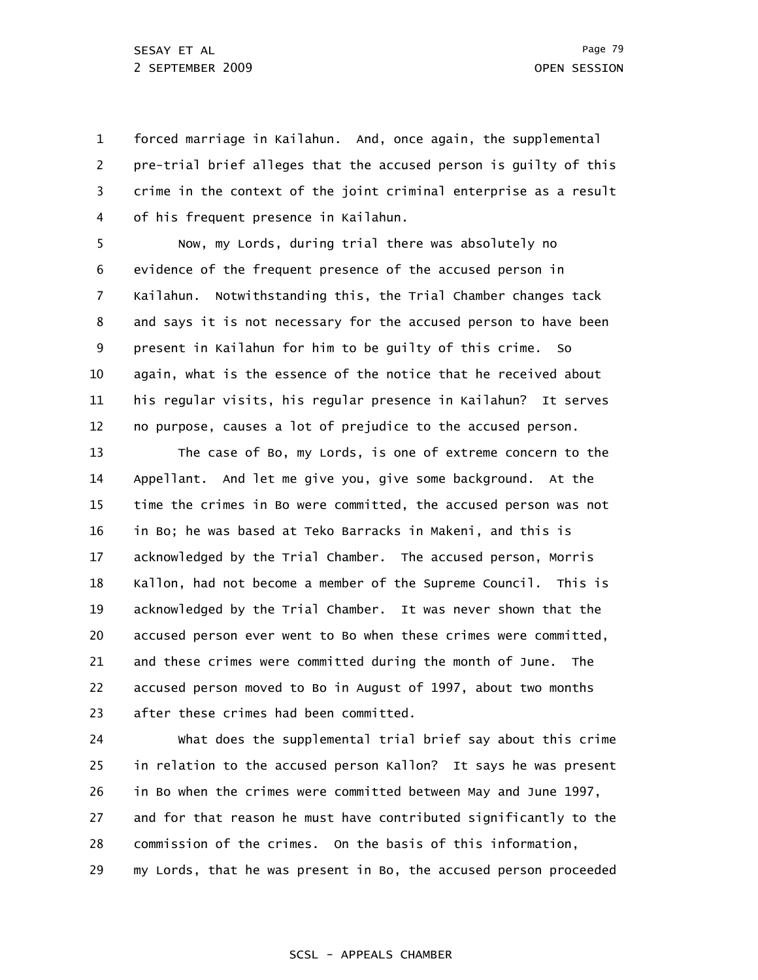1 2 3 4 forced marriage in Kailahun. And, once again, the supplemental pre-trial brief alleges that the accused person is guilty of this crime in the context of the joint criminal enterprise as a result of his frequent presence in Kailahun.

5 6 7 8 9 10 11 12 Now, my Lords, during trial there was absolutely no evidence of the frequent presence of the accused person in Kailahun. Notwithstanding this, the Trial Chamber changes tack and says it is not necessary for the accused person to have been present in Kailahun for him to be guilty of this crime. So again, what is the essence of the notice that he received about his regular visits, his regular presence in Kailahun? It serves no purpose, causes a lot of prejudice to the accused person.

13 14 15 16 17 18 19 20 21 22 23 The case of Bo, my Lords, is one of extreme concern to the Appellant. And let me give you, give some background. At the time the crimes in Bo were committed, the accused person was not in Bo; he was based at Teko Barracks in Makeni, and this is acknowledged by the Trial Chamber. The accused person, Morris Kallon, had not become a member of the Supreme Council. This is acknowledged by the Trial Chamber. It was never shown that the accused person ever went to Bo when these crimes were committed, and these crimes were committed during the month of June. The accused person moved to Bo in August of 1997, about two months after these crimes had been committed.

24 25 26 27 28 29 What does the supplemental trial brief say about this crime in relation to the accused person Kallon? It says he was present in Bo when the crimes were committed between May and June 1997, and for that reason he must have contributed significantly to the commission of the crimes. On the basis of this information, my Lords, that he was present in Bo, the accused person proceeded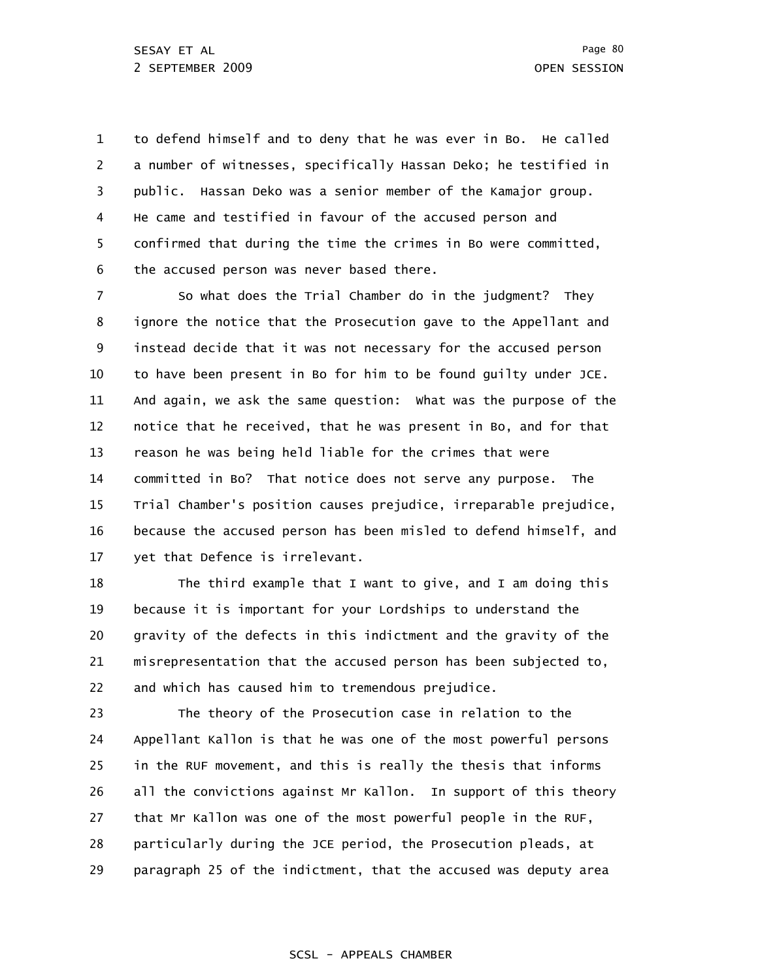1 2 3 4 5 6 to defend himself and to deny that he was ever in Bo. He called a number of witnesses, specifically Hassan Deko; he testified in public. Hassan Deko was a senior member of the Kamajor group. He came and testified in favour of the accused person and confirmed that during the time the crimes in Bo were committed, the accused person was never based there.

7 8 9 10 11 12 13 14 15 16 17 So what does the Trial Chamber do in the judgment? They ignore the notice that the Prosecution gave to the Appellant and instead decide that it was not necessary for the accused person to have been present in Bo for him to be found guilty under JCE. And again, we ask the same question: What was the purpose of the notice that he received, that he was present in Bo, and for that reason he was being held liable for the crimes that were committed in Bo? That notice does not serve any purpose. The Trial Chamber's position causes prejudice, irreparable prejudice, because the accused person has been misled to defend himself, and yet that Defence is irrelevant.

18 19 20 21 22 The third example that I want to give, and I am doing this because it is important for your Lordships to understand the gravity of the defects in this indictment and the gravity of the misrepresentation that the accused person has been subjected to, and which has caused him to tremendous prejudice.

23 24 25 26 27 28 29 The theory of the Prosecution case in relation to the Appellant Kallon is that he was one of the most powerful persons in the RUF movement, and this is really the thesis that informs all the convictions against Mr Kallon. In support of this theory that Mr Kallon was one of the most powerful people in the RUF, particularly during the JCE period, the Prosecution pleads, at paragraph 25 of the indictment, that the accused was deputy area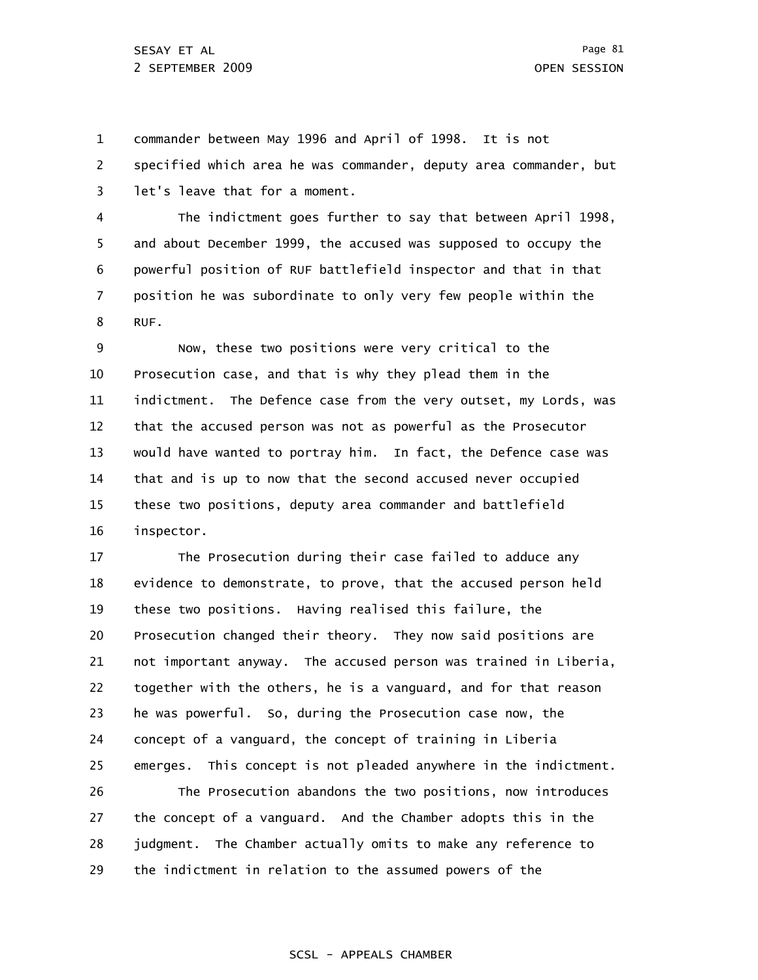1 2 3 commander between May 1996 and April of 1998. It is not specified which area he was commander, deputy area commander, but let's leave that for a moment.

4 5 6 7 8 The indictment goes further to say that between April 1998, and about December 1999, the accused was supposed to occupy the powerful position of RUF battlefield inspector and that in that position he was subordinate to only very few people within the RUF.

9 10 11 12 13 14 15 16 Now, these two positions were very critical to the Prosecution case, and that is why they plead them in the indictment. The Defence case from the very outset, my Lords, was that the accused person was not as powerful as the Prosecutor would have wanted to portray him. In fact, the Defence case was that and is up to now that the second accused never occupied these two positions, deputy area commander and battlefield inspector.

17 18 19 20 21 22 23 24 25 26 27 28 29 The Prosecution during their case failed to adduce any evidence to demonstrate, to prove, that the accused person held these two positions. Having realised this failure, the Prosecution changed their theory. They now said positions are not important anyway. The accused person was trained in Liberia, together with the others, he is a vanguard, and for that reason he was powerful. So, during the Prosecution case now, the concept of a vanguard, the concept of training in Liberia emerges. This concept is not pleaded anywhere in the indictment. The Prosecution abandons the two positions, now introduces the concept of a vanguard. And the Chamber adopts this in the judgment. The Chamber actually omits to make any reference to the indictment in relation to the assumed powers of the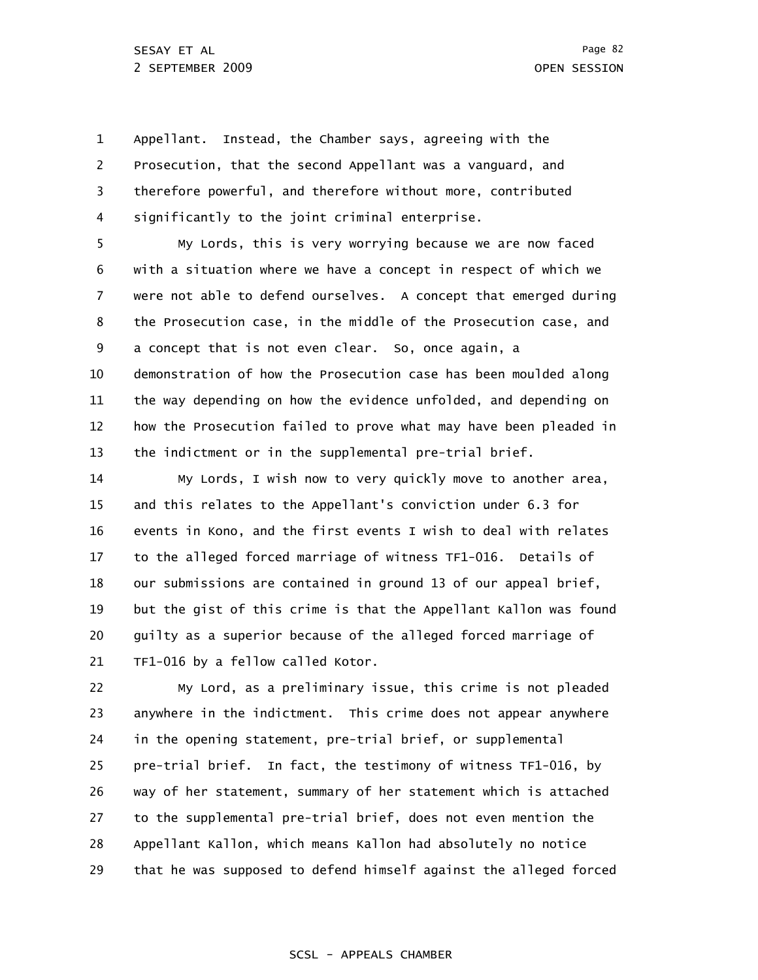1 2 3 4 Appellant. Instead, the Chamber says, agreeing with the Prosecution, that the second Appellant was a vanguard, and therefore powerful, and therefore without more, contributed significantly to the joint criminal enterprise.

5 6 7 8 9 10 11 12 13 My Lords, this is very worrying because we are now faced with a situation where we have a concept in respect of which we were not able to defend ourselves. A concept that emerged during the Prosecution case, in the middle of the Prosecution case, and a concept that is not even clear. So, once again, a demonstration of how the Prosecution case has been moulded along the way depending on how the evidence unfolded, and depending on how the Prosecution failed to prove what may have been pleaded in the indictment or in the supplemental pre-trial brief.

14 15 16 17 18 19 20 21 My Lords, I wish now to very quickly move to another area, and this relates to the Appellant's conviction under 6.3 for events in Kono, and the first events I wish to deal with relates to the alleged forced marriage of witness TF1-016. Details of our submissions are contained in ground 13 of our appeal brief, but the gist of this crime is that the Appellant Kallon was found guilty as a superior because of the alleged forced marriage of TF1-016 by a fellow called Kotor.

22 23 24 25 26 27 28 29 My Lord, as a preliminary issue, this crime is not pleaded anywhere in the indictment. This crime does not appear anywhere in the opening statement, pre-trial brief, or supplemental pre-trial brief. In fact, the testimony of witness TF1-016, by way of her statement, summary of her statement which is attached to the supplemental pre-trial brief, does not even mention the Appellant Kallon, which means Kallon had absolutely no notice that he was supposed to defend himself against the alleged forced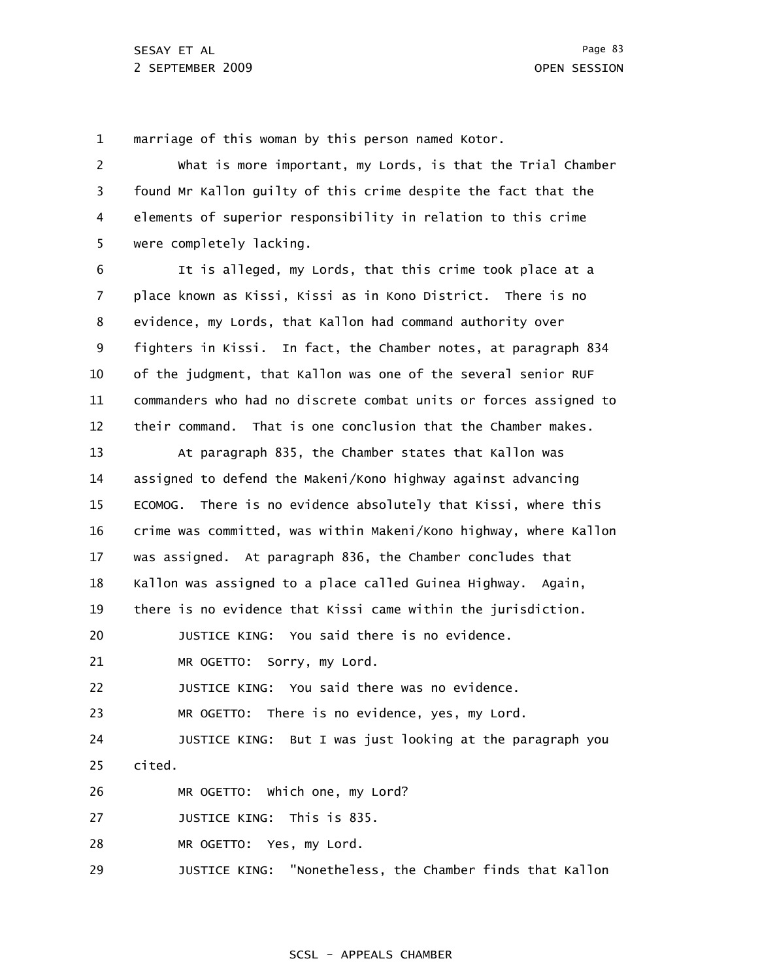1 marriage of this woman by this person named Kotor.

2 3 4 5 What is more important, my Lords, is that the Trial Chamber found Mr Kallon guilty of this crime despite the fact that the elements of superior responsibility in relation to this crime were completely lacking.

6 7 8 9 10 11 12 It is alleged, my Lords, that this crime took place at a place known as Kissi, Kissi as in Kono District. There is no evidence, my Lords, that Kallon had command authority over fighters in Kissi. In fact, the Chamber notes, at paragraph 834 of the judgment, that Kallon was one of the several senior RUF commanders who had no discrete combat units or forces assigned to their command. That is one conclusion that the Chamber makes.

13 14 15 16 17 18 19 At paragraph 835, the Chamber states that Kallon was assigned to defend the Makeni/Kono highway against advancing ECOMOG. There is no evidence absolutely that Kissi, where this crime was committed, was within Makeni/Kono highway, where Kallon was assigned. At paragraph 836, the Chamber concludes that Kallon was assigned to a place called Guinea Highway. Again, there is no evidence that Kissi came within the jurisdiction.

20 JUSTICE KING: You said there is no evidence.

21 MR OGETTO: Sorry, my Lord.

22 JUSTICE KING: You said there was no evidence.

23 MR OGETTO: There is no evidence, yes, my Lord.

24 25 JUSTICE KING: But I was just looking at the paragraph you cited.

26 MR OGETTO: Which one, my Lord?

27 JUSTICE KING: This is 835.

28 MR OGETTO: Yes, my Lord.

29 JUSTICE KING: "Nonetheless, the Chamber finds that Kallon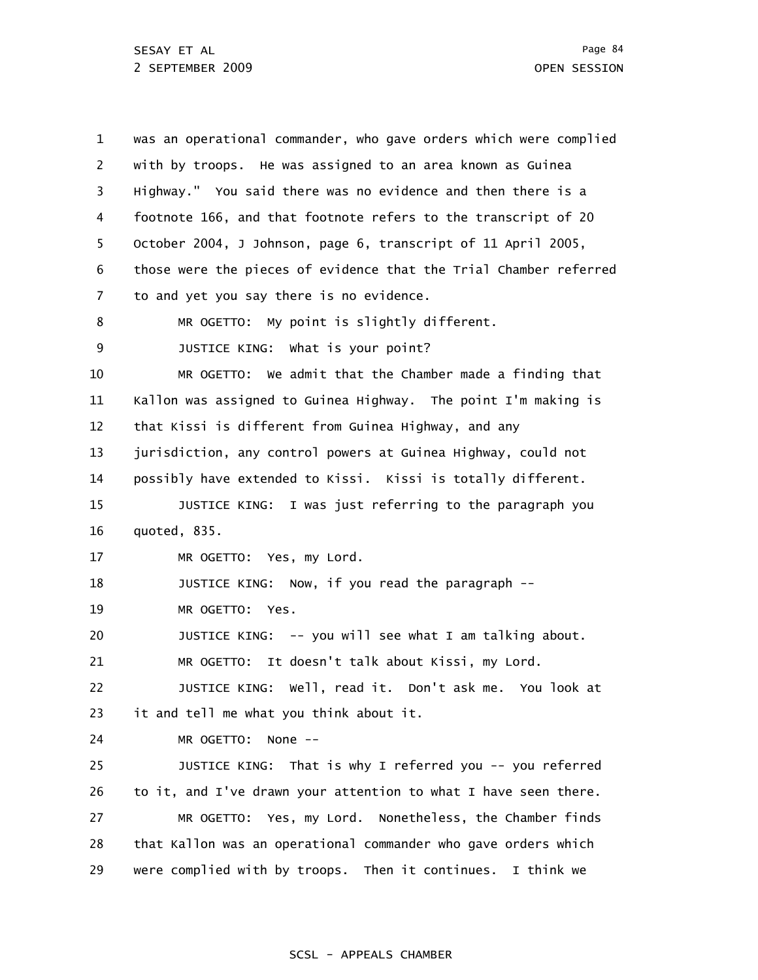| 1  | was an operational commander, who gave orders which were complied |
|----|-------------------------------------------------------------------|
| 2  | with by troops. He was assigned to an area known as Guinea        |
| 3  | Highway." You said there was no evidence and then there is a      |
| 4  | footnote 166, and that footnote refers to the transcript of 20    |
| 5  | October 2004, J Johnson, page 6, transcript of 11 April 2005,     |
| 6  | those were the pieces of evidence that the Trial Chamber referred |
| 7  | to and yet you say there is no evidence.                          |
| 8  | MR OGETTO: My point is slightly different.                        |
| 9  | JUSTICE KING: What is your point?                                 |
| 10 | MR OGETTO: We admit that the Chamber made a finding that          |
| 11 | Kallon was assigned to Guinea Highway. The point I'm making is    |
| 12 | that Kissi is different from Guinea Highway, and any              |
| 13 | jurisdiction, any control powers at Guinea Highway, could not     |
| 14 | possibly have extended to Kissi. Kissi is totally different.      |
| 15 | JUSTICE KING: I was just referring to the paragraph you           |
| 16 | quoted, 835.                                                      |
| 17 | MR OGETTO: Yes, my Lord.                                          |
| 18 | JUSTICE KING: Now, if you read the paragraph --                   |
| 19 | MR OGETTO:<br>Yes.                                                |
| 20 | JUSTICE KING: -- you will see what I am talking about.            |
| 21 | It doesn't talk about Kissi, my Lord.<br>MR OGETTO:               |
| 22 | JUSTICE KING: Well, read it. Don't ask me. You look at            |
| 23 | it and tell me what you think about it.                           |
| 24 | MR OGETTO:<br>None $--$                                           |
| 25 | JUSTICE KING: That is why I referred you -- you referred          |
| 26 | to it, and I've drawn your attention to what I have seen there.   |
| 27 | MR OGETTO: Yes, my Lord. Nonetheless, the Chamber finds           |
| 28 | that Kallon was an operational commander who gave orders which    |
| 29 | were complied with by troops. Then it continues. I think we       |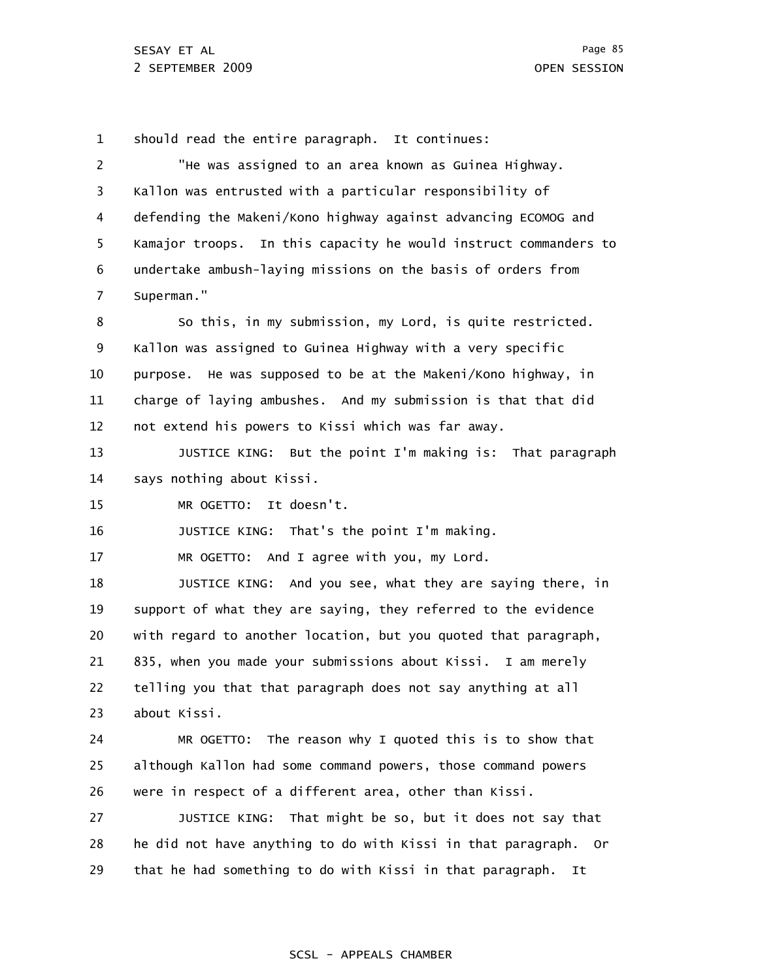1 2 3 4 5 6 7 8 9 10 11 12 13 14 15 16 17 18 19 20 21 22 23 24 25 26 27 28 29 should read the entire paragraph. It continues: "He was assigned to an area known as Guinea Highway. Kallon was entrusted with a particular responsibility of defending the Makeni/Kono highway against advancing ECOMOG and Kamajor troops. In this capacity he would instruct commanders to undertake ambush-laying missions on the basis of orders from Superman." So this, in my submission, my Lord, is quite restricted. Kallon was assigned to Guinea Highway with a very specific purpose. He was supposed to be at the Makeni/Kono highway, in charge of laying ambushes. And my submission is that that did not extend his powers to Kissi which was far away. JUSTICE KING: But the point I'm making is: That paragraph says nothing about Kissi. MR OGETTO: It doesn't. JUSTICE KING: That's the point I'm making. MR OGETTO: And I agree with you, my Lord. JUSTICE KING: And you see, what they are saying there, in support of what they are saying, they referred to the evidence with regard to another location, but you quoted that paragraph, 835, when you made your submissions about Kissi. I am merely telling you that that paragraph does not say anything at all about Kissi. MR OGETTO: The reason why I quoted this is to show that although Kallon had some command powers, those command powers were in respect of a different area, other than Kissi. JUSTICE KING: That might be so, but it does not say that he did not have anything to do with Kissi in that paragraph. Or that he had something to do with Kissi in that paragraph. It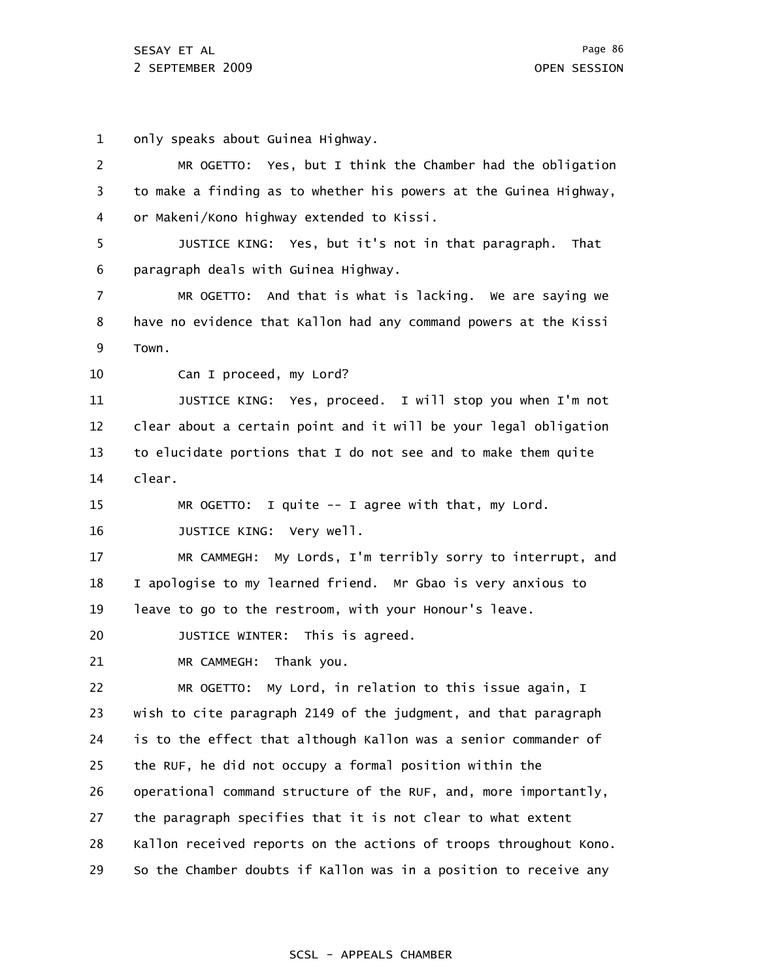1 only speaks about Guinea Highway.

| 2  | MR OGETTO: Yes, but I think the Chamber had the obligation        |
|----|-------------------------------------------------------------------|
| 3  | to make a finding as to whether his powers at the Guinea Highway, |
| 4  | or Makeni/Kono highway extended to Kissi.                         |
| 5  | JUSTICE KING: Yes, but it's not in that paragraph. That           |
| 6  | paragraph deals with Guinea Highway.                              |
| 7  | MR OGETTO: And that is what is lacking. We are saying we          |
| 8  | have no evidence that Kallon had any command powers at the Kissi  |
| 9  | Town.                                                             |
| 10 | Can I proceed, my Lord?                                           |
| 11 | JUSTICE KING: Yes, proceed. I will stop you when I'm not          |
| 12 | clear about a certain point and it will be your legal obligation  |
| 13 | to elucidate portions that I do not see and to make them quite    |
| 14 | clear.                                                            |
| 15 | MR OGETTO: I quite -- I agree with that, my Lord.                 |
| 16 | JUSTICE KING: Very well.                                          |
| 17 | MR CAMMEGH: My Lords, I'm terribly sorry to interrupt, and        |
| 18 | I apologise to my learned friend. Mr Gbao is very anxious to      |
| 19 | leave to go to the restroom, with your Honour's leave.            |
| 20 | JUSTICE WINTER: This is agreed.                                   |
| 21 | Thank you.<br>MR CAMMEGH:                                         |
| 22 | My Lord, in relation to this issue again, I<br>MR OGETTO:         |
| 23 | wish to cite paragraph 2149 of the judgment, and that paragraph   |
| 24 | is to the effect that although Kallon was a senior commander of   |
| 25 | the RUF, he did not occupy a formal position within the           |
| 26 | operational command structure of the RUF, and, more importantly,  |
| 27 | the paragraph specifies that it is not clear to what extent       |
| 28 | Kallon received reports on the actions of troops throughout Kono. |
| 29 | So the Chamber doubts if Kallon was in a position to receive any  |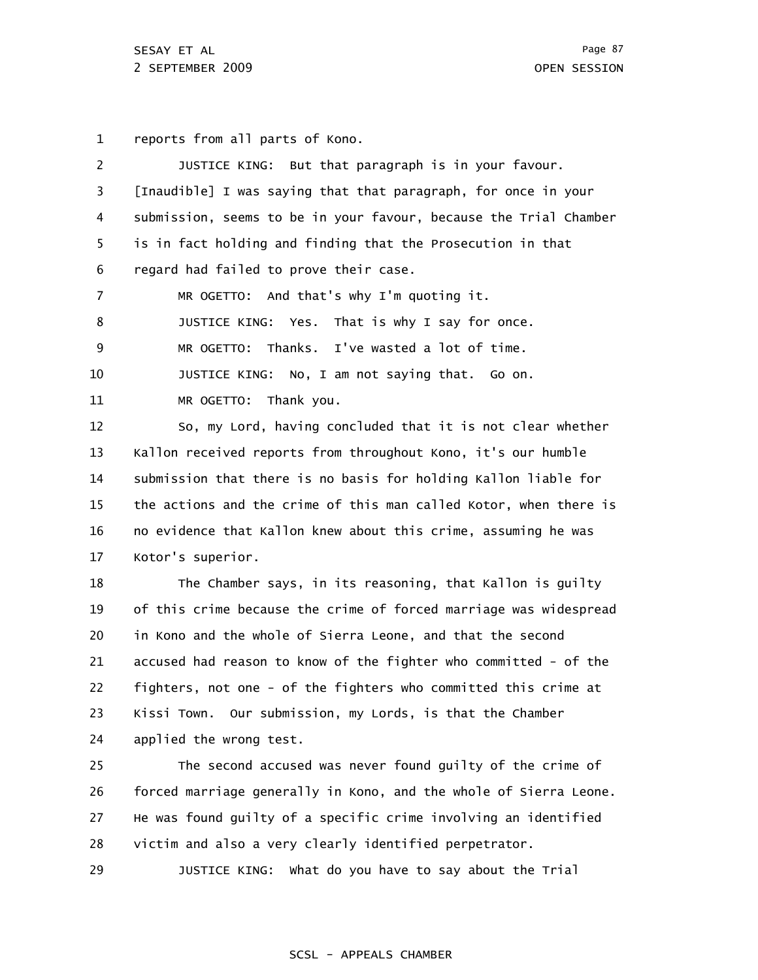1 reports from all parts of Kono.

| $\overline{2}$ | JUSTICE KING: But that paragraph is in your favour.               |
|----------------|-------------------------------------------------------------------|
| 3              | [Inaudible] I was saying that that paragraph, for once in your    |
| 4              | submission, seems to be in your favour, because the Trial Chamber |
| 5              | is in fact holding and finding that the Prosecution in that       |
| 6              | regard had failed to prove their case.                            |
| 7              | MR OGETTO: And that's why I'm quoting it.                         |
| 8              | JUSTICE KING: Yes. That is why I say for once.                    |
| 9              | Thanks. I've wasted a lot of time.<br>MR OGETTO:                  |
| 10             | JUSTICE KING: No, I am not saying that. Go on.                    |
| 11             | MR OGETTO: Thank you.                                             |
| 12             | So, my Lord, having concluded that it is not clear whether        |
| 13             | Kallon received reports from throughout Kono, it's our humble     |
| 14             | submission that there is no basis for holding Kallon liable for   |
| 15             | the actions and the crime of this man called Kotor, when there is |
| 16             | no evidence that Kallon knew about this crime, assuming he was    |
| 17             | Kotor's superior.                                                 |
| 18             | The Chamber says, in its reasoning, that Kallon is guilty         |
| 19             | of this crime because the crime of forced marriage was widespread |
| 20             | in Kono and the whole of Sierra Leone, and that the second        |
| 21             | accused had reason to know of the fighter who committed - of the  |
| 22             | fighters, not one - of the fighters who committed this crime at   |
| 23             | Kissi Town. Our submission, my Lords, is that the Chamber         |
| 24             | applied the wrong test.                                           |
| 25             | The second accused was never found guilty of the crime of         |
| 26             | forced marriage generally in Kono, and the whole of Sierra Leone. |
| 27             | He was found guilty of a specific crime involving an identified   |

28 victim and also a very clearly identified perpetrator.

29 JUSTICE KING: What do you have to say about the Trial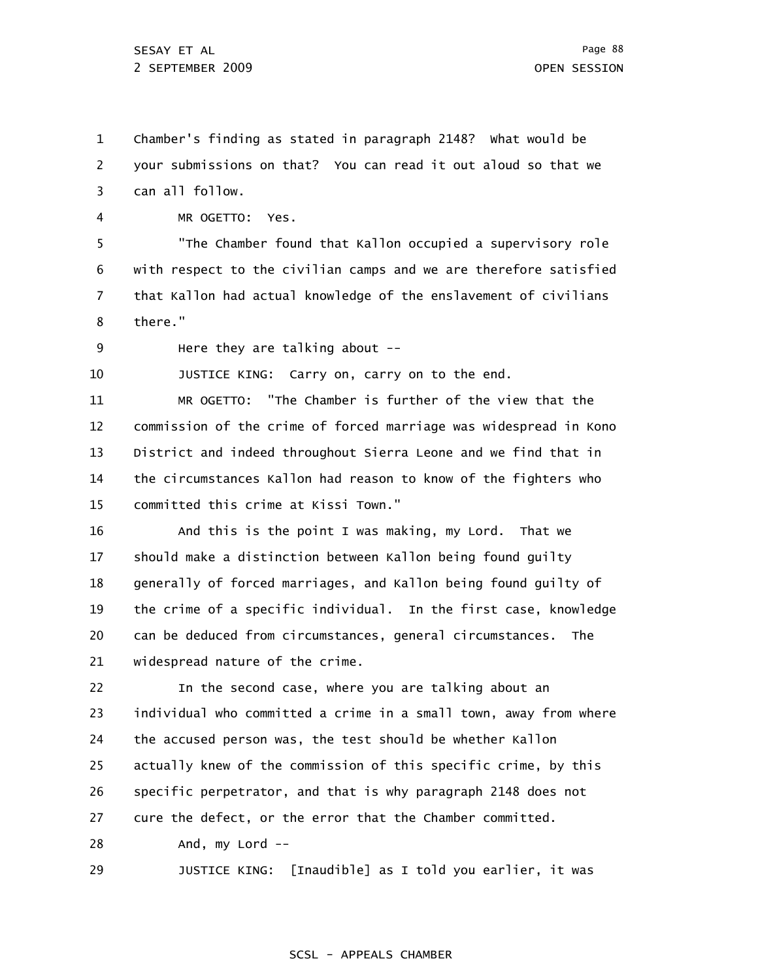1 2 3 Chamber's finding as stated in paragraph 2148? What would be your submissions on that? You can read it out aloud so that we can all follow.

MR OGETTO: Yes.

4

5 6 7 8 "The Chamber found that Kallon occupied a supervisory role with respect to the civilian camps and we are therefore satisfied that Kallon had actual knowledge of the enslavement of civilians there."

9 Here they are talking about --

10 JUSTICE KING: Carry on, carry on to the end.

11 12 13 14 15 MR OGETTO: "The Chamber is further of the view that the commission of the crime of forced marriage was widespread in Kono District and indeed throughout Sierra Leone and we find that in the circumstances Kallon had reason to know of the fighters who committed this crime at Kissi Town."

16 17 18 19 20 21 And this is the point I was making, my Lord. That we should make a distinction between Kallon being found guilty generally of forced marriages, and Kallon being found guilty of the crime of a specific individual. In the first case, knowledge can be deduced from circumstances, general circumstances. The widespread nature of the crime.

22 23 24 25 26 27 28 In the second case, where you are talking about an individual who committed a crime in a small town, away from where the accused person was, the test should be whether Kallon actually knew of the commission of this specific crime, by this specific perpetrator, and that is why paragraph 2148 does not cure the defect, or the error that the Chamber committed. And, my Lord --

29 JUSTICE KING: [Inaudible] as I told you earlier, it was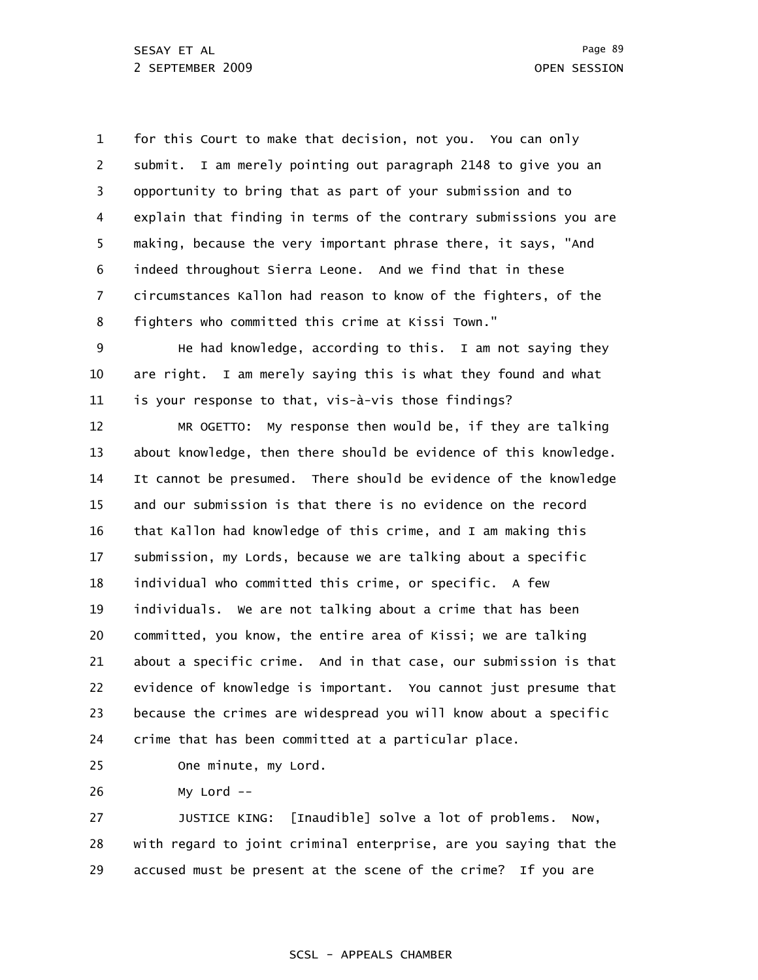1 2 3 4 5 6 7 8 for this Court to make that decision, not you. You can only submit. I am merely pointing out paragraph 2148 to give you an opportunity to bring that as part of your submission and to explain that finding in terms of the contrary submissions you are making, because the very important phrase there, it says, "And indeed throughout Sierra Leone. And we find that in these circumstances Kallon had reason to know of the fighters, of the fighters who committed this crime at Kissi Town."

9 10 11 He had knowledge, according to this. I am not saying they are right. I am merely saying this is what they found and what is your response to that, vis-à-vis those findings?

12 13 14 15 16 17 18 19 20 21 22 23 24 MR OGETTO: My response then would be, if they are talking about knowledge, then there should be evidence of this knowledge. It cannot be presumed. There should be evidence of the knowledge and our submission is that there is no evidence on the record that Kallon had knowledge of this crime, and I am making this submission, my Lords, because we are talking about a specific individual who committed this crime, or specific. A few individuals. We are not talking about a crime that has been committed, you know, the entire area of Kissi; we are talking about a specific crime. And in that case, our submission is that evidence of knowledge is important. You cannot just presume that because the crimes are widespread you will know about a specific crime that has been committed at a particular place.

25

One minute, my Lord.

26 My Lord --

27 28 29 JUSTICE KING: [Inaudible] solve a lot of problems. Now, with regard to joint criminal enterprise, are you saying that the accused must be present at the scene of the crime? If you are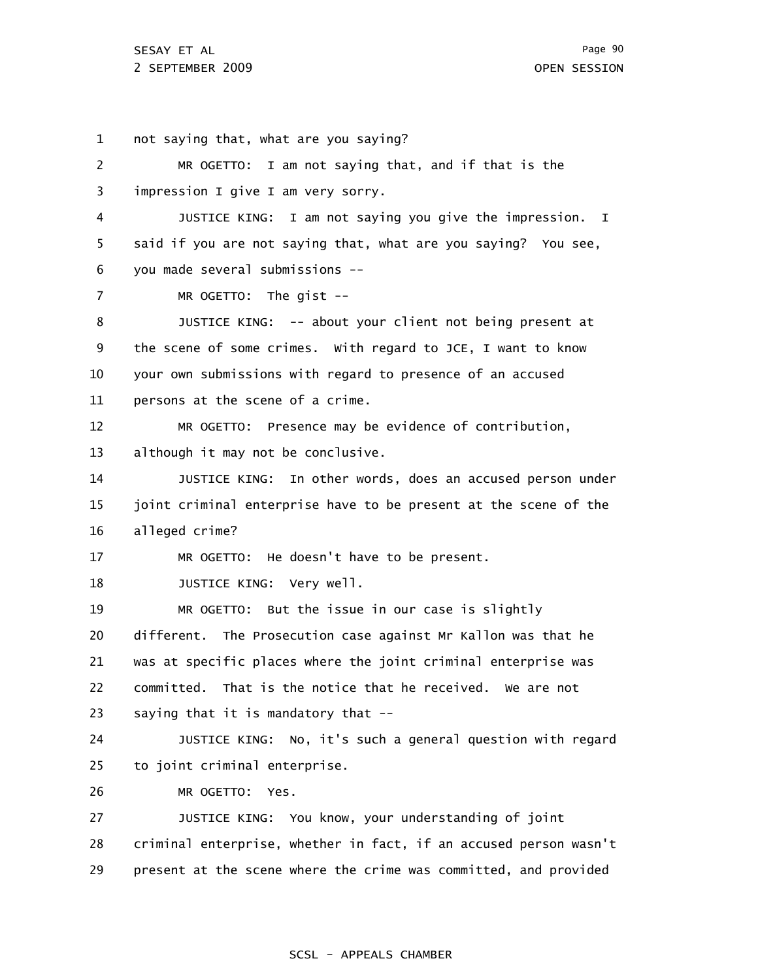1 2 3 4 5 6 7 8 9 10 11 12 13 14 15 16 17 18 19 20 21 22 23 24 25 26 27 28 29 not saying that, what are you saying? MR OGETTO: I am not saying that, and if that is the impression I give I am very sorry. JUSTICE KING: I am not saying you give the impression. I said if you are not saying that, what are you saying? You see, you made several submissions -- MR OGETTO: The gist -- JUSTICE KING: -- about your client not being present at the scene of some crimes. With regard to JCE, I want to know your own submissions with regard to presence of an accused persons at the scene of a crime. MR OGETTO: Presence may be evidence of contribution, although it may not be conclusive. JUSTICE KING: In other words, does an accused person under joint criminal enterprise have to be present at the scene of the alleged crime? MR OGETTO: He doesn't have to be present. JUSTICE KING: Very well. MR OGETTO: But the issue in our case is slightly different. The Prosecution case against Mr Kallon was that he was at specific places where the joint criminal enterprise was committed. That is the notice that he received. We are not saying that it is mandatory that -- JUSTICE KING: No, it's such a general question with regard to joint criminal enterprise. MR OGETTO: Yes. JUSTICE KING: You know, your understanding of joint criminal enterprise, whether in fact, if an accused person wasn't present at the scene where the crime was committed, and provided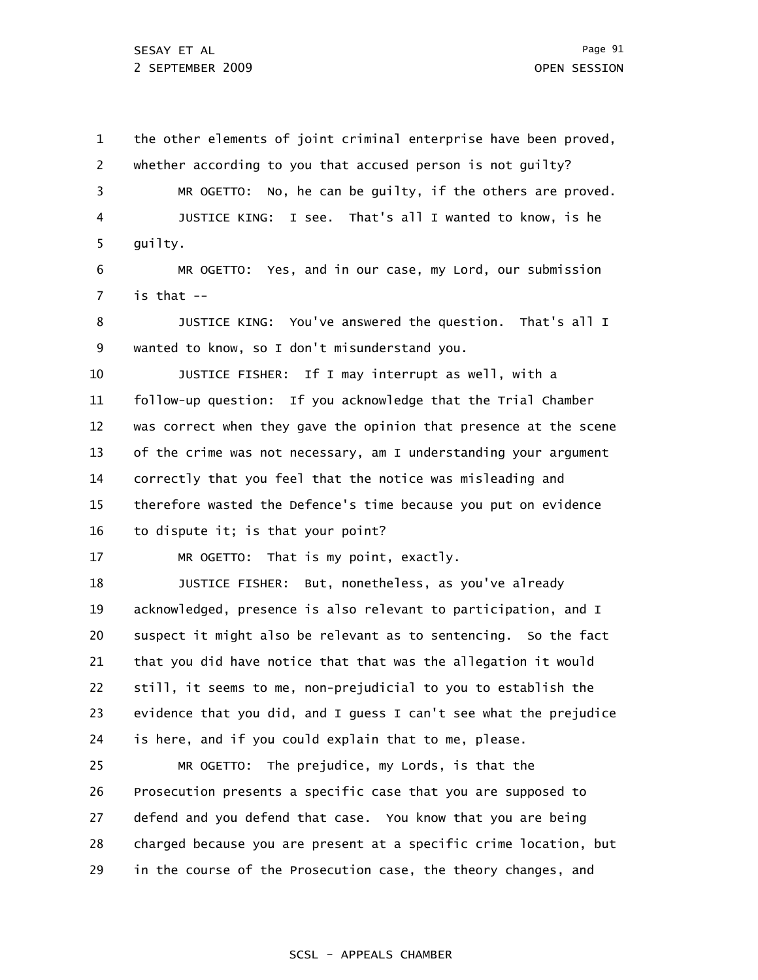1 2 3 4 5 6 7 8 9 10 11 12 13 14 15 16 17 18 19 20 21 22 23 24 25 26 27 28 29 the other elements of joint criminal enterprise have been proved, whether according to you that accused person is not quilty? MR OGETTO: No, he can be guilty, if the others are proved. JUSTICE KING: I see. That's all I wanted to know, is he guilty. MR OGETTO: Yes, and in our case, my Lord, our submission is that -- JUSTICE KING: You've answered the question. That's all I wanted to know, so I don't misunderstand you. JUSTICE FISHER: If I may interrupt as well, with a follow-up question: If you acknowledge that the Trial Chamber was correct when they gave the opinion that presence at the scene of the crime was not necessary, am I understanding your argument correctly that you feel that the notice was misleading and therefore wasted the Defence's time because you put on evidence to dispute it; is that your point? MR OGETTO: That is my point, exactly. JUSTICE FISHER: But, nonetheless, as you've already acknowledged, presence is also relevant to participation, and I suspect it might also be relevant as to sentencing. So the fact that you did have notice that that was the allegation it would still, it seems to me, non-prejudicial to you to establish the evidence that you did, and I guess I can't see what the prejudice is here, and if you could explain that to me, please. MR OGETTO: The prejudice, my Lords, is that the Prosecution presents a specific case that you are supposed to defend and you defend that case. You know that you are being charged because you are present at a specific crime location, but in the course of the Prosecution case, the theory changes, and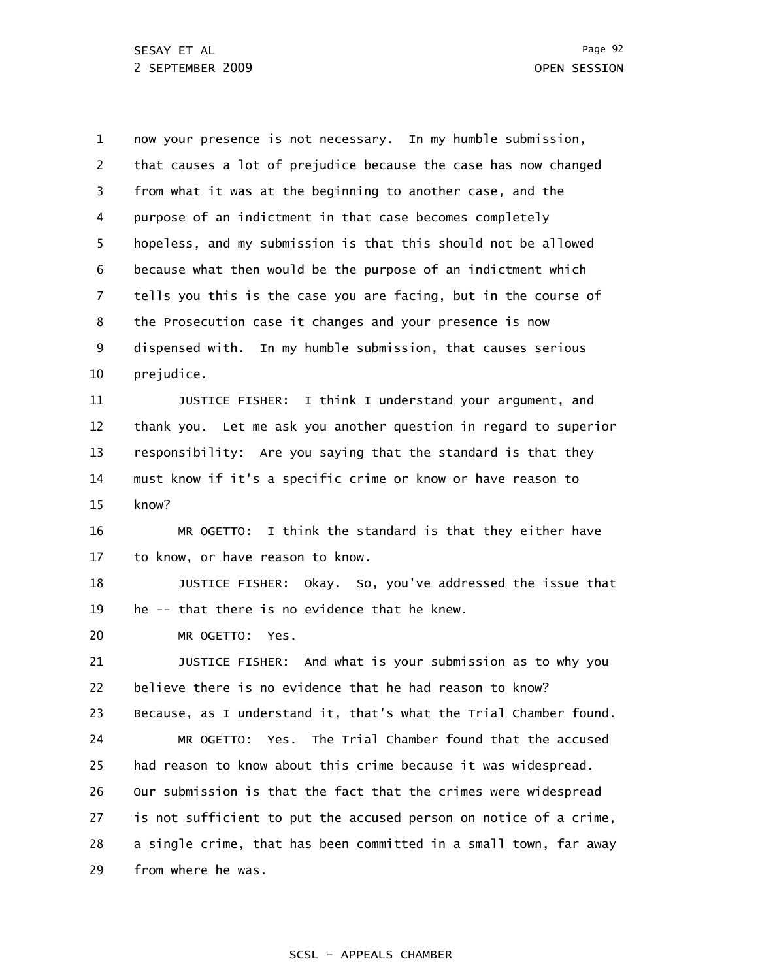1 2 3 4 5 6 7 8 9 10 11 12 13 14 15 16 17 18 19 20 21 22 23 24 25 26 27 28 29 now your presence is not necessary. In my humble submission, that causes a lot of prejudice because the case has now changed from what it was at the beginning to another case, and the purpose of an indictment in that case becomes completely hopeless, and my submission is that this should not be allowed because what then would be the purpose of an indictment which tells you this is the case you are facing, but in the course of the Prosecution case it changes and your presence is now dispensed with. In my humble submission, that causes serious prejudice. JUSTICE FISHER: I think I understand your argument, and thank you. Let me ask you another question in regard to superior responsibility: Are you saying that the standard is that they must know if it's a specific crime or know or have reason to know? MR OGETTO: I think the standard is that they either have to know, or have reason to know. JUSTICE FISHER: Okay. So, you've addressed the issue that he -- that there is no evidence that he knew. MR OGETTO: Yes. JUSTICE FISHER: And what is your submission as to why you believe there is no evidence that he had reason to know? Because, as I understand it, that's what the Trial Chamber found. MR OGETTO: Yes. The Trial Chamber found that the accused had reason to know about this crime because it was widespread. Our submission is that the fact that the crimes were widespread is not sufficient to put the accused person on notice of a crime, a single crime, that has been committed in a small town, far away from where he was.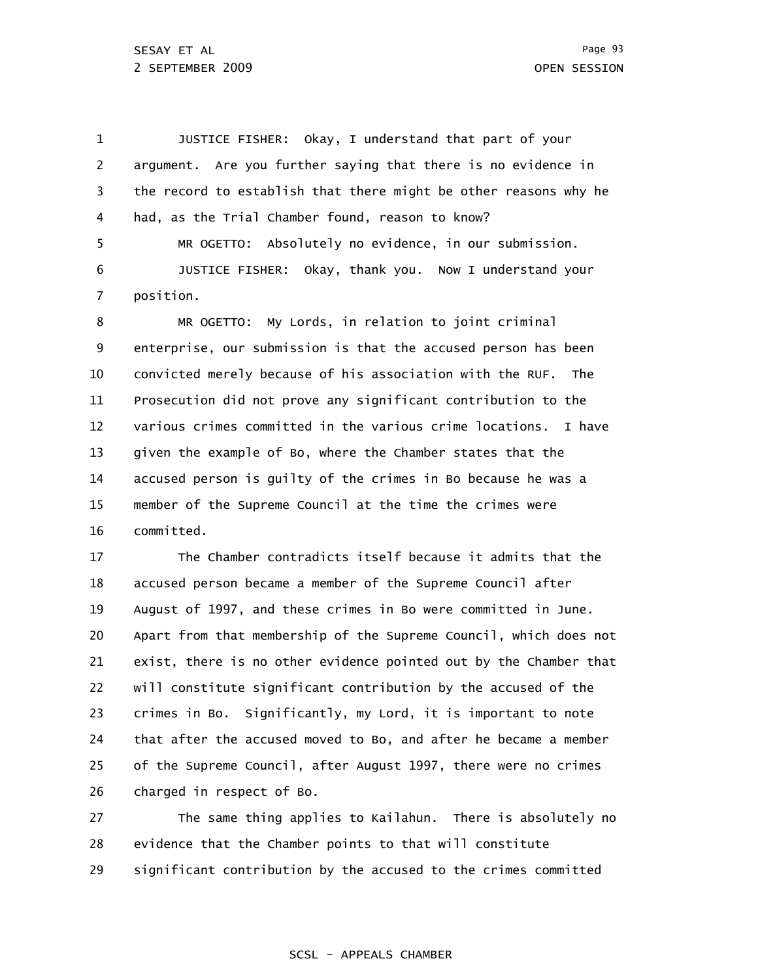1 2 3 4 5 6 7 8 JUSTICE FISHER: Okay, I understand that part of your argument. Are you further saying that there is no evidence in the record to establish that there might be other reasons why he had, as the Trial Chamber found, reason to know? MR OGETTO: Absolutely no evidence, in our submission. JUSTICE FISHER: Okay, thank you. Now I understand your position. MR OGETTO: My Lords, in relation to joint criminal

9 10 11 12 13 14 15 16 enterprise, our submission is that the accused person has been convicted merely because of his association with the RUF. The Prosecution did not prove any significant contribution to the various crimes committed in the various crime locations. I have given the example of Bo, where the Chamber states that the accused person is guilty of the crimes in Bo because he was a member of the Supreme Council at the time the crimes were committed.

17 18 19 20 21 22 23 24 25 26 The Chamber contradicts itself because it admits that the accused person became a member of the Supreme Council after August of 1997, and these crimes in Bo were committed in June. Apart from that membership of the Supreme Council, which does not exist, there is no other evidence pointed out by the Chamber that will constitute significant contribution by the accused of the crimes in Bo. Significantly, my Lord, it is important to note that after the accused moved to Bo, and after he became a member of the Supreme Council, after August 1997, there were no crimes charged in respect of Bo.

27 28 29 The same thing applies to Kailahun. There is absolutely no evidence that the Chamber points to that will constitute significant contribution by the accused to the crimes committed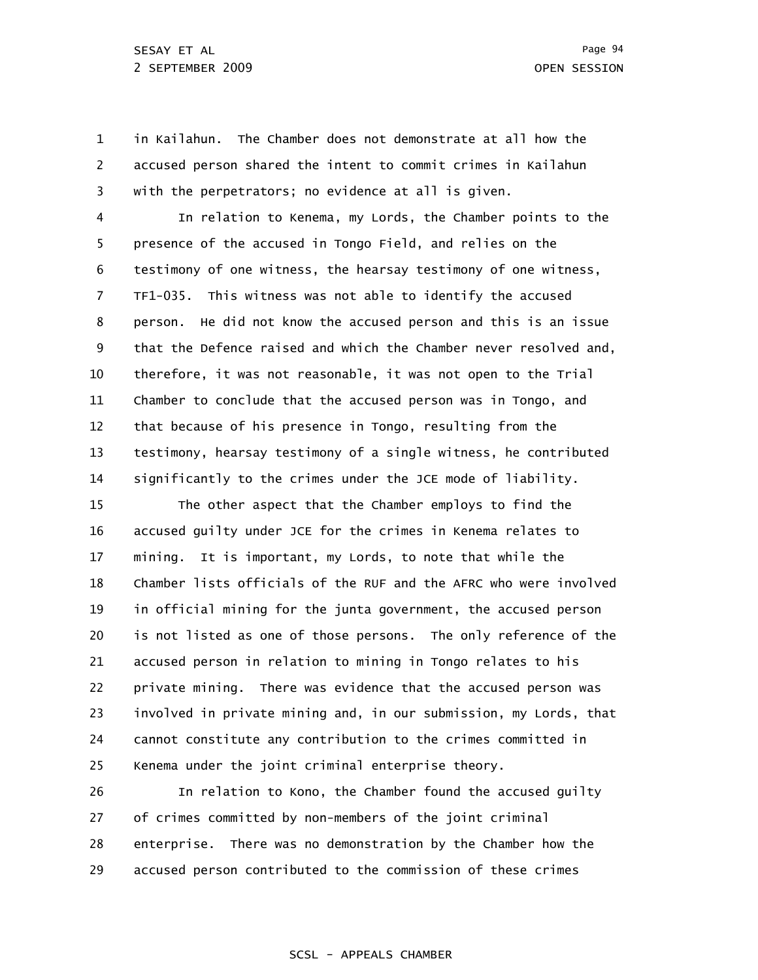1 2 3 in Kailahun. The Chamber does not demonstrate at all how the accused person shared the intent to commit crimes in Kailahun with the perpetrators; no evidence at all is given.

4 5 6 7 8 9 10 11 12 13 14 In relation to Kenema, my Lords, the Chamber points to the presence of the accused in Tongo Field, and relies on the testimony of one witness, the hearsay testimony of one witness, TF1-035. This witness was not able to identify the accused person. He did not know the accused person and this is an issue that the Defence raised and which the Chamber never resolved and, therefore, it was not reasonable, it was not open to the Trial Chamber to conclude that the accused person was in Tongo, and that because of his presence in Tongo, resulting from the testimony, hearsay testimony of a single witness, he contributed significantly to the crimes under the JCE mode of liability.

15 16 17 18 19 20 21 22 23 24 25 The other aspect that the Chamber employs to find the accused guilty under JCE for the crimes in Kenema relates to mining. It is important, my Lords, to note that while the Chamber lists officials of the RUF and the AFRC who were involved in official mining for the junta government, the accused person is not listed as one of those persons. The only reference of the accused person in relation to mining in Tongo relates to his private mining. There was evidence that the accused person was involved in private mining and, in our submission, my Lords, that cannot constitute any contribution to the crimes committed in Kenema under the joint criminal enterprise theory.

26 27 28 29 In relation to Kono, the Chamber found the accused guilty of crimes committed by non-members of the joint criminal enterprise. There was no demonstration by the Chamber how the accused person contributed to the commission of these crimes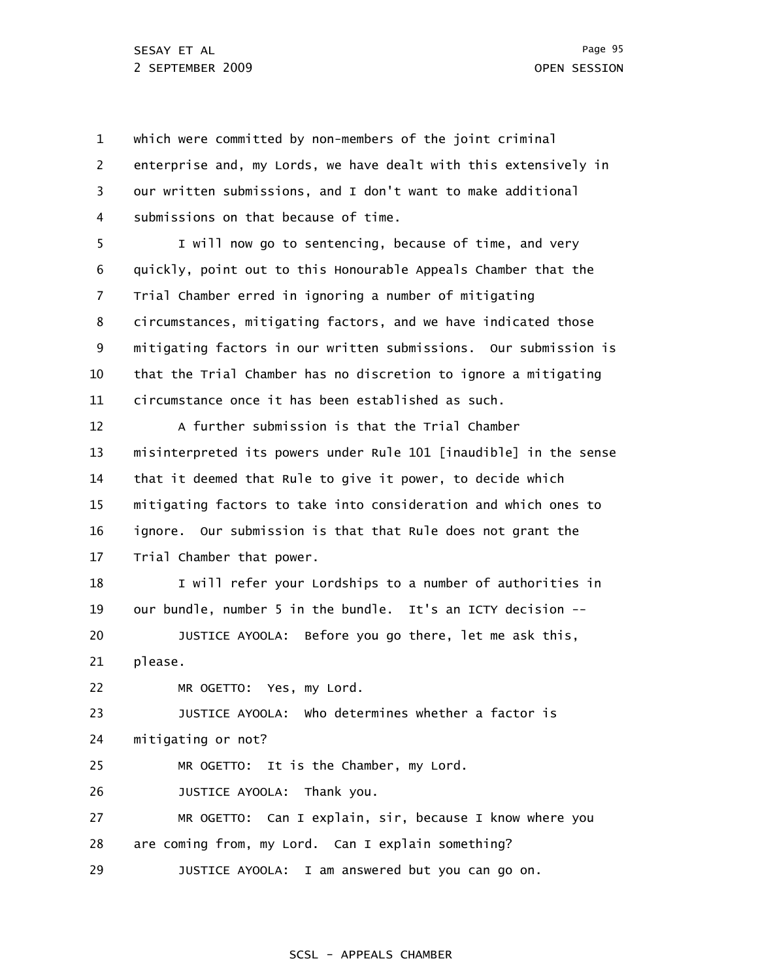1 2 3 4 5 6 7 8 9 10 11 12 13 14 15 16 17 18 19 20 21 22 23 24 25 26 27 28 which were committed by non-members of the joint criminal enterprise and, my Lords, we have dealt with this extensively in our written submissions, and I don't want to make additional submissions on that because of time. I will now go to sentencing, because of time, and very quickly, point out to this Honourable Appeals Chamber that the Trial Chamber erred in ignoring a number of mitigating circumstances, mitigating factors, and we have indicated those mitigating factors in our written submissions. Our submission is that the Trial Chamber has no discretion to ignore a mitigating circumstance once it has been established as such. A further submission is that the Trial Chamber misinterpreted its powers under Rule 101 [inaudible] in the sense that it deemed that Rule to give it power, to decide which mitigating factors to take into consideration and which ones to ignore. Our submission is that that Rule does not grant the Trial Chamber that power. I will refer your Lordships to a number of authorities in our bundle, number 5 in the bundle. It's an ICTY decision -- JUSTICE AYOOLA: Before you go there, let me ask this, please. MR OGETTO: Yes, my Lord. JUSTICE AYOOLA: Who determines whether a factor is mitigating or not? MR OGETTO: It is the Chamber, my Lord. JUSTICE AYOOLA: Thank you. MR OGETTO: Can I explain, sir, because I know where you are coming from, my Lord. Can I explain something?

29 JUSTICE AYOOLA: I am answered but you can go on.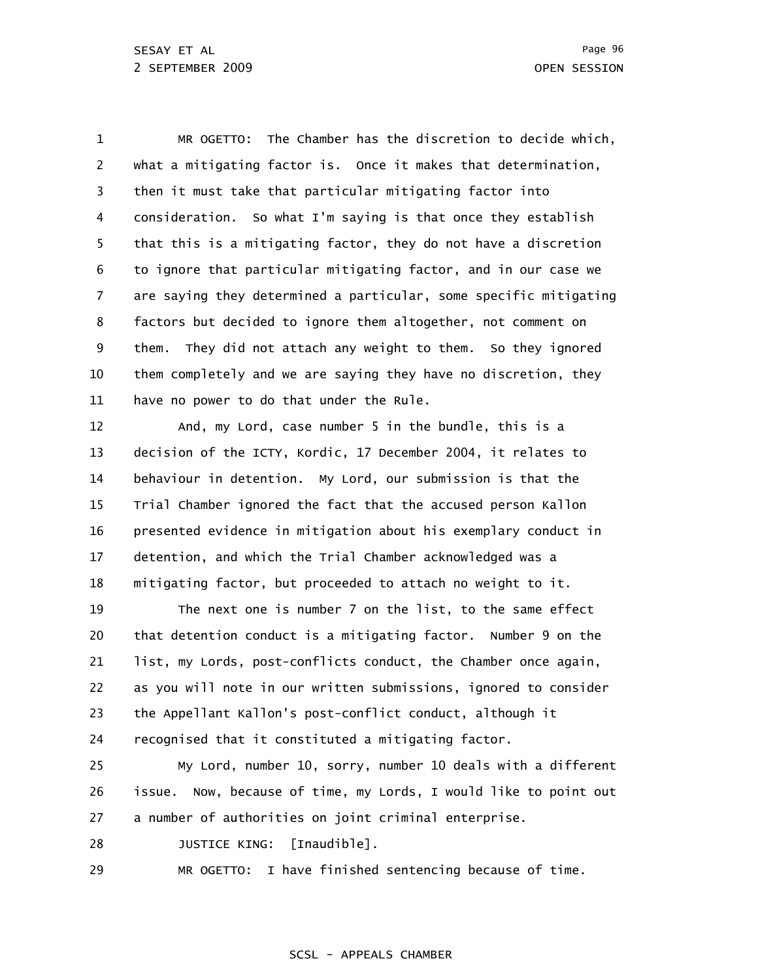1 2 3 4 5 6 7 8 9 10 11 MR OGETTO: The Chamber has the discretion to decide which, what a mitigating factor is. Once it makes that determination, then it must take that particular mitigating factor into consideration. So what I'm saying is that once they establish that this is a mitigating factor, they do not have a discretion to ignore that particular mitigating factor, and in our case we are saying they determined a particular, some specific mitigating factors but decided to ignore them altogether, not comment on them. They did not attach any weight to them. So they ignored them completely and we are saying they have no discretion, they have no power to do that under the Rule.

12 13 14 15 16 17 18 And, my Lord, case number 5 in the bundle, this is a decision of the ICTY, Kordic, 17 December 2004, it relates to behaviour in detention. My Lord, our submission is that the Trial Chamber ignored the fact that the accused person Kallon presented evidence in mitigation about his exemplary conduct in detention, and which the Trial Chamber acknowledged was a mitigating factor, but proceeded to attach no weight to it.

19 20 21 22 23 24 The next one is number 7 on the list, to the same effect that detention conduct is a mitigating factor. Number 9 on the list, my Lords, post-conflicts conduct, the Chamber once again, as you will note in our written submissions, ignored to consider the Appellant Kallon's post-conflict conduct, although it recognised that it constituted a mitigating factor.

25 26 27 My Lord, number 10, sorry, number 10 deals with a different issue. Now, because of time, my Lords, I would like to point out a number of authorities on joint criminal enterprise.

28 JUSTICE KING: [Inaudible].

29 MR OGETTO: I have finished sentencing because of time.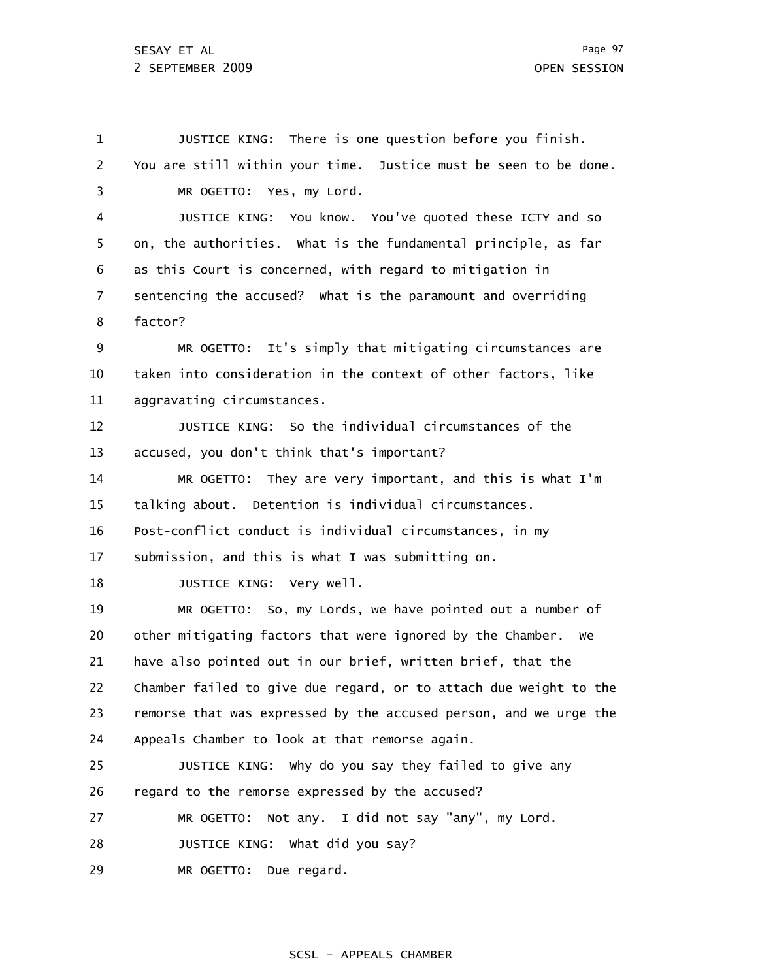1 2 3 4 5 6 7 8 9 10 11 12 13 14 15 16 17 18 19 20 21 22 23 24 25 26 27 28 29 JUSTICE KING: There is one question before you finish. You are still within your time. Justice must be seen to be done. MR OGETTO: Yes, my Lord. JUSTICE KING: You know. You've quoted these ICTY and so on, the authorities. What is the fundamental principle, as far as this Court is concerned, with regard to mitigation in sentencing the accused? What is the paramount and overriding factor? MR OGETTO: It's simply that mitigating circumstances are taken into consideration in the context of other factors, like aggravating circumstances. JUSTICE KING: So the individual circumstances of the accused, you don't think that's important? MR OGETTO: They are very important, and this is what I'm talking about. Detention is individual circumstances. Post-conflict conduct is individual circumstances, in my submission, and this is what I was submitting on. JUSTICE KING: Very well. MR OGETTO: So, my Lords, we have pointed out a number of other mitigating factors that were ignored by the Chamber. We have also pointed out in our brief, written brief, that the Chamber failed to give due regard, or to attach due weight to the remorse that was expressed by the accused person, and we urge the Appeals Chamber to look at that remorse again. JUSTICE KING: Why do you say they failed to give any regard to the remorse expressed by the accused? MR OGETTO: Not any. I did not say "any", my Lord. JUSTICE KING: What did you say? MR OGETTO: Due regard.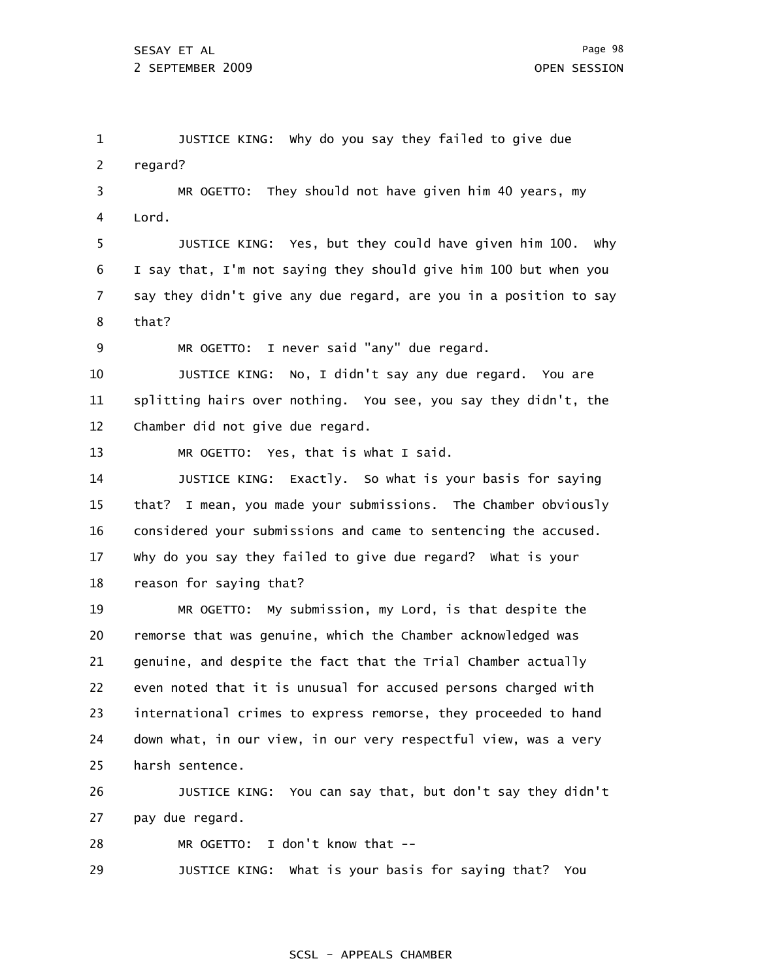1 2 3 4 5 6 7 8 9 10 11 12 13 14 15 16 17 18 19 20 21 22 23 24 25 26 JUSTICE KING: Why do you say they failed to give due regard? MR OGETTO: They should not have given him 40 years, my Lord. JUSTICE KING: Yes, but they could have given him 100. Why I say that, I'm not saying they should give him 100 but when you say they didn't give any due regard, are you in a position to say that? MR OGETTO: I never said "any" due regard. JUSTICE KING: No, I didn't say any due regard. You are splitting hairs over nothing. You see, you say they didn't, the Chamber did not give due regard. MR OGETTO: Yes, that is what I said. JUSTICE KING: Exactly. So what is your basis for saying that? I mean, you made your submissions. The Chamber obviously considered your submissions and came to sentencing the accused. Why do you say they failed to give due regard? What is your reason for saying that? MR OGETTO: My submission, my Lord, is that despite the remorse that was genuine, which the Chamber acknowledged was genuine, and despite the fact that the Trial Chamber actually even noted that it is unusual for accused persons charged with international crimes to express remorse, they proceeded to hand down what, in our view, in our very respectful view, was a very harsh sentence. JUSTICE KING: You can say that, but don't say they didn't

27 pay due regard.

28 MR OGETTO: I don't know that --

29 JUSTICE KING: What is your basis for saying that? You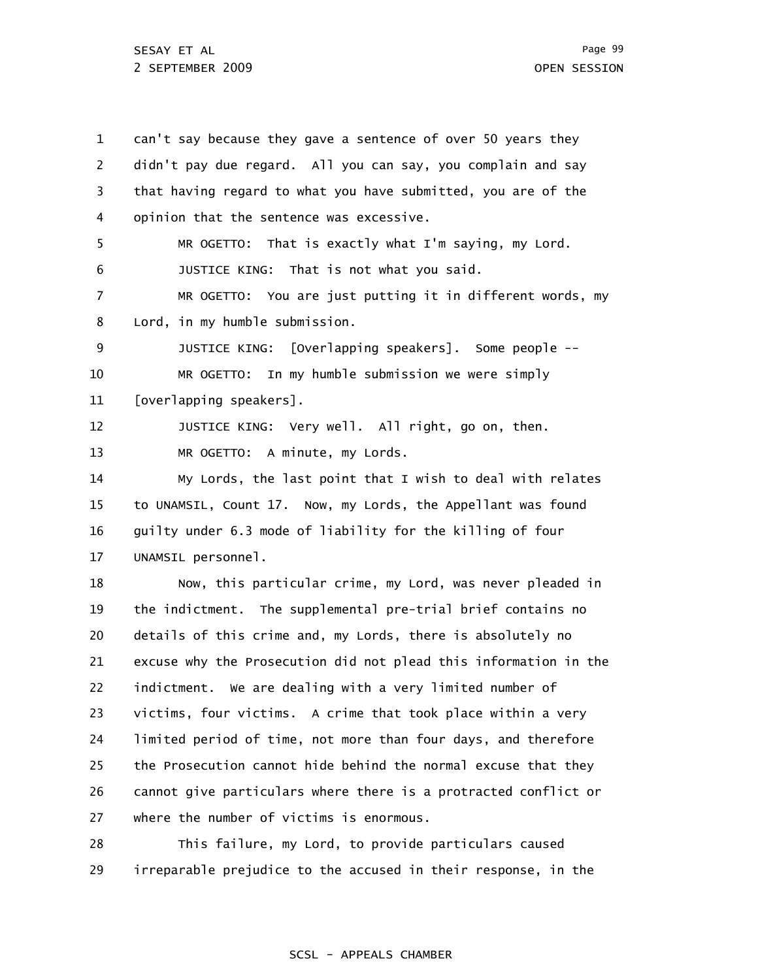1 2 3 4 5 6 7 8 9 10 11 12 13 14 15 16 17 18 19 20 21 22 23 24 25 26 27 28 can't say because they gave a sentence of over 50 years they didn't pay due regard. All you can say, you complain and say that having regard to what you have submitted, you are of the opinion that the sentence was excessive. MR OGETTO: That is exactly what I'm saying, my Lord. JUSTICE KING: That is not what you said. MR OGETTO: You are just putting it in different words, my Lord, in my humble submission. JUSTICE KING: [Overlapping speakers]. Some people -- MR OGETTO: In my humble submission we were simply [overlapping speakers]. JUSTICE KING: Very well. All right, go on, then. MR OGETTO: A minute, my Lords. My Lords, the last point that I wish to deal with relates to UNAMSIL, Count 17. Now, my Lords, the Appellant was found guilty under 6.3 mode of liability for the killing of four UNAMSIL personnel. Now, this particular crime, my Lord, was never pleaded in the indictment. The supplemental pre-trial brief contains no details of this crime and, my Lords, there is absolutely no excuse why the Prosecution did not plead this information in the indictment. We are dealing with a very limited number of victims, four victims. A crime that took place within a very limited period of time, not more than four days, and therefore the Prosecution cannot hide behind the normal excuse that they cannot give particulars where there is a protracted conflict or where the number of victims is enormous. This failure, my Lord, to provide particulars caused

29 irreparable prejudice to the accused in their response, in the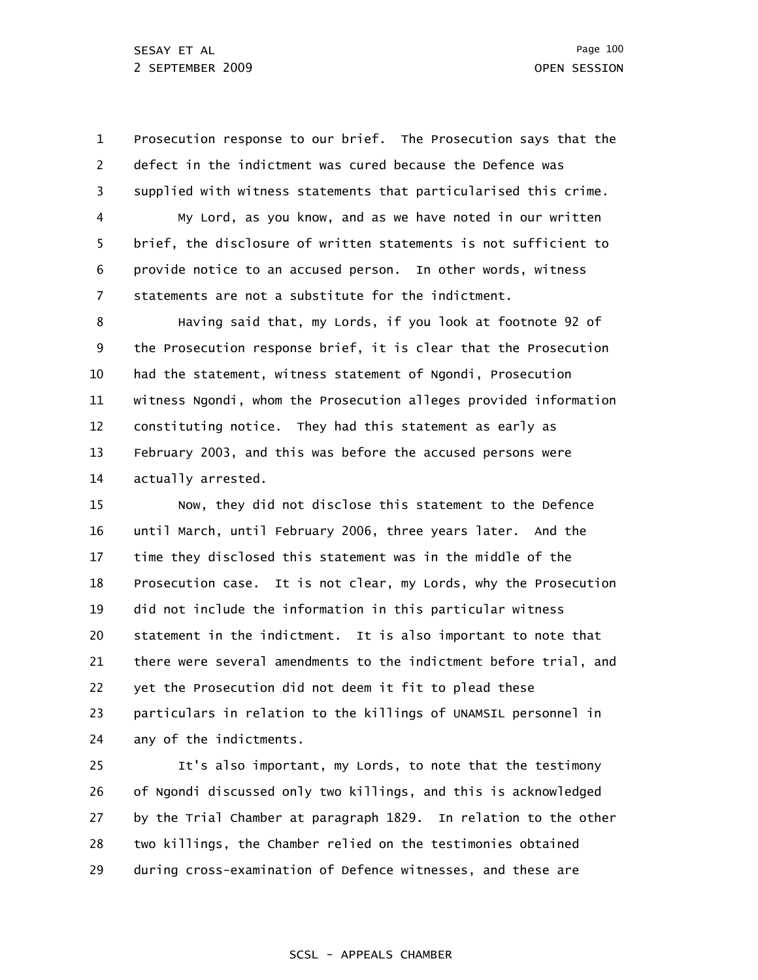1 2 3 4 5 6 7 8 Prosecution response to our brief. The Prosecution says that the defect in the indictment was cured because the Defence was supplied with witness statements that particularised this crime. My Lord, as you know, and as we have noted in our written brief, the disclosure of written statements is not sufficient to provide notice to an accused person. In other words, witness statements are not a substitute for the indictment. Having said that, my Lords, if you look at footnote 92 of

9 10 11 12 13 14 the Prosecution response brief, it is clear that the Prosecution had the statement, witness statement of Ngondi, Prosecution witness Ngondi, whom the Prosecution alleges provided information constituting notice. They had this statement as early as February 2003, and this was before the accused persons were actually arrested.

15 16 17 18 19 20 21 22 23 24 Now, they did not disclose this statement to the Defence until March, until February 2006, three years later. And the time they disclosed this statement was in the middle of the Prosecution case. It is not clear, my Lords, why the Prosecution did not include the information in this particular witness statement in the indictment. It is also important to note that there were several amendments to the indictment before trial, and yet the Prosecution did not deem it fit to plead these particulars in relation to the killings of UNAMSIL personnel in any of the indictments.

25 26 27 28 29 It's also important, my Lords, to note that the testimony of Ngondi discussed only two killings, and this is acknowledged by the Trial Chamber at paragraph 1829. In relation to the other two killings, the Chamber relied on the testimonies obtained during cross-examination of Defence witnesses, and these are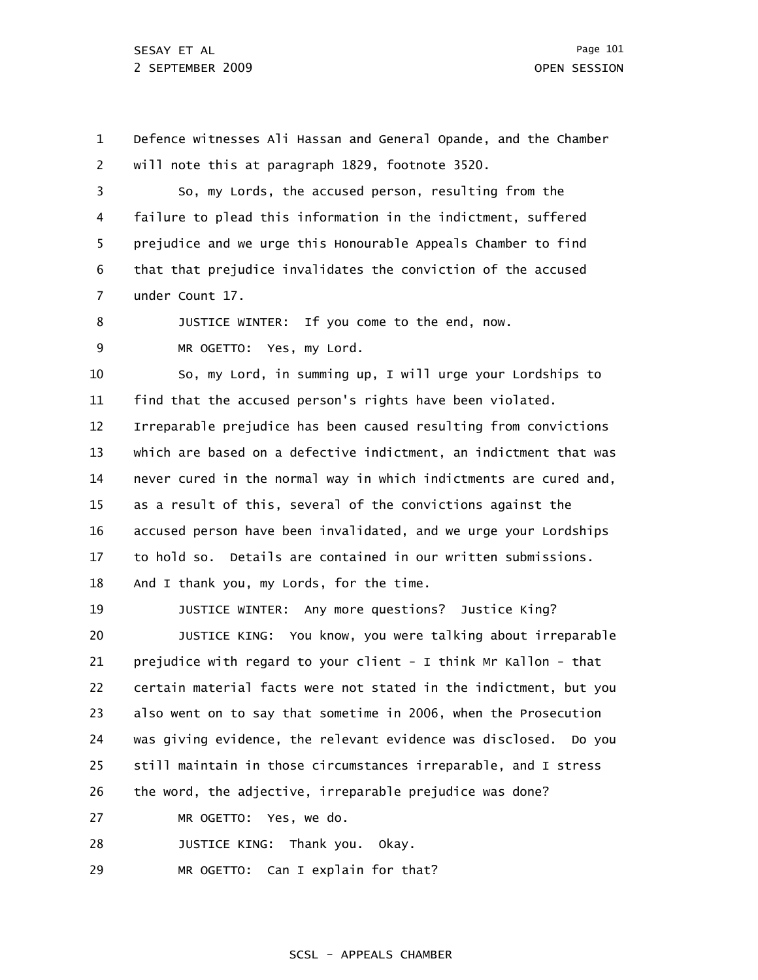1 2 Defence witnesses Ali Hassan and General Opande, and the Chamber will note this at paragraph 1829, footnote 3520.

3 4 5 6 7 So, my Lords, the accused person, resulting from the failure to plead this information in the indictment, suffered prejudice and we urge this Honourable Appeals Chamber to find that that prejudice invalidates the conviction of the accused under Count 17.

8 JUSTICE WINTER: If you come to the end, now.

9 MR OGETTO: Yes, my Lord.

10 11 So, my Lord, in summing up, I will urge your Lordships to find that the accused person's rights have been violated.

12 13 14 15 16 17 18 Irreparable prejudice has been caused resulting from convictions which are based on a defective indictment, an indictment that was never cured in the normal way in which indictments are cured and, as a result of this, several of the convictions against the accused person have been invalidated, and we urge your Lordships to hold so. Details are contained in our written submissions. And I thank you, my Lords, for the time.

19 JUSTICE WINTER: Any more questions? Justice King?

20 21 22 23 24 25 26 JUSTICE KING: You know, you were talking about irreparable prejudice with regard to your client - I think Mr Kallon - that certain material facts were not stated in the indictment, but you also went on to say that sometime in 2006, when the Prosecution was giving evidence, the relevant evidence was disclosed. Do you still maintain in those circumstances irreparable, and I stress the word, the adjective, irreparable prejudice was done?

27 MR OGETTO: Yes, we do.

28 JUSTICE KING: Thank you. Okay.

29 MR OGETTO: Can I explain for that?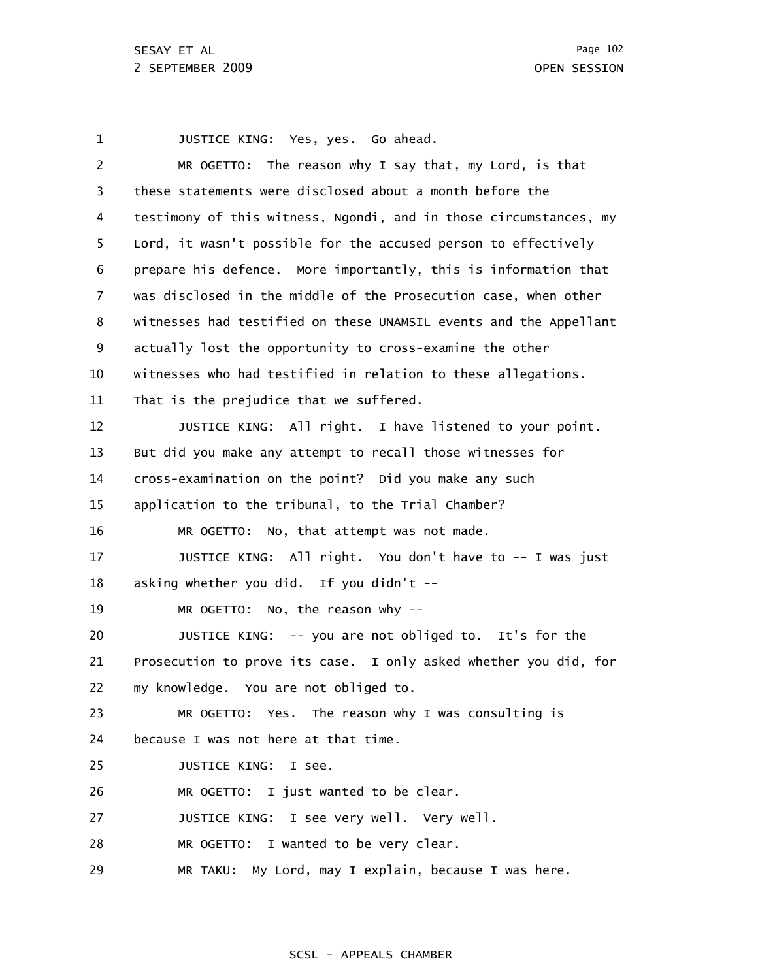1 2 3 4 5 6 7 8 9 10 11 12 13 14 15 16 17 18 19 20 21 22 23 24 25 26 27 28 29 JUSTICE KING: Yes, yes. Go ahead. MR OGETTO: The reason why I say that, my Lord, is that these statements were disclosed about a month before the testimony of this witness, Ngondi, and in those circumstances, my Lord, it wasn't possible for the accused person to effectively prepare his defence. More importantly, this is information that was disclosed in the middle of the Prosecution case, when other witnesses had testified on these UNAMSIL events and the Appellant actually lost the opportunity to cross-examine the other witnesses who had testified in relation to these allegations. That is the prejudice that we suffered. JUSTICE KING: All right. I have listened to your point. But did you make any attempt to recall those witnesses for cross-examination on the point? Did you make any such application to the tribunal, to the Trial Chamber? MR OGETTO: No, that attempt was not made. JUSTICE KING: All right. You don't have to -- I was just asking whether you did. If you didn't -- MR OGETTO: No, the reason why -- JUSTICE KING: -- you are not obliged to. It's for the Prosecution to prove its case. I only asked whether you did, for my knowledge. You are not obliged to. MR OGETTO: Yes. The reason why I was consulting is because I was not here at that time. JUSTICE KING: I see. MR OGETTO: I just wanted to be clear. JUSTICE KING: I see very well. Very well. MR OGETTO: I wanted to be very clear. MR TAKU: My Lord, may I explain, because I was here.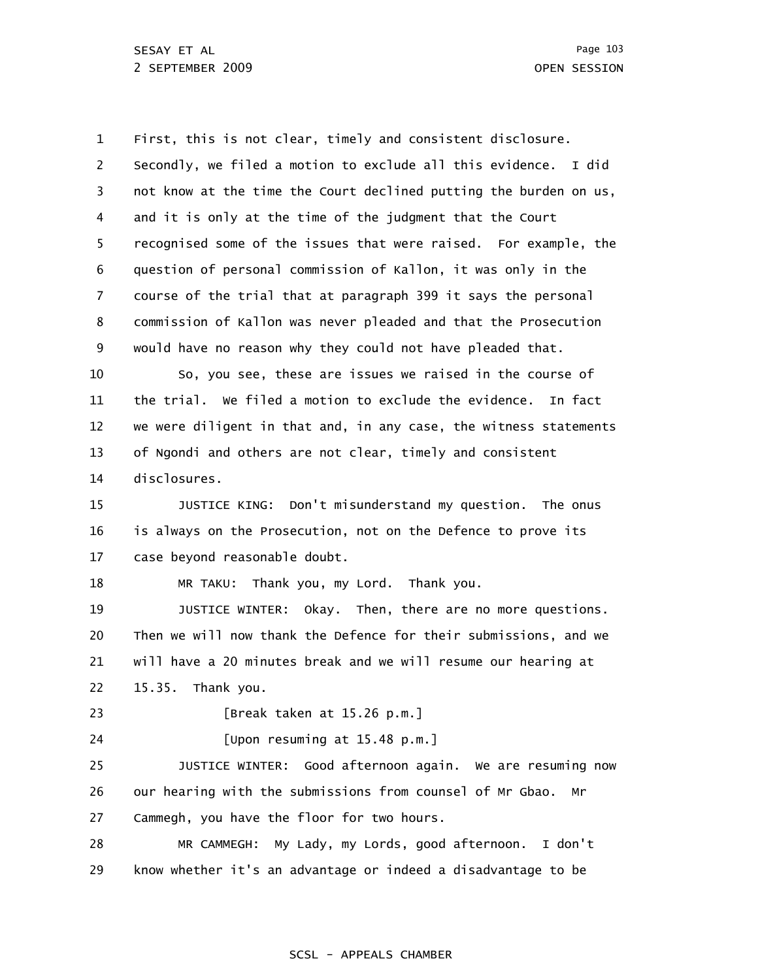1 2 3 4 5 6 7 8 9 10 11 12 13 14 15 16 17 18 19 20 21 22 23 24 25 26 27 28 29 First, this is not clear, timely and consistent disclosure. Secondly, we filed a motion to exclude all this evidence. I did not know at the time the Court declined putting the burden on us, and it is only at the time of the judgment that the Court recognised some of the issues that were raised. For example, the question of personal commission of Kallon, it was only in the course of the trial that at paragraph 399 it says the personal commission of Kallon was never pleaded and that the Prosecution would have no reason why they could not have pleaded that. So, you see, these are issues we raised in the course of the trial. We filed a motion to exclude the evidence. In fact we were diligent in that and, in any case, the witness statements of Ngondi and others are not clear, timely and consistent disclosures. JUSTICE KING: Don't misunderstand my question. The onus is always on the Prosecution, not on the Defence to prove its case beyond reasonable doubt. MR TAKU: Thank you, my Lord. Thank you. JUSTICE WINTER: Okay. Then, there are no more questions. Then we will now thank the Defence for their submissions, and we will have a 20 minutes break and we will resume our hearing at 15.35. Thank you. [Break taken at 15.26 p.m.] [Upon resuming at 15.48 p.m.] JUSTICE WINTER: Good afternoon again. We are resuming now our hearing with the submissions from counsel of Mr Gbao. Mr Cammegh, you have the floor for two hours. MR CAMMEGH: My Lady, my Lords, good afternoon. I don't know whether it's an advantage or indeed a disadvantage to be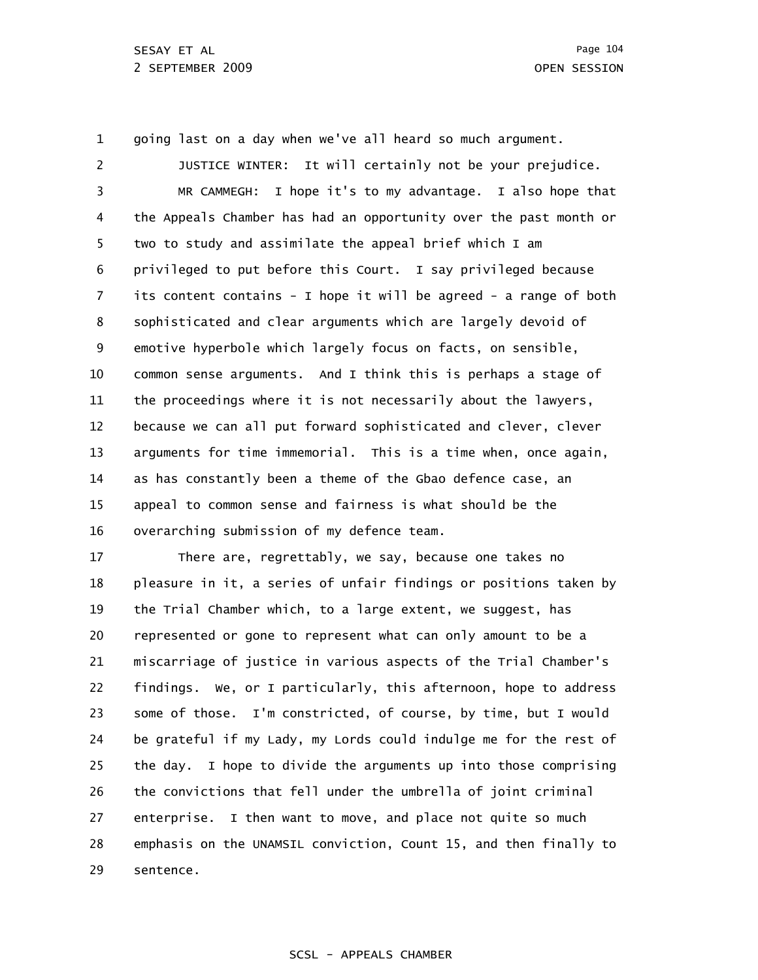1 going last on a day when we've all heard so much argument.

2 3 4 5 6 7 8 9 10 11 12 13 14 15 16 JUSTICE WINTER: It will certainly not be your prejudice. MR CAMMEGH: I hope it's to my advantage. I also hope that the Appeals Chamber has had an opportunity over the past month or two to study and assimilate the appeal brief which I am privileged to put before this Court. I say privileged because its content contains - I hope it will be agreed - a range of both sophisticated and clear arguments which are largely devoid of emotive hyperbole which largely focus on facts, on sensible, common sense arguments. And I think this is perhaps a stage of the proceedings where it is not necessarily about the lawyers, because we can all put forward sophisticated and clever, clever arguments for time immemorial. This is a time when, once again, as has constantly been a theme of the Gbao defence case, an appeal to common sense and fairness is what should be the overarching submission of my defence team.

17 18 19 20 21 22 23 24 25 26 27 28 29 There are, regrettably, we say, because one takes no pleasure in it, a series of unfair findings or positions taken by the Trial Chamber which, to a large extent, we suggest, has represented or gone to represent what can only amount to be a miscarriage of justice in various aspects of the Trial Chamber's findings. We, or I particularly, this afternoon, hope to address some of those. I'm constricted, of course, by time, but I would be grateful if my Lady, my Lords could indulge me for the rest of the day. I hope to divide the arguments up into those comprising the convictions that fell under the umbrella of joint criminal enterprise. I then want to move, and place not quite so much emphasis on the UNAMSIL conviction, Count 15, and then finally to sentence.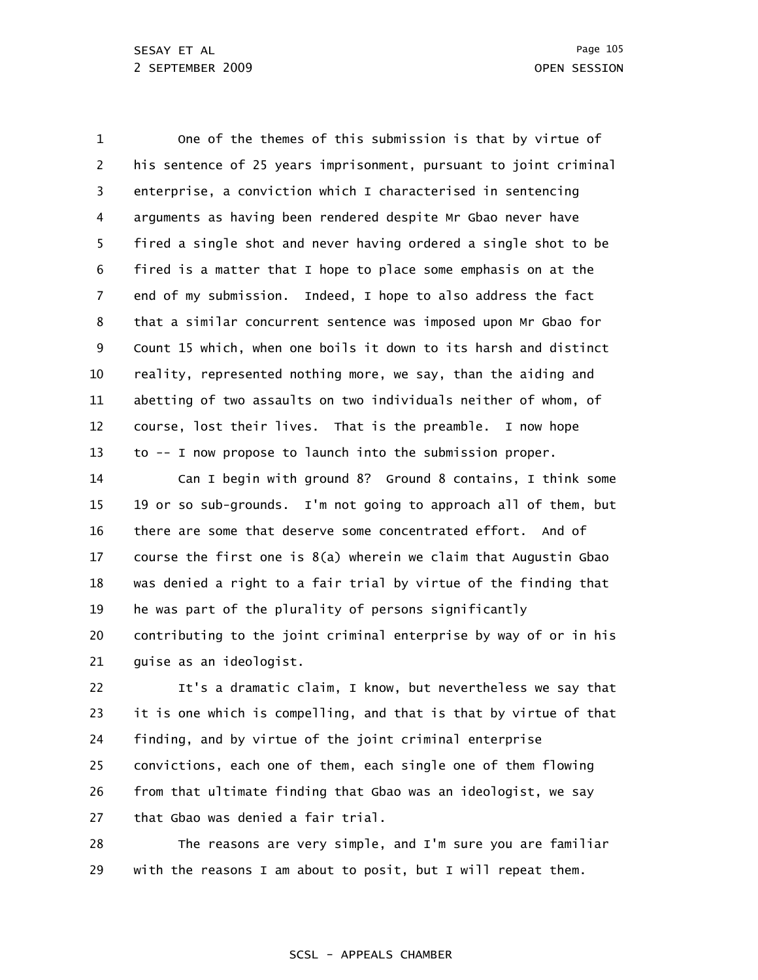1 2 3 4 5 6 7 8 9 10 11 12 13 One of the themes of this submission is that by virtue of his sentence of 25 years imprisonment, pursuant to joint criminal enterprise, a conviction which I characterised in sentencing arguments as having been rendered despite Mr Gbao never have fired a single shot and never having ordered a single shot to be fired is a matter that I hope to place some emphasis on at the end of my submission. Indeed, I hope to also address the fact that a similar concurrent sentence was imposed upon Mr Gbao for Count 15 which, when one boils it down to its harsh and distinct reality, represented nothing more, we say, than the aiding and abetting of two assaults on two individuals neither of whom, of course, lost their lives. That is the preamble. I now hope to -- I now propose to launch into the submission proper.

14 15 16 17 18 19 20 21 Can I begin with ground 8? Ground 8 contains, I think some 19 or so sub-grounds. I'm not going to approach all of them, but there are some that deserve some concentrated effort. And of course the first one is 8(a) wherein we claim that Augustin Gbao was denied a right to a fair trial by virtue of the finding that he was part of the plurality of persons significantly contributing to the joint criminal enterprise by way of or in his guise as an ideologist.

22 23 24 25 26 27 It's a dramatic claim, I know, but nevertheless we say that it is one which is compelling, and that is that by virtue of that finding, and by virtue of the joint criminal enterprise convictions, each one of them, each single one of them flowing from that ultimate finding that Gbao was an ideologist, we say that Gbao was denied a fair trial.

28 29 The reasons are very simple, and I'm sure you are familiar with the reasons I am about to posit, but I will repeat them.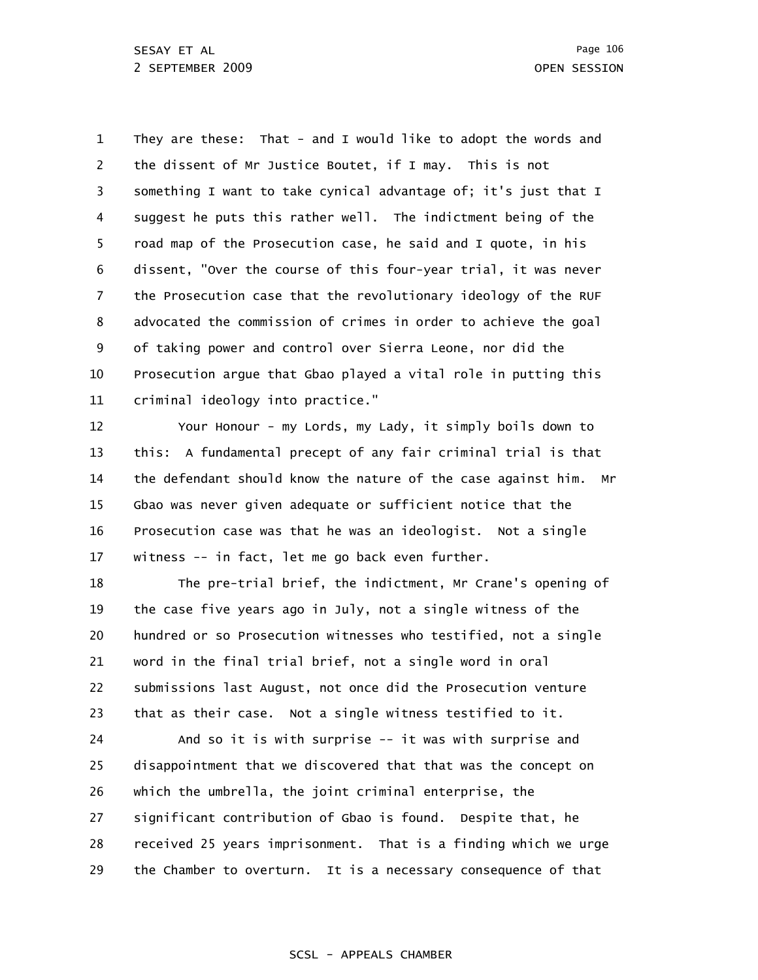1 2 3 4 5 6 7 8 9 10 11 They are these: That - and I would like to adopt the words and the dissent of Mr Justice Boutet, if I may. This is not something I want to take cynical advantage of; it's just that I suggest he puts this rather well. The indictment being of the road map of the Prosecution case, he said and I quote, in his dissent, "Over the course of this four-year trial, it was never the Prosecution case that the revolutionary ideology of the RUF advocated the commission of crimes in order to achieve the goal of taking power and control over Sierra Leone, nor did the Prosecution argue that Gbao played a vital role in putting this criminal ideology into practice."

12 13 14 15 16 17 Your Honour - my Lords, my Lady, it simply boils down to this: A fundamental precept of any fair criminal trial is that the defendant should know the nature of the case against him. Mr Gbao was never given adequate or sufficient notice that the Prosecution case was that he was an ideologist. Not a single witness -- in fact, let me go back even further.

18 19 20 21 22 23 The pre-trial brief, the indictment, Mr Crane's opening of the case five years ago in July, not a single witness of the hundred or so Prosecution witnesses who testified, not a single word in the final trial brief, not a single word in oral submissions last August, not once did the Prosecution venture that as their case. Not a single witness testified to it.

24 25 26 27 28 29 And so it is with surprise -- it was with surprise and disappointment that we discovered that that was the concept on which the umbrella, the joint criminal enterprise, the significant contribution of Gbao is found. Despite that, he received 25 years imprisonment. That is a finding which we urge the Chamber to overturn. It is a necessary consequence of that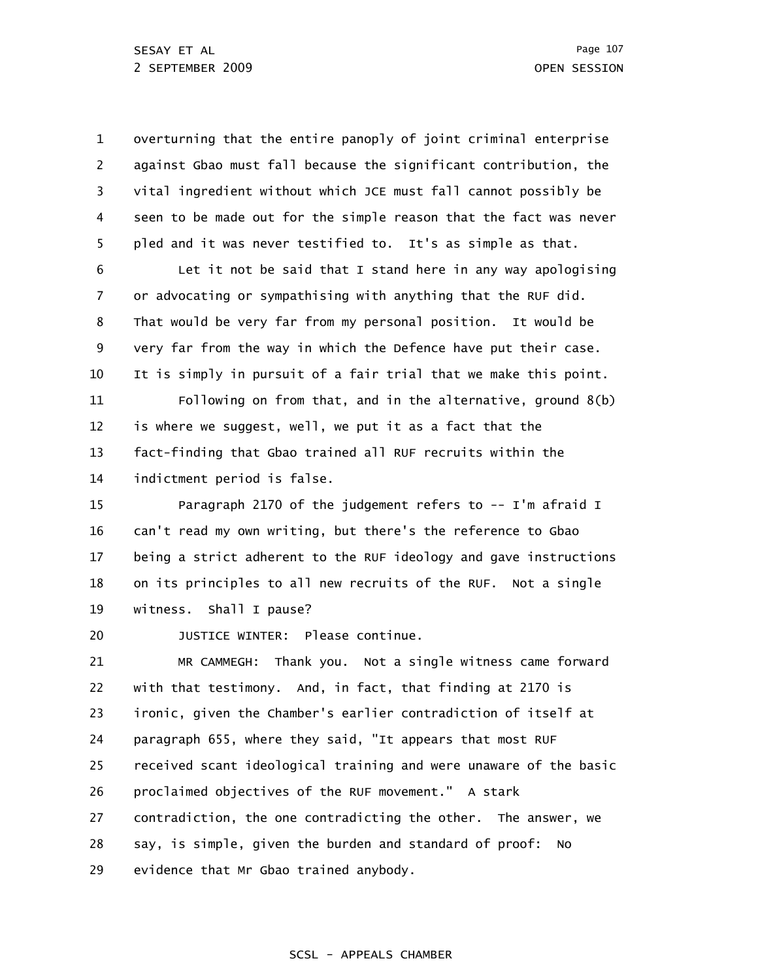1 2 3 4 5 overturning that the entire panoply of joint criminal enterprise against Gbao must fall because the significant contribution, the vital ingredient without which JCE must fall cannot possibly be seen to be made out for the simple reason that the fact was never pled and it was never testified to. It's as simple as that.

6 7 8 9 10 11 Let it not be said that I stand here in any way apologising or advocating or sympathising with anything that the RUF did. That would be very far from my personal position. It would be very far from the way in which the Defence have put their case. It is simply in pursuit of a fair trial that we make this point. Following on from that, and in the alternative, ground 8(b)

12 13 14 is where we suggest, well, we put it as a fact that the fact-finding that Gbao trained all RUF recruits within the indictment period is false.

15 16 17 18 19 Paragraph 2170 of the judgement refers to -- I'm afraid I can't read my own writing, but there's the reference to Gbao being a strict adherent to the RUF ideology and gave instructions on its principles to all new recruits of the RUF. Not a single witness. Shall I pause?

20 JUSTICE WINTER: Please continue.

21 22 23 24 25 26 27 28 29 MR CAMMEGH: Thank you. Not a single witness came forward with that testimony. And, in fact, that finding at 2170 is ironic, given the Chamber's earlier contradiction of itself at paragraph 655, where they said, "It appears that most RUF received scant ideological training and were unaware of the basic proclaimed objectives of the RUF movement." A stark contradiction, the one contradicting the other. The answer, we say, is simple, given the burden and standard of proof: No evidence that Mr Gbao trained anybody.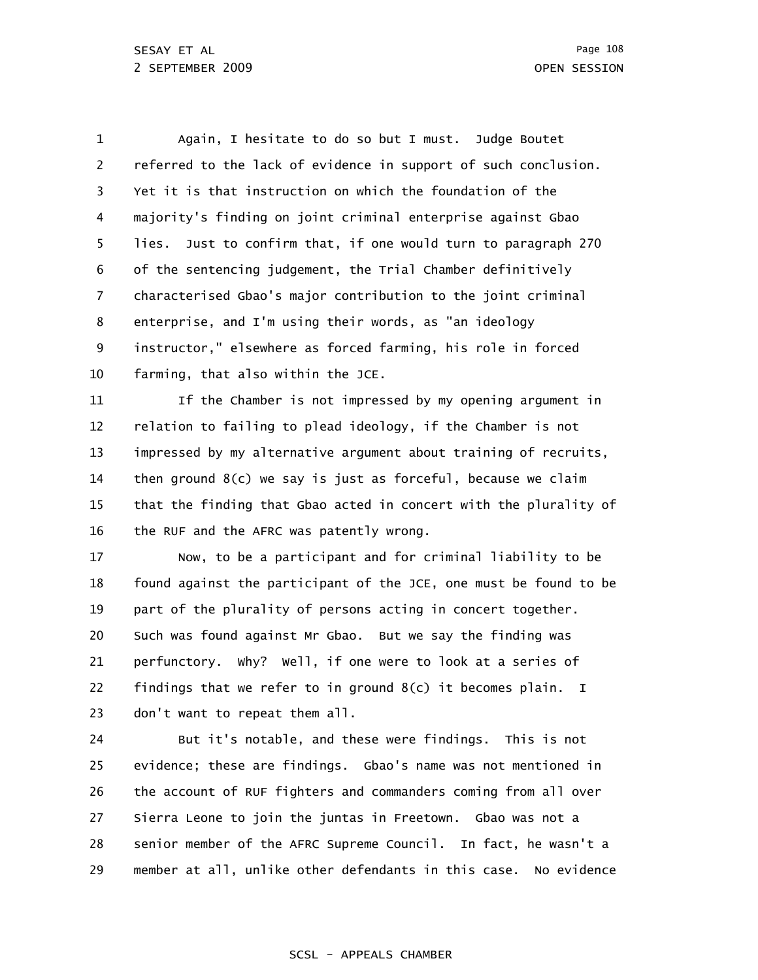1 2 3 4 5 6 7 8 9 10 Again, I hesitate to do so but I must. Judge Boutet referred to the lack of evidence in support of such conclusion. Yet it is that instruction on which the foundation of the majority's finding on joint criminal enterprise against Gbao lies. Just to confirm that, if one would turn to paragraph 270 of the sentencing judgement, the Trial Chamber definitively characterised Gbao's major contribution to the joint criminal enterprise, and I'm using their words, as "an ideology instructor," elsewhere as forced farming, his role in forced farming, that also within the JCE.

11 12 13 14 15 16 If the Chamber is not impressed by my opening argument in relation to failing to plead ideology, if the Chamber is not impressed by my alternative argument about training of recruits, then ground 8(c) we say is just as forceful, because we claim that the finding that Gbao acted in concert with the plurality of the RUF and the AFRC was patently wrong.

17 18 19 20 21 22 23 Now, to be a participant and for criminal liability to be found against the participant of the JCE, one must be found to be part of the plurality of persons acting in concert together. Such was found against Mr Gbao. But we say the finding was perfunctory. Why? Well, if one were to look at a series of findings that we refer to in ground 8(c) it becomes plain. I don't want to repeat them all.

24 25 26 27 28 29 But it's notable, and these were findings. This is not evidence; these are findings. Gbao's name was not mentioned in the account of RUF fighters and commanders coming from all over Sierra Leone to join the juntas in Freetown. Gbao was not a senior member of the AFRC Supreme Council. In fact, he wasn't a member at all, unlike other defendants in this case. No evidence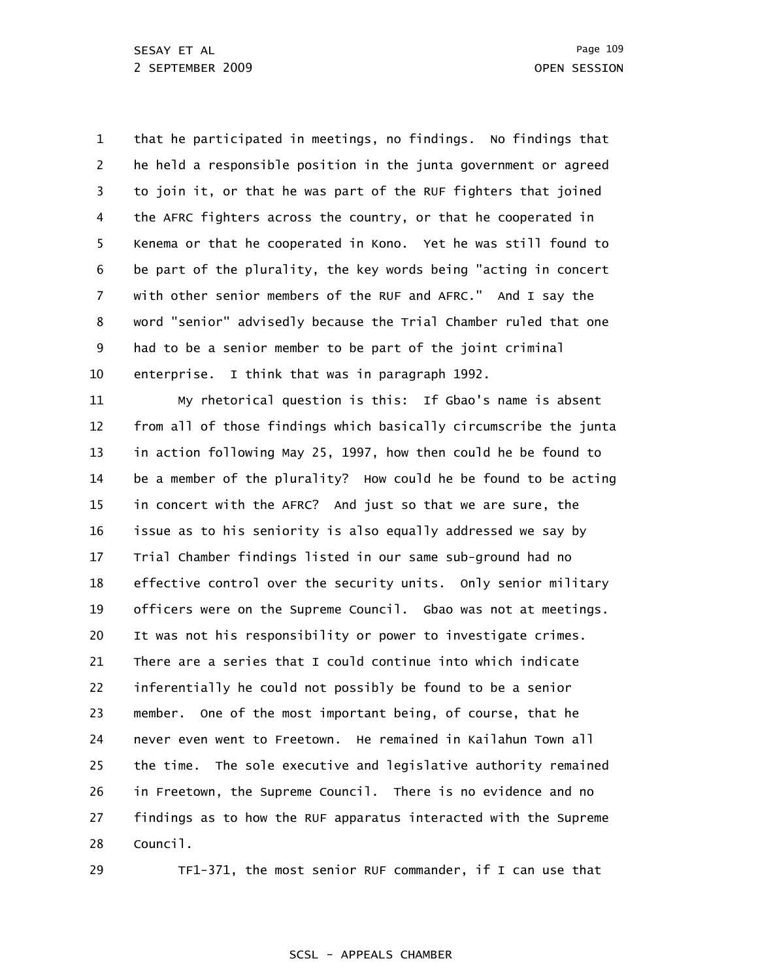1 2 3 4 5 6 7 8 9 10 that he participated in meetings, no findings. No findings that he held a responsible position in the junta government or agreed to join it, or that he was part of the RUF fighters that joined the AFRC fighters across the country, or that he cooperated in Kenema or that he cooperated in Kono. Yet he was still found to be part of the plurality, the key words being "acting in concert with other senior members of the RUF and AFRC." And I say the word "senior" advisedly because the Trial Chamber ruled that one had to be a senior member to be part of the joint criminal enterprise. I think that was in paragraph 1992.

11 12 13 14 15 16 17 18 19 20 21 22 23 24 25 26 27 28 My rhetorical question is this: If Gbao's name is absent from all of those findings which basically circumscribe the junta in action following May 25, 1997, how then could he be found to be a member of the plurality? How could he be found to be acting in concert with the AFRC? And just so that we are sure, the issue as to his seniority is also equally addressed we say by Trial Chamber findings listed in our same sub-ground had no effective control over the security units. Only senior military officers were on the Supreme Council. Gbao was not at meetings. It was not his responsibility or power to investigate crimes. There are a series that I could continue into which indicate inferentially he could not possibly be found to be a senior member. One of the most important being, of course, that he never even went to Freetown. He remained in Kailahun Town all the time. The sole executive and legislative authority remained in Freetown, the Supreme Council. There is no evidence and no findings as to how the RUF apparatus interacted with the Supreme Council.

29

TF1-371, the most senior RUF commander, if I can use that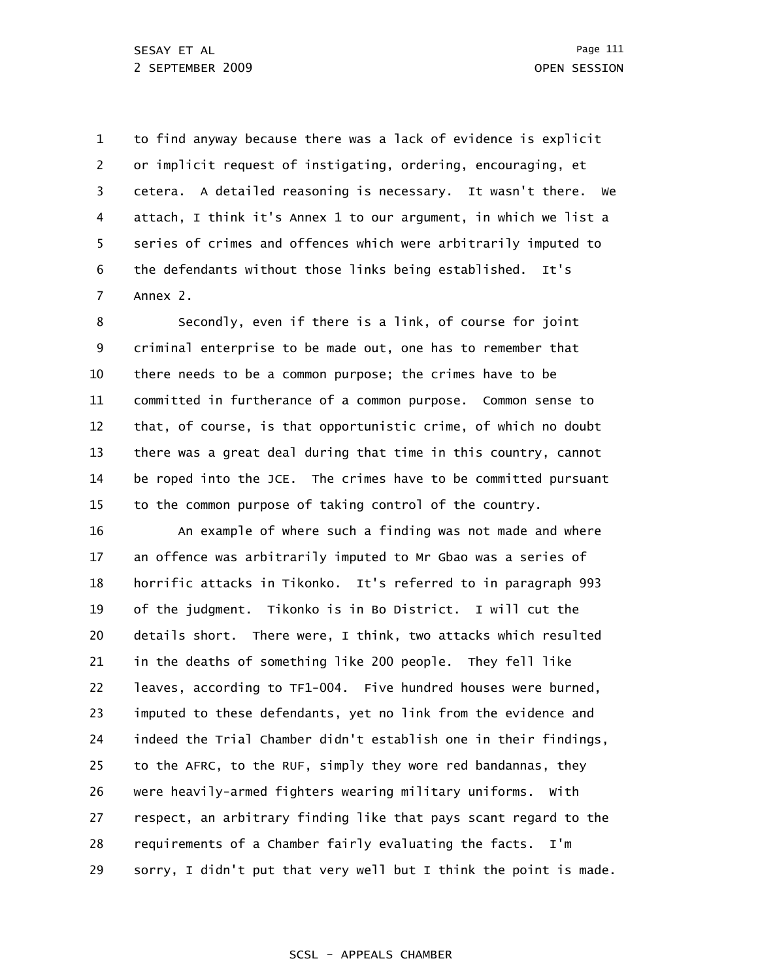1 2 3 4 5 6 7 to find anyway because there was a lack of evidence is explicit or implicit request of instigating, ordering, encouraging, et cetera. A detailed reasoning is necessary. It wasn't there. We attach, I think it's Annex 1 to our argument, in which we list a series of crimes and offences which were arbitrarily imputed to the defendants without those links being established. It's Annex 2.

8 9 10 11 12 13 14 15 Secondly, even if there is a link, of course for joint criminal enterprise to be made out, one has to remember that there needs to be a common purpose; the crimes have to be committed in furtherance of a common purpose. Common sense to that, of course, is that opportunistic crime, of which no doubt there was a great deal during that time in this country, cannot be roped into the JCE. The crimes have to be committed pursuant to the common purpose of taking control of the country.

16 17 18 19 20 21 22 23 24 25 26 27 28 29 An example of where such a finding was not made and where an offence was arbitrarily imputed to Mr Gbao was a series of horrific attacks in Tikonko. It's referred to in paragraph 993 of the judgment. Tikonko is in Bo District. I will cut the details short. There were, I think, two attacks which resulted in the deaths of something like 200 people. They fell like leaves, according to TF1-004. Five hundred houses were burned, imputed to these defendants, yet no link from the evidence and indeed the Trial Chamber didn't establish one in their findings, to the AFRC, to the RUF, simply they wore red bandannas, they were heavily-armed fighters wearing military uniforms. With respect, an arbitrary finding like that pays scant regard to the requirements of a Chamber fairly evaluating the facts. I'm sorry, I didn't put that very well but I think the point is made.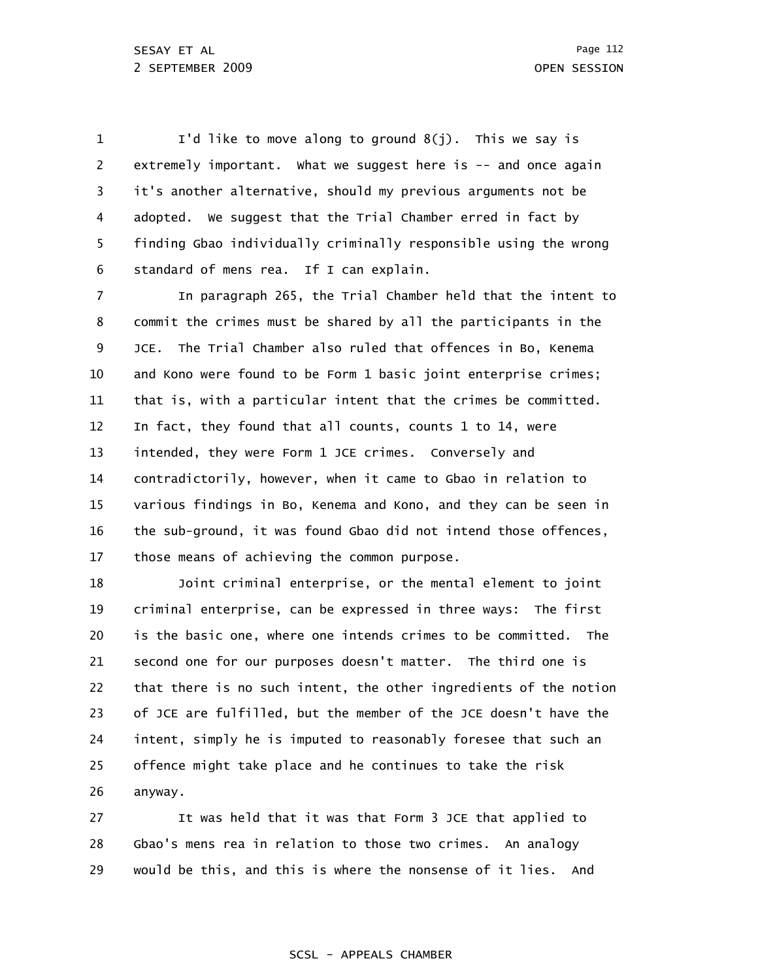1 2 3 4 5 6 I'd like to move along to ground  $8(j)$ . This we say is extremely important. What we suggest here is -- and once again it's another alternative, should my previous arguments not be adopted. We suggest that the Trial Chamber erred in fact by finding Gbao individually criminally responsible using the wrong standard of mens rea. If I can explain.

7 8 9 10 11 12 13 14 15 16 17 In paragraph 265, the Trial Chamber held that the intent to commit the crimes must be shared by all the participants in the JCE. The Trial Chamber also ruled that offences in Bo, Kenema and Kono were found to be Form 1 basic joint enterprise crimes; that is, with a particular intent that the crimes be committed. In fact, they found that all counts, counts 1 to 14, were intended, they were Form 1 JCE crimes. Conversely and contradictorily, however, when it came to Gbao in relation to various findings in Bo, Kenema and Kono, and they can be seen in the sub-ground, it was found Gbao did not intend those offences, those means of achieving the common purpose.

18 19 20 21 22 23 24 25 26 Joint criminal enterprise, or the mental element to joint criminal enterprise, can be expressed in three ways: The first is the basic one, where one intends crimes to be committed. The second one for our purposes doesn't matter. The third one is that there is no such intent, the other ingredients of the notion of JCE are fulfilled, but the member of the JCE doesn't have the intent, simply he is imputed to reasonably foresee that such an offence might take place and he continues to take the risk anyway.

27 28 29 It was held that it was that Form 3 JCE that applied to Gbao's mens rea in relation to those two crimes. An analogy would be this, and this is where the nonsense of it lies. And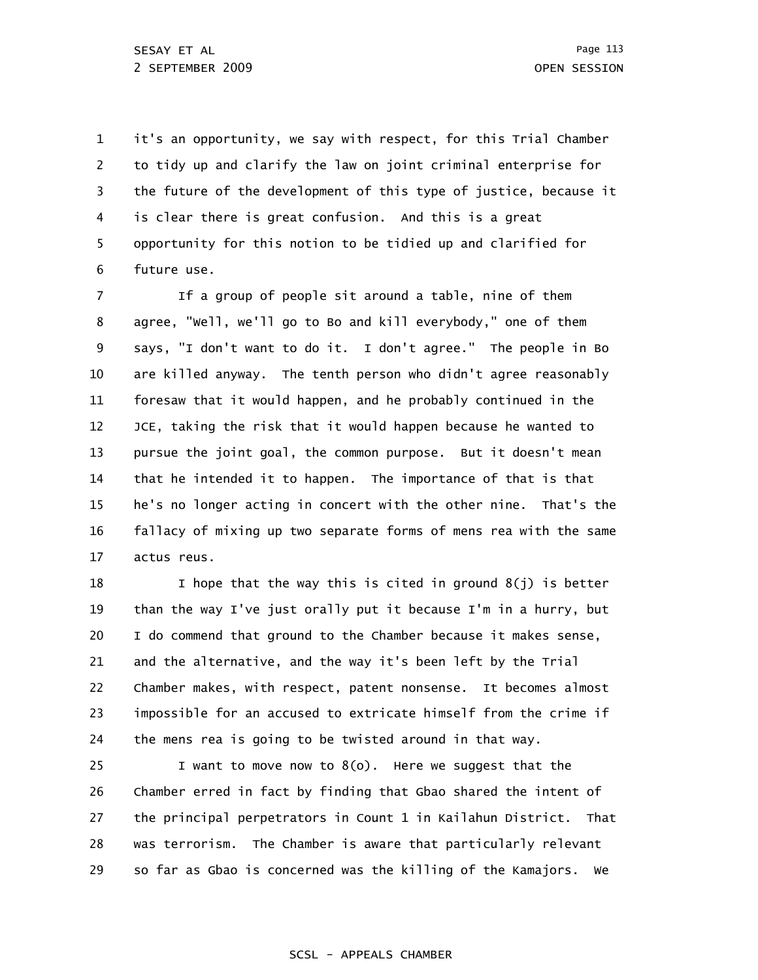1 2 3 4 5 6 it's an opportunity, we say with respect, for this Trial Chamber to tidy up and clarify the law on joint criminal enterprise for the future of the development of this type of justice, because it is clear there is great confusion. And this is a great opportunity for this notion to be tidied up and clarified for future use.

7 8 9 10 11 12 13 14 15 16 17 If a group of people sit around a table, nine of them agree, "Well, we'll go to Bo and kill everybody," one of them says, "I don't want to do it. I don't agree." The people in Bo are killed anyway. The tenth person who didn't agree reasonably foresaw that it would happen, and he probably continued in the JCE, taking the risk that it would happen because he wanted to pursue the joint goal, the common purpose. But it doesn't mean that he intended it to happen. The importance of that is that he's no longer acting in concert with the other nine. That's the fallacy of mixing up two separate forms of mens rea with the same actus reus.

18 19 20 21 22 23 24 I hope that the way this is cited in ground  $8(j)$  is better than the way I've just orally put it because I'm in a hurry, but I do commend that ground to the Chamber because it makes sense, and the alternative, and the way it's been left by the Trial Chamber makes, with respect, patent nonsense. It becomes almost impossible for an accused to extricate himself from the crime if the mens rea is going to be twisted around in that way.

25 26 27 28 29 I want to move now to 8(o). Here we suggest that the Chamber erred in fact by finding that Gbao shared the intent of the principal perpetrators in Count 1 in Kailahun District. That was terrorism. The Chamber is aware that particularly relevant so far as Gbao is concerned was the killing of the Kamajors. We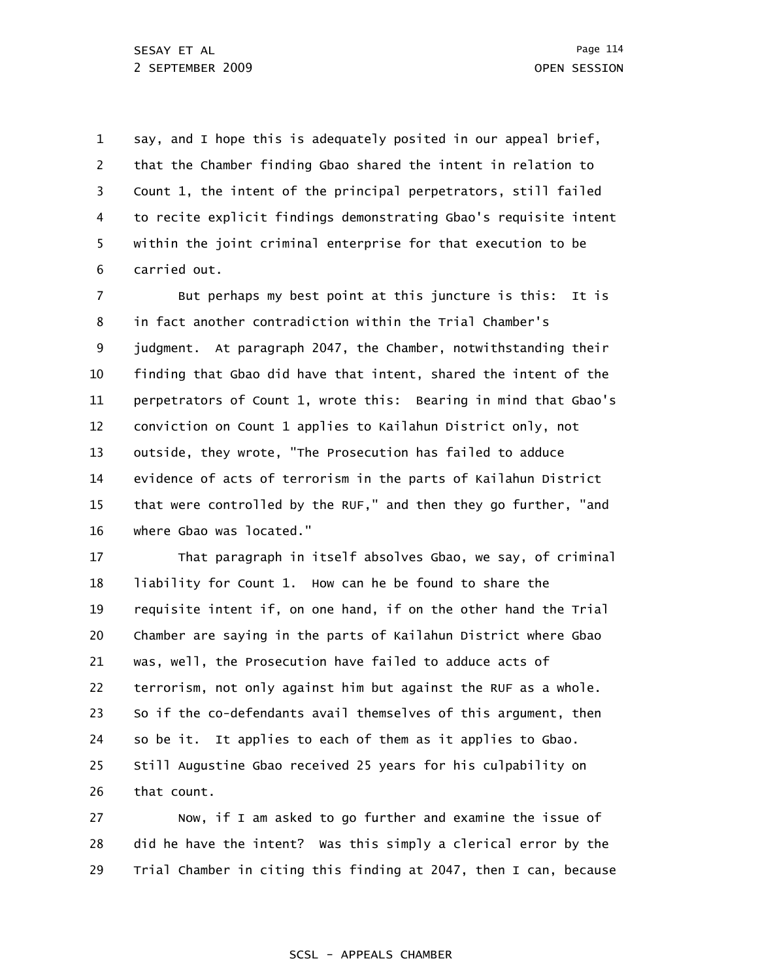1 2 3 4 5 6 say, and I hope this is adequately posited in our appeal brief, that the Chamber finding Gbao shared the intent in relation to Count 1, the intent of the principal perpetrators, still failed to recite explicit findings demonstrating Gbao's requisite intent within the joint criminal enterprise for that execution to be carried out.

7 8 9 10 11 12 13 14 15 16 But perhaps my best point at this juncture is this: It is in fact another contradiction within the Trial Chamber's judgment. At paragraph 2047, the Chamber, notwithstanding their finding that Gbao did have that intent, shared the intent of the perpetrators of Count 1, wrote this: Bearing in mind that Gbao's conviction on Count 1 applies to Kailahun District only, not outside, they wrote, "The Prosecution has failed to adduce evidence of acts of terrorism in the parts of Kailahun District that were controlled by the RUF," and then they go further, "and where Gbao was located."

17 18 19 20 21 22 23 24 25 26 That paragraph in itself absolves Gbao, we say, of criminal liability for Count 1. How can he be found to share the requisite intent if, on one hand, if on the other hand the Trial Chamber are saying in the parts of Kailahun District where Gbao was, well, the Prosecution have failed to adduce acts of terrorism, not only against him but against the RUF as a whole. So if the co-defendants avail themselves of this argument, then so be it. It applies to each of them as it applies to Gbao. Still Augustine Gbao received 25 years for his culpability on that count.

27 28 29 Now, if I am asked to go further and examine the issue of did he have the intent? Was this simply a clerical error by the Trial Chamber in citing this finding at 2047, then I can, because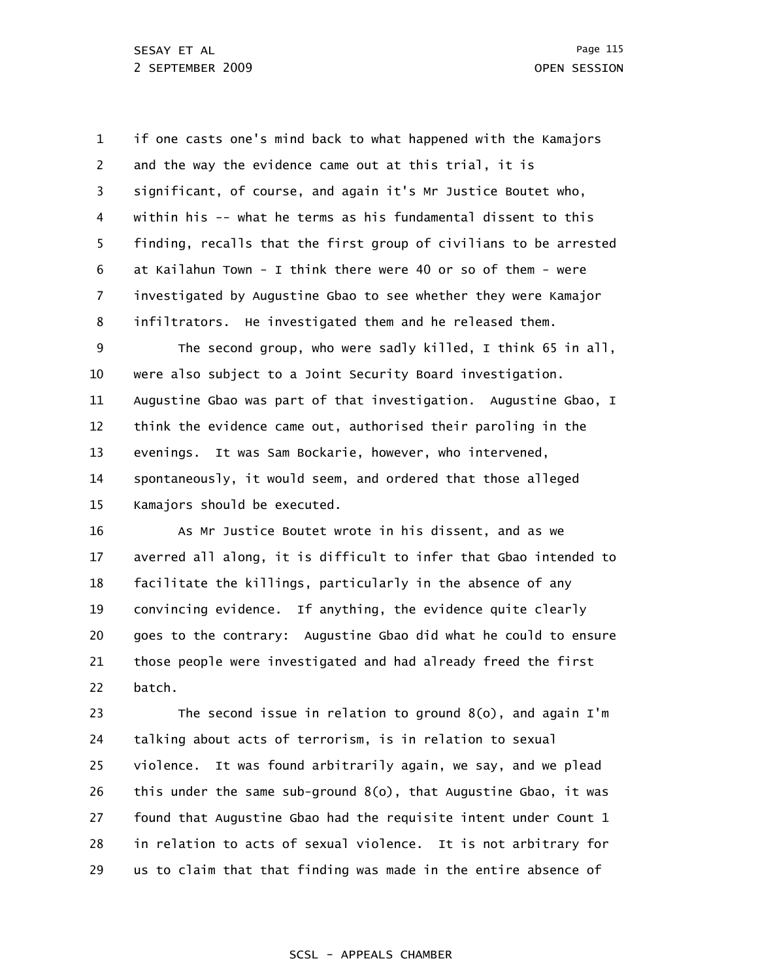1 2 3 4 5 6 7 8 9 10 11 12 13 14 15 16 17 18 19 if one casts one's mind back to what happened with the Kamajors and the way the evidence came out at this trial, it is significant, of course, and again it's Mr Justice Boutet who, within his -- what he terms as his fundamental dissent to this finding, recalls that the first group of civilians to be arrested at Kailahun Town - I think there were 40 or so of them - were investigated by Augustine Gbao to see whether they were Kamajor infiltrators. He investigated them and he released them. The second group, who were sadly killed, I think 65 in all, were also subject to a Joint Security Board investigation. Augustine Gbao was part of that investigation. Augustine Gbao, I think the evidence came out, authorised their paroling in the evenings. It was Sam Bockarie, however, who intervened, spontaneously, it would seem, and ordered that those alleged Kamajors should be executed. As Mr Justice Boutet wrote in his dissent, and as we averred all along, it is difficult to infer that Gbao intended to facilitate the killings, particularly in the absence of any convincing evidence. If anything, the evidence quite clearly

20 21 22 goes to the contrary: Augustine Gbao did what he could to ensure those people were investigated and had already freed the first batch.

23 24 25 26 27 28 29 The second issue in relation to ground 8(o), and again I'm talking about acts of terrorism, is in relation to sexual violence. It was found arbitrarily again, we say, and we plead this under the same sub-ground 8(o), that Augustine Gbao, it was found that Augustine Gbao had the requisite intent under Count 1 in relation to acts of sexual violence. It is not arbitrary for us to claim that that finding was made in the entire absence of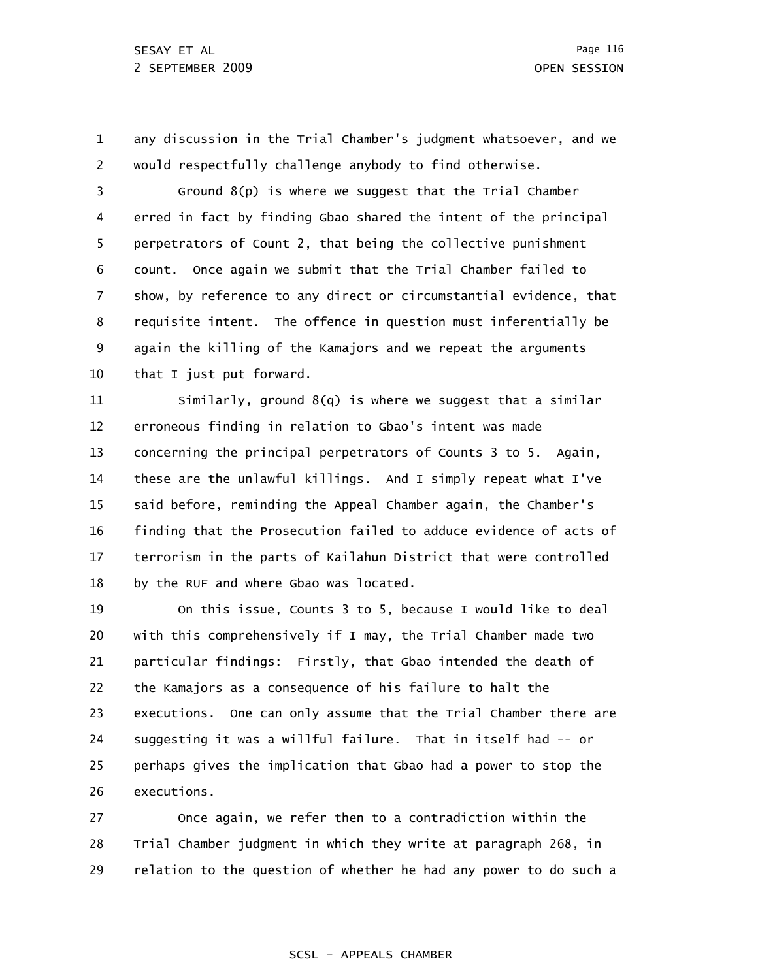1 2 any discussion in the Trial Chamber's judgment whatsoever, and we would respectfully challenge anybody to find otherwise.

3 4 5 6 7 8 9 10 Ground 8(p) is where we suggest that the Trial Chamber erred in fact by finding Gbao shared the intent of the principal perpetrators of Count 2, that being the collective punishment count. Once again we submit that the Trial Chamber failed to show, by reference to any direct or circumstantial evidence, that requisite intent. The offence in question must inferentially be again the killing of the Kamajors and we repeat the arguments that I just put forward.

11 12 13 14 15 16 17 18 Similarly, ground 8(q) is where we suggest that a similar erroneous finding in relation to Gbao's intent was made concerning the principal perpetrators of Counts 3 to 5. Again, these are the unlawful killings. And I simply repeat what I've said before, reminding the Appeal Chamber again, the Chamber's finding that the Prosecution failed to adduce evidence of acts of terrorism in the parts of Kailahun District that were controlled by the RUF and where Gbao was located.

19 20 21 22 23 24 25 26 On this issue, Counts 3 to 5, because I would like to deal with this comprehensively if I may, the Trial Chamber made two particular findings: Firstly, that Gbao intended the death of the Kamajors as a consequence of his failure to halt the executions. One can only assume that the Trial Chamber there are suggesting it was a willful failure. That in itself had -- or perhaps gives the implication that Gbao had a power to stop the executions.

27 28 29 Once again, we refer then to a contradiction within the Trial Chamber judgment in which they write at paragraph 268, in relation to the question of whether he had any power to do such a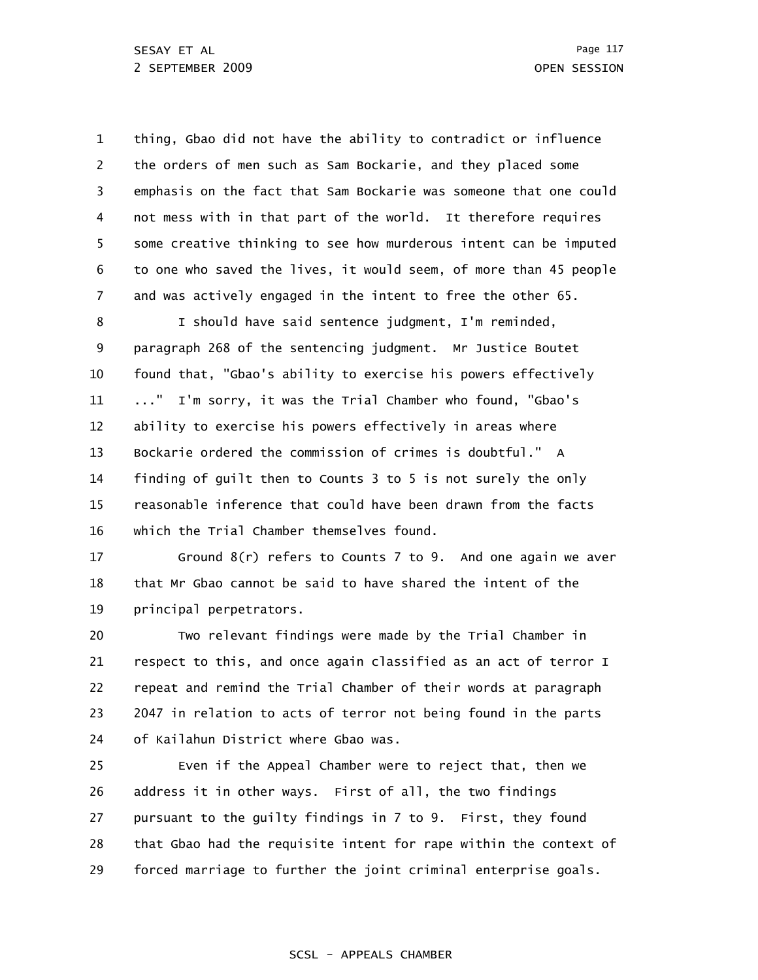1 2 3 4 5 6 7 thing, Gbao did not have the ability to contradict or influence the orders of men such as Sam Bockarie, and they placed some emphasis on the fact that Sam Bockarie was someone that one could not mess with in that part of the world. It therefore requires some creative thinking to see how murderous intent can be imputed to one who saved the lives, it would seem, of more than 45 people and was actively engaged in the intent to free the other 65.

8 9 10 11 12 13 14 15 16 I should have said sentence judgment, I'm reminded, paragraph 268 of the sentencing judgment. Mr Justice Boutet found that, "Gbao's ability to exercise his powers effectively ..." I'm sorry, it was the Trial Chamber who found, "Gbao's ability to exercise his powers effectively in areas where Bockarie ordered the commission of crimes is doubtful." A finding of guilt then to Counts 3 to 5 is not surely the only reasonable inference that could have been drawn from the facts which the Trial Chamber themselves found.

17 18 19 Ground 8(r) refers to Counts 7 to 9. And one again we aver that Mr Gbao cannot be said to have shared the intent of the principal perpetrators.

20 21 22 23 24 Two relevant findings were made by the Trial Chamber in respect to this, and once again classified as an act of terror I repeat and remind the Trial Chamber of their words at paragraph 2047 in relation to acts of terror not being found in the parts of Kailahun District where Gbao was.

25 26 27 28 29 Even if the Appeal Chamber were to reject that, then we address it in other ways. First of all, the two findings pursuant to the guilty findings in 7 to 9. First, they found that Gbao had the requisite intent for rape within the context of forced marriage to further the joint criminal enterprise goals.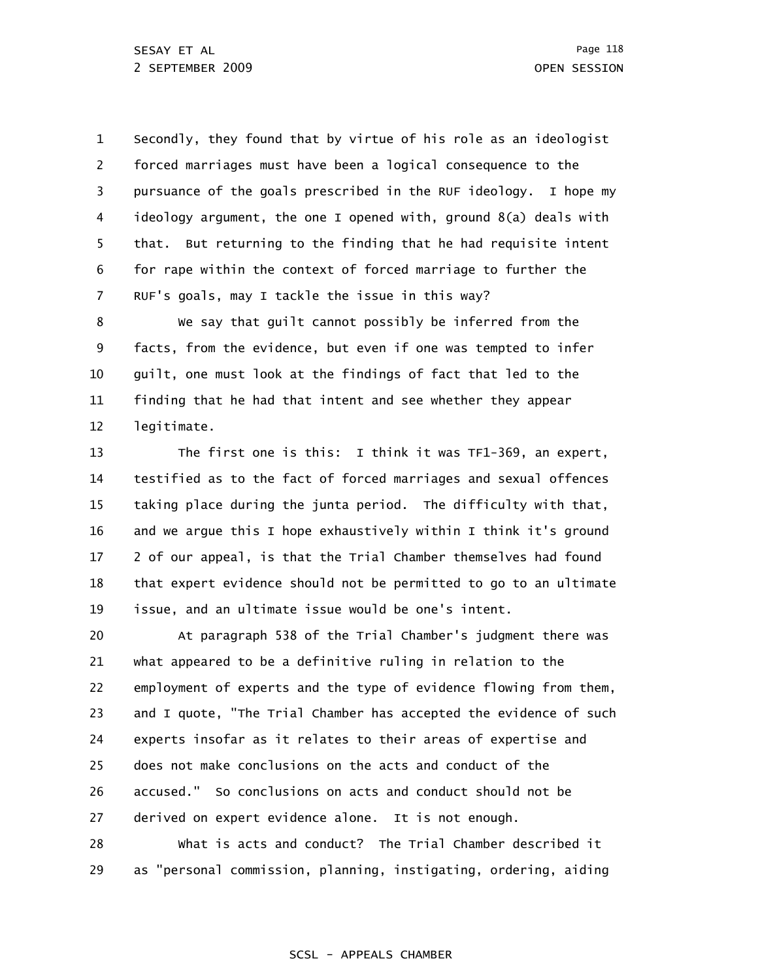1 2 3 4 5 6 7 Secondly, they found that by virtue of his role as an ideologist forced marriages must have been a logical consequence to the pursuance of the goals prescribed in the RUF ideology. I hope my ideology argument, the one I opened with, ground 8(a) deals with that. But returning to the finding that he had requisite intent for rape within the context of forced marriage to further the RUF's goals, may I tackle the issue in this way?

8 9 10 11 12 We say that guilt cannot possibly be inferred from the facts, from the evidence, but even if one was tempted to infer guilt, one must look at the findings of fact that led to the finding that he had that intent and see whether they appear legitimate.

13 14 15 16 17 18 19 The first one is this: I think it was TF1-369, an expert, testified as to the fact of forced marriages and sexual offences taking place during the junta period. The difficulty with that, and we argue this I hope exhaustively within I think it's ground 2 of our appeal, is that the Trial Chamber themselves had found that expert evidence should not be permitted to go to an ultimate issue, and an ultimate issue would be one's intent.

20 21 22 23 24 25 26 27 28 At paragraph 538 of the Trial Chamber's judgment there was what appeared to be a definitive ruling in relation to the employment of experts and the type of evidence flowing from them, and I quote, "The Trial Chamber has accepted the evidence of such experts insofar as it relates to their areas of expertise and does not make conclusions on the acts and conduct of the accused." So conclusions on acts and conduct should not be derived on expert evidence alone. It is not enough. What is acts and conduct? The Trial Chamber described it

29 as "personal commission, planning, instigating, ordering, aiding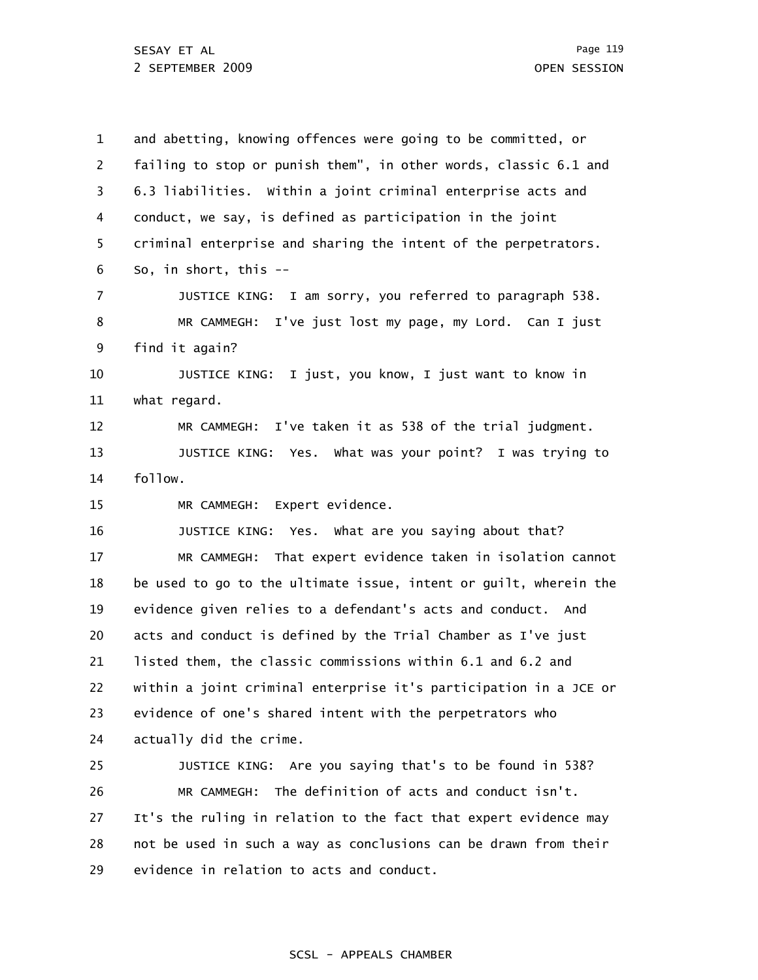1 2 3 4 5 6 7 8 9 10 11 12 13 14 15 16 17 18 19 20 21 22 23 24 25 26 27 28 29 and abetting, knowing offences were going to be committed, or failing to stop or punish them", in other words, classic 6.1 and 6.3 liabilities. Within a joint criminal enterprise acts and conduct, we say, is defined as participation in the joint criminal enterprise and sharing the intent of the perpetrators. So, in short, this -- JUSTICE KING: I am sorry, you referred to paragraph 538. MR CAMMEGH: I've just lost my page, my Lord. Can I just find it again? JUSTICE KING: I just, you know, I just want to know in what regard. MR CAMMEGH: I've taken it as 538 of the trial judgment. JUSTICE KING: Yes. What was your point? I was trying to follow. MR CAMMEGH: Expert evidence. JUSTICE KING: Yes. What are you saying about that? MR CAMMEGH: That expert evidence taken in isolation cannot be used to go to the ultimate issue, intent or guilt, wherein the evidence given relies to a defendant's acts and conduct. And acts and conduct is defined by the Trial Chamber as I've just listed them, the classic commissions within 6.1 and 6.2 and within a joint criminal enterprise it's participation in a JCE or evidence of one's shared intent with the perpetrators who actually did the crime. JUSTICE KING: Are you saying that's to be found in 538? MR CAMMEGH: The definition of acts and conduct isn't. It's the ruling in relation to the fact that expert evidence may not be used in such a way as conclusions can be drawn from their evidence in relation to acts and conduct.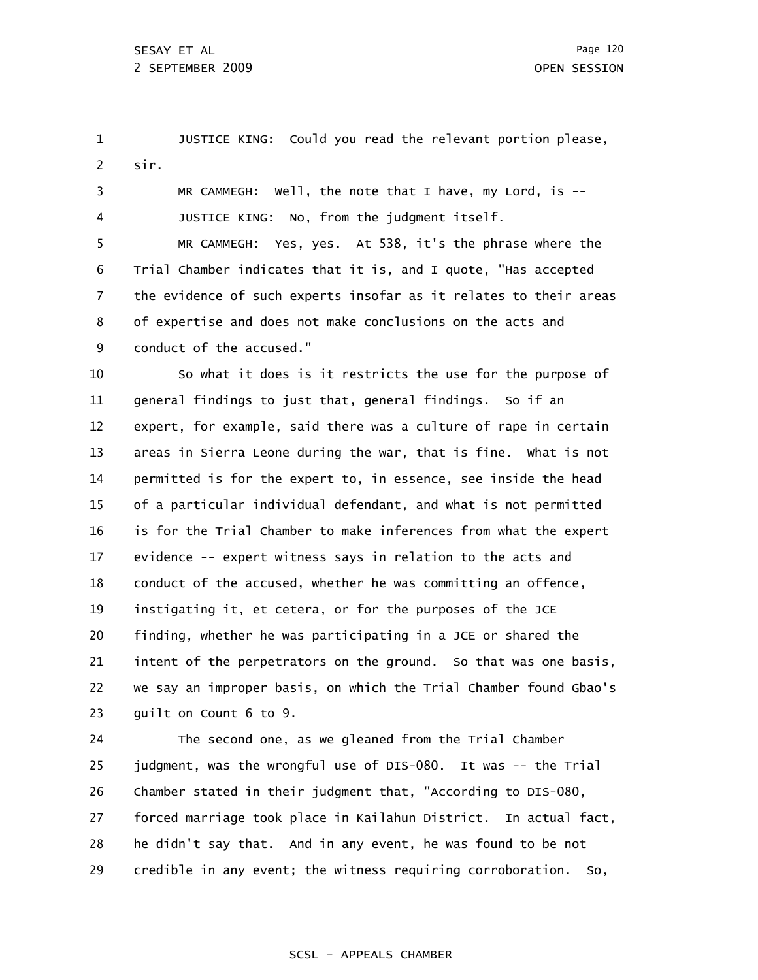1 2 JUSTICE KING: Could you read the relevant portion please, sir.

3 4 5 6 7 8 9 MR CAMMEGH: Well, the note that I have, my Lord, is  $--$ JUSTICE KING: No, from the judgment itself. MR CAMMEGH: Yes, yes. At 538, it's the phrase where the Trial Chamber indicates that it is, and I quote, "Has accepted the evidence of such experts insofar as it relates to their areas of expertise and does not make conclusions on the acts and conduct of the accused."

10 11 12 13 14 15 16 17 18 19 20 21 22 23 So what it does is it restricts the use for the purpose of general findings to just that, general findings. So if an expert, for example, said there was a culture of rape in certain areas in Sierra Leone during the war, that is fine. What is not permitted is for the expert to, in essence, see inside the head of a particular individual defendant, and what is not permitted is for the Trial Chamber to make inferences from what the expert evidence -- expert witness says in relation to the acts and conduct of the accused, whether he was committing an offence, instigating it, et cetera, or for the purposes of the JCE finding, whether he was participating in a JCE or shared the intent of the perpetrators on the ground. So that was one basis, we say an improper basis, on which the Trial Chamber found Gbao's guilt on Count 6 to 9.

24 25 26 27 28 29 The second one, as we gleaned from the Trial Chamber judgment, was the wrongful use of DIS-080. It was -- the Trial Chamber stated in their judgment that, "According to DIS-080, forced marriage took place in Kailahun District. In actual fact, he didn't say that. And in any event, he was found to be not credible in any event; the witness requiring corroboration. So,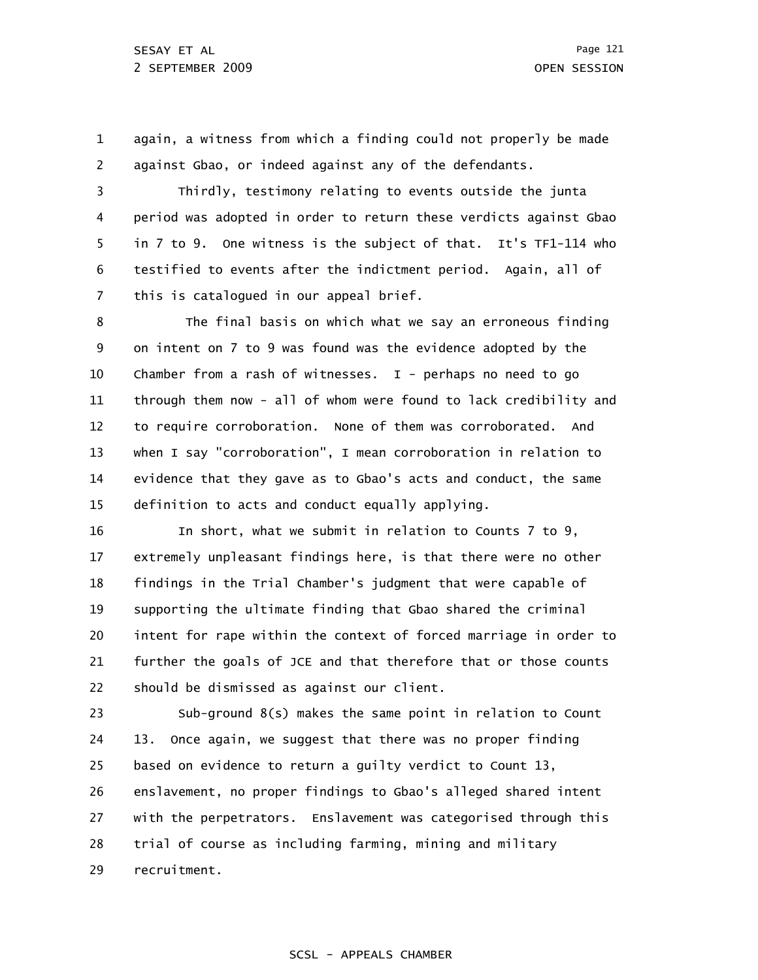1 2 again, a witness from which a finding could not properly be made against Gbao, or indeed against any of the defendants.

3 4 5 6 7 Thirdly, testimony relating to events outside the junta period was adopted in order to return these verdicts against Gbao in 7 to 9. One witness is the subject of that. It's TF1-114 who testified to events after the indictment period. Again, all of this is catalogued in our appeal brief.

8 9 10 11 12 13 14 15 The final basis on which what we say an erroneous finding on intent on 7 to 9 was found was the evidence adopted by the Chamber from a rash of witnesses.  $I -$  perhaps no need to go through them now - all of whom were found to lack credibility and to require corroboration. None of them was corroborated. And when I say "corroboration", I mean corroboration in relation to evidence that they gave as to Gbao's acts and conduct, the same definition to acts and conduct equally applying.

16 17 18 19 20 21 22 In short, what we submit in relation to Counts 7 to 9, extremely unpleasant findings here, is that there were no other findings in the Trial Chamber's judgment that were capable of supporting the ultimate finding that Gbao shared the criminal intent for rape within the context of forced marriage in order to further the goals of JCE and that therefore that or those counts should be dismissed as against our client.

23 24 25 26 27 28 29 Sub-ground 8(s) makes the same point in relation to Count 13. Once again, we suggest that there was no proper finding based on evidence to return a guilty verdict to Count 13, enslavement, no proper findings to Gbao's alleged shared intent with the perpetrators. Enslavement was categorised through this trial of course as including farming, mining and military recruitment.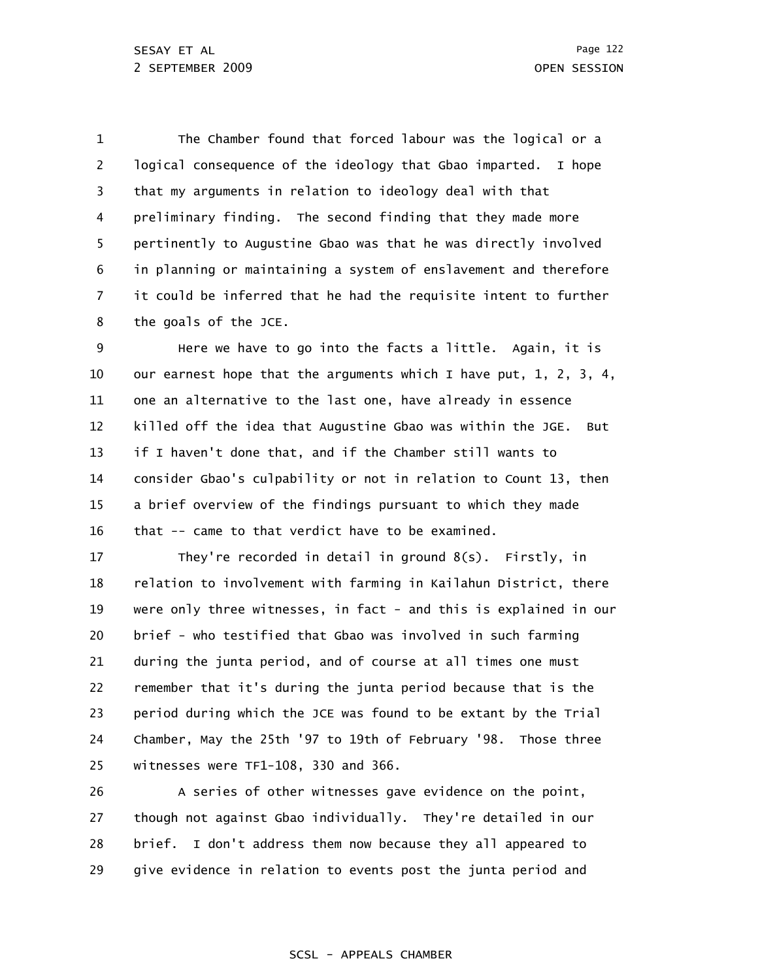1 2 3 4 5 6 7 8 The Chamber found that forced labour was the logical or a logical consequence of the ideology that Gbao imparted. I hope that my arguments in relation to ideology deal with that preliminary finding. The second finding that they made more pertinently to Augustine Gbao was that he was directly involved in planning or maintaining a system of enslavement and therefore it could be inferred that he had the requisite intent to further the goals of the JCE.

9 10 11 12 13 14 15 16 Here we have to go into the facts a little. Again, it is our earnest hope that the arguments which I have put, 1, 2, 3, 4, one an alternative to the last one, have already in essence killed off the idea that Augustine Gbao was within the JGE. But if I haven't done that, and if the Chamber still wants to consider Gbao's culpability or not in relation to Count 13, then a brief overview of the findings pursuant to which they made that -- came to that verdict have to be examined.

17 18 19 20 21 22 23 24 25 They're recorded in detail in ground 8(s). Firstly, in relation to involvement with farming in Kailahun District, there were only three witnesses, in fact - and this is explained in our brief - who testified that Gbao was involved in such farming during the junta period, and of course at all times one must remember that it's during the junta period because that is the period during which the JCE was found to be extant by the Trial Chamber, May the 25th '97 to 19th of February '98. Those three witnesses were TF1-108, 330 and 366.

26 27 28 29 A series of other witnesses gave evidence on the point, though not against Gbao individually. They're detailed in our brief. I don't address them now because they all appeared to give evidence in relation to events post the junta period and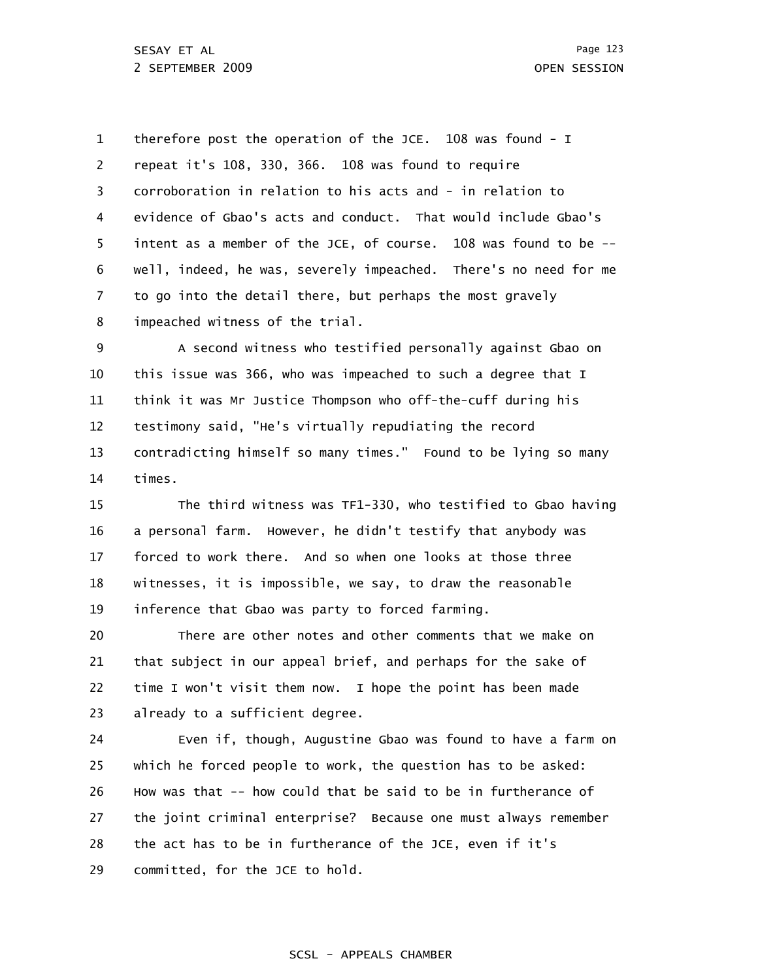1 2 3 4 5 6 7 8 therefore post the operation of the JCE. 108 was found - I repeat it's 108, 330, 366. 108 was found to require corroboration in relation to his acts and - in relation to evidence of Gbao's acts and conduct. That would include Gbao's intent as a member of the JCE, of course. 108 was found to be - well, indeed, he was, severely impeached. There's no need for me to go into the detail there, but perhaps the most gravely impeached witness of the trial.

9 10 11 12 13 14 A second witness who testified personally against Gbao on this issue was 366, who was impeached to such a degree that I think it was Mr Justice Thompson who off-the-cuff during his testimony said, "He's virtually repudiating the record contradicting himself so many times." Found to be lying so many times.

15 16 17 18 19 The third witness was TF1-330, who testified to Gbao having a personal farm. However, he didn't testify that anybody was forced to work there. And so when one looks at those three witnesses, it is impossible, we say, to draw the reasonable inference that Gbao was party to forced farming.

20 21 22 23 There are other notes and other comments that we make on that subject in our appeal brief, and perhaps for the sake of time I won't visit them now. I hope the point has been made already to a sufficient degree.

24 25 26 27 28 29 Even if, though, Augustine Gbao was found to have a farm on which he forced people to work, the question has to be asked: How was that -- how could that be said to be in furtherance of the joint criminal enterprise? Because one must always remember the act has to be in furtherance of the JCE, even if it's committed, for the JCE to hold.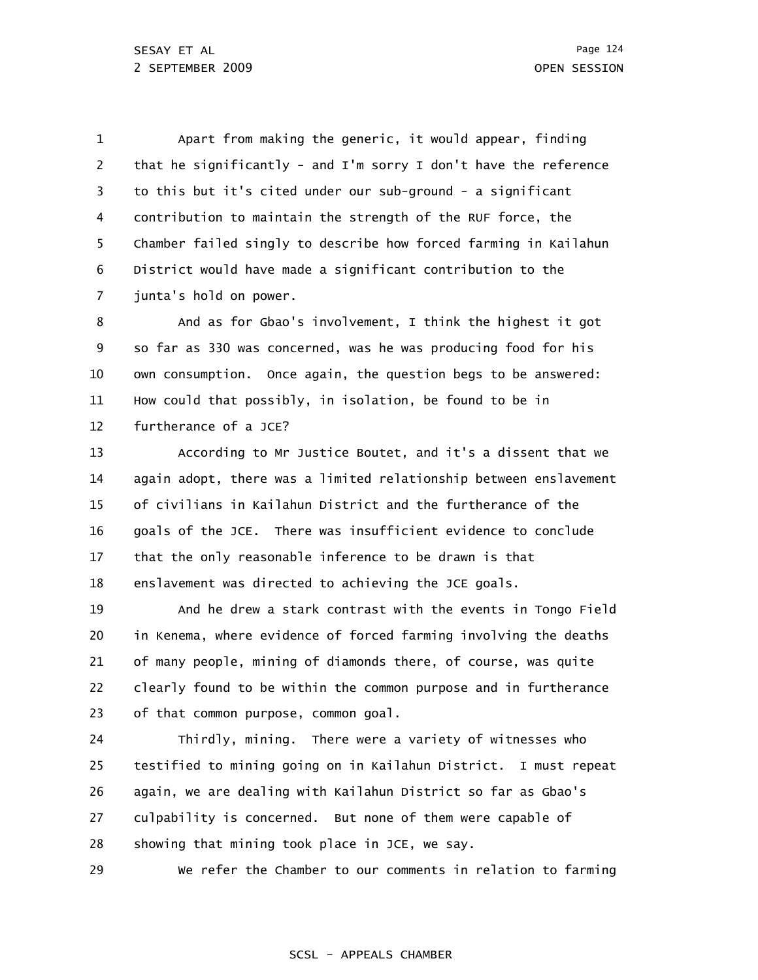1 2 3 4 5 6 7 Apart from making the generic, it would appear, finding that he significantly - and I'm sorry I don't have the reference to this but it's cited under our sub-ground - a significant contribution to maintain the strength of the RUF force, the Chamber failed singly to describe how forced farming in Kailahun District would have made a significant contribution to the junta's hold on power.

8 9 10 11 12 And as for Gbao's involvement, I think the highest it got so far as 330 was concerned, was he was producing food for his own consumption. Once again, the question begs to be answered: How could that possibly, in isolation, be found to be in furtherance of a JCE?

13 14 15 16 17 18 According to Mr Justice Boutet, and it's a dissent that we again adopt, there was a limited relationship between enslavement of civilians in Kailahun District and the furtherance of the goals of the JCE. There was insufficient evidence to conclude that the only reasonable inference to be drawn is that enslavement was directed to achieving the JCE goals.

19 20 21 22 23 And he drew a stark contrast with the events in Tongo Field in Kenema, where evidence of forced farming involving the deaths of many people, mining of diamonds there, of course, was quite clearly found to be within the common purpose and in furtherance of that common purpose, common goal.

24 25 26 27 28 Thirdly, mining. There were a variety of witnesses who testified to mining going on in Kailahun District. I must repeat again, we are dealing with Kailahun District so far as Gbao's culpability is concerned. But none of them were capable of showing that mining took place in JCE, we say.

29 We refer the Chamber to our comments in relation to farming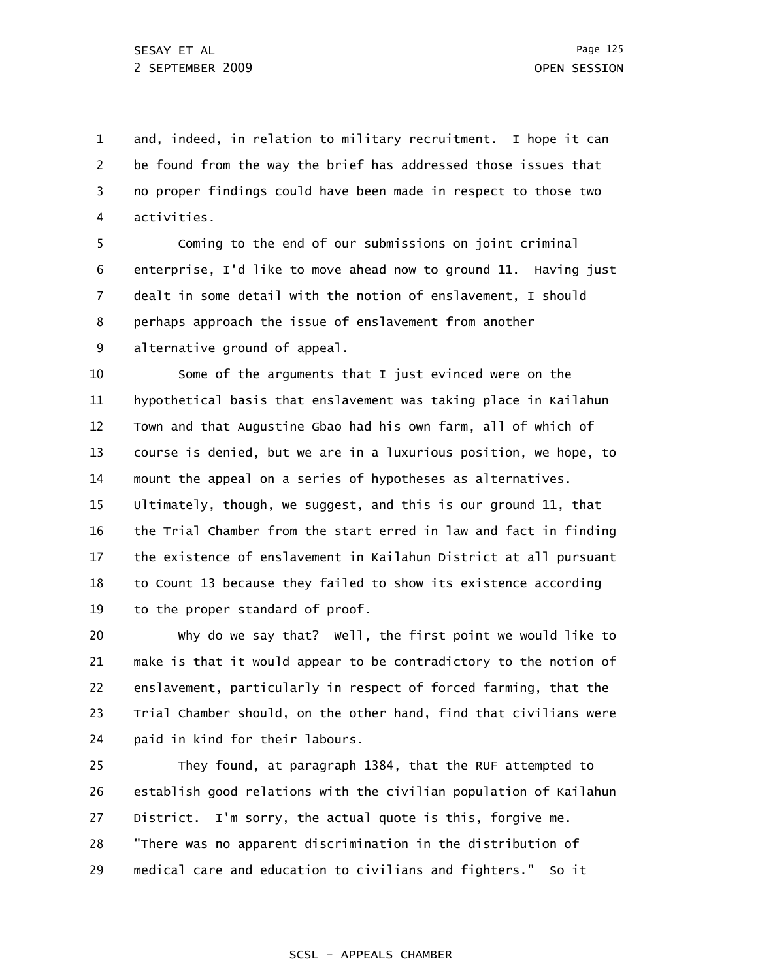1 2 3 4 and, indeed, in relation to military recruitment. I hope it can be found from the way the brief has addressed those issues that no proper findings could have been made in respect to those two activities.

5 6 7 8 9 Coming to the end of our submissions on joint criminal enterprise, I'd like to move ahead now to ground 11. Having just dealt in some detail with the notion of enslavement, I should perhaps approach the issue of enslavement from another alternative ground of appeal.

10 11 12 13 14 15 16 17 18 19 Some of the arguments that I just evinced were on the hypothetical basis that enslavement was taking place in Kailahun Town and that Augustine Gbao had his own farm, all of which of course is denied, but we are in a luxurious position, we hope, to mount the appeal on a series of hypotheses as alternatives. Ultimately, though, we suggest, and this is our ground 11, that the Trial Chamber from the start erred in law and fact in finding the existence of enslavement in Kailahun District at all pursuant to Count 13 because they failed to show its existence according to the proper standard of proof.

20 21 22 23 24 Why do we say that? Well, the first point we would like to make is that it would appear to be contradictory to the notion of enslavement, particularly in respect of forced farming, that the Trial Chamber should, on the other hand, find that civilians were paid in kind for their labours.

25 26 27 28 29 They found, at paragraph 1384, that the RUF attempted to establish good relations with the civilian population of Kailahun District. I'm sorry, the actual quote is this, forgive me. "There was no apparent discrimination in the distribution of medical care and education to civilians and fighters." So it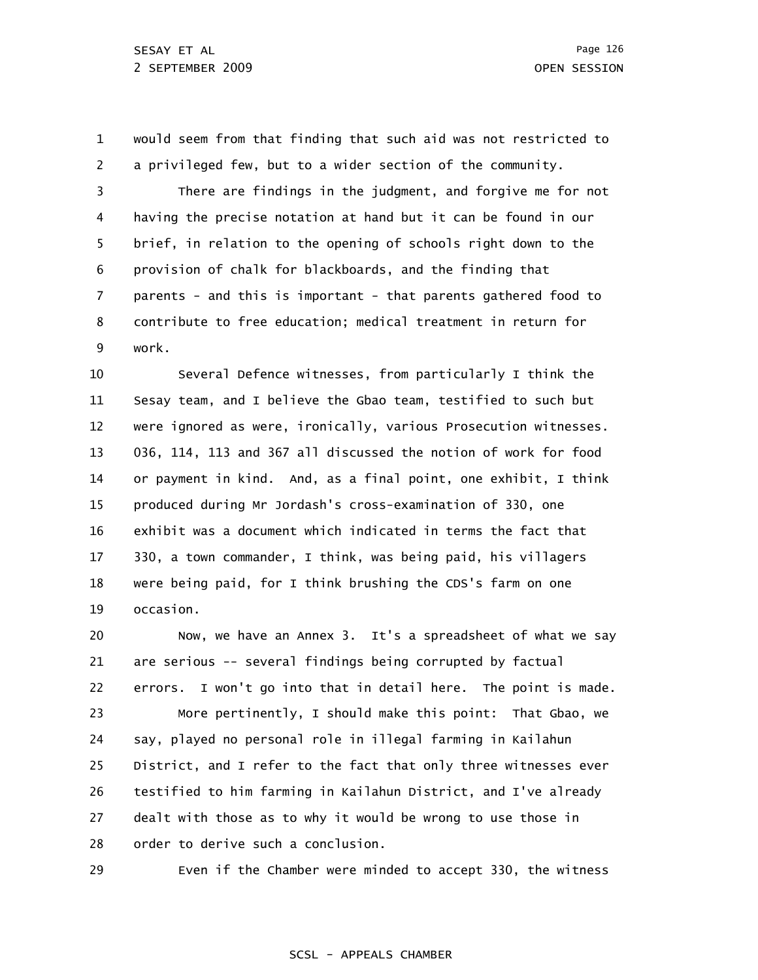1 2 3 4 5 6 7 8 9 would seem from that finding that such aid was not restricted to a privileged few, but to a wider section of the community. There are findings in the judgment, and forgive me for not having the precise notation at hand but it can be found in our brief, in relation to the opening of schools right down to the provision of chalk for blackboards, and the finding that parents - and this is important - that parents gathered food to contribute to free education; medical treatment in return for work.

10 11 12 13 14 15 16 17 18 19 Several Defence witnesses, from particularly I think the Sesay team, and I believe the Gbao team, testified to such but were ignored as were, ironically, various Prosecution witnesses. 036, 114, 113 and 367 all discussed the notion of work for food or payment in kind. And, as a final point, one exhibit, I think produced during Mr Jordash's cross-examination of 330, one exhibit was a document which indicated in terms the fact that 330, a town commander, I think, was being paid, his villagers were being paid, for I think brushing the CDS's farm on one occasion.

20 21 22 23 24 25 26 27 28 Now, we have an Annex 3. It's a spreadsheet of what we say are serious -- several findings being corrupted by factual errors. I won't go into that in detail here. The point is made. More pertinently, I should make this point: That Gbao, we say, played no personal role in illegal farming in Kailahun District, and I refer to the fact that only three witnesses ever testified to him farming in Kailahun District, and I've already dealt with those as to why it would be wrong to use those in order to derive such a conclusion.

29

Even if the Chamber were minded to accept 330, the witness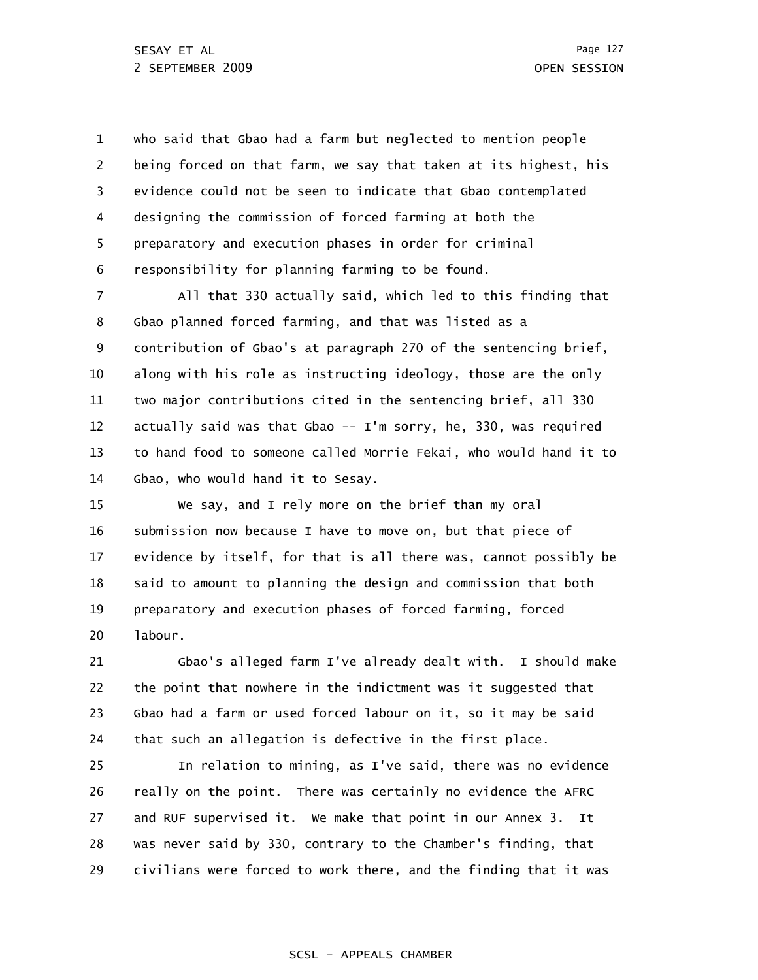1 2 3 4 5 6 who said that Gbao had a farm but neglected to mention people being forced on that farm, we say that taken at its highest, his evidence could not be seen to indicate that Gbao contemplated designing the commission of forced farming at both the preparatory and execution phases in order for criminal responsibility for planning farming to be found.

7 8 9 10 11 12 13 14 All that 330 actually said, which led to this finding that Gbao planned forced farming, and that was listed as a contribution of Gbao's at paragraph 270 of the sentencing brief, along with his role as instructing ideology, those are the only two major contributions cited in the sentencing brief, all 330 actually said was that Gbao -- I'm sorry, he, 330, was required to hand food to someone called Morrie Fekai, who would hand it to Gbao, who would hand it to Sesay.

15 16 17 18 19 20 We say, and I rely more on the brief than my oral submission now because I have to move on, but that piece of evidence by itself, for that is all there was, cannot possibly be said to amount to planning the design and commission that both preparatory and execution phases of forced farming, forced labour.

21 22 23 24 Gbao's alleged farm I've already dealt with. I should make the point that nowhere in the indictment was it suggested that Gbao had a farm or used forced labour on it, so it may be said that such an allegation is defective in the first place.

25 26 27 28 29 In relation to mining, as I've said, there was no evidence really on the point. There was certainly no evidence the AFRC and RUF supervised it. We make that point in our Annex 3. It was never said by 330, contrary to the Chamber's finding, that civilians were forced to work there, and the finding that it was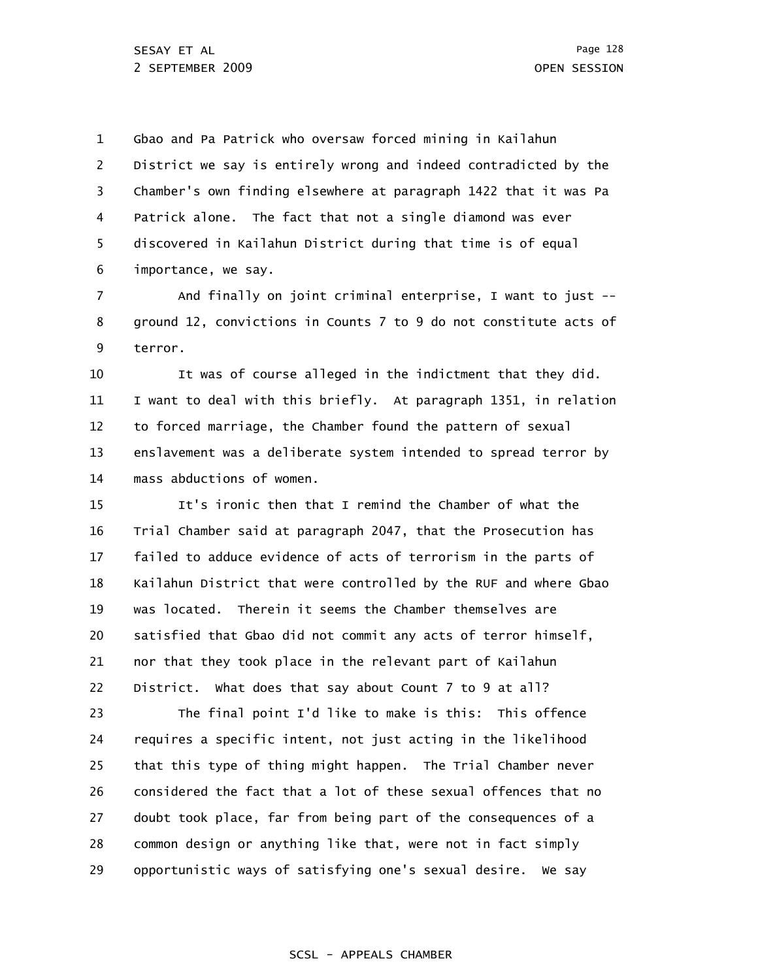1 2 3 4 5 6 Gbao and Pa Patrick who oversaw forced mining in Kailahun District we say is entirely wrong and indeed contradicted by the Chamber's own finding elsewhere at paragraph 1422 that it was Pa Patrick alone. The fact that not a single diamond was ever discovered in Kailahun District during that time is of equal importance, we say.

7 8 9 And finally on joint criminal enterprise, I want to just - ground 12, convictions in Counts 7 to 9 do not constitute acts of terror.

10 11 12 13 14 It was of course alleged in the indictment that they did. I want to deal with this briefly. At paragraph 1351, in relation to forced marriage, the Chamber found the pattern of sexual enslavement was a deliberate system intended to spread terror by mass abductions of women.

15 16 17 18 19 20 21 22 23 24 25 26 27 28 29 It's ironic then that I remind the Chamber of what the Trial Chamber said at paragraph 2047, that the Prosecution has failed to adduce evidence of acts of terrorism in the parts of Kailahun District that were controlled by the RUF and where Gbao was located. Therein it seems the Chamber themselves are satisfied that Gbao did not commit any acts of terror himself, nor that they took place in the relevant part of Kailahun District. What does that say about Count 7 to 9 at all? The final point I'd like to make is this: This offence requires a specific intent, not just acting in the likelihood that this type of thing might happen. The Trial Chamber never considered the fact that a lot of these sexual offences that no doubt took place, far from being part of the consequences of a common design or anything like that, were not in fact simply opportunistic ways of satisfying one's sexual desire. We say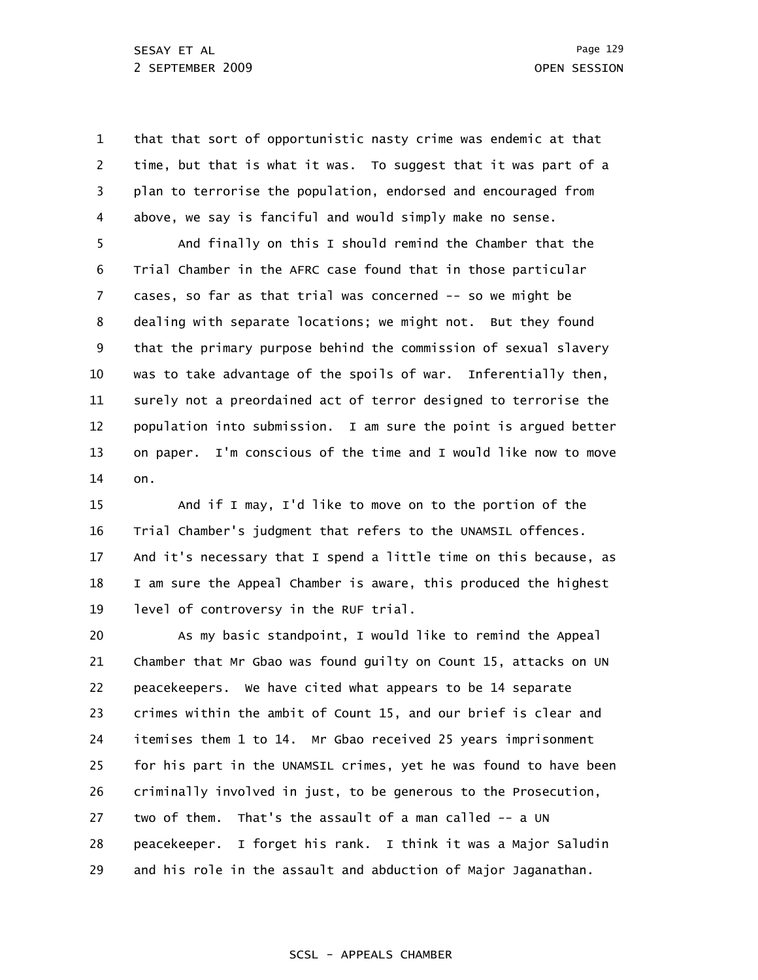1 2 3 4 that that sort of opportunistic nasty crime was endemic at that time, but that is what it was. To suggest that it was part of a plan to terrorise the population, endorsed and encouraged from above, we say is fanciful and would simply make no sense.

5 6 7 8 9 10 11 12 13 14 And finally on this I should remind the Chamber that the Trial Chamber in the AFRC case found that in those particular cases, so far as that trial was concerned -- so we might be dealing with separate locations; we might not. But they found that the primary purpose behind the commission of sexual slavery was to take advantage of the spoils of war. Inferentially then, surely not a preordained act of terror designed to terrorise the population into submission. I am sure the point is argued better on paper. I'm conscious of the time and I would like now to move on.

15 16 17 18 19 And if I may, I'd like to move on to the portion of the Trial Chamber's judgment that refers to the UNAMSIL offences. And it's necessary that I spend a little time on this because, as I am sure the Appeal Chamber is aware, this produced the highest level of controversy in the RUF trial.

20 21 22 23 24 25 26 27 28 29 As my basic standpoint, I would like to remind the Appeal Chamber that Mr Gbao was found guilty on Count 15, attacks on UN peacekeepers. We have cited what appears to be 14 separate crimes within the ambit of Count 15, and our brief is clear and itemises them 1 to 14. Mr Gbao received 25 years imprisonment for his part in the UNAMSIL crimes, yet he was found to have been criminally involved in just, to be generous to the Prosecution, two of them. That's the assault of a man called -- a UN peacekeeper. I forget his rank. I think it was a Major Saludin and his role in the assault and abduction of Major Jaganathan.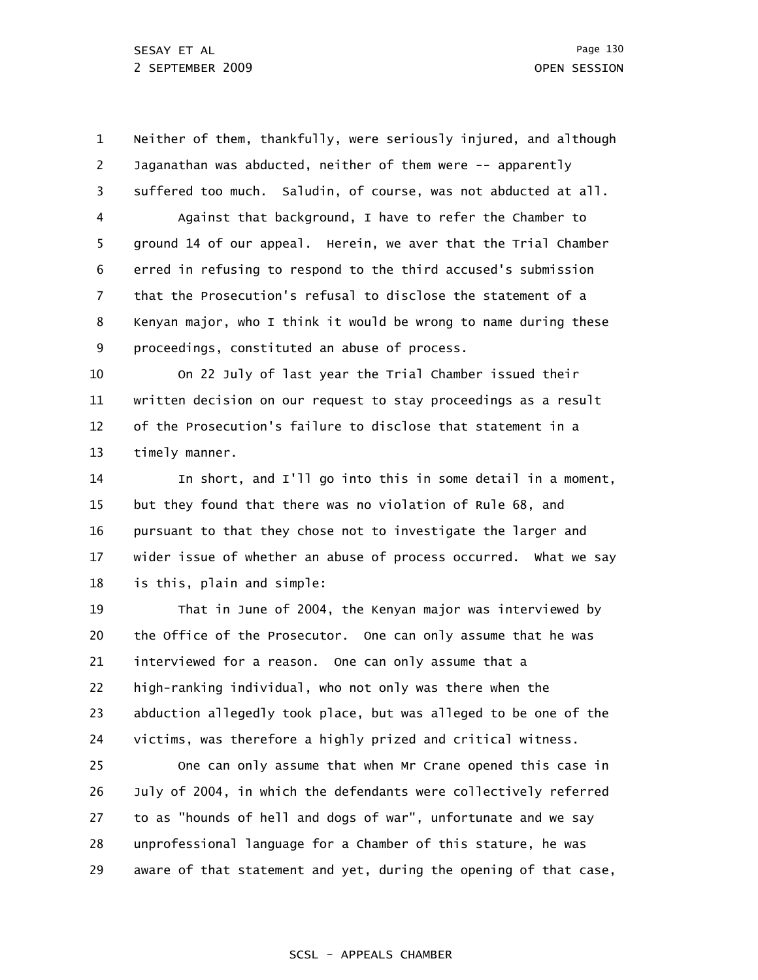1 2 3 4 5 6 7 8 9 Neither of them, thankfully, were seriously injured, and although Jaganathan was abducted, neither of them were -- apparently suffered too much. Saludin, of course, was not abducted at all. Against that background, I have to refer the Chamber to ground 14 of our appeal. Herein, we aver that the Trial Chamber erred in refusing to respond to the third accused's submission that the Prosecution's refusal to disclose the statement of a Kenyan major, who I think it would be wrong to name during these proceedings, constituted an abuse of process.

10 11 12 13 On 22 July of last year the Trial Chamber issued their written decision on our request to stay proceedings as a result of the Prosecution's failure to disclose that statement in a timely manner.

14 15 16 17 18 In short, and I'll go into this in some detail in a moment, but they found that there was no violation of Rule 68, and pursuant to that they chose not to investigate the larger and wider issue of whether an abuse of process occurred. What we say is this, plain and simple:

19 20 21 22 23 24 That in June of 2004, the Kenyan major was interviewed by the Office of the Prosecutor. One can only assume that he was interviewed for a reason. One can only assume that a high-ranking individual, who not only was there when the abduction allegedly took place, but was alleged to be one of the victims, was therefore a highly prized and critical witness.

25 26 27 28 29 One can only assume that when Mr Crane opened this case in July of 2004, in which the defendants were collectively referred to as "hounds of hell and dogs of war", unfortunate and we say unprofessional language for a Chamber of this stature, he was aware of that statement and yet, during the opening of that case,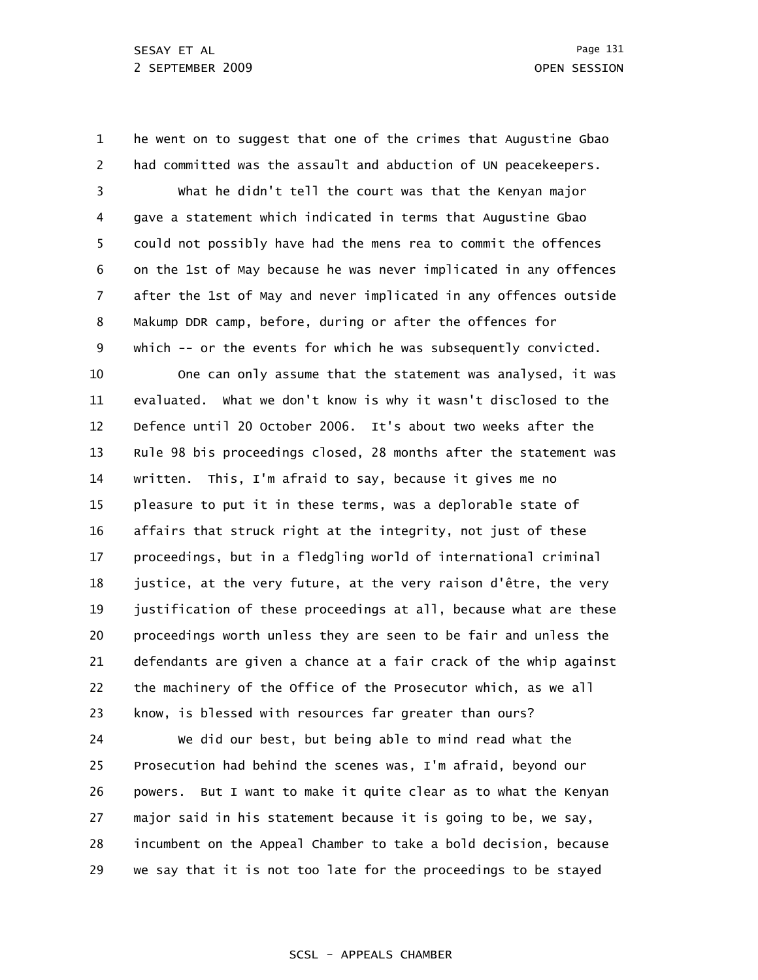1 2 3 4 5 6 7 8 9 10 11 12 13 14 15 16 17 18 19 20 21 22 23 24 25 26 27 28 29 he went on to suggest that one of the crimes that Augustine Gbao had committed was the assault and abduction of UN peacekeepers. What he didn't tell the court was that the Kenyan major gave a statement which indicated in terms that Augustine Gbao could not possibly have had the mens rea to commit the offences on the 1st of May because he was never implicated in any offences after the 1st of May and never implicated in any offences outside Makump DDR camp, before, during or after the offences for which -- or the events for which he was subsequently convicted. One can only assume that the statement was analysed, it was evaluated. What we don't know is why it wasn't disclosed to the Defence until 20 October 2006. It's about two weeks after the Rule 98 bis proceedings closed, 28 months after the statement was written. This, I'm afraid to say, because it gives me no pleasure to put it in these terms, was a deplorable state of affairs that struck right at the integrity, not just of these proceedings, but in a fledgling world of international criminal justice, at the very future, at the very raison d'être, the very justification of these proceedings at all, because what are these proceedings worth unless they are seen to be fair and unless the defendants are given a chance at a fair crack of the whip against the machinery of the Office of the Prosecutor which, as we all know, is blessed with resources far greater than ours? We did our best, but being able to mind read what the Prosecution had behind the scenes was, I'm afraid, beyond our powers. But I want to make it quite clear as to what the Kenyan major said in his statement because it is going to be, we say, incumbent on the Appeal Chamber to take a bold decision, because we say that it is not too late for the proceedings to be stayed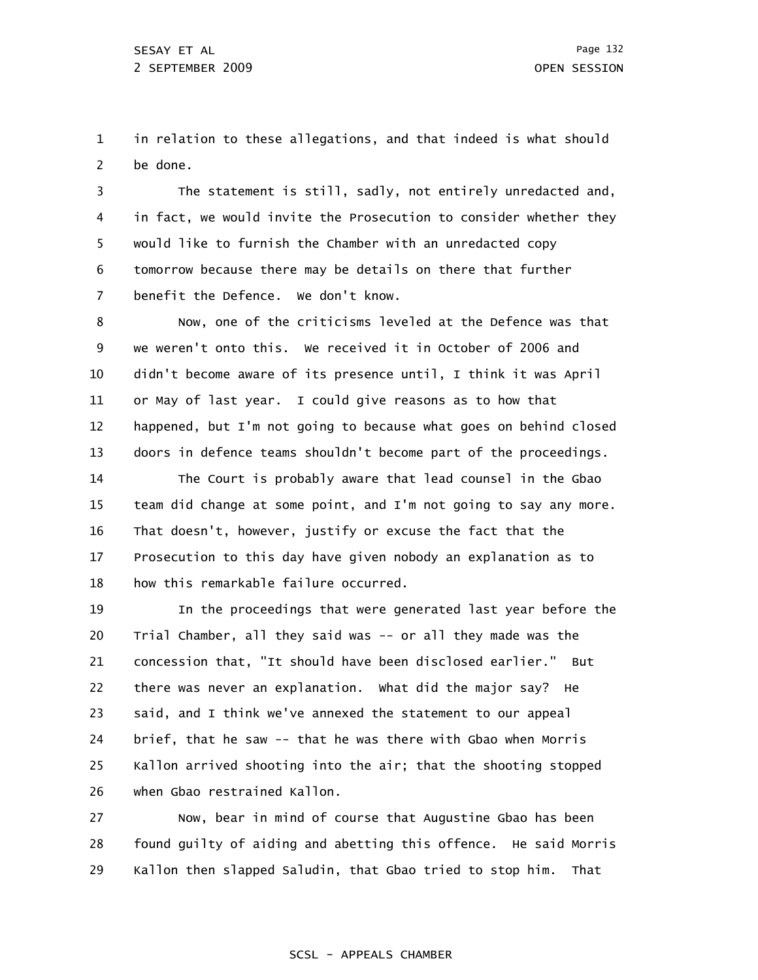1 2 in relation to these allegations, and that indeed is what should be done.

3 4 5 6 7 The statement is still, sadly, not entirely unredacted and, in fact, we would invite the Prosecution to consider whether they would like to furnish the Chamber with an unredacted copy tomorrow because there may be details on there that further benefit the Defence. We don't know.

8 9 10 11 12 13 Now, one of the criticisms leveled at the Defence was that we weren't onto this. We received it in October of 2006 and didn't become aware of its presence until, I think it was April or May of last year. I could give reasons as to how that happened, but I'm not going to because what goes on behind closed doors in defence teams shouldn't become part of the proceedings.

14 15 16 17 18 The Court is probably aware that lead counsel in the Gbao team did change at some point, and I'm not going to say any more. That doesn't, however, justify or excuse the fact that the Prosecution to this day have given nobody an explanation as to how this remarkable failure occurred.

19 20 21 22 23 24 25 26 In the proceedings that were generated last year before the Trial Chamber, all they said was -- or all they made was the concession that, "It should have been disclosed earlier." But there was never an explanation. What did the major say? He said, and I think we've annexed the statement to our appeal brief, that he saw -- that he was there with Gbao when Morris Kallon arrived shooting into the air; that the shooting stopped when Gbao restrained Kallon.

27 28 29 Now, bear in mind of course that Augustine Gbao has been found guilty of aiding and abetting this offence. He said Morris Kallon then slapped Saludin, that Gbao tried to stop him. That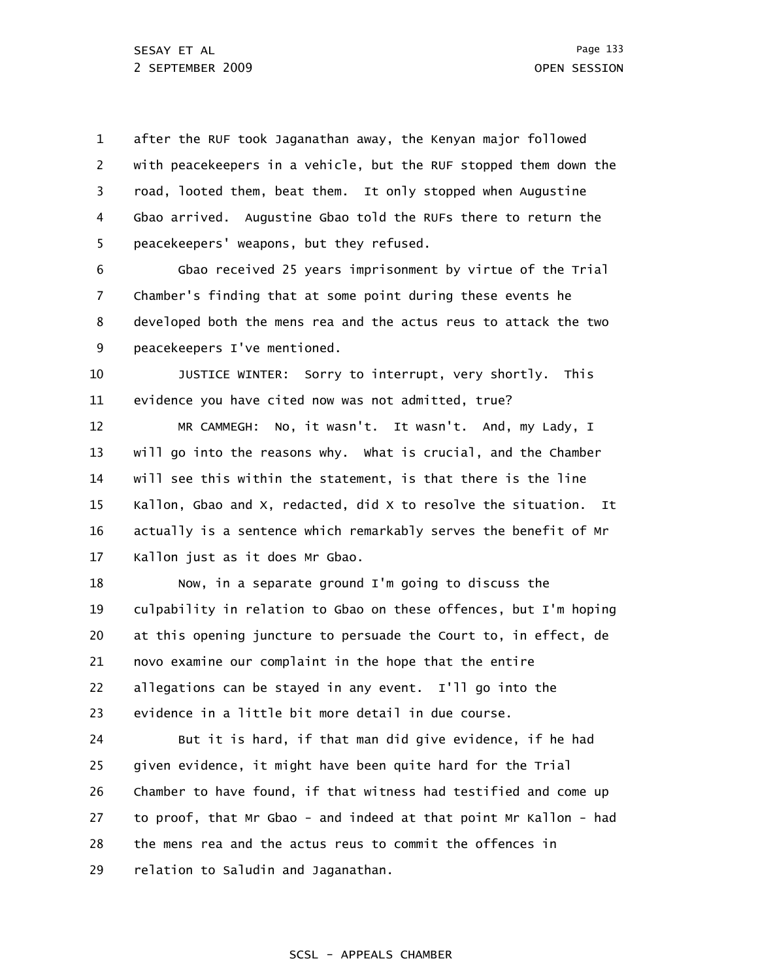1 2 3 4 5 after the RUF took Jaganathan away, the Kenyan major followed with peacekeepers in a vehicle, but the RUF stopped them down the road, looted them, beat them. It only stopped when Augustine Gbao arrived. Augustine Gbao told the RUFs there to return the peacekeepers' weapons, but they refused.

6 7 8 9 Gbao received 25 years imprisonment by virtue of the Trial Chamber's finding that at some point during these events he developed both the mens rea and the actus reus to attack the two peacekeepers I've mentioned.

10 11 JUSTICE WINTER: Sorry to interrupt, very shortly. This evidence you have cited now was not admitted, true?

12 13 14 15 16 17 MR CAMMEGH: No, it wasn't. It wasn't. And, my Lady, I will go into the reasons why. What is crucial, and the Chamber will see this within the statement, is that there is the line Kallon, Gbao and X, redacted, did X to resolve the situation. It actually is a sentence which remarkably serves the benefit of Mr Kallon just as it does Mr Gbao.

18 19 20 21 22 23 Now, in a separate ground I'm going to discuss the culpability in relation to Gbao on these offences, but I'm hoping at this opening juncture to persuade the Court to, in effect, de novo examine our complaint in the hope that the entire allegations can be stayed in any event. I'll go into the evidence in a little bit more detail in due course.

24 25 26 27 28 29 But it is hard, if that man did give evidence, if he had given evidence, it might have been quite hard for the Trial Chamber to have found, if that witness had testified and come up to proof, that Mr Gbao - and indeed at that point Mr Kallon - had the mens rea and the actus reus to commit the offences in relation to Saludin and Jaganathan.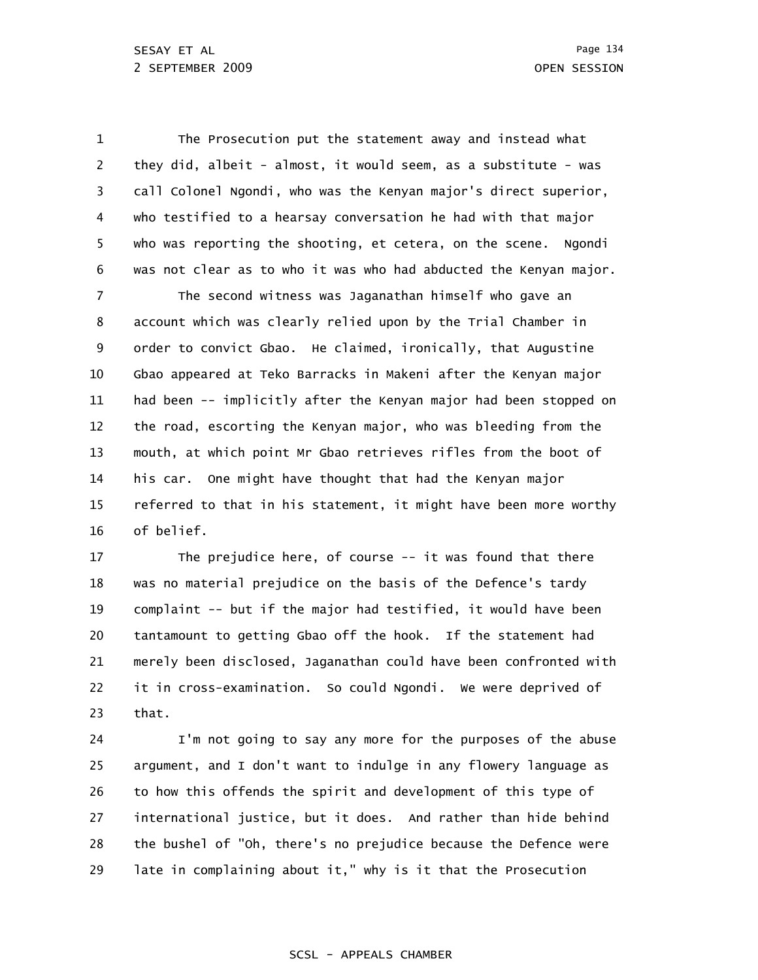1 2 3 4 5 6 The Prosecution put the statement away and instead what they did, albeit - almost, it would seem, as a substitute - was call Colonel Ngondi, who was the Kenyan major's direct superior, who testified to a hearsay conversation he had with that major who was reporting the shooting, et cetera, on the scene. Ngondi was not clear as to who it was who had abducted the Kenyan major.

7 8 9 10 11 12 13 14 15 16 The second witness was Jaganathan himself who gave an account which was clearly relied upon by the Trial Chamber in order to convict Gbao. He claimed, ironically, that Augustine Gbao appeared at Teko Barracks in Makeni after the Kenyan major had been -- implicitly after the Kenyan major had been stopped on the road, escorting the Kenyan major, who was bleeding from the mouth, at which point Mr Gbao retrieves rifles from the boot of his car. One might have thought that had the Kenyan major referred to that in his statement, it might have been more worthy of belief.

17 18 19 20 21 22 23 The prejudice here, of course -- it was found that there was no material prejudice on the basis of the Defence's tardy complaint -- but if the major had testified, it would have been tantamount to getting Gbao off the hook. If the statement had merely been disclosed, Jaganathan could have been confronted with it in cross-examination. So could Ngondi. We were deprived of that.

24 25 26 27 28 29 I'm not going to say any more for the purposes of the abuse argument, and I don't want to indulge in any flowery language as to how this offends the spirit and development of this type of international justice, but it does. And rather than hide behind the bushel of "Oh, there's no prejudice because the Defence were late in complaining about it," why is it that the Prosecution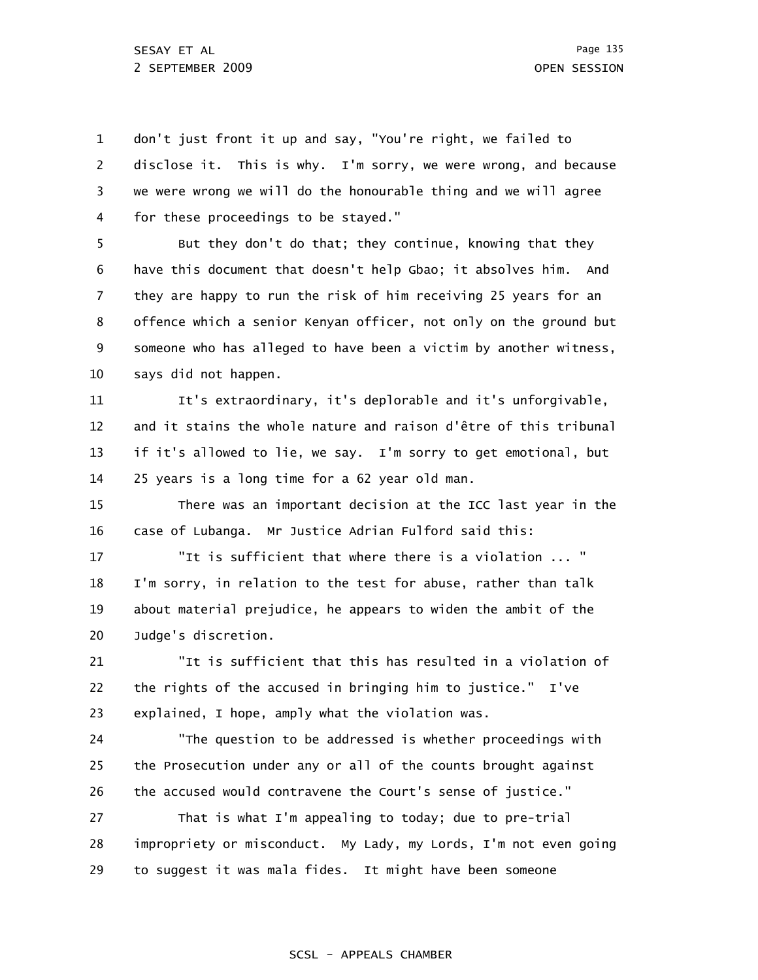1 2 3 4 don't just front it up and say, "You're right, we failed to disclose it. This is why. I'm sorry, we were wrong, and because we were wrong we will do the honourable thing and we will agree for these proceedings to be stayed."

5 6 7 8 9 10 But they don't do that; they continue, knowing that they have this document that doesn't help Gbao; it absolves him. And they are happy to run the risk of him receiving 25 years for an offence which a senior Kenyan officer, not only on the ground but someone who has alleged to have been a victim by another witness, says did not happen.

11 12 13 14 It's extraordinary, it's deplorable and it's unforgivable, and it stains the whole nature and raison d'être of this tribunal if it's allowed to lie, we say. I'm sorry to get emotional, but 25 years is a long time for a 62 year old man.

15 16 There was an important decision at the ICC last year in the case of Lubanga. Mr Justice Adrian Fulford said this:

17 18 19 20 "It is sufficient that where there is a violation ... " I'm sorry, in relation to the test for abuse, rather than talk about material prejudice, he appears to widen the ambit of the Judge's discretion.

21 22 23 "It is sufficient that this has resulted in a violation of the rights of the accused in bringing him to justice." I've explained, I hope, amply what the violation was.

24 25 26 27 28 29 "The question to be addressed is whether proceedings with the Prosecution under any or all of the counts brought against the accused would contravene the Court's sense of justice." That is what I'm appealing to today; due to pre-trial impropriety or misconduct. My Lady, my Lords, I'm not even going to suggest it was mala fides. It might have been someone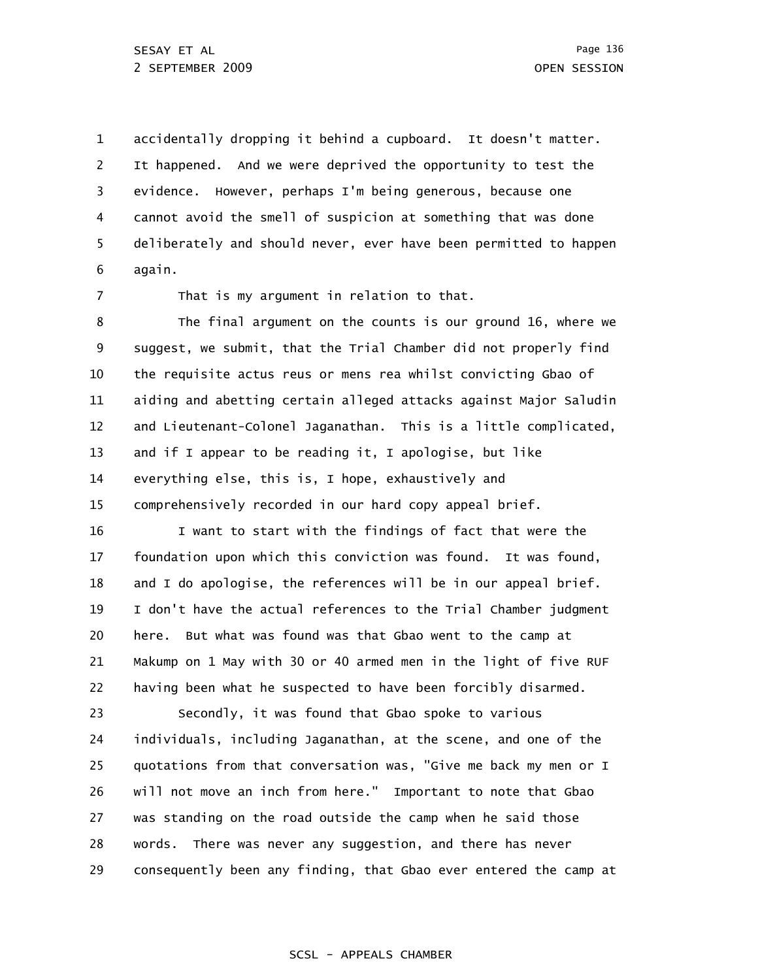1 2 3 4 5 6 accidentally dropping it behind a cupboard. It doesn't matter. It happened. And we were deprived the opportunity to test the evidence. However, perhaps I'm being generous, because one cannot avoid the smell of suspicion at something that was done deliberately and should never, ever have been permitted to happen again.

7

That is my argument in relation to that.

8 9 10 11 12 13 14 15 The final argument on the counts is our ground 16, where we suggest, we submit, that the Trial Chamber did not properly find the requisite actus reus or mens rea whilst convicting Gbao of aiding and abetting certain alleged attacks against Major Saludin and Lieutenant-Colonel Jaganathan. This is a little complicated, and if I appear to be reading it, I apologise, but like everything else, this is, I hope, exhaustively and comprehensively recorded in our hard copy appeal brief.

16 17 18 19 20 21 22 23 24 25 26 27 28 I want to start with the findings of fact that were the foundation upon which this conviction was found. It was found, and I do apologise, the references will be in our appeal brief. I don't have the actual references to the Trial Chamber judgment here. But what was found was that Gbao went to the camp at Makump on 1 May with 30 or 40 armed men in the light of five RUF having been what he suspected to have been forcibly disarmed. Secondly, it was found that Gbao spoke to various individuals, including Jaganathan, at the scene, and one of the quotations from that conversation was, "Give me back my men or I will not move an inch from here." Important to note that Gbao was standing on the road outside the camp when he said those words. There was never any suggestion, and there has never

29 consequently been any finding, that Gbao ever entered the camp at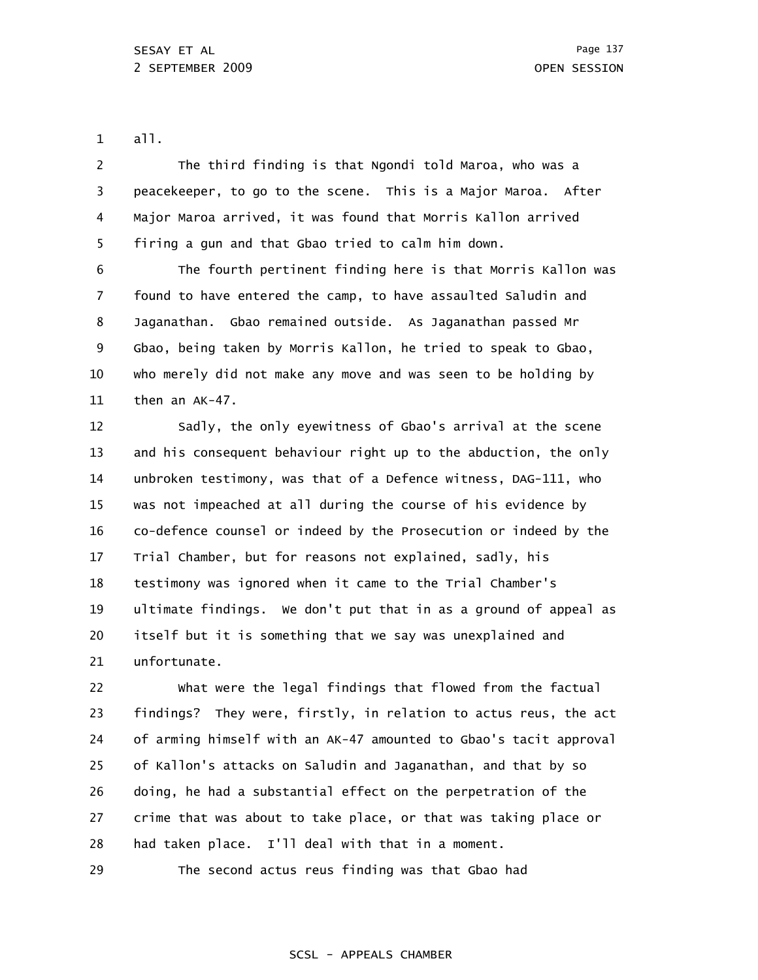1 all.

2 3 4 5 The third finding is that Ngondi told Maroa, who was a peacekeeper, to go to the scene. This is a Major Maroa. After Major Maroa arrived, it was found that Morris Kallon arrived firing a gun and that Gbao tried to calm him down.

6 7 8 9 10 11 The fourth pertinent finding here is that Morris Kallon was found to have entered the camp, to have assaulted Saludin and Jaganathan. Gbao remained outside. As Jaganathan passed Mr Gbao, being taken by Morris Kallon, he tried to speak to Gbao, who merely did not make any move and was seen to be holding by then an AK-47.

12 13 14 15 16 17 18 19 20 21 Sadly, the only eyewitness of Gbao's arrival at the scene and his consequent behaviour right up to the abduction, the only unbroken testimony, was that of a Defence witness, DAG-111, who was not impeached at all during the course of his evidence by co-defence counsel or indeed by the Prosecution or indeed by the Trial Chamber, but for reasons not explained, sadly, his testimony was ignored when it came to the Trial Chamber's ultimate findings. We don't put that in as a ground of appeal as itself but it is something that we say was unexplained and unfortunate.

22 23 24 25 26 27 28 What were the legal findings that flowed from the factual findings? They were, firstly, in relation to actus reus, the act of arming himself with an AK-47 amounted to Gbao's tacit approval of Kallon's attacks on Saludin and Jaganathan, and that by so doing, he had a substantial effect on the perpetration of the crime that was about to take place, or that was taking place or had taken place. I'll deal with that in a moment.

29 The second actus reus finding was that Gbao had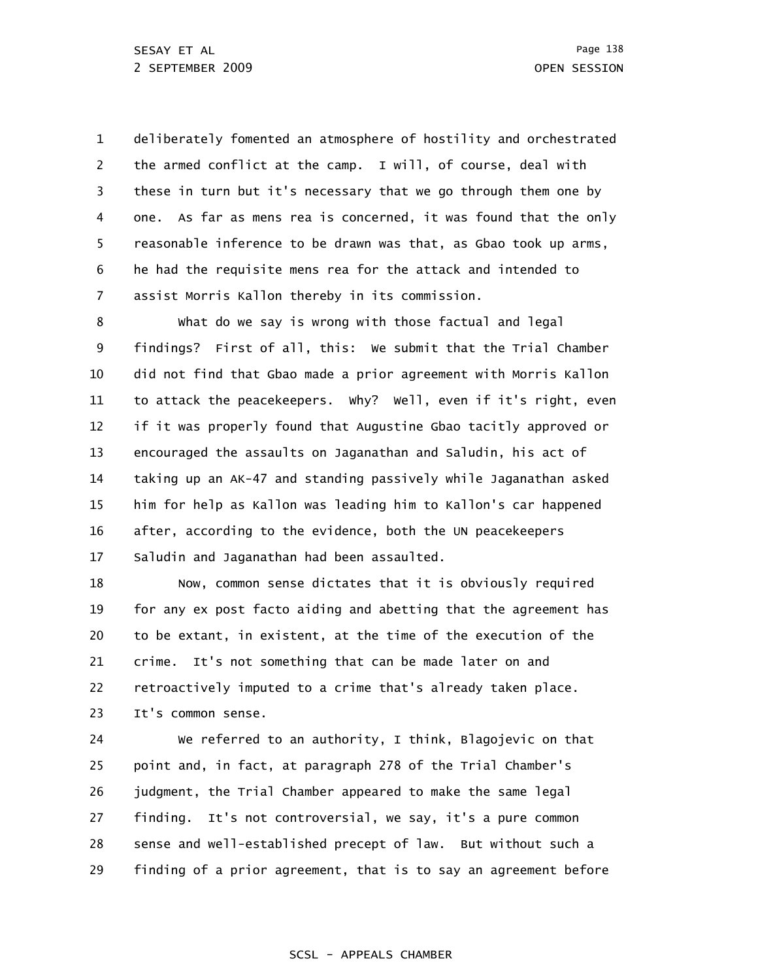1 2 3 4 5 6 7 deliberately fomented an atmosphere of hostility and orchestrated the armed conflict at the camp. I will, of course, deal with these in turn but it's necessary that we go through them one by one. As far as mens rea is concerned, it was found that the only reasonable inference to be drawn was that, as Gbao took up arms, he had the requisite mens rea for the attack and intended to assist Morris Kallon thereby in its commission.

8 9 10 11 12 13 14 15 16 17 What do we say is wrong with those factual and legal findings? First of all, this: We submit that the Trial Chamber did not find that Gbao made a prior agreement with Morris Kallon to attack the peacekeepers. Why? Well, even if it's right, even if it was properly found that Augustine Gbao tacitly approved or encouraged the assaults on Jaganathan and Saludin, his act of taking up an AK-47 and standing passively while Jaganathan asked him for help as Kallon was leading him to Kallon's car happened after, according to the evidence, both the UN peacekeepers Saludin and Jaganathan had been assaulted.

18 19 20 21 22 23 Now, common sense dictates that it is obviously required for any ex post facto aiding and abetting that the agreement has to be extant, in existent, at the time of the execution of the crime. It's not something that can be made later on and retroactively imputed to a crime that's already taken place. It's common sense.

24 25 26 27 28 29 We referred to an authority, I think, Blagojevic on that point and, in fact, at paragraph 278 of the Trial Chamber's judgment, the Trial Chamber appeared to make the same legal finding. It's not controversial, we say, it's a pure common sense and well-established precept of law. But without such a finding of a prior agreement, that is to say an agreement before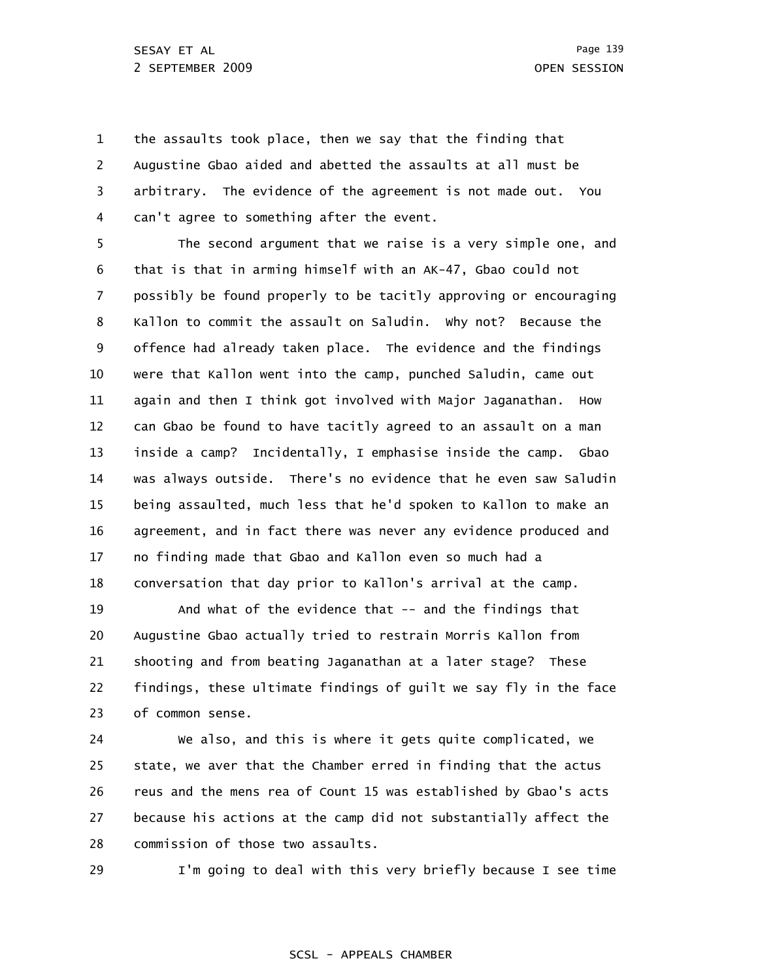1 2 3 4 the assaults took place, then we say that the finding that Augustine Gbao aided and abetted the assaults at all must be arbitrary. The evidence of the agreement is not made out. You can't agree to something after the event.

5 6 7 8 9 10 11 12 13 14 15 16 17 18 19 The second argument that we raise is a very simple one, and that is that in arming himself with an AK-47, Gbao could not possibly be found properly to be tacitly approving or encouraging Kallon to commit the assault on Saludin. Why not? Because the offence had already taken place. The evidence and the findings were that Kallon went into the camp, punched Saludin, came out again and then I think got involved with Major Jaganathan. How can Gbao be found to have tacitly agreed to an assault on a man inside a camp? Incidentally, I emphasise inside the camp. Gbao was always outside. There's no evidence that he even saw Saludin being assaulted, much less that he'd spoken to Kallon to make an agreement, and in fact there was never any evidence produced and no finding made that Gbao and Kallon even so much had a conversation that day prior to Kallon's arrival at the camp. And what of the evidence that -- and the findings that

20 21 22 23 Augustine Gbao actually tried to restrain Morris Kallon from shooting and from beating Jaganathan at a later stage? These findings, these ultimate findings of guilt we say fly in the face of common sense.

24 25 26 27 28 We also, and this is where it gets quite complicated, we state, we aver that the Chamber erred in finding that the actus reus and the mens rea of Count 15 was established by Gbao's acts because his actions at the camp did not substantially affect the commission of those two assaults.

29

I'm going to deal with this very briefly because I see time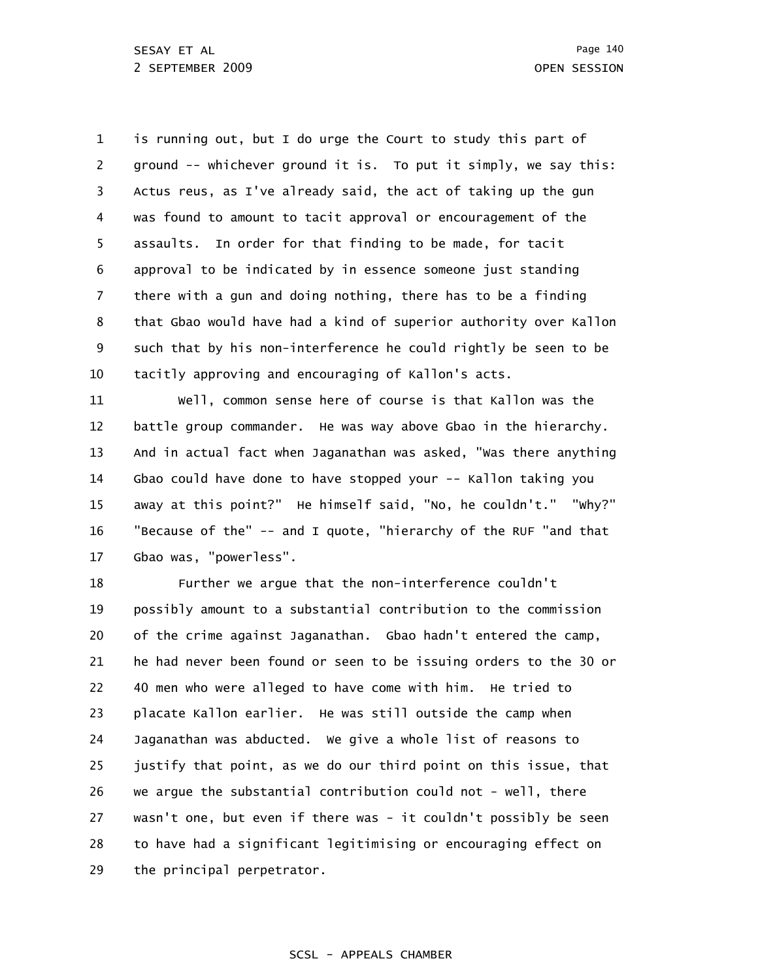1 2 3 4 5 6 7 8 9 10 is running out, but I do urge the Court to study this part of ground -- whichever ground it is. To put it simply, we say this: Actus reus, as I've already said, the act of taking up the gun was found to amount to tacit approval or encouragement of the assaults. In order for that finding to be made, for tacit approval to be indicated by in essence someone just standing there with a gun and doing nothing, there has to be a finding that Gbao would have had a kind of superior authority over Kallon such that by his non-interference he could rightly be seen to be tacitly approving and encouraging of Kallon's acts.

11 12 13 14 15 16 17 Well, common sense here of course is that Kallon was the battle group commander. He was way above Gbao in the hierarchy. And in actual fact when Jaganathan was asked, "Was there anything Gbao could have done to have stopped your -- Kallon taking you away at this point?" He himself said, "No, he couldn't." "Why?" "Because of the" -- and I quote, "hierarchy of the RUF "and that Gbao was, "powerless".

18 19 20 21 22 23 24 25 26 27 28 29 Further we argue that the non-interference couldn't possibly amount to a substantial contribution to the commission of the crime against Jaganathan. Gbao hadn't entered the camp, he had never been found or seen to be issuing orders to the 30 or 40 men who were alleged to have come with him. He tried to placate Kallon earlier. He was still outside the camp when Jaganathan was abducted. We give a whole list of reasons to justify that point, as we do our third point on this issue, that we argue the substantial contribution could not - well, there wasn't one, but even if there was - it couldn't possibly be seen to have had a significant legitimising or encouraging effect on the principal perpetrator.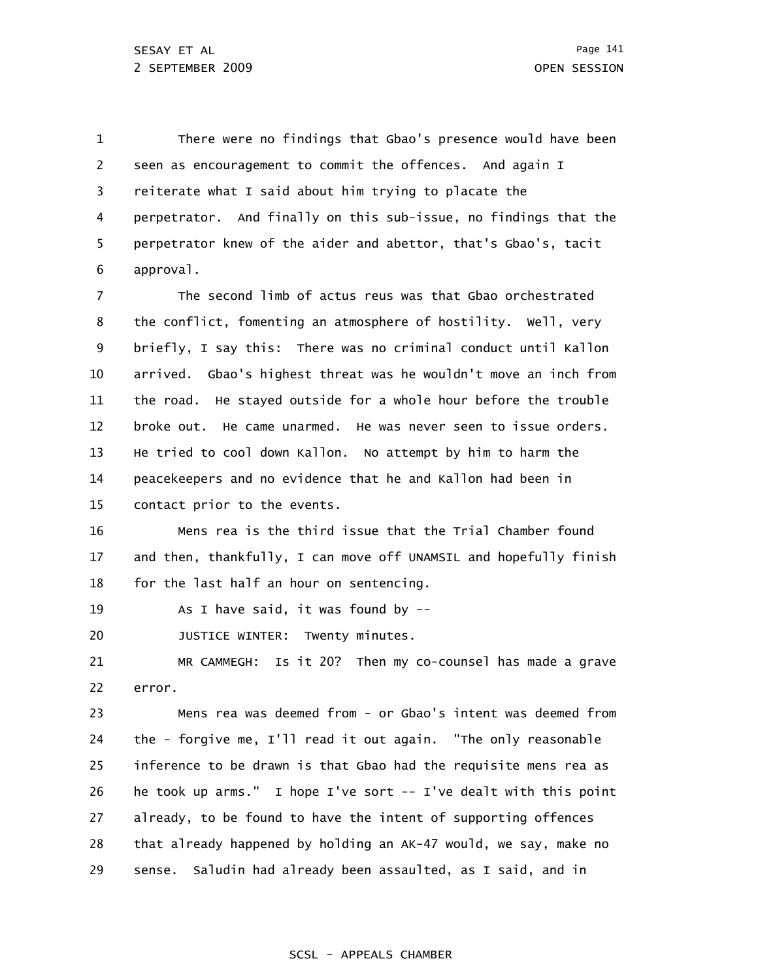1 2 3 4 5 6 There were no findings that Gbao's presence would have been seen as encouragement to commit the offences. And again I reiterate what I said about him trying to placate the perpetrator. And finally on this sub-issue, no findings that the perpetrator knew of the aider and abettor, that's Gbao's, tacit approval.

7 8 9 10 11 12 13 14 15 The second limb of actus reus was that Gbao orchestrated the conflict, fomenting an atmosphere of hostility. Well, very briefly, I say this: There was no criminal conduct until Kallon arrived. Gbao's highest threat was he wouldn't move an inch from the road. He stayed outside for a whole hour before the trouble broke out. He came unarmed. He was never seen to issue orders. He tried to cool down Kallon. No attempt by him to harm the peacekeepers and no evidence that he and Kallon had been in contact prior to the events.

16 17 18 Mens rea is the third issue that the Trial Chamber found and then, thankfully, I can move off UNAMSIL and hopefully finish for the last half an hour on sentencing.

19 As I have said, it was found by --

20 JUSTICE WINTER: Twenty minutes.

21 22 MR CAMMEGH: Is it 20? Then my co-counsel has made a grave error.

23 24 25 26 27 28 29 Mens rea was deemed from - or Gbao's intent was deemed from the - forgive me, I'll read it out again. "The only reasonable inference to be drawn is that Gbao had the requisite mens rea as he took up arms." I hope I've sort -- I've dealt with this point already, to be found to have the intent of supporting offences that already happened by holding an AK-47 would, we say, make no sense. Saludin had already been assaulted, as I said, and in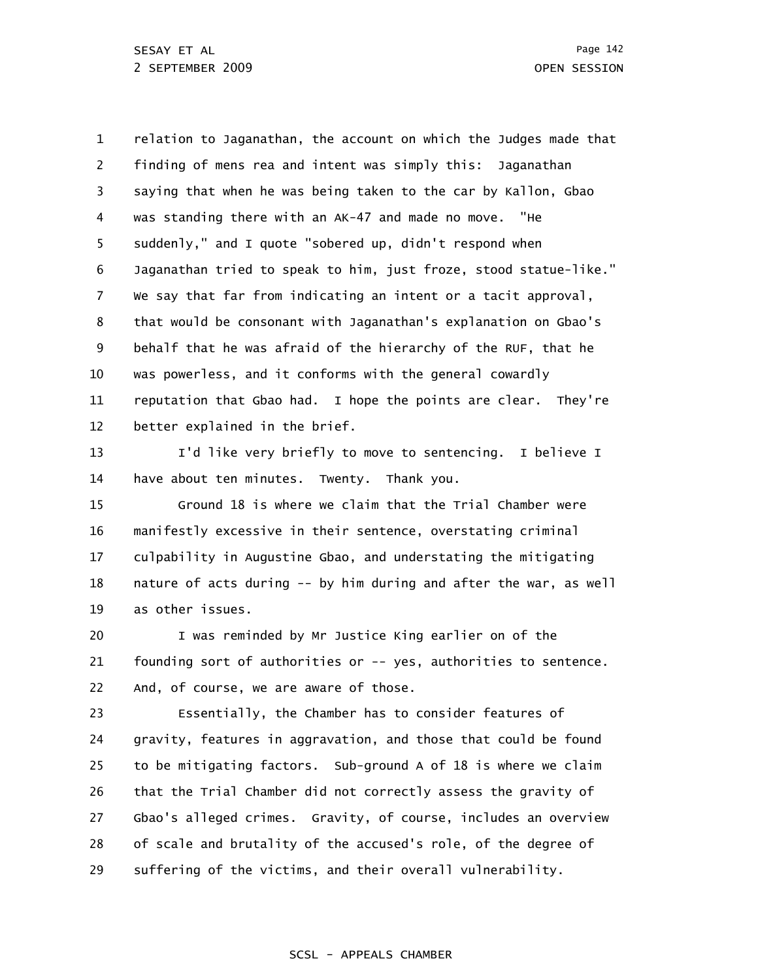1 2 3 4 5 6 7 8 9 10 11 12 relation to Jaganathan, the account on which the Judges made that finding of mens rea and intent was simply this: Jaganathan saying that when he was being taken to the car by Kallon, Gbao was standing there with an AK-47 and made no move. "He suddenly," and I quote "sobered up, didn't respond when Jaganathan tried to speak to him, just froze, stood statue-like." We say that far from indicating an intent or a tacit approval, that would be consonant with Jaganathan's explanation on Gbao's behalf that he was afraid of the hierarchy of the RUF, that he was powerless, and it conforms with the general cowardly reputation that Gbao had. I hope the points are clear. They're better explained in the brief.

13 14 I'd like very briefly to move to sentencing. I believe I have about ten minutes. Twenty. Thank you.

15 16 17 18 19 Ground 18 is where we claim that the Trial Chamber were manifestly excessive in their sentence, overstating criminal culpability in Augustine Gbao, and understating the mitigating nature of acts during -- by him during and after the war, as well as other issues.

20 21 22 I was reminded by Mr Justice King earlier on of the founding sort of authorities or -- yes, authorities to sentence. And, of course, we are aware of those.

23 24 25 26 27 28 29 Essentially, the Chamber has to consider features of gravity, features in aggravation, and those that could be found to be mitigating factors. Sub-ground A of 18 is where we claim that the Trial Chamber did not correctly assess the gravity of Gbao's alleged crimes. Gravity, of course, includes an overview of scale and brutality of the accused's role, of the degree of suffering of the victims, and their overall vulnerability.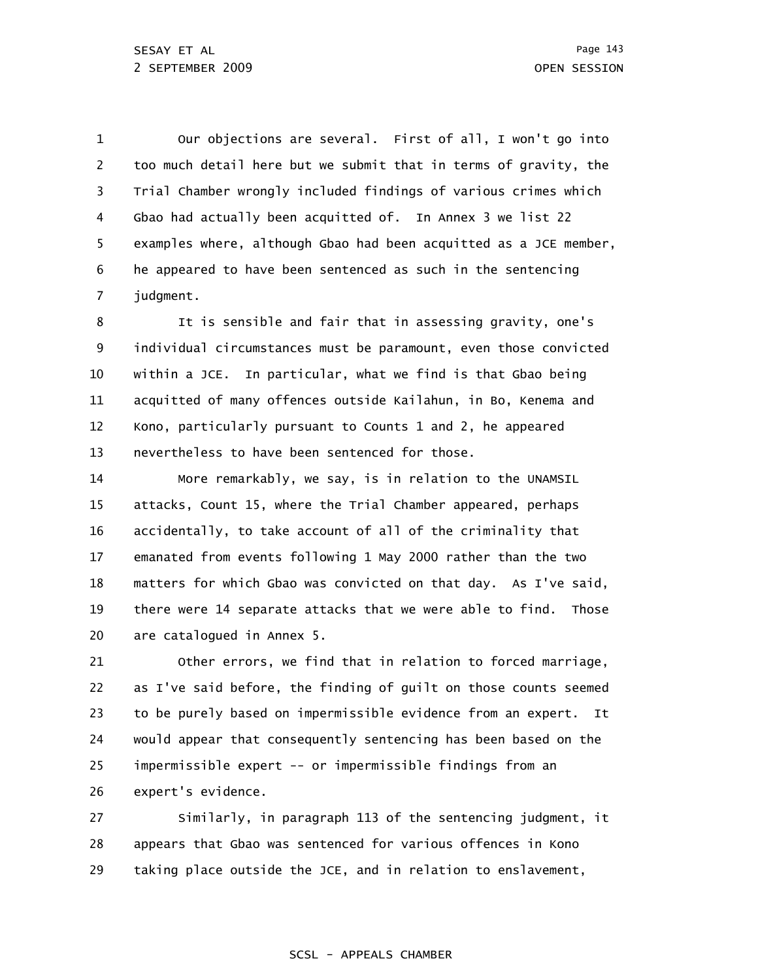1 2 3 4 5 6 7 Our objections are several. First of all, I won't go into too much detail here but we submit that in terms of gravity, the Trial Chamber wrongly included findings of various crimes which Gbao had actually been acquitted of. In Annex 3 we list 22 examples where, although Gbao had been acquitted as a JCE member, he appeared to have been sentenced as such in the sentencing judgment.

8 9 10 11 12 13 It is sensible and fair that in assessing gravity, one's individual circumstances must be paramount, even those convicted within a JCE. In particular, what we find is that Gbao being acquitted of many offences outside Kailahun, in Bo, Kenema and Kono, particularly pursuant to Counts 1 and 2, he appeared nevertheless to have been sentenced for those.

14 15 16 17 18 19 20 More remarkably, we say, is in relation to the UNAMSIL attacks, Count 15, where the Trial Chamber appeared, perhaps accidentally, to take account of all of the criminality that emanated from events following 1 May 2000 rather than the two matters for which Gbao was convicted on that day. As I've said, there were 14 separate attacks that we were able to find. Those are catalogued in Annex 5.

21 22 23 24 25 26 Other errors, we find that in relation to forced marriage, as I've said before, the finding of guilt on those counts seemed to be purely based on impermissible evidence from an expert. It would appear that consequently sentencing has been based on the impermissible expert -- or impermissible findings from an expert's evidence.

27 28 29 Similarly, in paragraph 113 of the sentencing judgment, it appears that Gbao was sentenced for various offences in Kono taking place outside the JCE, and in relation to enslavement,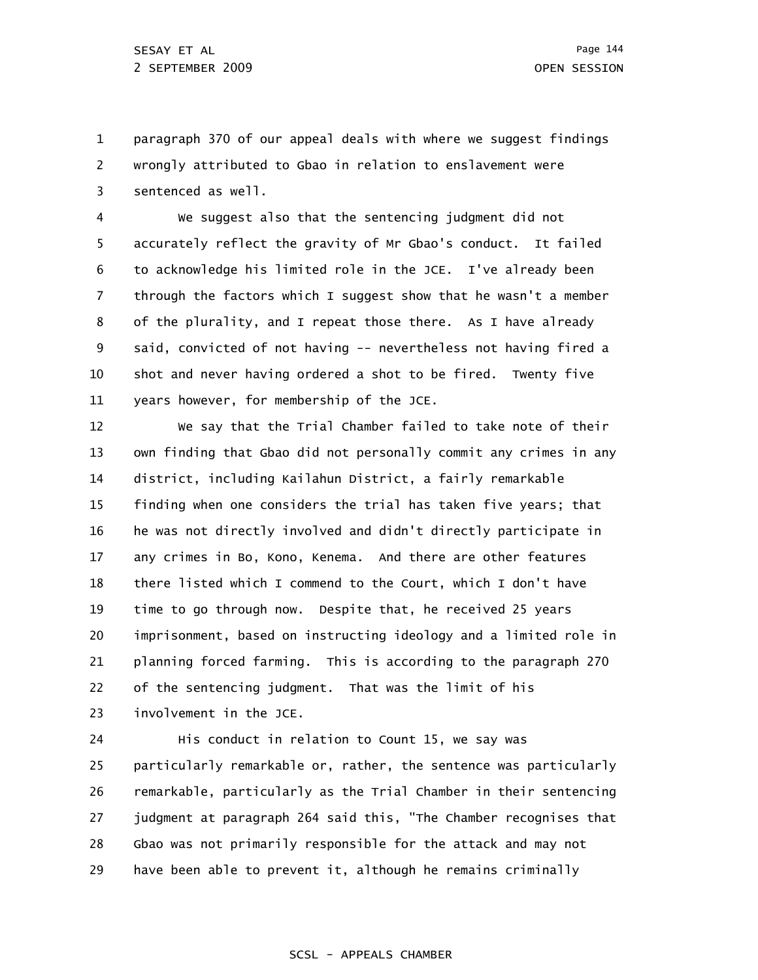1 2 3 paragraph 370 of our appeal deals with where we suggest findings wrongly attributed to Gbao in relation to enslavement were sentenced as well.

4 5 6 7 8 9 10 11 We suggest also that the sentencing judgment did not accurately reflect the gravity of Mr Gbao's conduct. It failed to acknowledge his limited role in the JCE. I've already been through the factors which I suggest show that he wasn't a member of the plurality, and I repeat those there. As I have already said, convicted of not having -- nevertheless not having fired a shot and never having ordered a shot to be fired. Twenty five years however, for membership of the JCE.

12 13 14 15 16 17 18 19 20 21 22 23 We say that the Trial Chamber failed to take note of their own finding that Gbao did not personally commit any crimes in any district, including Kailahun District, a fairly remarkable finding when one considers the trial has taken five years; that he was not directly involved and didn't directly participate in any crimes in Bo, Kono, Kenema. And there are other features there listed which I commend to the Court, which I don't have time to go through now. Despite that, he received 25 years imprisonment, based on instructing ideology and a limited role in planning forced farming. This is according to the paragraph 270 of the sentencing judgment. That was the limit of his involvement in the JCE.

24 25 26 27 28 29 His conduct in relation to Count 15, we say was particularly remarkable or, rather, the sentence was particularly remarkable, particularly as the Trial Chamber in their sentencing judgment at paragraph 264 said this, "The Chamber recognises that Gbao was not primarily responsible for the attack and may not have been able to prevent it, although he remains criminally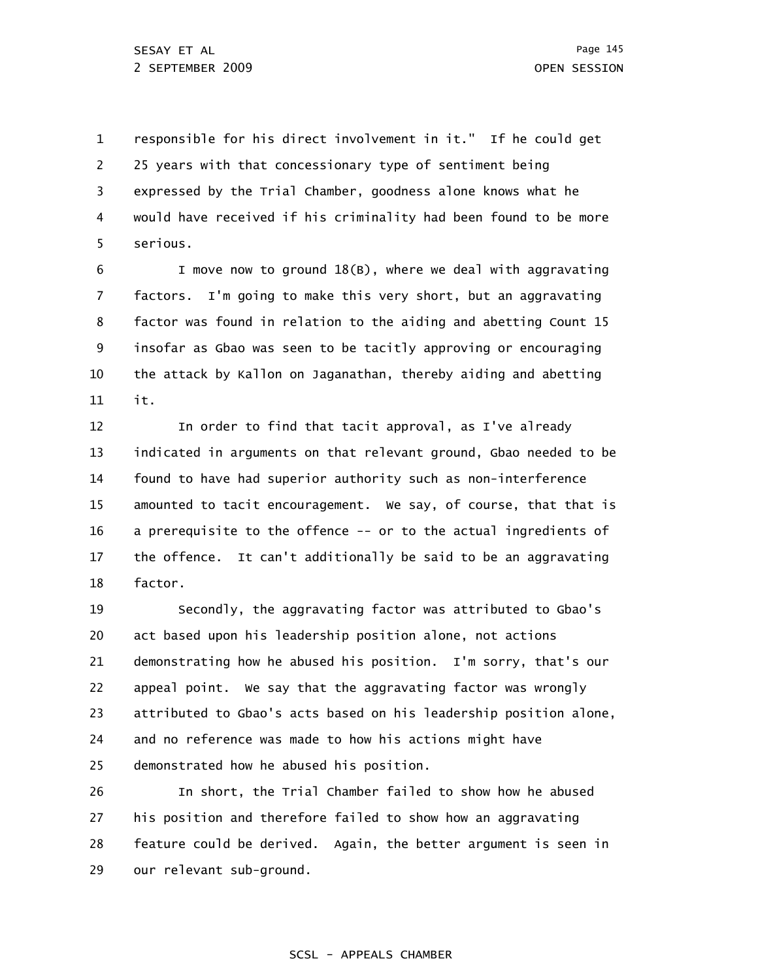1 2 3 4 5 responsible for his direct involvement in it." If he could get 25 years with that concessionary type of sentiment being expressed by the Trial Chamber, goodness alone knows what he would have received if his criminality had been found to be more serious.

6 7 8 9 10 11 I move now to ground 18(B), where we deal with aggravating factors. I'm going to make this very short, but an aggravating factor was found in relation to the aiding and abetting Count 15 insofar as Gbao was seen to be tacitly approving or encouraging the attack by Kallon on Jaganathan, thereby aiding and abetting it.

12 13 14 15 16 17 18 In order to find that tacit approval, as I've already indicated in arguments on that relevant ground, Gbao needed to be found to have had superior authority such as non-interference amounted to tacit encouragement. We say, of course, that that is a prerequisite to the offence -- or to the actual ingredients of the offence. It can't additionally be said to be an aggravating factor.

19 20 21 22 23 24 25 Secondly, the aggravating factor was attributed to Gbao's act based upon his leadership position alone, not actions demonstrating how he abused his position. I'm sorry, that's our appeal point. We say that the aggravating factor was wrongly attributed to Gbao's acts based on his leadership position alone, and no reference was made to how his actions might have demonstrated how he abused his position.

26 27 28 29 In short, the Trial Chamber failed to show how he abused his position and therefore failed to show how an aggravating feature could be derived. Again, the better argument is seen in our relevant sub-ground.

## SCSL - APPEALS CHAMBER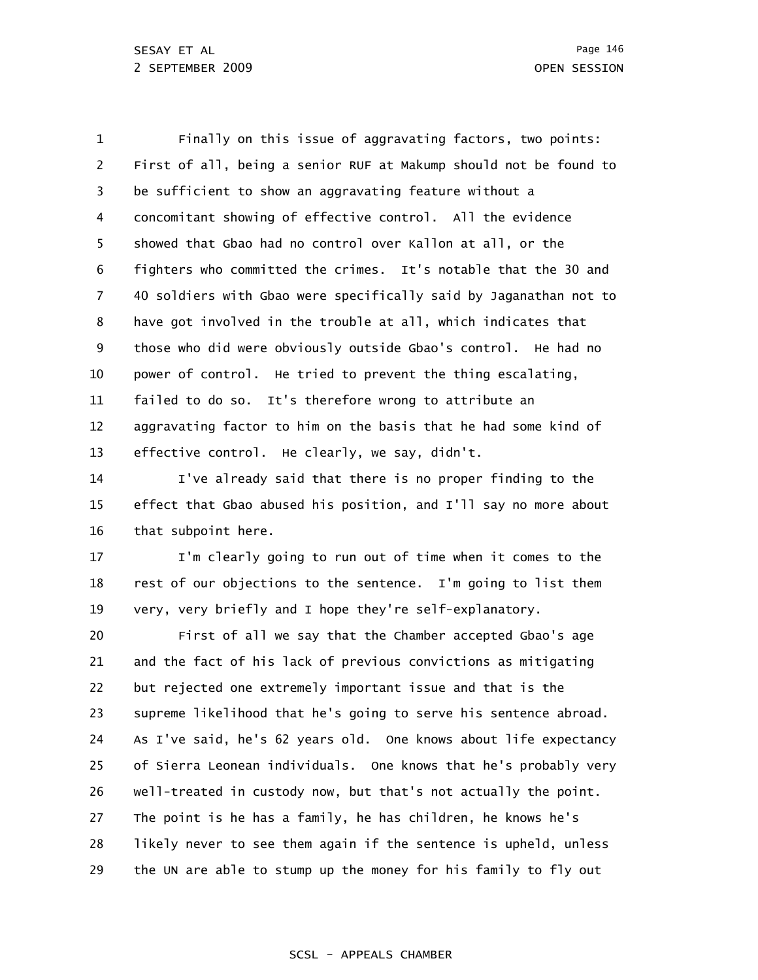1 2 3 4 5 6 7 8 9 10 11 12 13 Finally on this issue of aggravating factors, two points: First of all, being a senior RUF at Makump should not be found to be sufficient to show an aggravating feature without a concomitant showing of effective control. All the evidence showed that Gbao had no control over Kallon at all, or the fighters who committed the crimes. It's notable that the 30 and 40 soldiers with Gbao were specifically said by Jaganathan not to have got involved in the trouble at all, which indicates that those who did were obviously outside Gbao's control. He had no power of control. He tried to prevent the thing escalating, failed to do so. It's therefore wrong to attribute an aggravating factor to him on the basis that he had some kind of effective control. He clearly, we say, didn't.

14 15 16 I've already said that there is no proper finding to the effect that Gbao abused his position, and I'll say no more about that subpoint here.

17 18 19 I'm clearly going to run out of time when it comes to the rest of our objections to the sentence. I'm going to list them very, very briefly and I hope they're self-explanatory.

20 21 22 23 24 25 26 27 28 29 First of all we say that the Chamber accepted Gbao's age and the fact of his lack of previous convictions as mitigating but rejected one extremely important issue and that is the supreme likelihood that he's going to serve his sentence abroad. As I've said, he's 62 years old. One knows about life expectancy of Sierra Leonean individuals. One knows that he's probably very well-treated in custody now, but that's not actually the point. The point is he has a family, he has children, he knows he's likely never to see them again if the sentence is upheld, unless the UN are able to stump up the money for his family to fly out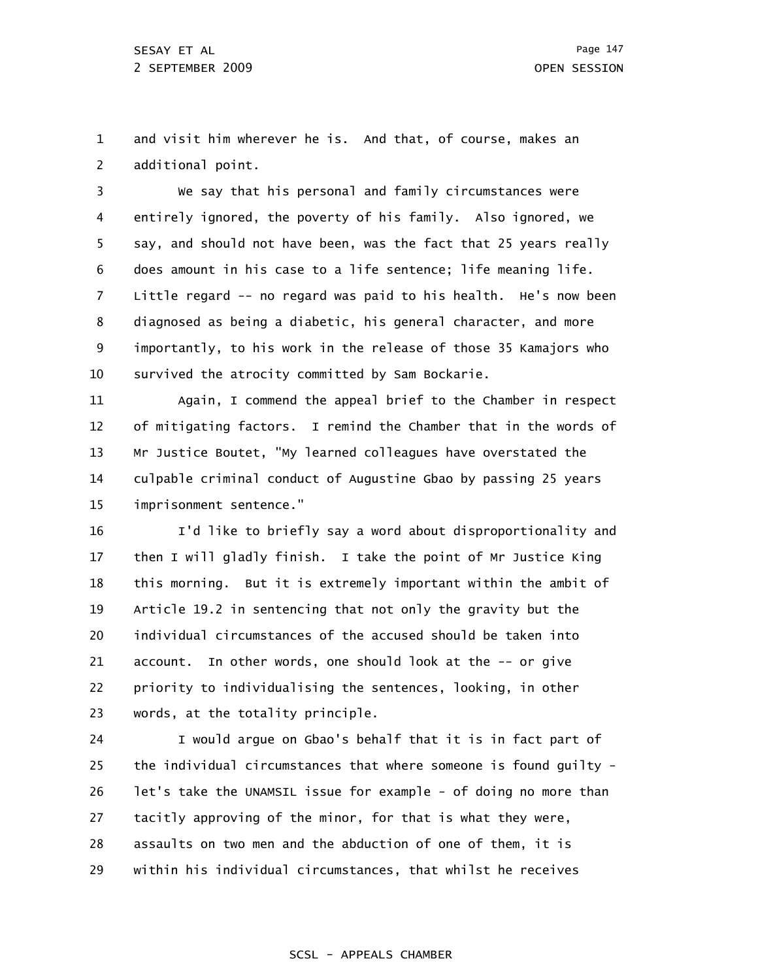1 2 and visit him wherever he is. And that, of course, makes an additional point.

3 4 5 6 7 8 9 10 We say that his personal and family circumstances were entirely ignored, the poverty of his family. Also ignored, we say, and should not have been, was the fact that 25 years really does amount in his case to a life sentence; life meaning life. Little regard -- no regard was paid to his health. He's now been diagnosed as being a diabetic, his general character, and more importantly, to his work in the release of those 35 Kamajors who survived the atrocity committed by Sam Bockarie.

11 12 13 14 15 Again, I commend the appeal brief to the Chamber in respect of mitigating factors. I remind the Chamber that in the words of Mr Justice Boutet, "My learned colleagues have overstated the culpable criminal conduct of Augustine Gbao by passing 25 years imprisonment sentence."

16 17 18 19 20 21 22 23 I'd like to briefly say a word about disproportionality and then I will gladly finish. I take the point of Mr Justice King this morning. But it is extremely important within the ambit of Article 19.2 in sentencing that not only the gravity but the individual circumstances of the accused should be taken into account. In other words, one should look at the -- or give priority to individualising the sentences, looking, in other words, at the totality principle.

24 25 26 27 28 29 I would argue on Gbao's behalf that it is in fact part of the individual circumstances that where someone is found guilty let's take the UNAMSIL issue for example - of doing no more than tacitly approving of the minor, for that is what they were, assaults on two men and the abduction of one of them, it is within his individual circumstances, that whilst he receives

## SCSL - APPEALS CHAMBER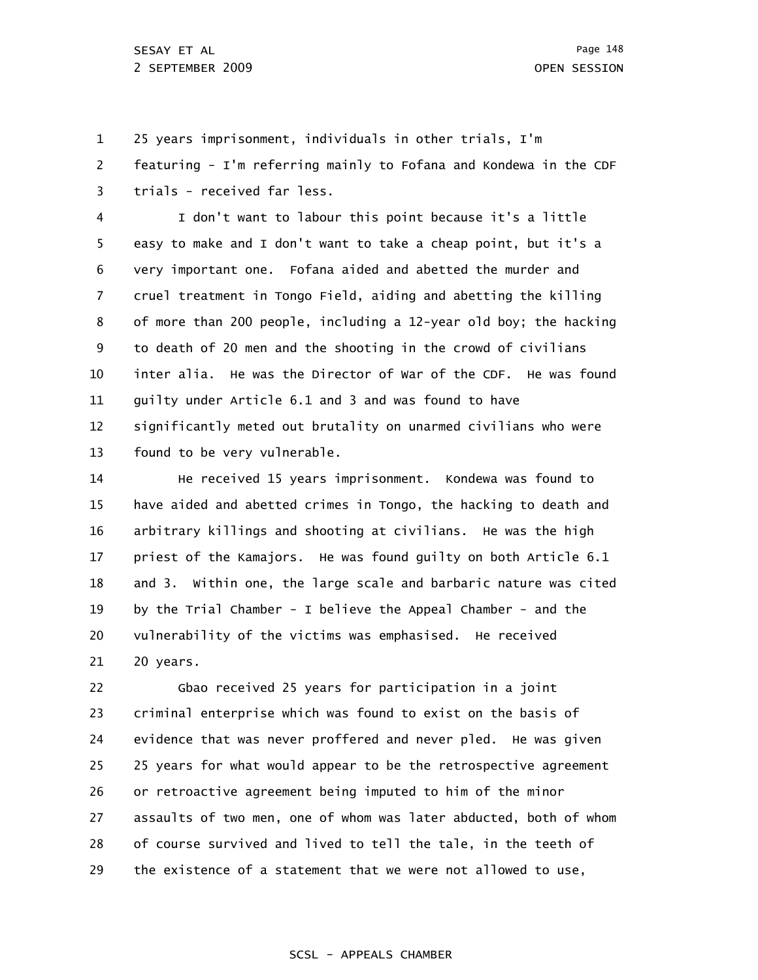1 25 years imprisonment, individuals in other trials, I'm

2 3 featuring - I'm referring mainly to Fofana and Kondewa in the CDF trials - received far less.

4 5 6 7 8 9 10 11 12 13 I don't want to labour this point because it's a little easy to make and I don't want to take a cheap point, but it's a very important one. Fofana aided and abetted the murder and cruel treatment in Tongo Field, aiding and abetting the killing of more than 200 people, including a 12-year old boy; the hacking to death of 20 men and the shooting in the crowd of civilians inter alia. He was the Director of War of the CDF. He was found guilty under Article 6.1 and 3 and was found to have significantly meted out brutality on unarmed civilians who were found to be very vulnerable.

14 15 16 17 18 19 20 21 He received 15 years imprisonment. Kondewa was found to have aided and abetted crimes in Tongo, the hacking to death and arbitrary killings and shooting at civilians. He was the high priest of the Kamajors. He was found guilty on both Article 6.1 and 3. Within one, the large scale and barbaric nature was cited by the Trial Chamber - I believe the Appeal Chamber - and the vulnerability of the victims was emphasised. He received 20 years.

22 23 24 25 26 27 28 29 Gbao received 25 years for participation in a joint criminal enterprise which was found to exist on the basis of evidence that was never proffered and never pled. He was given 25 years for what would appear to be the retrospective agreement or retroactive agreement being imputed to him of the minor assaults of two men, one of whom was later abducted, both of whom of course survived and lived to tell the tale, in the teeth of the existence of a statement that we were not allowed to use,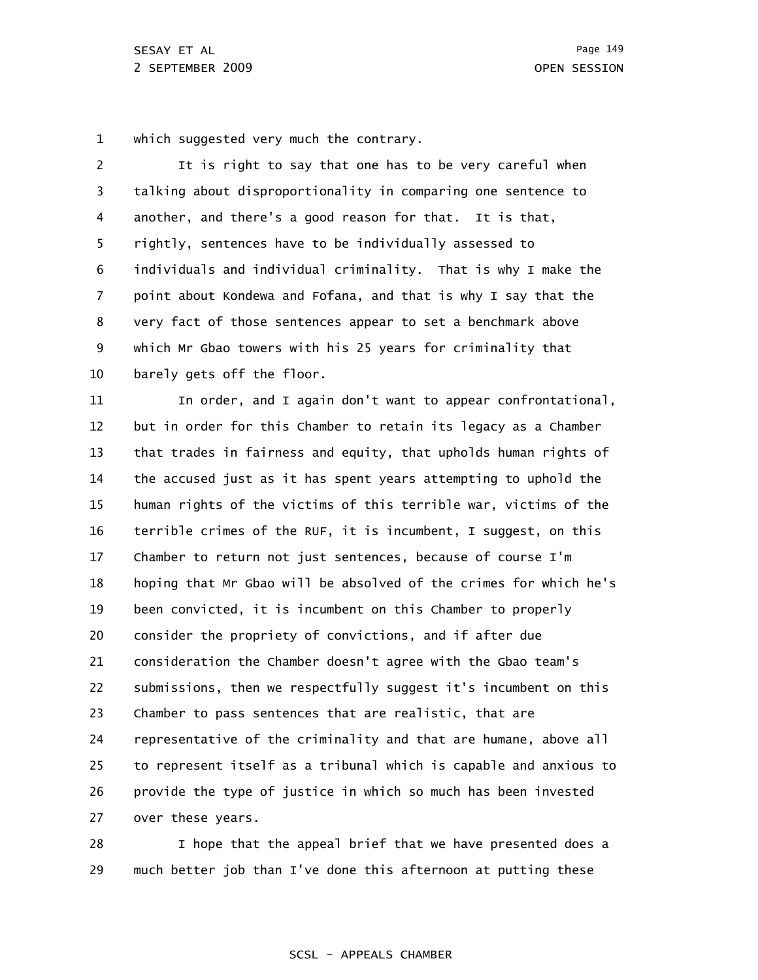1 which suggested very much the contrary.

2 3 4 5 6 7 8 9 10 It is right to say that one has to be very careful when talking about disproportionality in comparing one sentence to another, and there's a good reason for that. It is that, rightly, sentences have to be individually assessed to individuals and individual criminality. That is why I make the point about Kondewa and Fofana, and that is why I say that the very fact of those sentences appear to set a benchmark above which Mr Gbao towers with his 25 years for criminality that barely gets off the floor.

11 12 13 14 15 16 17 18 19 20 21 22 23 24 25 26 27 In order, and I again don't want to appear confrontational, but in order for this Chamber to retain its legacy as a Chamber that trades in fairness and equity, that upholds human rights of the accused just as it has spent years attempting to uphold the human rights of the victims of this terrible war, victims of the terrible crimes of the RUF, it is incumbent, I suggest, on this Chamber to return not just sentences, because of course I'm hoping that Mr Gbao will be absolved of the crimes for which he's been convicted, it is incumbent on this Chamber to properly consider the propriety of convictions, and if after due consideration the Chamber doesn't agree with the Gbao team's submissions, then we respectfully suggest it's incumbent on this Chamber to pass sentences that are realistic, that are representative of the criminality and that are humane, above all to represent itself as a tribunal which is capable and anxious to provide the type of justice in which so much has been invested over these years.

28 29 I hope that the appeal brief that we have presented does a much better job than I've done this afternoon at putting these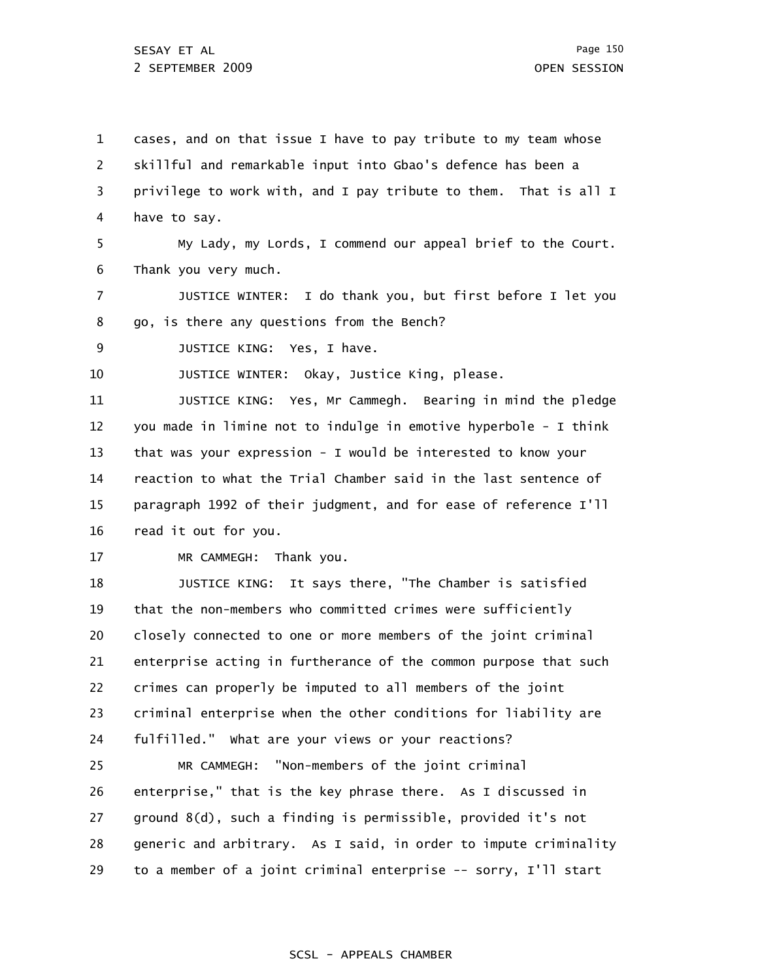1 2 3 4 5 6 7 8 9 10 11 12 13 14 15 16 17 18 19 20 21 22 23 24 25 26 27 28 29 cases, and on that issue I have to pay tribute to my team whose skillful and remarkable input into Gbao's defence has been a privilege to work with, and I pay tribute to them. That is all I have to say. My Lady, my Lords, I commend our appeal brief to the Court. Thank you very much. JUSTICE WINTER: I do thank you, but first before I let you go, is there any questions from the Bench? JUSTICE KING: Yes, I have. JUSTICE WINTER: Okay, Justice King, please. JUSTICE KING: Yes, Mr Cammegh. Bearing in mind the pledge you made in limine not to indulge in emotive hyperbole - I think that was your expression - I would be interested to know your reaction to what the Trial Chamber said in the last sentence of paragraph 1992 of their judgment, and for ease of reference I'll read it out for you. MR CAMMEGH: Thank you. JUSTICE KING: It says there, "The Chamber is satisfied that the non-members who committed crimes were sufficiently closely connected to one or more members of the joint criminal enterprise acting in furtherance of the common purpose that such crimes can properly be imputed to all members of the joint criminal enterprise when the other conditions for liability are fulfilled." What are your views or your reactions? MR CAMMEGH: "Non-members of the joint criminal enterprise," that is the key phrase there. As I discussed in ground 8(d), such a finding is permissible, provided it's not generic and arbitrary. As I said, in order to impute criminality to a member of a joint criminal enterprise -- sorry, I'll start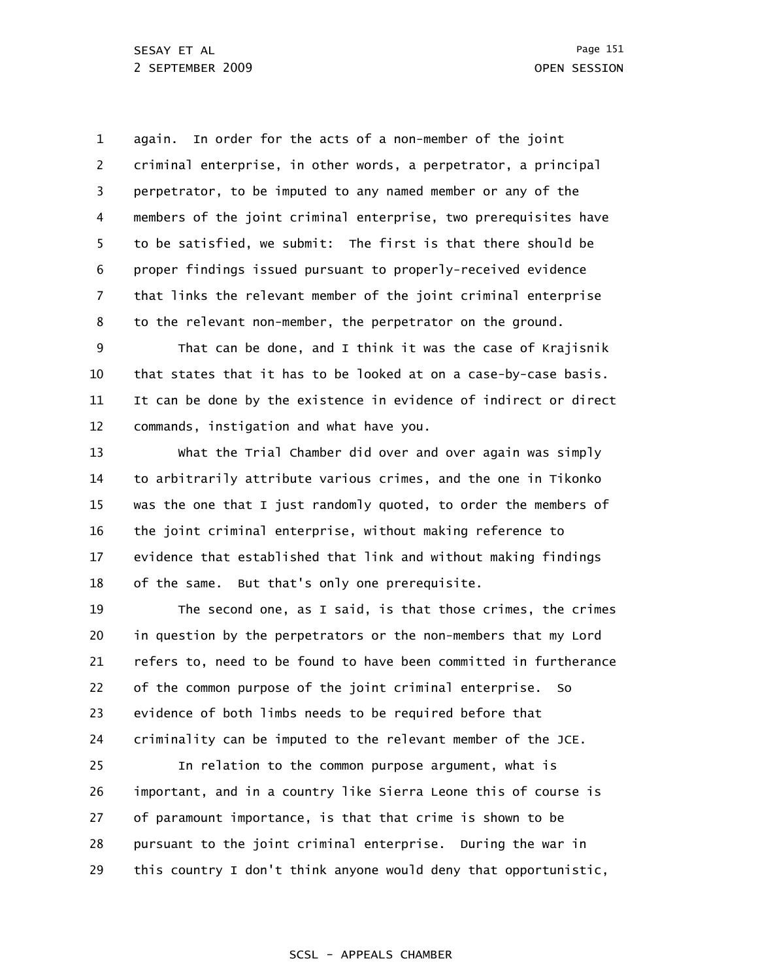1 2 3 4 5 6 7 8 again. In order for the acts of a non-member of the joint criminal enterprise, in other words, a perpetrator, a principal perpetrator, to be imputed to any named member or any of the members of the joint criminal enterprise, two prerequisites have to be satisfied, we submit: The first is that there should be proper findings issued pursuant to properly-received evidence that links the relevant member of the joint criminal enterprise to the relevant non-member, the perpetrator on the ground.

9 10 11 12 That can be done, and I think it was the case of Krajisnik that states that it has to be looked at on a case-by-case basis. It can be done by the existence in evidence of indirect or direct commands, instigation and what have you.

13 14 15 16 17 18 What the Trial Chamber did over and over again was simply to arbitrarily attribute various crimes, and the one in Tikonko was the one that I just randomly quoted, to order the members of the joint criminal enterprise, without making reference to evidence that established that link and without making findings of the same. But that's only one prerequisite.

19 20 21 22 23 24 The second one, as I said, is that those crimes, the crimes in question by the perpetrators or the non-members that my Lord refers to, need to be found to have been committed in furtherance of the common purpose of the joint criminal enterprise. So evidence of both limbs needs to be required before that criminality can be imputed to the relevant member of the JCE.

25 26 27 28 29 In relation to the common purpose argument, what is important, and in a country like Sierra Leone this of course is of paramount importance, is that that crime is shown to be pursuant to the joint criminal enterprise. During the war in this country I don't think anyone would deny that opportunistic,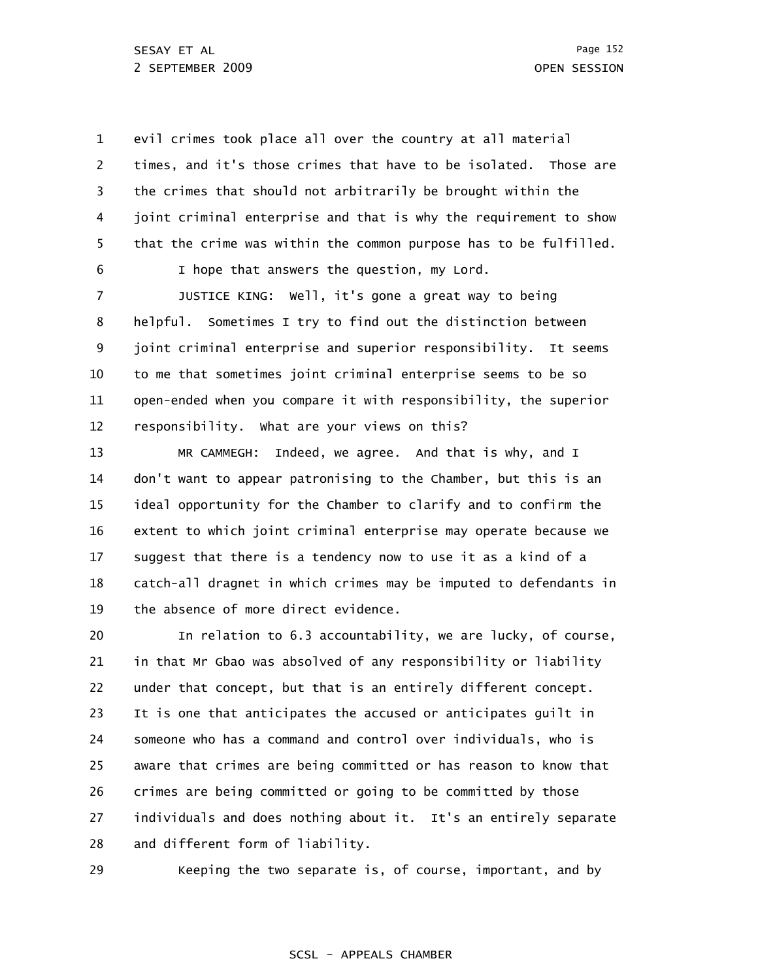1 2 3 4 5 6 evil crimes took place all over the country at all material times, and it's those crimes that have to be isolated. Those are the crimes that should not arbitrarily be brought within the joint criminal enterprise and that is why the requirement to show that the crime was within the common purpose has to be fulfilled. I hope that answers the question, my Lord.

7 8 9 10 11 12 JUSTICE KING: Well, it's gone a great way to being helpful. Sometimes I try to find out the distinction between joint criminal enterprise and superior responsibility. It seems to me that sometimes joint criminal enterprise seems to be so open-ended when you compare it with responsibility, the superior responsibility. What are your views on this?

13 14 15 16 17 18 19 MR CAMMEGH: Indeed, we agree. And that is why, and I don't want to appear patronising to the Chamber, but this is an ideal opportunity for the Chamber to clarify and to confirm the extent to which joint criminal enterprise may operate because we suggest that there is a tendency now to use it as a kind of a catch-all dragnet in which crimes may be imputed to defendants in the absence of more direct evidence.

20 21 22 23 24 25 26 27 28 In relation to 6.3 accountability, we are lucky, of course, in that Mr Gbao was absolved of any responsibility or liability under that concept, but that is an entirely different concept. It is one that anticipates the accused or anticipates guilt in someone who has a command and control over individuals, who is aware that crimes are being committed or has reason to know that crimes are being committed or going to be committed by those individuals and does nothing about it. It's an entirely separate and different form of liability.

29

Keeping the two separate is, of course, important, and by

## SCSL - APPEALS CHAMBER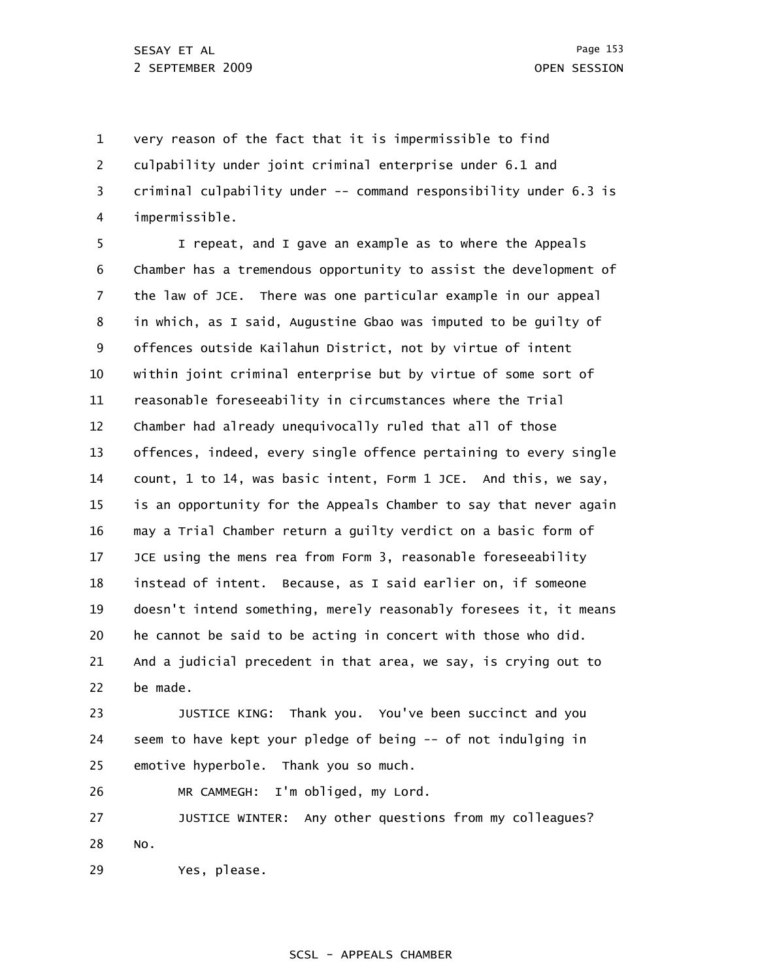1 2 3 4 very reason of the fact that it is impermissible to find culpability under joint criminal enterprise under 6.1 and criminal culpability under -- command responsibility under 6.3 is impermissible.

5 6 7 8 9 10 11 12 13 14 15 16 17 18 19 20 21 22 I repeat, and I gave an example as to where the Appeals Chamber has a tremendous opportunity to assist the development of the law of JCE. There was one particular example in our appeal in which, as I said, Augustine Gbao was imputed to be guilty of offences outside Kailahun District, not by virtue of intent within joint criminal enterprise but by virtue of some sort of reasonable foreseeability in circumstances where the Trial Chamber had already unequivocally ruled that all of those offences, indeed, every single offence pertaining to every single count, 1 to 14, was basic intent, Form 1 JCE. And this, we say, is an opportunity for the Appeals Chamber to say that never again may a Trial Chamber return a guilty verdict on a basic form of JCE using the mens rea from Form 3, reasonable foreseeability instead of intent. Because, as I said earlier on, if someone doesn't intend something, merely reasonably foresees it, it means he cannot be said to be acting in concert with those who did. And a judicial precedent in that area, we say, is crying out to be made.

23 24 25 JUSTICE KING: Thank you. You've been succinct and you seem to have kept your pledge of being -- of not indulging in emotive hyperbole. Thank you so much.

26 MR CAMMEGH: I'm obliged, my Lord.

27 28 JUSTICE WINTER: Any other questions from my colleagues? No.

29 Yes, please.